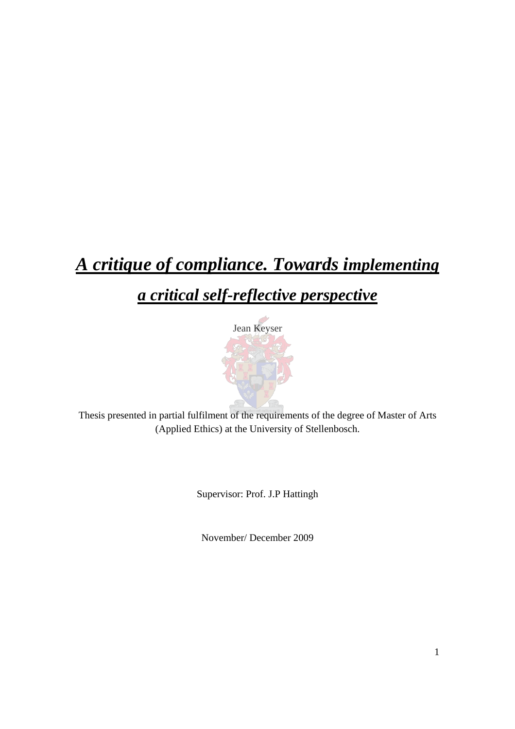# *A critique of compliance. Towards implementing*

## *a critical self-reflective perspective*



Thesis presented in partial fulfilment of the requirements of the degree of Master of Arts (Applied Ethics) at the University of Stellenbosch.

Supervisor: Prof. J.P Hattingh

November/ December 2009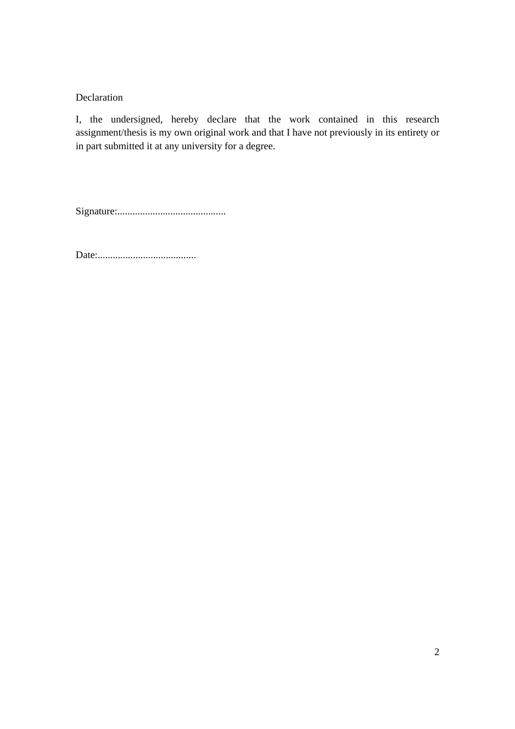#### Declaration

I, the undersigned, hereby declare that the work contained in this research assignment/thesis is my own original work and that I have not previously in its entirety or in part submitted it at any university for a degree.

Signature:...........................................

Date:.......................................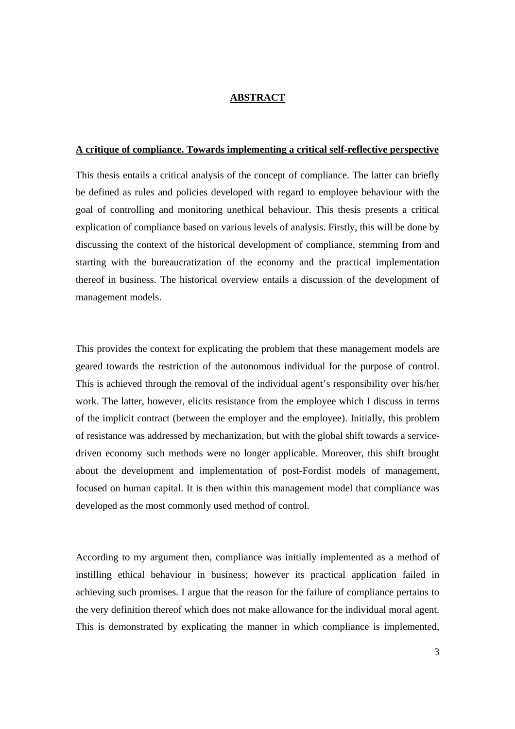#### **ABSTRACT**

#### **A critique of compliance. Towards implementing a critical self-reflective perspective**

This thesis entails a critical analysis of the concept of compliance. The latter can briefly be defined as rules and policies developed with regard to employee behaviour with the goal of controlling and monitoring unethical behaviour. This thesis presents a critical explication of compliance based on various levels of analysis. Firstly, this will be done by discussing the context of the historical development of compliance, stemming from and starting with the bureaucratization of the economy and the practical implementation thereof in business. The historical overview entails a discussion of the development of management models.

This provides the context for explicating the problem that these management models are geared towards the restriction of the autonomous individual for the purpose of control. This is achieved through the removal of the individual agent's responsibility over his/her work. The latter, however, elicits resistance from the employee which I discuss in terms of the implicit contract (between the employer and the employee). Initially, this problem of resistance was addressed by mechanization, but with the global shift towards a servicedriven economy such methods were no longer applicable. Moreover, this shift brought about the development and implementation of post-Fordist models of management, focused on human capital. It is then within this management model that compliance was developed as the most commonly used method of control.

According to my argument then, compliance was initially implemented as a method of instilling ethical behaviour in business; however its practical application failed in achieving such promises. I argue that the reason for the failure of compliance pertains to the very definition thereof which does not make allowance for the individual moral agent. This is demonstrated by explicating the manner in which compliance is implemented,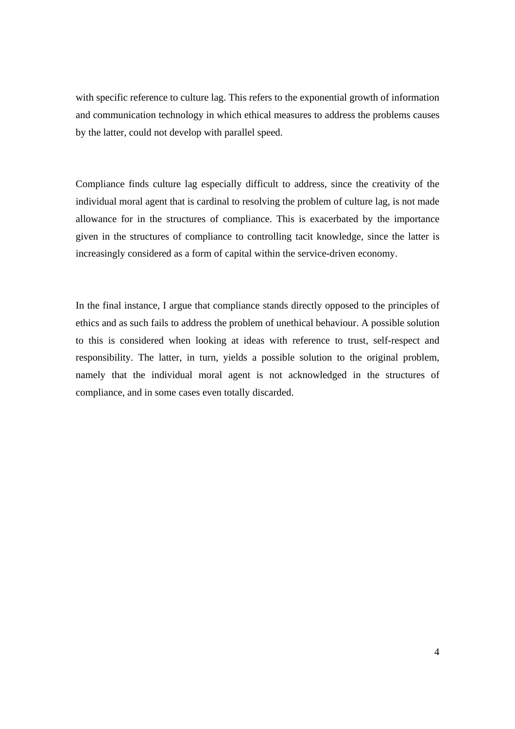with specific reference to culture lag. This refers to the exponential growth of information and communication technology in which ethical measures to address the problems causes by the latter, could not develop with parallel speed.

Compliance finds culture lag especially difficult to address, since the creativity of the individual moral agent that is cardinal to resolving the problem of culture lag, is not made allowance for in the structures of compliance. This is exacerbated by the importance given in the structures of compliance to controlling tacit knowledge, since the latter is increasingly considered as a form of capital within the service-driven economy.

In the final instance, I argue that compliance stands directly opposed to the principles of ethics and as such fails to address the problem of unethical behaviour. A possible solution to this is considered when looking at ideas with reference to trust, self-respect and responsibility. The latter, in turn, yields a possible solution to the original problem, namely that the individual moral agent is not acknowledged in the structures of compliance, and in some cases even totally discarded.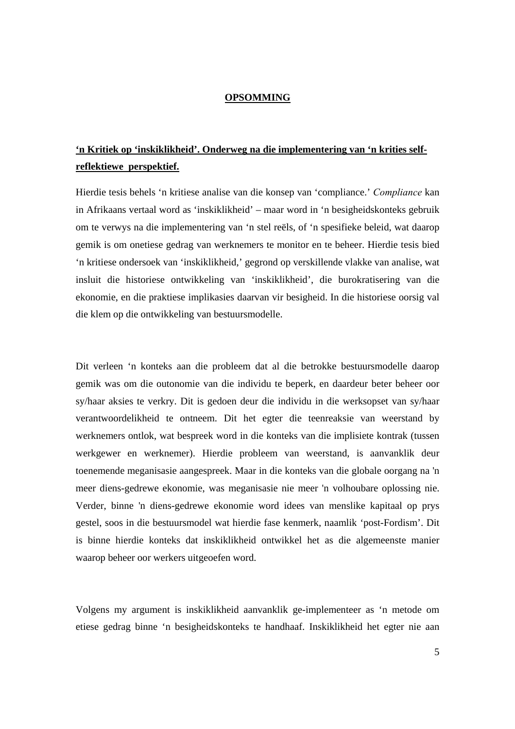#### **OPSOMMING**

### **'n Kritiek op 'inskiklikheid'. Onderweg na die implementering van 'n krities selfreflektiewe perspektief.**

Hierdie tesis behels 'n kritiese analise van die konsep van 'compliance.' *Compliance* kan in Afrikaans vertaal word as 'inskiklikheid' – maar word in 'n besigheidskonteks gebruik om te verwys na die implementering van 'n stel reëls, of 'n spesifieke beleid, wat daarop gemik is om onetiese gedrag van werknemers te monitor en te beheer. Hierdie tesis bied 'n kritiese ondersoek van 'inskiklikheid,' gegrond op verskillende vlakke van analise, wat insluit die historiese ontwikkeling van 'inskiklikheid', die burokratisering van die ekonomie, en die praktiese implikasies daarvan vir besigheid. In die historiese oorsig val die klem op die ontwikkeling van bestuursmodelle.

Dit verleen 'n konteks aan die probleem dat al die betrokke bestuursmodelle daarop gemik was om die outonomie van die individu te beperk, en daardeur beter beheer oor sy/haar aksies te verkry. Dit is gedoen deur die individu in die werksopset van sy/haar verantwoordelikheid te ontneem. Dit het egter die teenreaksie van weerstand by werknemers ontlok, wat bespreek word in die konteks van die implisiete kontrak (tussen werkgewer en werknemer). Hierdie probleem van weerstand, is aanvanklik deur toenemende meganisasie aangespreek. Maar in die konteks van die globale oorgang na 'n meer diens-gedrewe ekonomie, was meganisasie nie meer 'n volhoubare oplossing nie. Verder, binne 'n diens-gedrewe ekonomie word idees van menslike kapitaal op prys gestel, soos in die bestuursmodel wat hierdie fase kenmerk, naamlik 'post-Fordism'. Dit is binne hierdie konteks dat inskiklikheid ontwikkel het as die algemeenste manier waarop beheer oor werkers uitgeoefen word.

Volgens my argument is inskiklikheid aanvanklik ge-implementeer as 'n metode om etiese gedrag binne 'n besigheidskonteks te handhaaf. Inskiklikheid het egter nie aan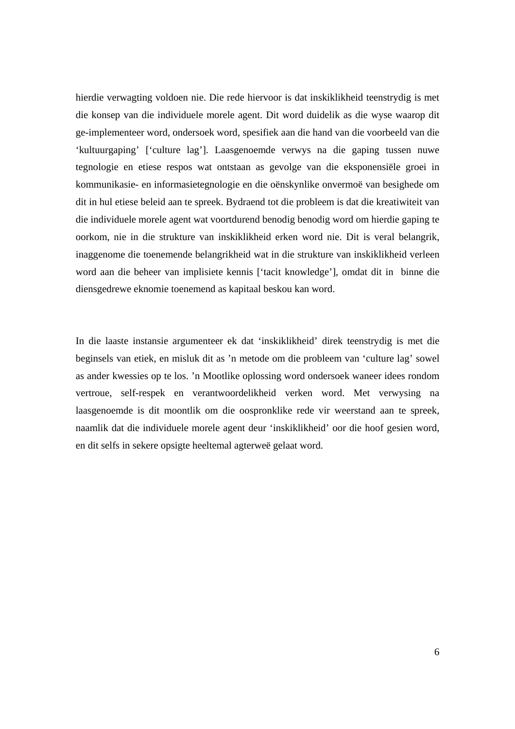hierdie verwagting voldoen nie. Die rede hiervoor is dat inskiklikheid teenstrydig is met die konsep van die individuele morele agent. Dit word duidelik as die wyse waarop dit ge-implementeer word, ondersoek word, spesifiek aan die hand van die voorbeeld van die 'kultuurgaping' ['culture lag']. Laasgenoemde verwys na die gaping tussen nuwe tegnologie en etiese respos wat ontstaan as gevolge van die eksponensiële groei in kommunikasie- en informasietegnologie en die oënskynlike onvermoë van besighede om dit in hul etiese beleid aan te spreek. Bydraend tot die probleem is dat die kreatiwiteit van die individuele morele agent wat voortdurend benodig benodig word om hierdie gaping te oorkom, nie in die strukture van inskiklikheid erken word nie. Dit is veral belangrik, inaggenome die toenemende belangrikheid wat in die strukture van inskiklikheid verleen word aan die beheer van implisiete kennis ['tacit knowledge'], omdat dit in binne die diensgedrewe eknomie toenemend as kapitaal beskou kan word.

In die laaste instansie argumenteer ek dat 'inskiklikheid' direk teenstrydig is met die beginsels van etiek, en misluk dit as 'n metode om die probleem van 'culture lag' sowel as ander kwessies op te los. 'n Mootlike oplossing word ondersoek waneer idees rondom vertroue, self-respek en verantwoordelikheid verken word. Met verwysing na laasgenoemde is dit moontlik om die oospronklike rede vir weerstand aan te spreek, naamlik dat die individuele morele agent deur 'inskiklikheid' oor die hoof gesien word, en dit selfs in sekere opsigte heeltemal agterweë gelaat word.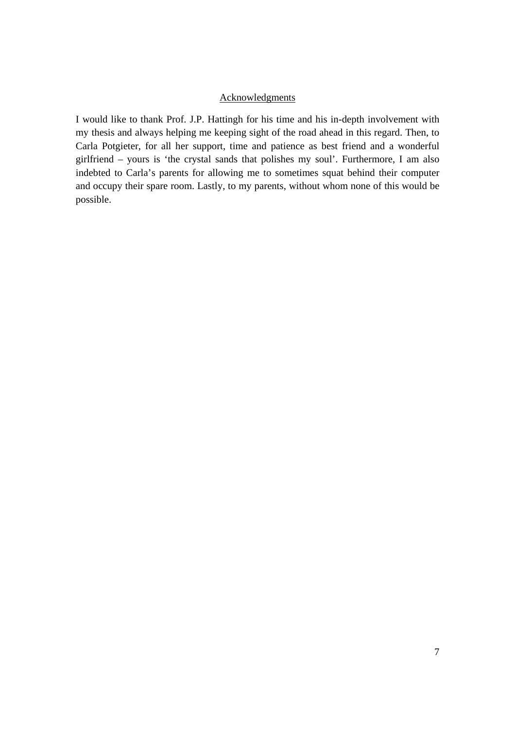#### Acknowledgments

I would like to thank Prof. J.P. Hattingh for his time and his in-depth involvement with my thesis and always helping me keeping sight of the road ahead in this regard. Then, to Carla Potgieter, for all her support, time and patience as best friend and a wonderful girlfriend – yours is 'the crystal sands that polishes my soul'. Furthermore, I am also indebted to Carla's parents for allowing me to sometimes squat behind their computer and occupy their spare room. Lastly, to my parents, without whom none of this would be possible.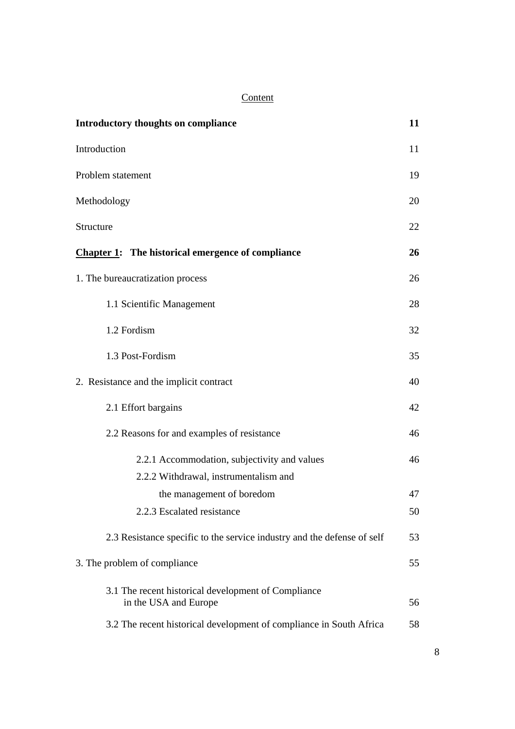## **Content**

| Introductory thoughts on compliance                                          | 11 |
|------------------------------------------------------------------------------|----|
| Introduction                                                                 | 11 |
| Problem statement                                                            | 19 |
| Methodology                                                                  | 20 |
| Structure                                                                    | 22 |
| <b>Chapter 1:</b> The historical emergence of compliance                     | 26 |
| 1. The bureaucratization process                                             | 26 |
| 1.1 Scientific Management                                                    | 28 |
| 1.2 Fordism                                                                  | 32 |
| 1.3 Post-Fordism                                                             | 35 |
| 2. Resistance and the implicit contract                                      | 40 |
| 2.1 Effort bargains                                                          | 42 |
| 2.2 Reasons for and examples of resistance                                   | 46 |
| 2.2.1 Accommodation, subjectivity and values                                 | 46 |
| 2.2.2 Withdrawal, instrumentalism and                                        |    |
| the management of boredom                                                    | 47 |
| 2.2.3 Escalated resistance                                                   | 50 |
| 2.3 Resistance specific to the service industry and the defense of self      | 53 |
| 3. The problem of compliance                                                 | 55 |
| 3.1 The recent historical development of Compliance<br>in the USA and Europe | 56 |
| 3.2 The recent historical development of compliance in South Africa          | 58 |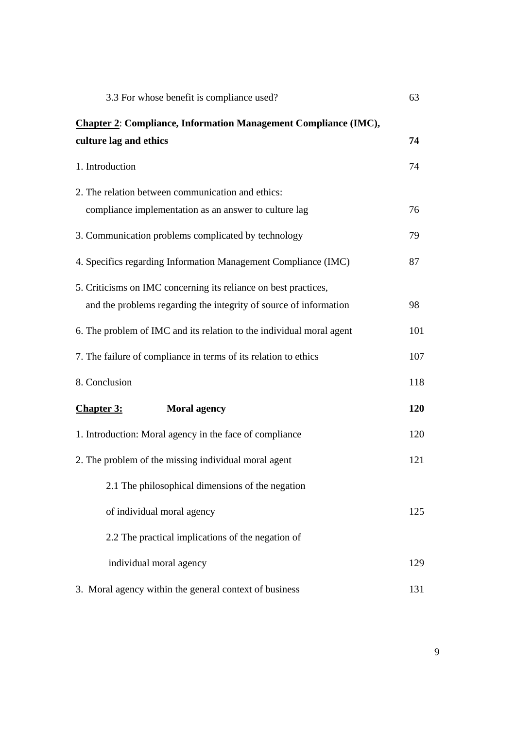| 3.3 For whose benefit is compliance used?                              | 63  |
|------------------------------------------------------------------------|-----|
| <b>Chapter 2: Compliance, Information Management Compliance (IMC),</b> |     |
| culture lag and ethics                                                 | 74  |
| 1. Introduction                                                        | 74  |
| 2. The relation between communication and ethics:                      |     |
| compliance implementation as an answer to culture lag                  | 76  |
| 3. Communication problems complicated by technology                    | 79  |
| 4. Specifics regarding Information Management Compliance (IMC)         | 87  |
| 5. Criticisms on IMC concerning its reliance on best practices,        |     |
| and the problems regarding the integrity of source of information      | 98  |
| 6. The problem of IMC and its relation to the individual moral agent   | 101 |
| 7. The failure of compliance in terms of its relation to ethics        | 107 |
| 8. Conclusion                                                          | 118 |
| <b>Chapter 3:</b><br><b>Moral agency</b>                               | 120 |
| 1. Introduction: Moral agency in the face of compliance                | 120 |
| 2. The problem of the missing individual moral agent                   | 121 |
| 2.1 The philosophical dimensions of the negation                       |     |
| of individual moral agency                                             | 125 |
| 2.2 The practical implications of the negation of                      |     |
| individual moral agency                                                | 129 |
| 3. Moral agency within the general context of business                 | 131 |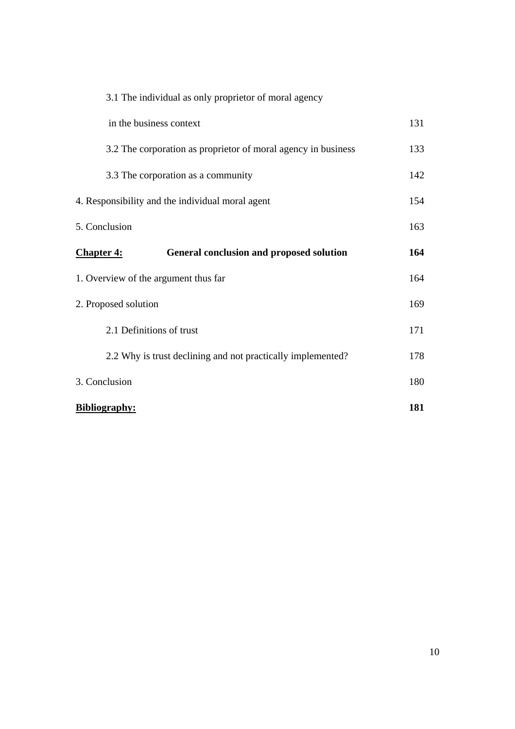| 3.1 The individual as only proprietor of moral agency         |     |
|---------------------------------------------------------------|-----|
| in the business context                                       | 131 |
| 3.2 The corporation as proprietor of moral agency in business | 133 |
| 3.3 The corporation as a community                            | 142 |
| 4. Responsibility and the individual moral agent              | 154 |
| 5. Conclusion                                                 | 163 |
| <b>Chapter 4:</b><br>General conclusion and proposed solution | 164 |
| 1. Overview of the argument thus far                          | 164 |
| 2. Proposed solution                                          | 169 |
| 2.1 Definitions of trust                                      | 171 |
| 2.2 Why is trust declining and not practically implemented?   | 178 |
| 3. Conclusion                                                 | 180 |
| <b>Bibliography:</b>                                          | 181 |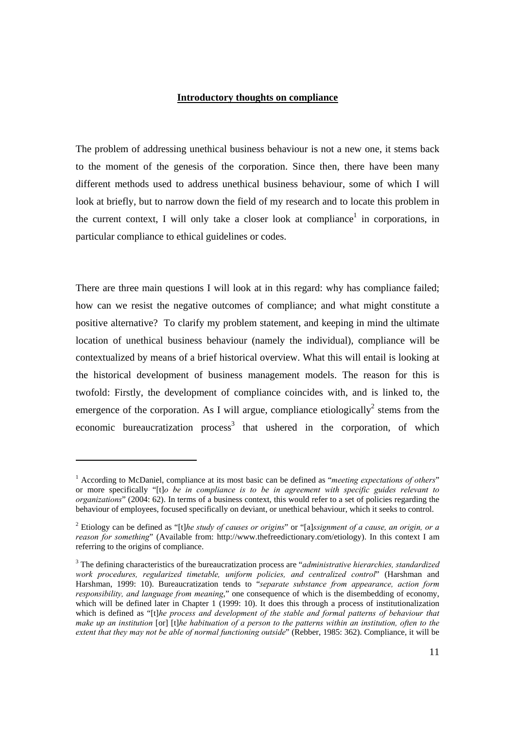#### **Introductory thoughts on compliance**

The problem of addressing unethical business behaviour is not a new one, it stems back to the moment of the genesis of the corporation. Since then, there have been many different methods used to address unethical business behaviour, some of which I will look at briefly, but to narrow down the field of my research and to locate this problem in the current context, I will only take a closer look at compliance<sup>1</sup> in corporations, in particular compliance to ethical guidelines or codes.

There are three main questions I will look at in this regard: why has compliance failed; how can we resist the negative outcomes of compliance; and what might constitute a positive alternative? To clarify my problem statement, and keeping in mind the ultimate location of unethical business behaviour (namely the individual), compliance will be contextualized by means of a brief historical overview. What this will entail is looking at the historical development of business management models. The reason for this is twofold: Firstly, the development of compliance coincides with, and is linked to, the emergence of the corporation. As I will argue, compliance etiologically<sup>2</sup> stems from the economic bureaucratization process<sup>3</sup> that ushered in the corporation, of which

<sup>&</sup>lt;sup>1</sup> According to McDaniel, compliance at its most basic can be defined as "*meeting expectations of others*" or more specifically "[t]*o be in compliance is to be in agreement with specific guides relevant to organizations*" (2004: 62). In terms of a business context, this would refer to a set of policies regarding the behaviour of employees, focused specifically on deviant, or unethical behaviour, which it seeks to control.

<sup>2</sup> Etiology can be defined as "[t]*he study of causes or origins*" or "[a]*ssignment of a cause, an origin, or a reason for something*" (Available from: http://www.thefreedictionary.com/etiology). In this context I am referring to the origins of compliance.

<sup>3</sup> The defining characteristics of the bureaucratization process are "*administrative hierarchies, standardized work procedures, regularized timetable, uniform policies, and centralized control*" (Harshman and Harshman, 1999: 10). Bureaucratization tends to "*separate substance from appearance, action form responsibility, and language from meaning*," one consequence of which is the disembedding of economy, which will be defined later in Chapter 1 (1999: 10). It does this through a process of institutionalization which is defined as "[t]*he process and development of the stable and formal patterns of behaviour that make up an institution* [or] [t]*he habituation of a person to the patterns within an institution, often to the extent that they may not be able of normal functioning outside*" (Rebber, 1985: 362). Compliance, it will be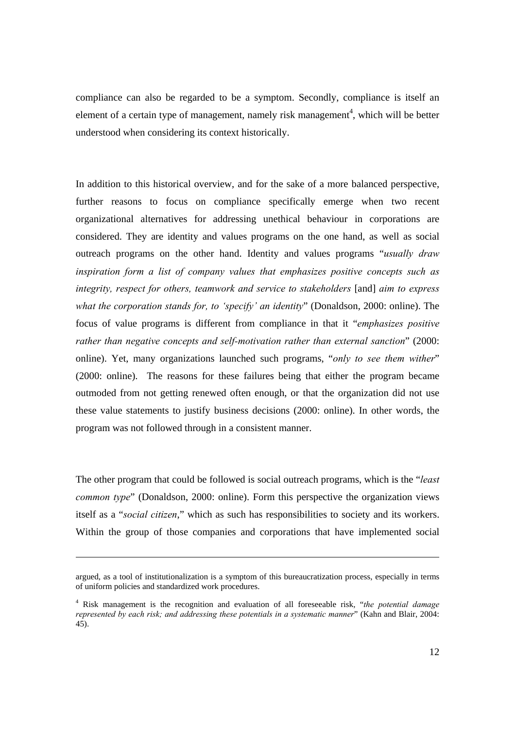compliance can also be regarded to be a symptom. Secondly, compliance is itself an element of a certain type of management, namely risk management<sup>4</sup>, which will be better understood when considering its context historically.

In addition to this historical overview, and for the sake of a more balanced perspective, further reasons to focus on compliance specifically emerge when two recent organizational alternatives for addressing unethical behaviour in corporations are considered. They are identity and values programs on the one hand, as well as social outreach programs on the other hand. Identity and values programs "*usually draw inspiration form a list of company values that emphasizes positive concepts such as integrity, respect for others, teamwork and service to stakeholders* [and] *aim to express what the corporation stands for, to 'specify' an identity*" (Donaldson, 2000: online). The focus of value programs is different from compliance in that it "*emphasizes positive rather than negative concepts and self-motivation rather than external sanction*" (2000: online). Yet, many organizations launched such programs, "*only to see them wither*" (2000: online). The reasons for these failures being that either the program became outmoded from not getting renewed often enough, or that the organization did not use these value statements to justify business decisions (2000: online). In other words, the program was not followed through in a consistent manner.

The other program that could be followed is social outreach programs, which is the "*least common type*" (Donaldson, 2000: online). Form this perspective the organization views itself as a "*social citizen*," which as such has responsibilities to society and its workers. Within the group of those companies and corporations that have implemented social

argued, as a tool of institutionalization is a symptom of this bureaucratization process, especially in terms of uniform policies and standardized work procedures.

<sup>4</sup> Risk management is the recognition and evaluation of all foreseeable risk, "*the potential damage represented by each risk; and addressing these potentials in a systematic manner*" (Kahn and Blair, 2004: 45).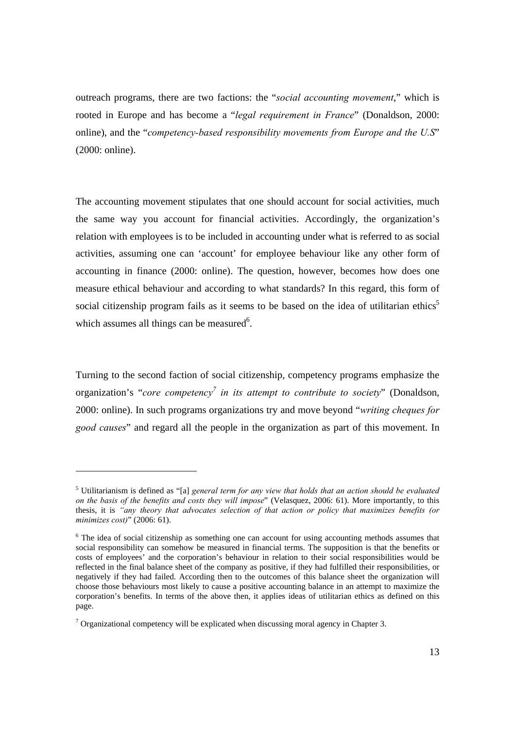outreach programs, there are two factions: the "*social accounting movement*," which is rooted in Europe and has become a "*legal requirement in France*" (Donaldson, 2000: online), and the "*competency-based responsibility movements from Europe and the U.S*" (2000: online).

The accounting movement stipulates that one should account for social activities, much the same way you account for financial activities. Accordingly, the organization's relation with employees is to be included in accounting under what is referred to as social activities, assuming one can 'account' for employee behaviour like any other form of accounting in finance (2000: online). The question, however, becomes how does one measure ethical behaviour and according to what standards? In this regard, this form of social citizenship program fails as it seems to be based on the idea of utilitarian ethics<sup>5</sup> which assumes all things can be measured<sup>6</sup>.

Turning to the second faction of social citizenship, competency programs emphasize the organization's "*core competency*<sup>7</sup> in its attempt to contribute to society" (Donaldson, 2000: online). In such programs organizations try and move beyond "*writing cheques for good causes*" and regard all the people in the organization as part of this movement. In

 $\overline{a}$ 

<sup>&</sup>lt;sup>5</sup> Utilitarianism is defined as "[a] *general term for any view that holds that an action should be evaluated on the basis of the benefits and costs they will impose*" (Velasquez, 2006: 61). More importantly, to this thesis, it is *"any theory that advocates selection of that action or policy that maximizes benefits (or minimizes cost)*" (2006: 61).

<sup>&</sup>lt;sup>6</sup> The idea of social citizenship as something one can account for using accounting methods assumes that social responsibility can somehow be measured in financial terms. The supposition is that the benefits or costs of employees' and the corporation's behaviour in relation to their social responsibilities would be reflected in the final balance sheet of the company as positive, if they had fulfilled their responsibilities, or negatively if they had failed. According then to the outcomes of this balance sheet the organization will choose those behaviours most likely to cause a positive accounting balance in an attempt to maximize the corporation's benefits. In terms of the above then, it applies ideas of utilitarian ethics as defined on this page.

 $7$  Organizational competency will be explicated when discussing moral agency in Chapter 3.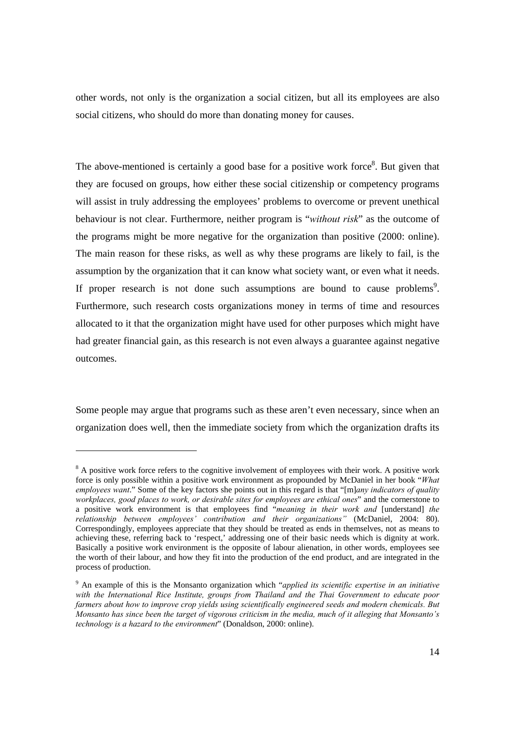other words, not only is the organization a social citizen, but all its employees are also social citizens, who should do more than donating money for causes.

The above-mentioned is certainly a good base for a positive work force<sup>8</sup>. But given that they are focused on groups, how either these social citizenship or competency programs will assist in truly addressing the employees' problems to overcome or prevent unethical behaviour is not clear. Furthermore, neither program is "*without risk*" as the outcome of the programs might be more negative for the organization than positive (2000: online). The main reason for these risks, as well as why these programs are likely to fail, is the assumption by the organization that it can know what society want, or even what it needs. If proper research is not done such assumptions are bound to cause problems<sup>9</sup>. Furthermore, such research costs organizations money in terms of time and resources allocated to it that the organization might have used for other purposes which might have had greater financial gain, as this research is not even always a guarantee against negative outcomes.

Some people may argue that programs such as these aren't even necessary, since when an organization does well, then the immediate society from which the organization drafts its

 $8$  A positive work force refers to the cognitive involvement of employees with their work. A positive work force is only possible within a positive work environment as propounded by McDaniel in her book "*What employees want*." Some of the key factors she points out in this regard is that "[m]*any indicators of quality workplaces, good places to work, or desirable sites for employees are ethical ones*" and the cornerstone to a positive work environment is that employees find "*meaning in their work and* [understand] *the relationship between employees' contribution and their organizations"* (McDaniel, 2004: 80). Correspondingly, employees appreciate that they should be treated as ends in themselves, not as means to achieving these, referring back to 'respect,' addressing one of their basic needs which is dignity at work. Basically a positive work environment is the opposite of labour alienation, in other words, employees see the worth of their labour, and how they fit into the production of the end product, and are integrated in the process of production.

<sup>9</sup> An example of this is the Monsanto organization which "*applied its scientific expertise in an initiative with the International Rice Institute, groups from Thailand and the Thai Government to educate poor farmers about how to improve crop yields using scientifically engineered seeds and modern chemicals. But Monsanto has since been the target of vigorous criticism in the media, much of it alleging that Monsanto's technology is a hazard to the environment*" (Donaldson, 2000: online).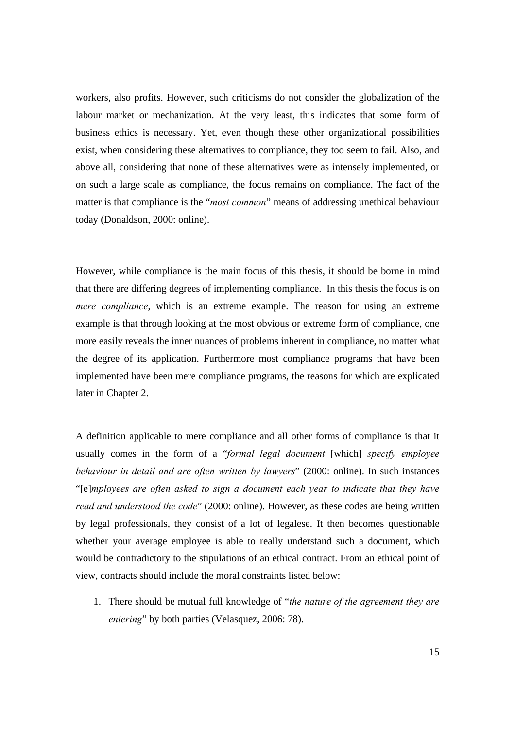workers, also profits. However, such criticisms do not consider the globalization of the labour market or mechanization. At the very least, this indicates that some form of business ethics is necessary. Yet, even though these other organizational possibilities exist, when considering these alternatives to compliance, they too seem to fail. Also, and above all, considering that none of these alternatives were as intensely implemented, or on such a large scale as compliance, the focus remains on compliance. The fact of the matter is that compliance is the "*most common*" means of addressing unethical behaviour today (Donaldson, 2000: online).

However, while compliance is the main focus of this thesis, it should be borne in mind that there are differing degrees of implementing compliance. In this thesis the focus is on *mere compliance*, which is an extreme example. The reason for using an extreme example is that through looking at the most obvious or extreme form of compliance, one more easily reveals the inner nuances of problems inherent in compliance, no matter what the degree of its application. Furthermore most compliance programs that have been implemented have been mere compliance programs, the reasons for which are explicated later in Chapter 2.

A definition applicable to mere compliance and all other forms of compliance is that it usually comes in the form of a "*formal legal document* [which] *specify employee behaviour in detail and are often written by lawyers*" (2000: online). In such instances "[e]*mployees are often asked to sign a document each year to indicate that they have read and understood the code*" (2000: online). However, as these codes are being written by legal professionals, they consist of a lot of legalese. It then becomes questionable whether your average employee is able to really understand such a document, which would be contradictory to the stipulations of an ethical contract. From an ethical point of view, contracts should include the moral constraints listed below:

1. There should be mutual full knowledge of "*the nature of the agreement they are entering*" by both parties (Velasquez, 2006: 78).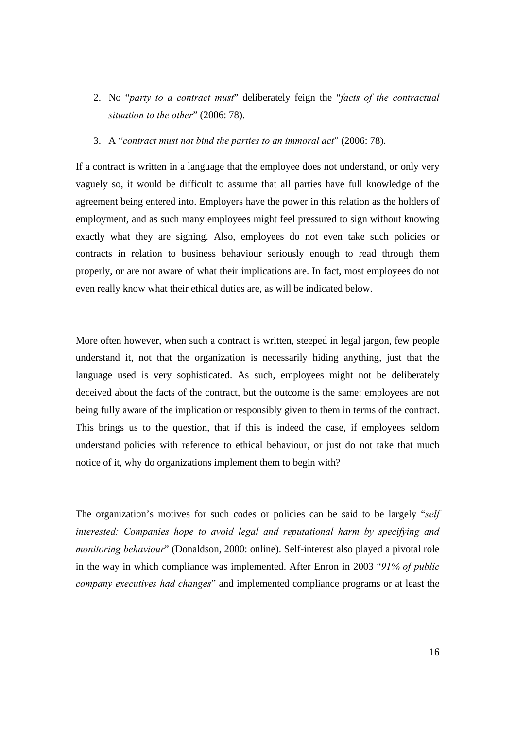- 2. No "*party to a contract must*" deliberately feign the "*facts of the contractual situation to the other*" (2006: 78).
- 3. A "*contract must not bind the parties to an immoral act*" (2006: 78).

If a contract is written in a language that the employee does not understand, or only very vaguely so, it would be difficult to assume that all parties have full knowledge of the agreement being entered into. Employers have the power in this relation as the holders of employment, and as such many employees might feel pressured to sign without knowing exactly what they are signing. Also, employees do not even take such policies or contracts in relation to business behaviour seriously enough to read through them properly, or are not aware of what their implications are. In fact, most employees do not even really know what their ethical duties are, as will be indicated below.

More often however, when such a contract is written, steeped in legal jargon, few people understand it, not that the organization is necessarily hiding anything, just that the language used is very sophisticated. As such, employees might not be deliberately deceived about the facts of the contract, but the outcome is the same: employees are not being fully aware of the implication or responsibly given to them in terms of the contract. This brings us to the question, that if this is indeed the case, if employees seldom understand policies with reference to ethical behaviour, or just do not take that much notice of it, why do organizations implement them to begin with?

The organization's motives for such codes or policies can be said to be largely "*self interested: Companies hope to avoid legal and reputational harm by specifying and monitoring behaviour*" (Donaldson, 2000: online). Self-interest also played a pivotal role in the way in which compliance was implemented. After Enron in 2003 "*91% of public company executives had changes*" and implemented compliance programs or at least the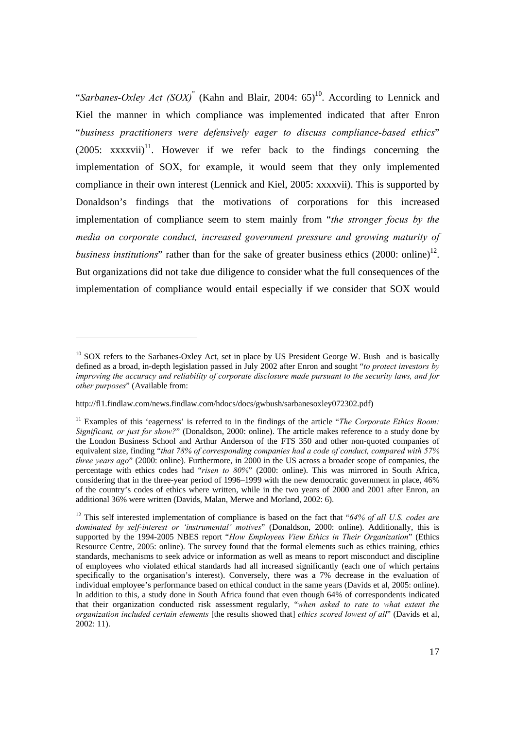"Sarbanes-Oxley Act (SOX)<sup>"</sup> (Kahn and Blair, 2004:  $65$ )<sup>10</sup>. According to Lennick and Kiel the manner in which compliance was implemented indicated that after Enron "*business practitioners were defensively eager to discuss compliance-based ethics*"  $(2005: \quad \text{xxxxvii})^{11}$ . However if we refer back to the findings concerning the implementation of SOX, for example, it would seem that they only implemented compliance in their own interest (Lennick and Kiel, 2005: xxxxvii). This is supported by Donaldson's findings that the motivations of corporations for this increased implementation of compliance seem to stem mainly from "*the stronger focus by the media on corporate conduct, increased government pressure and growing maturity of business institutions*" rather than for the sake of greater business ethics  $(2000: \text{online})^{12}$ . But organizations did not take due diligence to consider what the full consequences of the implementation of compliance would entail especially if we consider that SOX would

<sup>&</sup>lt;sup>10</sup> SOX refers to the Sarbanes-Oxley Act, set in place by US President George W. Bush and is basically defined as a broad, in-depth legislation passed in July 2002 after Enron and sought "*to protect investors by improving the accuracy and reliability of corporate disclosure made pursuant to the security laws, and for other purposes*" (Available from:

http://fl1.findlaw.com/news.findlaw.com/hdocs/docs/gwbush/sarbanesoxley072302.pdf)

<sup>&</sup>lt;sup>11</sup> Examples of this 'eagerness' is referred to in the findings of the article "*The Corporate Ethics Boom*: *Significant, or just for show?*" (Donaldson, 2000: online). The article makes reference to a study done by the London Business School and Arthur Anderson of the FTS 350 and other non-quoted companies of equivalent size, finding "*that 78% of corresponding companies had a code of conduct, compared with 57% three years ago*" (2000: online). Furthermore, in 2000 in the US across a broader scope of companies, the percentage with ethics codes had "*risen to 80%*" (2000: online). This was mirrored in South Africa, considering that in the three-year period of 1996–1999 with the new democratic government in place, 46% of the country's codes of ethics where written, while in the two years of 2000 and 2001 after Enron, an additional 36% were written (Davids, Malan, Merwe and Morland, 2002: 6).

<sup>12</sup> This self interested implementation of compliance is based on the fact that "*64% of all U.S. codes are dominated by self-interest or 'instrumental' motives*" (Donaldson, 2000: online). Additionally, this is supported by the 1994-2005 NBES report "*How Employees View Ethics in Their Organization*" (Ethics Resource Centre, 2005: online). The survey found that the formal elements such as ethics training, ethics standards, mechanisms to seek advice or information as well as means to report misconduct and discipline of employees who violated ethical standards had all increased significantly (each one of which pertains specifically to the organisation's interest). Conversely, there was a 7% decrease in the evaluation of individual employee's performance based on ethical conduct in the same years (Davids et al, 2005: online). In addition to this, a study done in South Africa found that even though 64% of correspondents indicated that their organization conducted risk assessment regularly, "*when asked to rate to what extent the organization included certain elements* [the results showed that] *ethics scored lowest of all*" (Davids et al, 2002: 11).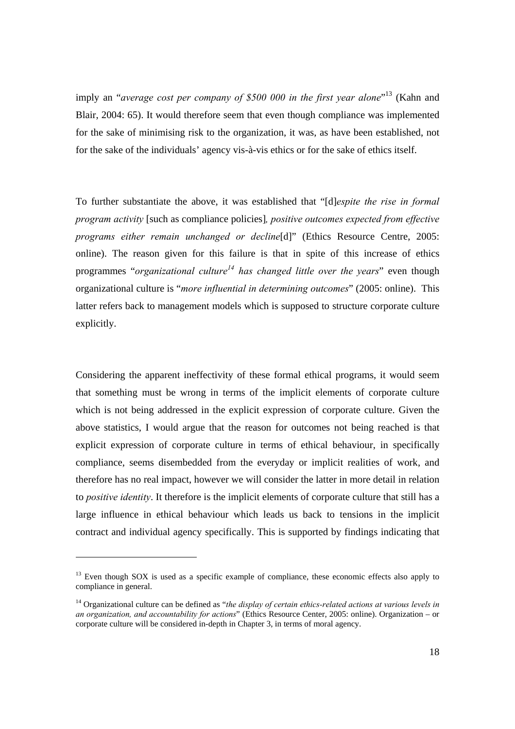imply an "*average cost per company of \$500 000 in the first year alone*"<sup>13</sup> (Kahn and Blair, 2004: 65). It would therefore seem that even though compliance was implemented for the sake of minimising risk to the organization, it was, as have been established, not for the sake of the individuals' agency vis-à-vis ethics or for the sake of ethics itself.

To further substantiate the above, it was established that "[d]*espite the rise in formal program activity* [such as compliance policies]*, positive outcomes expected from effective programs either remain unchanged or decline*[d]" (Ethics Resource Centre, 2005: online). The reason given for this failure is that in spite of this increase of ethics programmes "*organizational culture*<sup>14</sup> has *changed little over the years*" even though organizational culture is "*more influential in determining outcomes*" (2005: online). This latter refers back to management models which is supposed to structure corporate culture explicitly.

Considering the apparent ineffectivity of these formal ethical programs, it would seem that something must be wrong in terms of the implicit elements of corporate culture which is not being addressed in the explicit expression of corporate culture. Given the above statistics, I would argue that the reason for outcomes not being reached is that explicit expression of corporate culture in terms of ethical behaviour, in specifically compliance, seems disembedded from the everyday or implicit realities of work, and therefore has no real impact, however we will consider the latter in more detail in relation to *positive identity*. It therefore is the implicit elements of corporate culture that still has a large influence in ethical behaviour which leads us back to tensions in the implicit contract and individual agency specifically. This is supported by findings indicating that

<sup>&</sup>lt;sup>13</sup> Even though SOX is used as a specific example of compliance, these economic effects also apply to compliance in general.

<sup>14</sup> Organizational culture can be defined as "*the display of certain ethics-related actions at various levels in an organization, and accountability for actions*" (Ethics Resource Center, 2005: online). Organization – or corporate culture will be considered in-depth in Chapter 3, in terms of moral agency.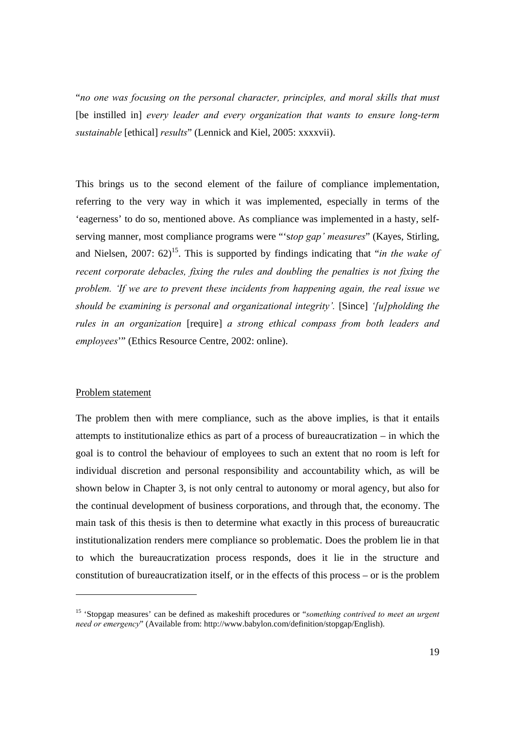"*no one was focusing on the personal character, principles, and moral skills that must*  [be instilled in] *every leader and every organization that wants to ensure long-term sustainable* [ethical] *results*" (Lennick and Kiel, 2005: xxxxvii).

This brings us to the second element of the failure of compliance implementation, referring to the very way in which it was implemented, especially in terms of the 'eagerness' to do so, mentioned above. As compliance was implemented in a hasty, selfserving manner, most compliance programs were "'s*top gap' measures*" (Kayes, Stirling, and Nielsen,  $2007: 62$ <sup>15</sup>. This is supported by findings indicating that "*in the wake of recent corporate debacles, fixing the rules and doubling the penalties is not fixing the problem. 'If we are to prevent these incidents from happening again, the real issue we should be examining is personal and organizational integrity'.* [Since] *'[u]pholding the rules in an organization* [require] *a strong ethical compass from both leaders and employees*'" (Ethics Resource Centre, 2002: online).

#### Problem statement

The problem then with mere compliance, such as the above implies, is that it entails attempts to institutionalize ethics as part of a process of bureaucratization – in which the goal is to control the behaviour of employees to such an extent that no room is left for individual discretion and personal responsibility and accountability which, as will be shown below in Chapter 3, is not only central to autonomy or moral agency, but also for the continual development of business corporations, and through that, the economy. The main task of this thesis is then to determine what exactly in this process of bureaucratic institutionalization renders mere compliance so problematic. Does the problem lie in that to which the bureaucratization process responds, does it lie in the structure and constitution of bureaucratization itself, or in the effects of this process – or is the problem

<sup>15 &#</sup>x27;Stopgap measures' can be defined as makeshift procedures or "*something contrived to meet an urgent need or emergency*" (Available from: http://www.babylon.com/definition/stopgap/English).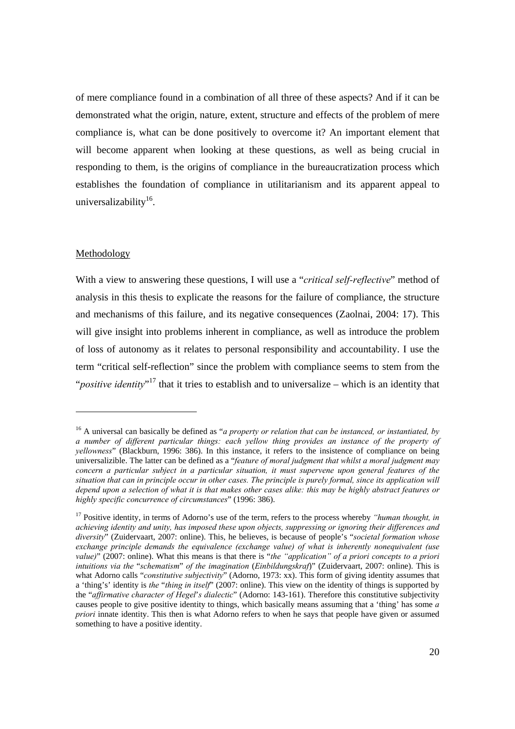of mere compliance found in a combination of all three of these aspects? And if it can be demonstrated what the origin, nature, extent, structure and effects of the problem of mere compliance is, what can be done positively to overcome it? An important element that will become apparent when looking at these questions, as well as being crucial in responding to them, is the origins of compliance in the bureaucratization process which establishes the foundation of compliance in utilitarianism and its apparent appeal to universalizability $16$ .

#### Methodology

With a view to answering these questions, I will use a "*critical self-reflective*" method of analysis in this thesis to explicate the reasons for the failure of compliance, the structure and mechanisms of this failure, and its negative consequences (Zaolnai, 2004: 17). This will give insight into problems inherent in compliance, as well as introduce the problem of loss of autonomy as it relates to personal responsibility and accountability. I use the term "critical self-reflection" since the problem with compliance seems to stem from the "*positive identity*"<sup>17</sup> that it tries to establish and to universalize – which is an identity that

<sup>16</sup> A universal can basically be defined as "*a property or relation that can be instanced, or instantiated, by a number of different particular things: each yellow thing provides an instance of the property of yellowness*" (Blackburn, 1996: 386). In this instance, it refers to the insistence of compliance on being universalizible. The latter can be defined as a "*feature of moral judgment that whilst a moral judgment may concern a particular subject in a particular situation, it must supervene upon general features of the situation that can in principle occur in other cases. The principle is purely formal, since its application will depend upon a selection of what it is that makes other cases alike: this may be highly abstract features or highly specific concurrence of circumstances*" (1996: 386).

<sup>&</sup>lt;sup>17</sup> Positive identity, in terms of Adorno's use of the term, refers to the process whereby *"human thought, in achieving identity and unity, has imposed these upon objects, suppressing or ignoring their differences and diversity*" (Zuidervaart, 2007: online). This, he believes, is because of people's "*societal formation whose exchange principle demands the equivalence (exchange value) of what is inherently nonequivalent (use value)*" (2007: online). What this means is that there is "*the "application" of a priori concepts to a priori intuitions via the* "*schematism*" *of the imagination* (*Einbildungskraf*)" (Zuidervaart, 2007: online). This is what Adorno calls "*constitutive subjectivity*" (Adorno, 1973: xx). This form of giving identity assumes that a 'thing's' identity is *the* "*thing in itself*" (2007: online). This view on the identity of things is supported by the "*affirmative character of Hegel*'*s dialectic*" (Adorno: 143-161). Therefore this constitutive subjectivity causes people to give positive identity to things, which basically means assuming that a 'thing' has some *a priori* innate identity. This then is what Adorno refers to when he says that people have given or assumed something to have a positive identity.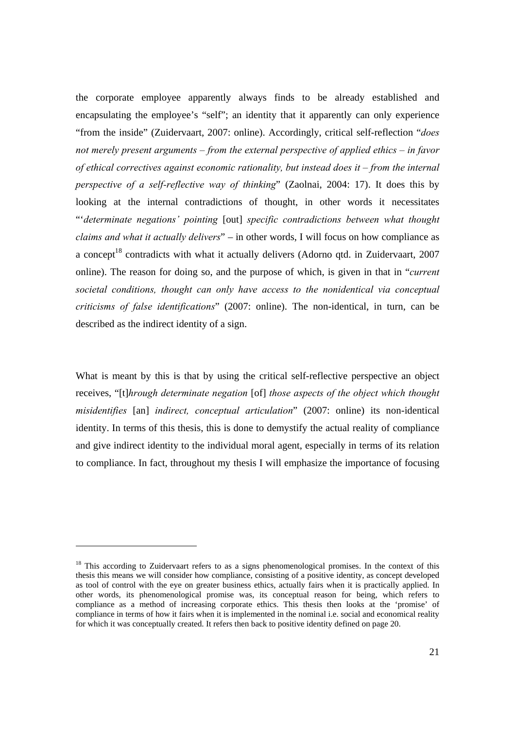the corporate employee apparently always finds to be already established and encapsulating the employee's "self"; an identity that it apparently can only experience "from the inside" (Zuidervaart, 2007: online). Accordingly, critical self-reflection "*does not merely present arguments – from the external perspective of applied ethics – in favor of ethical correctives against economic rationality, but instead does it – from the internal perspective of a self-reflective way of thinking*" (Zaolnai, 2004: 17). It does this by looking at the internal contradictions of thought, in other words it necessitates "'*determinate negations' pointing* [out] *specific contradictions between what thought claims and what it actually delivers*" – in other words, I will focus on how compliance as a concept<sup>18</sup> contradicts with what it actually delivers (Adorno qtd. in Zuidervaart, 2007 online). The reason for doing so, and the purpose of which, is given in that in "*current societal conditions, thought can only have access to the nonidentical via conceptual criticisms of false identifications*" (2007: online). The non-identical, in turn, can be described as the indirect identity of a sign.

What is meant by this is that by using the critical self-reflective perspective an object receives, "[t]*hrough determinate negation* [of] *those aspects of the object which thought misidentifies* [an] *indirect, conceptual articulation*" (2007: online) its non-identical identity. In terms of this thesis, this is done to demystify the actual reality of compliance and give indirect identity to the individual moral agent, especially in terms of its relation to compliance. In fact, throughout my thesis I will emphasize the importance of focusing

 $\overline{a}$ 

<sup>&</sup>lt;sup>18</sup> This according to Zuidervaart refers to as a signs phenomenological promises. In the context of this thesis this means we will consider how compliance, consisting of a positive identity, as concept developed as tool of control with the eye on greater business ethics, actually fairs when it is practically applied. In other words, its phenomenological promise was, its conceptual reason for being, which refers to compliance as a method of increasing corporate ethics. This thesis then looks at the 'promise' of compliance in terms of how it fairs when it is implemented in the nominal i.e. social and economical reality for which it was conceptually created. It refers then back to positive identity defined on page 20.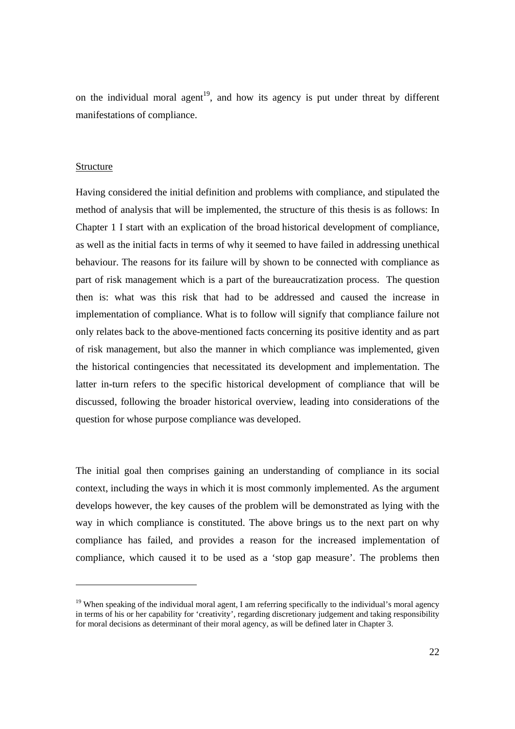on the individual moral agent<sup>19</sup>, and how its agency is put under threat by different manifestations of compliance.

#### Structure

Having considered the initial definition and problems with compliance, and stipulated the method of analysis that will be implemented, the structure of this thesis is as follows: In Chapter 1 I start with an explication of the broad historical development of compliance, as well as the initial facts in terms of why it seemed to have failed in addressing unethical behaviour. The reasons for its failure will by shown to be connected with compliance as part of risk management which is a part of the bureaucratization process. The question then is: what was this risk that had to be addressed and caused the increase in implementation of compliance. What is to follow will signify that compliance failure not only relates back to the above-mentioned facts concerning its positive identity and as part of risk management, but also the manner in which compliance was implemented, given the historical contingencies that necessitated its development and implementation. The latter in-turn refers to the specific historical development of compliance that will be discussed, following the broader historical overview, leading into considerations of the question for whose purpose compliance was developed.

The initial goal then comprises gaining an understanding of compliance in its social context, including the ways in which it is most commonly implemented. As the argument develops however, the key causes of the problem will be demonstrated as lying with the way in which compliance is constituted. The above brings us to the next part on why compliance has failed, and provides a reason for the increased implementation of compliance, which caused it to be used as a 'stop gap measure'. The problems then

 $19$  When speaking of the individual moral agent, I am referring specifically to the individual's moral agency in terms of his or her capability for 'creativity', regarding discretionary judgement and taking responsibility for moral decisions as determinant of their moral agency, as will be defined later in Chapter 3.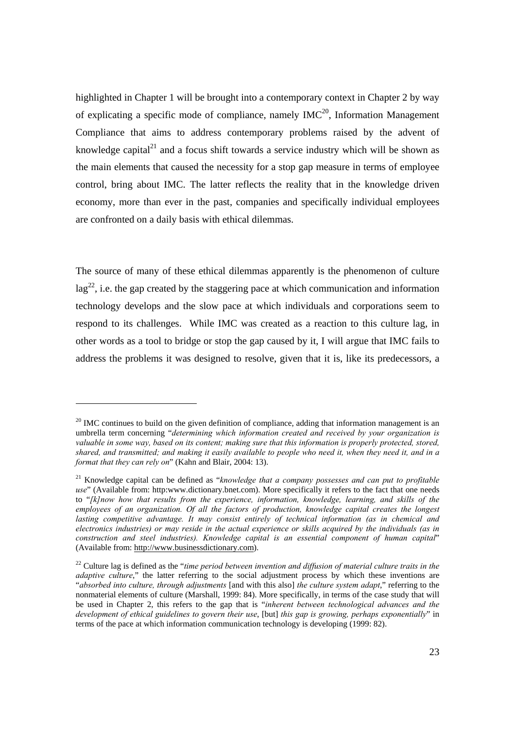highlighted in Chapter 1 will be brought into a contemporary context in Chapter 2 by way of explicating a specific mode of compliance, namely  $IMC<sup>20</sup>$ , Information Management Compliance that aims to address contemporary problems raised by the advent of knowledge capital<sup>21</sup> and a focus shift towards a service industry which will be shown as the main elements that caused the necessity for a stop gap measure in terms of employee control, bring about IMC. The latter reflects the reality that in the knowledge driven economy, more than ever in the past, companies and specifically individual employees are confronted on a daily basis with ethical dilemmas.

The source of many of these ethical dilemmas apparently is the phenomenon of culture  $\log^{22}$ , i.e. the gap created by the staggering pace at which communication and information technology develops and the slow pace at which individuals and corporations seem to respond to its challenges. While IMC was created as a reaction to this culture lag, in other words as a tool to bridge or stop the gap caused by it, I will argue that IMC fails to address the problems it was designed to resolve, given that it is, like its predecessors, a

<sup>&</sup>lt;sup>20</sup> IMC continues to build on the given definition of compliance, adding that information management is an umbrella term concerning "*determining which information created and received by your organization is valuable in some way, based on its content; making sure that this information is properly protected, stored, shared, and transmitted; and making it easily available to people who need it, when they need it, and in a format that they can rely on*" (Kahn and Blair, 2004: 13).

<sup>21</sup> Knowledge capital can be defined as "*knowledge that a company possesses and can put to profitable use*" (Available from: http:www.dictionary.bnet.com). More specifically it refers to the fact that one needs to "*[k]now how that results from the experience, information, knowledge, learning, and skills of the employees of an organization. Of all the factors of production, knowledge capital creates the longest lasting competitive advantage. It may consist entirely of technical information (as in chemical and electronics industries) or may reside in the actual experience or skills acquired by the individuals (as in construction and steel industries). Knowledge capital is an essential component of human capital*" (Available from: http://www.businessdictionary.com).

<sup>&</sup>lt;sup>22</sup> Culture lag is defined as the "*time period between invention and diffusion of material culture traits in the adaptive culture*," the latter referring to the social adjustment process by which these inventions are "*absorbed into culture, through adjustments* [and with this also] *the culture system adapt*," referring to the nonmaterial elements of culture (Marshall, 1999: 84). More specifically, in terms of the case study that will be used in Chapter 2, this refers to the gap that is "*inherent between technological advances and the development of ethical guidelines to govern their use*, [but] *this gap is growing, perhaps exponentially*" in terms of the pace at which information communication technology is developing (1999: 82).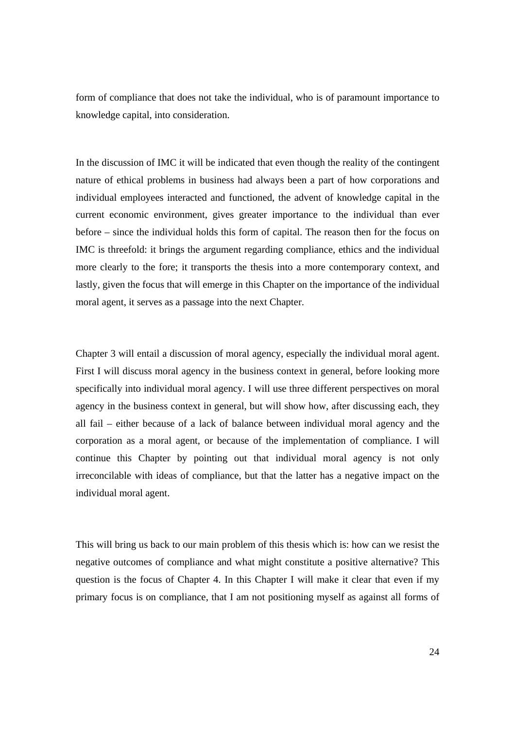form of compliance that does not take the individual, who is of paramount importance to knowledge capital, into consideration.

In the discussion of IMC it will be indicated that even though the reality of the contingent nature of ethical problems in business had always been a part of how corporations and individual employees interacted and functioned, the advent of knowledge capital in the current economic environment, gives greater importance to the individual than ever before – since the individual holds this form of capital. The reason then for the focus on IMC is threefold: it brings the argument regarding compliance, ethics and the individual more clearly to the fore; it transports the thesis into a more contemporary context, and lastly, given the focus that will emerge in this Chapter on the importance of the individual moral agent, it serves as a passage into the next Chapter.

Chapter 3 will entail a discussion of moral agency, especially the individual moral agent. First I will discuss moral agency in the business context in general, before looking more specifically into individual moral agency. I will use three different perspectives on moral agency in the business context in general, but will show how, after discussing each, they all fail – either because of a lack of balance between individual moral agency and the corporation as a moral agent, or because of the implementation of compliance. I will continue this Chapter by pointing out that individual moral agency is not only irreconcilable with ideas of compliance, but that the latter has a negative impact on the individual moral agent.

This will bring us back to our main problem of this thesis which is: how can we resist the negative outcomes of compliance and what might constitute a positive alternative? This question is the focus of Chapter 4. In this Chapter I will make it clear that even if my primary focus is on compliance, that I am not positioning myself as against all forms of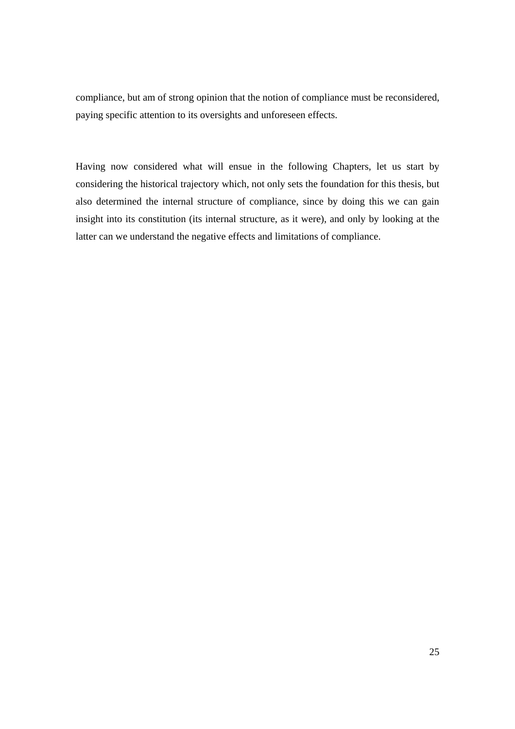compliance, but am of strong opinion that the notion of compliance must be reconsidered, paying specific attention to its oversights and unforeseen effects.

Having now considered what will ensue in the following Chapters, let us start by considering the historical trajectory which, not only sets the foundation for this thesis, but also determined the internal structure of compliance, since by doing this we can gain insight into its constitution (its internal structure, as it were), and only by looking at the latter can we understand the negative effects and limitations of compliance.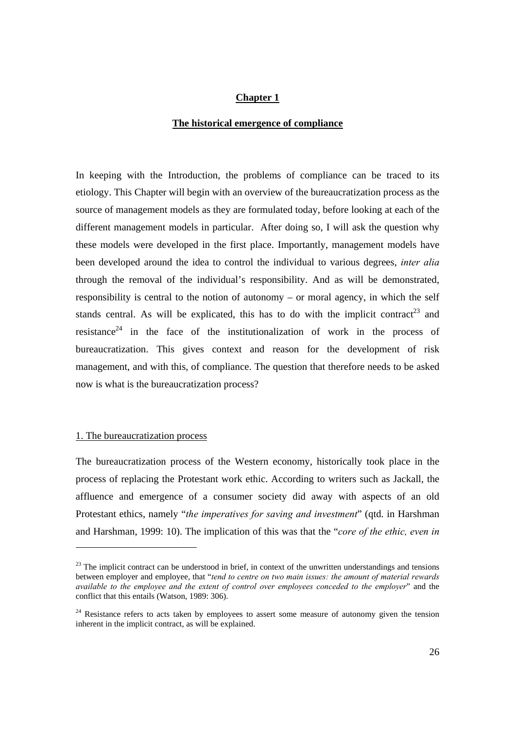#### **Chapter 1**

#### **The historical emergence of compliance**

In keeping with the Introduction, the problems of compliance can be traced to its etiology. This Chapter will begin with an overview of the bureaucratization process as the source of management models as they are formulated today, before looking at each of the different management models in particular. After doing so, I will ask the question why these models were developed in the first place. Importantly, management models have been developed around the idea to control the individual to various degrees, *inter alia* through the removal of the individual's responsibility. And as will be demonstrated, responsibility is central to the notion of autonomy – or moral agency, in which the self stands central. As will be explicated, this has to do with the implicit contract<sup>23</sup> and resistance<sup>24</sup> in the face of the institutionalization of work in the process of bureaucratization. This gives context and reason for the development of risk management, and with this, of compliance. The question that therefore needs to be asked now is what is the bureaucratization process?

#### 1. The bureaucratization process

 $\overline{a}$ 

The bureaucratization process of the Western economy, historically took place in the process of replacing the Protestant work ethic. According to writers such as Jackall, the affluence and emergence of a consumer society did away with aspects of an old Protestant ethics, namely "*the imperatives for saving and investment*" (qtd. in Harshman and Harshman, 1999: 10). The implication of this was that the "*core of the ethic, even in* 

 $^{23}$  The implicit contract can be understood in brief, in context of the unwritten understandings and tensions between employer and employee, that "*tend to centre on two main issues: the amount of material rewards available to the employee and the extent of control over employees conceded to the employer*" and the conflict that this entails (Watson, 1989: 306).

<sup>&</sup>lt;sup>24</sup> Resistance refers to acts taken by employees to assert some measure of autonomy given the tension inherent in the implicit contract, as will be explained.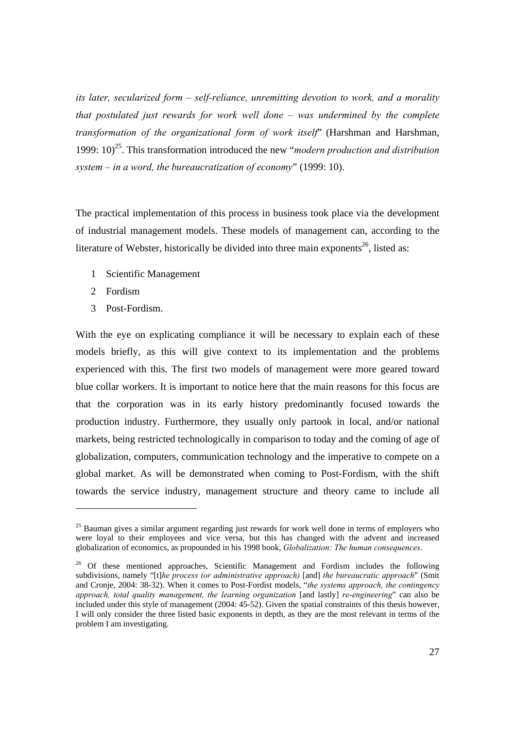*its later, secularized form – self-reliance, unremitting devotion to work, and a morality that postulated just rewards for work well done – was undermined by the complete transformation of the organizational form of work itself*" (Harshman and Harshman, 1999: 10)25. This transformation introduced the new "*modern production and distribution system – in a word, the bureaucratization of economy*" (1999: 10).

The practical implementation of this process in business took place via the development of industrial management models. These models of management can, according to the literature of Webster, historically be divided into three main exponents<sup>26</sup>, listed as:

- 1 Scientific Management
- 2 Fordism

3 Post-Fordism.

With the eye on explicating compliance it will be necessary to explain each of these models briefly, as this will give context to its implementation and the problems experienced with this. The first two models of management were more geared toward blue collar workers. It is important to notice here that the main reasons for this focus are that the corporation was in its early history predominantly focused towards the production industry. Furthermore, they usually only partook in local, and/or national markets, being restricted technologically in comparison to today and the coming of age of globalization, computers, communication technology and the imperative to compete on a global market. As will be demonstrated when coming to Post-Fordism, with the shift towards the service industry, management structure and theory came to include all

 $25$  Bauman gives a similar argument regarding just rewards for work well done in terms of employers who were loyal to their employees and vice versa, but this has changed with the advent and increased globalization of economics, as propounded in his 1998 book, *Globalization: The human consequences*.

<sup>&</sup>lt;sup>26</sup> Of these mentioned approaches, Scientific Management and Fordism includes the following subdivisions, namely "[t]*he process (or administrative approach)* [and] *the bureaucratic approach*" (Smit and Cronje, 2004: 38-32). When it comes to Post-Fordist models, "*the systems approach, the contingency approach, total quality management, the learning organization* [and lastly] *re-engineering*" can also be included under this style of management (2004: 45-52). Given the spatial constraints of this thesis however, I will only consider the three listed basic exponents in depth, as they are the most relevant in terms of the problem I am investigating.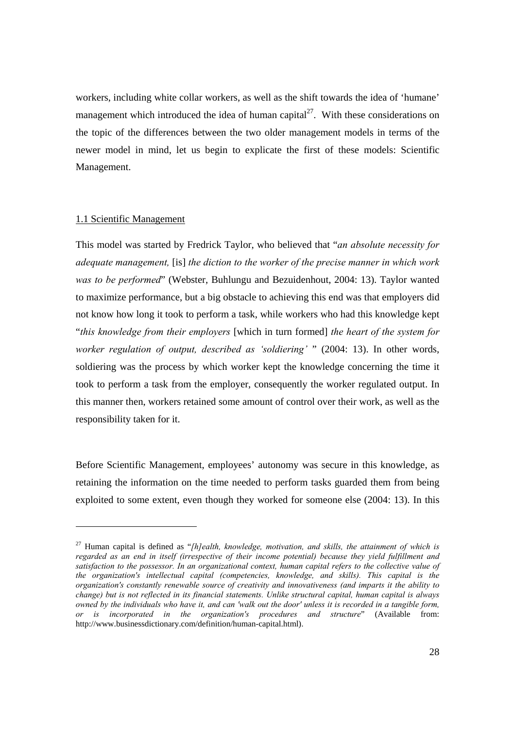workers, including white collar workers, as well as the shift towards the idea of 'humane' management which introduced the idea of human capital<sup>27</sup>. With these considerations on the topic of the differences between the two older management models in terms of the newer model in mind, let us begin to explicate the first of these models: Scientific Management.

#### 1.1 Scientific Management

This model was started by Fredrick Taylor, who believed that "*an absolute necessity for adequate management,* [is] *the diction to the worker of the precise manner in which work was to be performed*" (Webster, Buhlungu and Bezuidenhout, 2004: 13). Taylor wanted to maximize performance, but a big obstacle to achieving this end was that employers did not know how long it took to perform a task, while workers who had this knowledge kept "*this knowledge from their employers* [which in turn formed] *the heart of the system for worker regulation of output, described as 'soldiering'* " (2004: 13). In other words, soldiering was the process by which worker kept the knowledge concerning the time it took to perform a task from the employer, consequently the worker regulated output. In this manner then, workers retained some amount of control over their work, as well as the responsibility taken for it.

Before Scientific Management, employees' autonomy was secure in this knowledge, as retaining the information on the time needed to perform tasks guarded them from being exploited to some extent, even though they worked for someone else (2004: 13). In this

<sup>27</sup> Human capital is defined as "*[h]ealth, knowledge, motivation, and skills, the attainment of which is regarded as an end in itself (irrespective of their income potential) because they yield fulfillment and satisfaction to the possessor. In an organizational context, human capital refers to the collective value of the organization's intellectual capital (competencies, knowledge, and skills). This capital is the organization's constantly renewable source of creativity and innovativeness (and imparts it the ability to change) but is not reflected in its financial statements. Unlike structural capital, human capital is always owned by the individuals who have it, and can 'walk out the door' unless it is recorded in a tangible form, or is incorporated in the organization's procedures and structure*" (Available from: http://www.businessdictionary.com/definition/human-capital.html).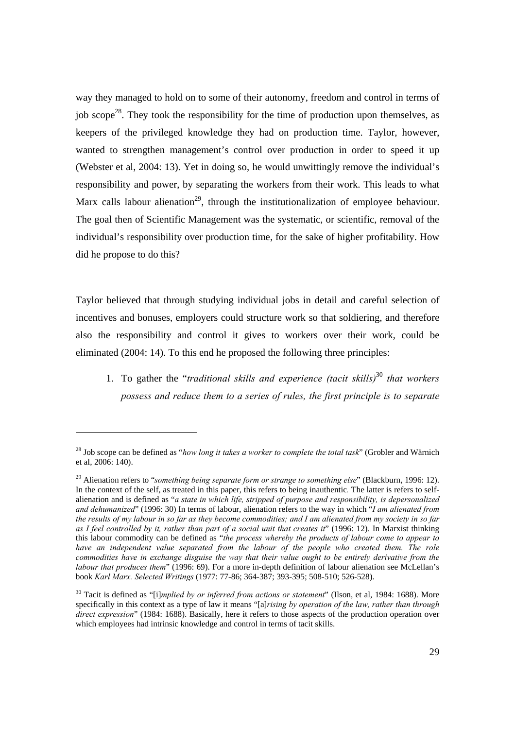way they managed to hold on to some of their autonomy, freedom and control in terms of iob scope<sup>28</sup>. They took the responsibility for the time of production upon themselves, as keepers of the privileged knowledge they had on production time. Taylor, however, wanted to strengthen management's control over production in order to speed it up (Webster et al, 2004: 13). Yet in doing so, he would unwittingly remove the individual's responsibility and power, by separating the workers from their work. This leads to what Marx calls labour alienation<sup>29</sup>, through the institutionalization of employee behaviour. The goal then of Scientific Management was the systematic, or scientific, removal of the individual's responsibility over production time, for the sake of higher profitability. How did he propose to do this?

Taylor believed that through studying individual jobs in detail and careful selection of incentives and bonuses, employers could structure work so that soldiering, and therefore also the responsibility and control it gives to workers over their work, could be eliminated (2004: 14). To this end he proposed the following three principles:

1. To gather the "*traditional skills and experience (tacit skills)*<sup>30</sup> *that workers possess and reduce them to a series of rules, the first principle is to separate* 

<sup>28</sup> Job scope can be defined as "*how long it takes a worker to complete the total task*" (Grobler and Wärnich et al, 2006: 140).

<sup>&</sup>lt;sup>29</sup> Alienation refers to "*something being separate form or strange to something else*" (Blackburn, 1996: 12). In the context of the self, as treated in this paper, this refers to being inauthentic*.* The latter is refers to selfalienation and is defined as "*a state in which life, stripped of purpose and responsibility, is depersonalized and dehumanized*" (1996: 30) In terms of labour, alienation refers to the way in which "*I am alienated from the results of my labour in so far as they become commodities; and I am alienated from my society in so far as I feel controlled by it, rather than part of a social unit that creates it*" (1996: 12). In Marxist thinking this labour commodity can be defined as "*the process whereby the products of labour come to appear to*  have an independent value separated from the labour of the people who created them. The role *commodities have in exchange disguise the way that their value ought to be entirely derivative from the labour that produces them*" (1996: 69). For a more in-depth definition of labour alienation see McLellan's book *Karl Marx. Selected Writings* (1977: 77-86; 364-387; 393-395; 508-510; 526-528).

<sup>&</sup>lt;sup>30</sup> Tacit is defined as "[i]*mplied by or inferred from actions or statement*" (Ilson, et al, 1984: 1688). More specifically in this context as a type of law it means "[a]*rising by operation of the law, rather than through direct expression*" (1984: 1688). Basically, here it refers to those aspects of the production operation over which employees had intrinsic knowledge and control in terms of tacit skills.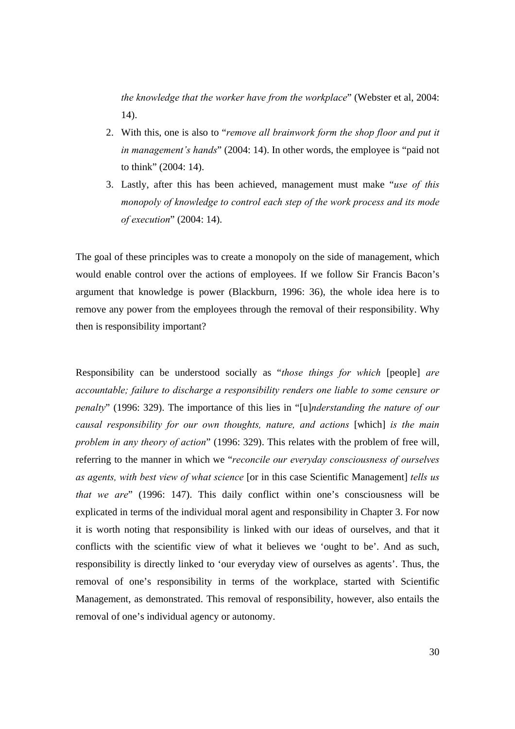*the knowledge that the worker have from the workplace*" (Webster et al, 2004: 14).

- 2. With this, one is also to "*remove all brainwork form the shop floor and put it in management's hands*" (2004: 14). In other words, the employee is "paid not to think" (2004: 14).
- 3. Lastly, after this has been achieved, management must make "*use of this monopoly of knowledge to control each step of the work process and its mode of execution*" (2004: 14).

The goal of these principles was to create a monopoly on the side of management, which would enable control over the actions of employees. If we follow Sir Francis Bacon's argument that knowledge is power (Blackburn, 1996: 36), the whole idea here is to remove any power from the employees through the removal of their responsibility. Why then is responsibility important?

Responsibility can be understood socially as "*those things for which* [people] *are accountable; failure to discharge a responsibility renders one liable to some censure or penalty*" (1996: 329). The importance of this lies in "[u]*nderstanding the nature of our causal responsibility for our own thoughts, nature, and actions* [which] *is the main problem in any theory of action*" (1996: 329). This relates with the problem of free will, referring to the manner in which we "*reconcile our everyday consciousness of ourselves as agents, with best view of what science* [or in this case Scientific Management] *tells us that we are*" (1996: 147). This daily conflict within one's consciousness will be explicated in terms of the individual moral agent and responsibility in Chapter 3. For now it is worth noting that responsibility is linked with our ideas of ourselves, and that it conflicts with the scientific view of what it believes we 'ought to be'. And as such, responsibility is directly linked to 'our everyday view of ourselves as agents'. Thus, the removal of one's responsibility in terms of the workplace, started with Scientific Management, as demonstrated. This removal of responsibility, however, also entails the removal of one's individual agency or autonomy.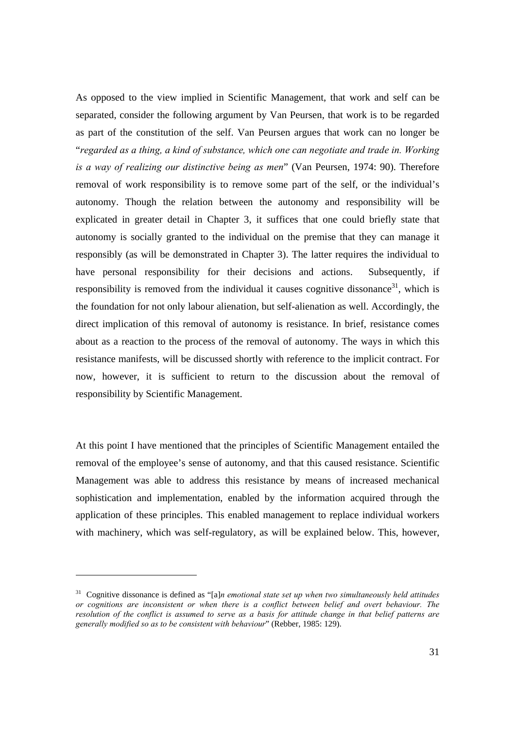As opposed to the view implied in Scientific Management, that work and self can be separated, consider the following argument by Van Peursen, that work is to be regarded as part of the constitution of the self. Van Peursen argues that work can no longer be "*regarded as a thing, a kind of substance, which one can negotiate and trade in. Working is a way of realizing our distinctive being as men*" (Van Peursen, 1974: 90). Therefore removal of work responsibility is to remove some part of the self, or the individual's autonomy. Though the relation between the autonomy and responsibility will be explicated in greater detail in Chapter 3, it suffices that one could briefly state that autonomy is socially granted to the individual on the premise that they can manage it responsibly (as will be demonstrated in Chapter 3). The latter requires the individual to have personal responsibility for their decisions and actions. Subsequently, if responsibility is removed from the individual it causes cognitive dissonance<sup>31</sup>, which is the foundation for not only labour alienation, but self-alienation as well. Accordingly, the direct implication of this removal of autonomy is resistance. In brief, resistance comes about as a reaction to the process of the removal of autonomy. The ways in which this resistance manifests, will be discussed shortly with reference to the implicit contract. For now, however, it is sufficient to return to the discussion about the removal of responsibility by Scientific Management.

At this point I have mentioned that the principles of Scientific Management entailed the removal of the employee's sense of autonomy, and that this caused resistance. Scientific Management was able to address this resistance by means of increased mechanical sophistication and implementation, enabled by the information acquired through the application of these principles. This enabled management to replace individual workers with machinery, which was self-regulatory, as will be explained below. This, however,

<sup>31</sup> Cognitive dissonance is defined as "[a]*n emotional state set up when two simultaneously held attitudes or cognitions are inconsistent or when there is a conflict between belief and overt behaviour. The resolution of the conflict is assumed to serve as a basis for attitude change in that belief patterns are generally modified so as to be consistent with behaviour*" (Rebber, 1985: 129).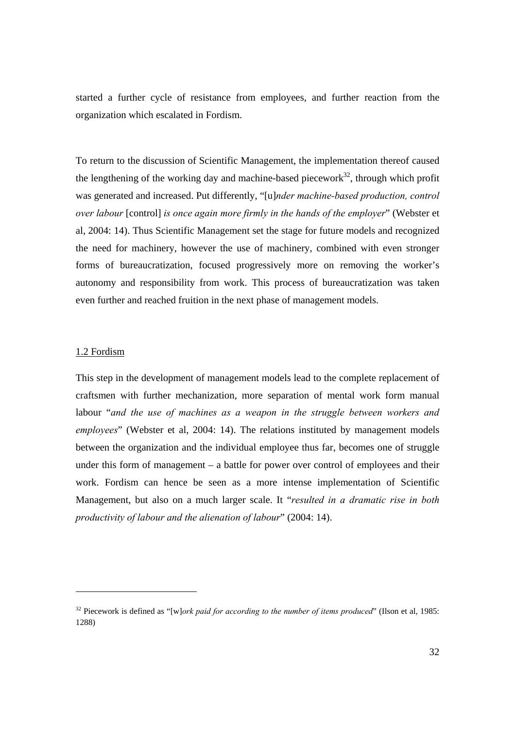started a further cycle of resistance from employees, and further reaction from the organization which escalated in Fordism.

To return to the discussion of Scientific Management, the implementation thereof caused the lengthening of the working day and machine-based piecework $32$ , through which profit was generated and increased. Put differently, "[u]*nder machine-based production, control over labour* [control] *is once again more firmly in the hands of the employer*" (Webster et al, 2004: 14). Thus Scientific Management set the stage for future models and recognized the need for machinery, however the use of machinery, combined with even stronger forms of bureaucratization, focused progressively more on removing the worker's autonomy and responsibility from work. This process of bureaucratization was taken even further and reached fruition in the next phase of management models.

#### 1.2 Fordism

This step in the development of management models lead to the complete replacement of craftsmen with further mechanization, more separation of mental work form manual labour "*and the use of machines as a weapon in the struggle between workers and employees*" (Webster et al, 2004: 14). The relations instituted by management models between the organization and the individual employee thus far, becomes one of struggle under this form of management – a battle for power over control of employees and their work. Fordism can hence be seen as a more intense implementation of Scientific Management, but also on a much larger scale. It "*resulted in a dramatic rise in both productivity of labour and the alienation of labour*" (2004: 14).

<sup>32</sup> Piecework is defined as "[w]*ork paid for according to the number of items produced*" (Ilson et al, 1985: 1288)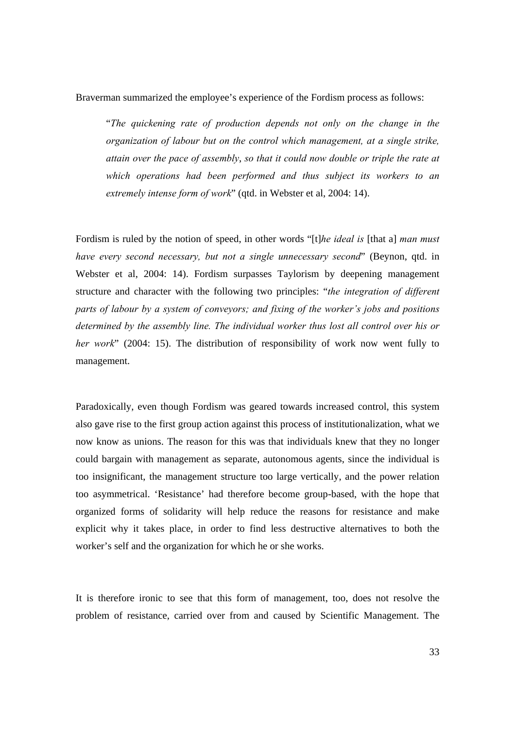Braverman summarized the employee's experience of the Fordism process as follows:

"*The quickening rate of production depends not only on the change in the organization of labour but on the control which management, at a single strike, attain over the pace of assembly*, *so that it could now double or triple the rate at which operations had been performed and thus subject its workers to an extremely intense form of work*" (qtd. in Webster et al, 2004: 14).

Fordism is ruled by the notion of speed, in other words "[t]*he ideal is* [that a] *man must have every second necessary, but not a single unnecessary second*" (Beynon, qtd. in Webster et al, 2004: 14). Fordism surpasses Taylorism by deepening management structure and character with the following two principles: "*the integration of different parts of labour by a system of conveyors; and fixing of the worker's jobs and positions determined by the assembly line. The individual worker thus lost all control over his or her work*" (2004: 15). The distribution of responsibility of work now went fully to management.

Paradoxically, even though Fordism was geared towards increased control, this system also gave rise to the first group action against this process of institutionalization, what we now know as unions. The reason for this was that individuals knew that they no longer could bargain with management as separate, autonomous agents, since the individual is too insignificant, the management structure too large vertically, and the power relation too asymmetrical. 'Resistance' had therefore become group-based, with the hope that organized forms of solidarity will help reduce the reasons for resistance and make explicit why it takes place, in order to find less destructive alternatives to both the worker's self and the organization for which he or she works.

It is therefore ironic to see that this form of management, too, does not resolve the problem of resistance, carried over from and caused by Scientific Management. The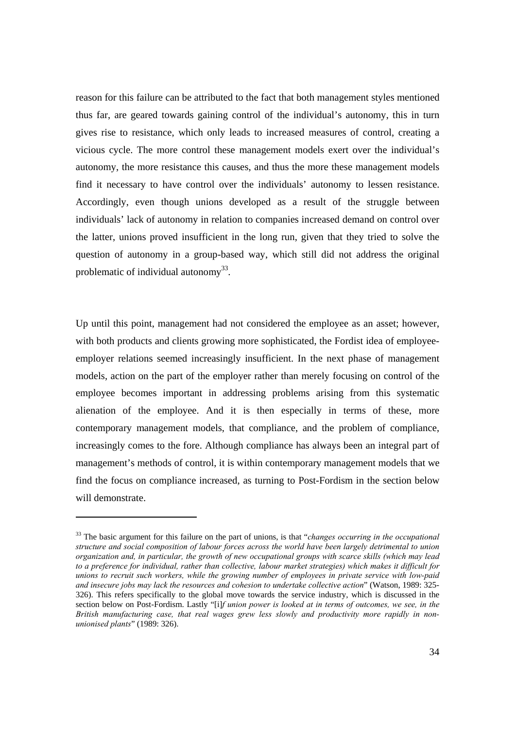reason for this failure can be attributed to the fact that both management styles mentioned thus far, are geared towards gaining control of the individual's autonomy, this in turn gives rise to resistance, which only leads to increased measures of control, creating a vicious cycle. The more control these management models exert over the individual's autonomy, the more resistance this causes, and thus the more these management models find it necessary to have control over the individuals' autonomy to lessen resistance. Accordingly, even though unions developed as a result of the struggle between individuals' lack of autonomy in relation to companies increased demand on control over the latter, unions proved insufficient in the long run, given that they tried to solve the question of autonomy in a group-based way, which still did not address the original problematic of individual autonomy<sup>33</sup>.

Up until this point, management had not considered the employee as an asset; however, with both products and clients growing more sophisticated, the Fordist idea of employeeemployer relations seemed increasingly insufficient. In the next phase of management models, action on the part of the employer rather than merely focusing on control of the employee becomes important in addressing problems arising from this systematic alienation of the employee. And it is then especially in terms of these, more contemporary management models, that compliance, and the problem of compliance, increasingly comes to the fore. Although compliance has always been an integral part of management's methods of control, it is within contemporary management models that we find the focus on compliance increased, as turning to Post-Fordism in the section below will demonstrate.

<sup>33</sup> The basic argument for this failure on the part of unions, is that "*changes occurring in the occupational structure and social composition of labour forces across the world have been largely detrimental to union organization and, in particular, the growth of new occupational groups with scarce skills (which may lead to a preference for individual, rather than collective, labour market strategies) which makes it difficult for unions to recruit such workers, while the growing number of employees in private service with low-paid and insecure jobs may lack the resources and cohesion to undertake collective action*" (Watson, 1989: 325- 326). This refers specifically to the global move towards the service industry, which is discussed in the section below on Post-Fordism. Lastly "[i]*f union power is looked at in terms of outcomes, we see, in the British manufacturing case, that real wages grew less slowly and productivity more rapidly in nonunionised plants*" (1989: 326).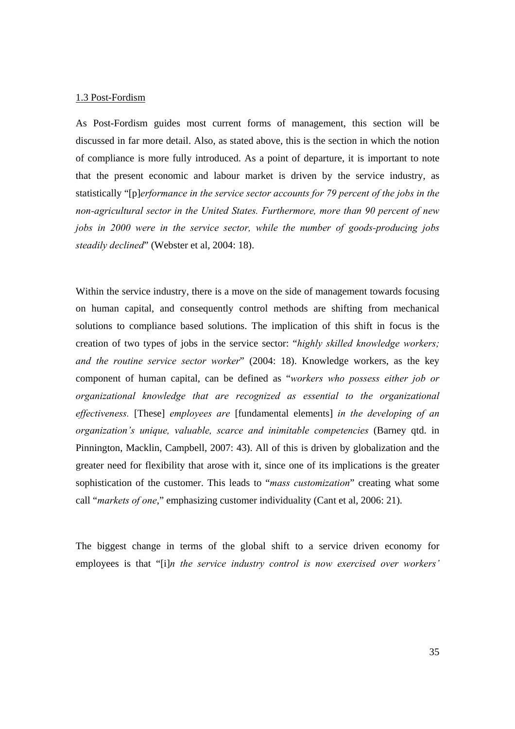#### 1.3 Post-Fordism

As Post-Fordism guides most current forms of management, this section will be discussed in far more detail. Also, as stated above, this is the section in which the notion of compliance is more fully introduced. As a point of departure, it is important to note that the present economic and labour market is driven by the service industry, as statistically "[p]*erformance in the service sector accounts for 79 percent of the jobs in the non-agricultural sector in the United States. Furthermore, more than 90 percent of new jobs in 2000 were in the service sector, while the number of goods-producing jobs steadily declined*" (Webster et al, 2004: 18).

Within the service industry, there is a move on the side of management towards focusing on human capital, and consequently control methods are shifting from mechanical solutions to compliance based solutions. The implication of this shift in focus is the creation of two types of jobs in the service sector: "*highly skilled knowledge workers; and the routine service sector worker*" (2004: 18). Knowledge workers, as the key component of human capital, can be defined as "*workers who possess either job or organizational knowledge that are recognized as essential to the organizational effectiveness.* [These] *employees are* [fundamental elements] *in the developing of an organization's unique, valuable, scarce and inimitable competencies* (Barney qtd. in Pinnington, Macklin, Campbell, 2007: 43). All of this is driven by globalization and the greater need for flexibility that arose with it, since one of its implications is the greater sophistication of the customer. This leads to "*mass customization*" creating what some call "*markets of one*," emphasizing customer individuality (Cant et al, 2006: 21).

The biggest change in terms of the global shift to a service driven economy for employees is that "[i]*n the service industry control is now exercised over workers'*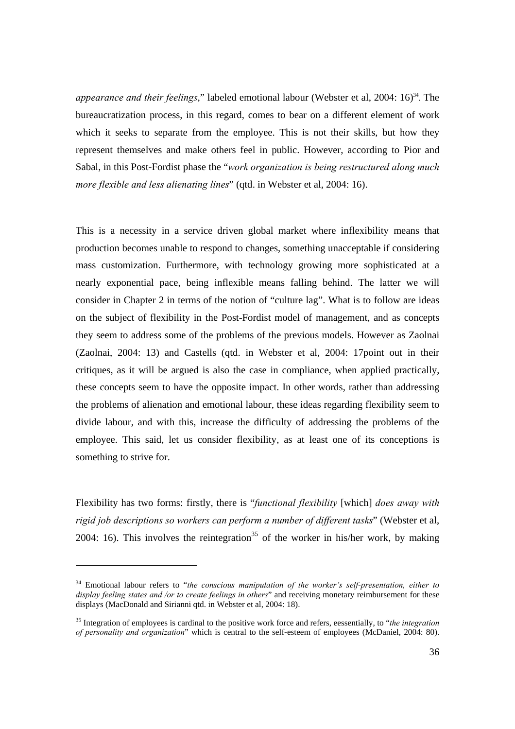*appearance and their feelings*," labeled emotional labour (Webster et al, 2004: 16)<sup>34</sup>. The bureaucratization process, in this regard, comes to bear on a different element of work which it seeks to separate from the employee. This is not their skills, but how they represent themselves and make others feel in public. However, according to Pior and Sabal, in this Post-Fordist phase the "*work organization is being restructured along much more flexible and less alienating lines*" (qtd. in Webster et al, 2004: 16).

This is a necessity in a service driven global market where inflexibility means that production becomes unable to respond to changes, something unacceptable if considering mass customization. Furthermore, with technology growing more sophisticated at a nearly exponential pace, being inflexible means falling behind. The latter we will consider in Chapter 2 in terms of the notion of "culture lag". What is to follow are ideas on the subject of flexibility in the Post-Fordist model of management, and as concepts they seem to address some of the problems of the previous models. However as Zaolnai (Zaolnai, 2004: 13) and Castells (qtd. in Webster et al, 2004: 17point out in their critiques, as it will be argued is also the case in compliance, when applied practically, these concepts seem to have the opposite impact. In other words, rather than addressing the problems of alienation and emotional labour, these ideas regarding flexibility seem to divide labour, and with this, increase the difficulty of addressing the problems of the employee. This said, let us consider flexibility, as at least one of its conceptions is something to strive for.

Flexibility has two forms: firstly, there is "*functional flexibility* [which] *does away with rigid job descriptions so workers can perform a number of different tasks*" (Webster et al, 2004: 16). This involves the reintegration<sup>35</sup> of the worker in his/her work, by making

<sup>34</sup> Emotional labour refers to "*the conscious manipulation of the worker's self-presentation, either to display feeling states and /or to create feelings in others*" and receiving monetary reimbursement for these displays (MacDonald and Sirianni qtd. in Webster et al, 2004: 18).

<sup>35</sup> Integration of employees is cardinal to the positive work force and refers, eessentially, to "*the integration of personality and organization*" which is central to the self-esteem of employees (McDaniel, 2004: 80).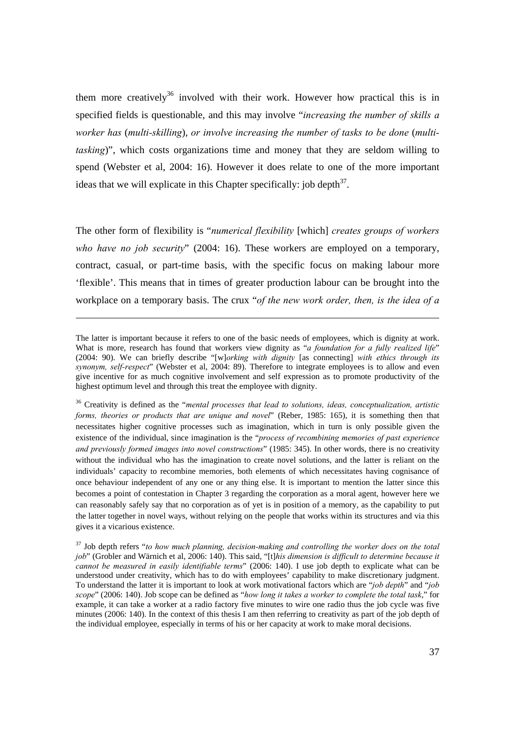them more creatively<sup>36</sup> involved with their work. However how practical this is in specified fields is questionable, and this may involve "*increasing the number of skills a worker has* (*multi-skilling*), *or involve increasing the number of tasks to be done* (*multitasking*)", which costs organizations time and money that they are seldom willing to spend (Webster et al, 2004: 16). However it does relate to one of the more important ideas that we will explicate in this Chapter specifically: job depth $3^7$ .

The other form of flexibility is "*numerical flexibility* [which] *creates groups of workers who have no job security*" (2004: 16). These workers are employed on a temporary, contract, casual, or part-time basis, with the specific focus on making labour more 'flexible'. This means that in times of greater production labour can be brought into the workplace on a temporary basis. The crux "*of the new work order, then, is the idea of a*

The latter is important because it refers to one of the basic needs of employees, which is dignity at work. What is more, research has found that workers view dignity as "*a foundation for a fully realized life*" (2004: 90). We can briefly describe "[w]*orking with dignity* [as connecting] *with ethics through its synonym, self-respect*" (Webster et al, 2004: 89). Therefore to integrate employees is to allow and even give incentive for as much cognitive involvement and self expression as to promote productivity of the highest optimum level and through this treat the employee with dignity.

<sup>36</sup> Creativity is defined as the "*mental processes that lead to solutions, ideas, conceptualization, artistic forms, theories or products that are unique and novel*" (Reber, 1985: 165), it is something then that necessitates higher cognitive processes such as imagination, which in turn is only possible given the existence of the individual, since imagination is the "*process of recombining memories of past experience and previously formed images into novel constructions*" (1985: 345). In other words, there is no creativity without the individual who has the imagination to create novel solutions, and the latter is reliant on the individuals' capacity to recombine memories, both elements of which necessitates having cognisance of once behaviour independent of any one or any thing else. It is important to mention the latter since this becomes a point of contestation in Chapter 3 regarding the corporation as a moral agent, however here we can reasonably safely say that no corporation as of yet is in position of a memory, as the capability to put the latter together in novel ways, without relying on the people that works within its structures and via this gives it a vicarious existence.

<sup>37</sup> Job depth refers "*to how much planning, decision-making and controlling the worker does on the total job*" (Grobler and Wärnich et al, 2006: 140). This said, "[t]*his dimension is difficult to determine because it cannot be measured in easily identifiable terms*" (2006: 140). I use job depth to explicate what can be understood under creativity, which has to do with employees' capability to make discretionary judgment. To understand the latter it is important to look at work motivational factors which are "*job depth*" and "*job scope*" (2006: 140). Job scope can be defined as "*how long it takes a worker to complete the total task*," for example, it can take a worker at a radio factory five minutes to wire one radio thus the job cycle was five minutes (2006: 140). In the context of this thesis I am then referring to creativity as part of the job depth of the individual employee, especially in terms of his or her capacity at work to make moral decisions.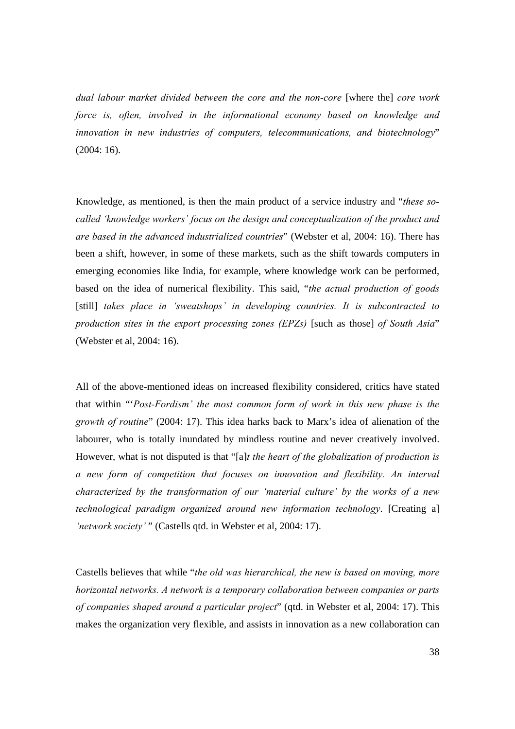*dual labour market divided between the core and the non-core* [where the] *core work force is, often, involved in the informational economy based on knowledge and innovation in new industries of computers, telecommunications, and biotechnology*" (2004: 16).

Knowledge, as mentioned, is then the main product of a service industry and "*these socalled 'knowledge workers' focus on the design and conceptualization of the product and are based in the advanced industrialized countries*" (Webster et al, 2004: 16). There has been a shift, however, in some of these markets, such as the shift towards computers in emerging economies like India, for example, where knowledge work can be performed, based on the idea of numerical flexibility. This said, "*the actual production of goods*  [still] *takes place in 'sweatshops' in developing countries. It is subcontracted to production sites in the export processing zones (EPZs)* [such as those] *of South Asia*" (Webster et al, 2004: 16).

All of the above-mentioned ideas on increased flexibility considered, critics have stated that within "'*Post-Fordism' the most common form of work in this new phase is the growth of routine*" (2004: 17). This idea harks back to Marx's idea of alienation of the labourer, who is totally inundated by mindless routine and never creatively involved. However, what is not disputed is that "[a]*t the heart of the globalization of production is a new form of competition that focuses on innovation and flexibility. An interval characterized by the transformation of our 'material culture' by the works of a new technological paradigm organized around new information technology*. [Creating a] *'network society'* " (Castells qtd. in Webster et al, 2004: 17).

Castells believes that while "*the old was hierarchical, the new is based on moving, more horizontal networks. A network is a temporary collaboration between companies or parts of companies shaped around a particular project*" (qtd. in Webster et al, 2004: 17). This makes the organization very flexible, and assists in innovation as a new collaboration can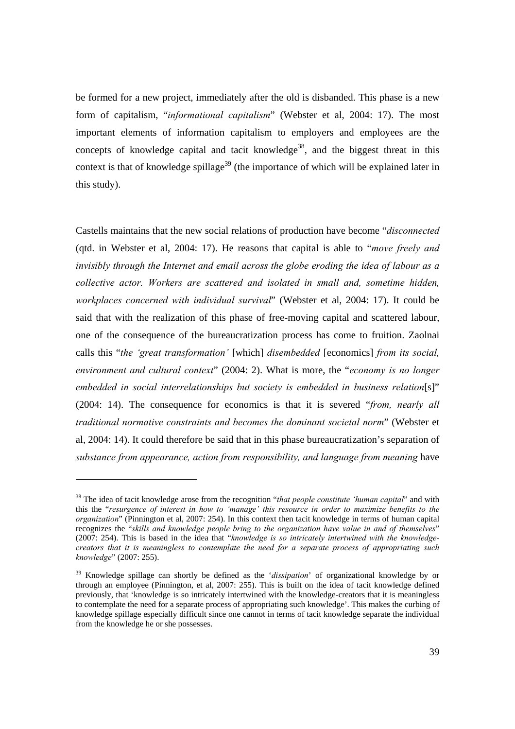be formed for a new project, immediately after the old is disbanded. This phase is a new form of capitalism, "*informational capitalism*" (Webster et al, 2004: 17). The most important elements of information capitalism to employers and employees are the concepts of knowledge capital and tacit knowledge<sup>38</sup>, and the biggest threat in this context is that of knowledge spillage<sup>39</sup> (the importance of which will be explained later in this study).

Castells maintains that the new social relations of production have become "*disconnected* (qtd. in Webster et al, 2004: 17). He reasons that capital is able to "*move freely and invisibly through the Internet and email across the globe eroding the idea of labour as a collective actor. Workers are scattered and isolated in small and, sometime hidden, workplaces concerned with individual survival*" (Webster et al, 2004: 17). It could be said that with the realization of this phase of free-moving capital and scattered labour, one of the consequence of the bureaucratization process has come to fruition. Zaolnai calls this "*the 'great transformation'* [which] *disembedded* [economics] *from its social, environment and cultural context*" (2004: 2). What is more, the "*economy is no longer embedded in social interrelationships but society is embedded in business relation*[s]" (2004: 14). The consequence for economics is that it is severed "*from, nearly all traditional normative constraints and becomes the dominant societal norm*" (Webster et al, 2004: 14). It could therefore be said that in this phase bureaucratization's separation of *substance from appearance, action from responsibility, and language from meaning* have

l

<sup>38</sup> The idea of tacit knowledge arose from the recognition "*that people constitute 'human capital*" and with this the "*resurgence of interest in how to 'manage' this resource in order to maximize benefits to the organization*" (Pinnington et al, 2007: 254). In this context then tacit knowledge in terms of human capital recognizes the "*skills and knowledge people bring to the organization have value in and of themselves*" (2007: 254). This is based in the idea that "*knowledge is so intricately intertwined with the knowledgecreators that it is meaningless to contemplate the need for a separate process of appropriating such knowledge*" (2007: 255).

<sup>39</sup> Knowledge spillage can shortly be defined as the '*dissipation*' of organizational knowledge by or through an employee (Pinnington, et al, 2007: 255). This is built on the idea of tacit knowledge defined previously, that 'knowledge is so intricately intertwined with the knowledge-creators that it is meaningless to contemplate the need for a separate process of appropriating such knowledge'. This makes the curbing of knowledge spillage especially difficult since one cannot in terms of tacit knowledge separate the individual from the knowledge he or she possesses.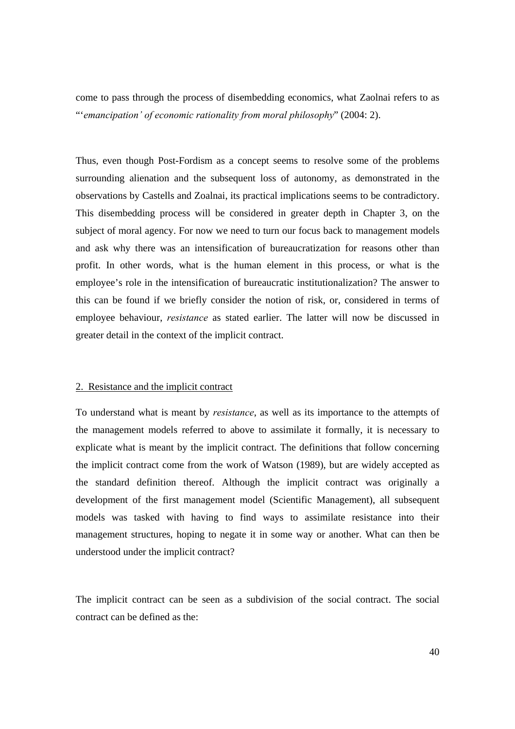come to pass through the process of disembedding economics, what Zaolnai refers to as "'*emancipation' of economic rationality from moral philosophy*" (2004: 2).

Thus, even though Post-Fordism as a concept seems to resolve some of the problems surrounding alienation and the subsequent loss of autonomy, as demonstrated in the observations by Castells and Zoalnai, its practical implications seems to be contradictory. This disembedding process will be considered in greater depth in Chapter 3, on the subject of moral agency. For now we need to turn our focus back to management models and ask why there was an intensification of bureaucratization for reasons other than profit. In other words, what is the human element in this process, or what is the employee's role in the intensification of bureaucratic institutionalization? The answer to this can be found if we briefly consider the notion of risk, or, considered in terms of employee behaviour, *resistance* as stated earlier. The latter will now be discussed in greater detail in the context of the implicit contract.

### 2. Resistance and the implicit contract

To understand what is meant by *resistance*, as well as its importance to the attempts of the management models referred to above to assimilate it formally, it is necessary to explicate what is meant by the implicit contract. The definitions that follow concerning the implicit contract come from the work of Watson (1989), but are widely accepted as the standard definition thereof. Although the implicit contract was originally a development of the first management model (Scientific Management), all subsequent models was tasked with having to find ways to assimilate resistance into their management structures, hoping to negate it in some way or another. What can then be understood under the implicit contract?

The implicit contract can be seen as a subdivision of the social contract. The social contract can be defined as the: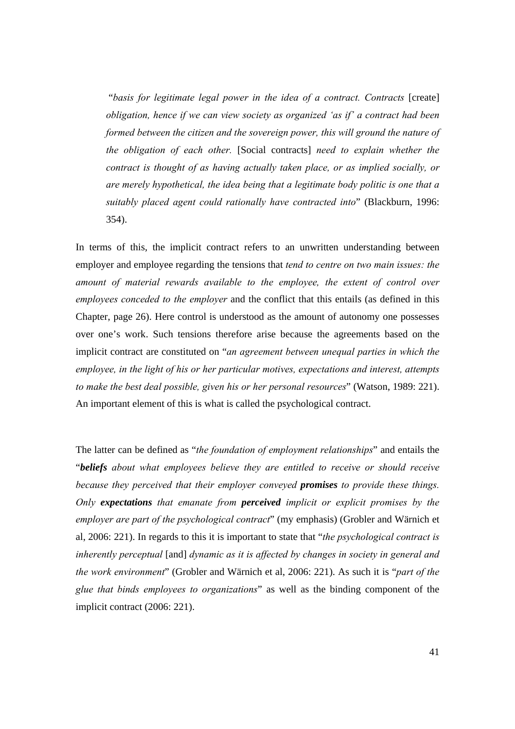"*basis for legitimate legal power in the idea of a contract. Contracts* [create] *obligation, hence if we can view society as organized 'as if' a contract had been formed between the citizen and the sovereign power, this will ground the nature of the obligation of each other.* [Social contracts] *need to explain whether the contract is thought of as having actually taken place, or as implied socially, or are merely hypothetical, the idea being that a legitimate body politic is one that a suitably placed agent could rationally have contracted into*" (Blackburn, 1996: 354).

In terms of this, the implicit contract refers to an unwritten understanding between employer and employee regarding the tensions that *tend to centre on two main issues: the amount of material rewards available to the employee, the extent of control over employees conceded to the employer* and the conflict that this entails (as defined in this Chapter, page 26). Here control is understood as the amount of autonomy one possesses over one's work. Such tensions therefore arise because the agreements based on the implicit contract are constituted on "*an agreement between unequal parties in which the employee, in the light of his or her particular motives, expectations and interest, attempts to make the best deal possible, given his or her personal resources*" (Watson, 1989: 221). An important element of this is what is called the psychological contract.

The latter can be defined as "*the foundation of employment relationships*" and entails the "*beliefs about what employees believe they are entitled to receive or should receive because they perceived that their employer conveyed promises to provide these things. Only expectations that emanate from perceived implicit or explicit promises by the employer are part of the psychological contract*" (my emphasis) (Grobler and Wärnich et al, 2006: 221). In regards to this it is important to state that "*the psychological contract is inherently perceptual* [and] *dynamic as it is affected by changes in society in general and the work environment*" (Grobler and Wärnich et al, 2006: 221). As such it is "*part of the glue that binds employees to organizations*" as well as the binding component of the implicit contract (2006: 221).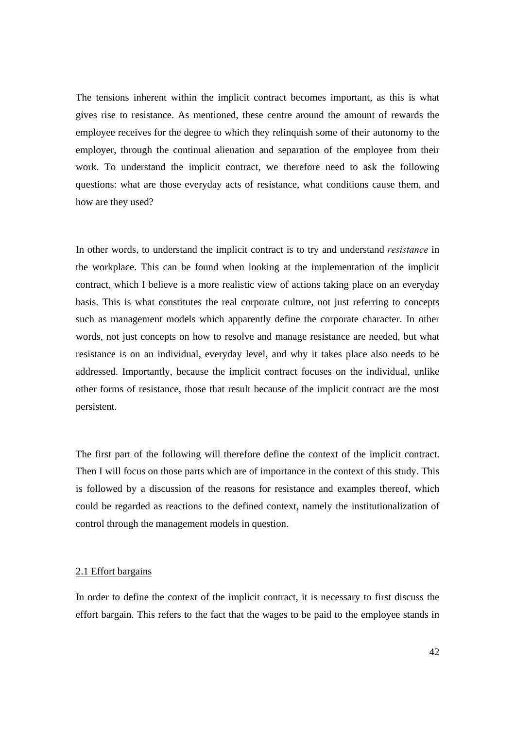The tensions inherent within the implicit contract becomes important, as this is what gives rise to resistance. As mentioned, these centre around the amount of rewards the employee receives for the degree to which they relinquish some of their autonomy to the employer, through the continual alienation and separation of the employee from their work. To understand the implicit contract, we therefore need to ask the following questions: what are those everyday acts of resistance, what conditions cause them, and how are they used?

In other words, to understand the implicit contract is to try and understand *resistance* in the workplace. This can be found when looking at the implementation of the implicit contract, which I believe is a more realistic view of actions taking place on an everyday basis. This is what constitutes the real corporate culture, not just referring to concepts such as management models which apparently define the corporate character. In other words, not just concepts on how to resolve and manage resistance are needed, but what resistance is on an individual, everyday level, and why it takes place also needs to be addressed. Importantly, because the implicit contract focuses on the individual, unlike other forms of resistance, those that result because of the implicit contract are the most persistent.

The first part of the following will therefore define the context of the implicit contract. Then I will focus on those parts which are of importance in the context of this study. This is followed by a discussion of the reasons for resistance and examples thereof, which could be regarded as reactions to the defined context, namely the institutionalization of control through the management models in question.

#### 2.1 Effort bargains

In order to define the context of the implicit contract, it is necessary to first discuss the effort bargain. This refers to the fact that the wages to be paid to the employee stands in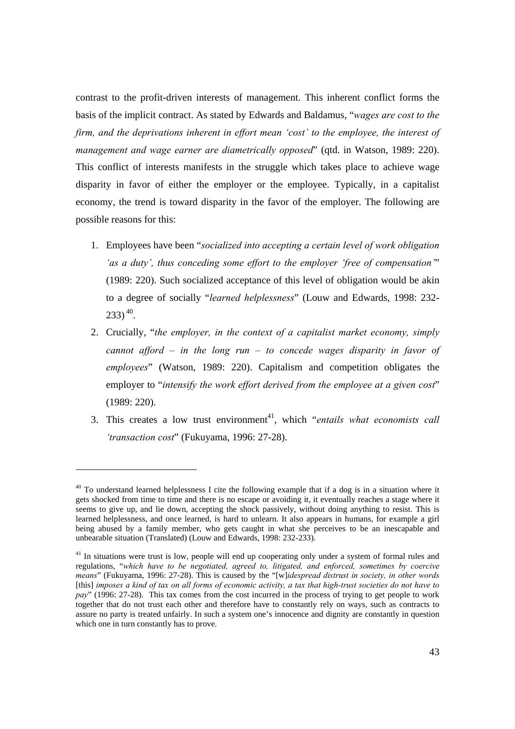contrast to the profit-driven interests of management. This inherent conflict forms the basis of the implicit contract. As stated by Edwards and Baldamus, "*wages are cost to the firm, and the deprivations inherent in effort mean 'cost' to the employee, the interest of management and wage earner are diametrically opposed*" (qtd. in Watson, 1989: 220). This conflict of interests manifests in the struggle which takes place to achieve wage disparity in favor of either the employer or the employee. Typically, in a capitalist economy, the trend is toward disparity in the favor of the employer. The following are possible reasons for this:

- 1. Employees have been "*socialized into accepting a certain level of work obligation 'as a duty', thus conceding some effort to the employer 'free of compensation'*" (1989: 220). Such socialized acceptance of this level of obligation would be akin to a degree of socially "*learned helplessness*" (Louw and Edwards, 1998: 232-  $(233)^{40}$ .
- 2. Crucially, "*the employer, in the context of a capitalist market economy, simply cannot afford – in the long run – to concede wages disparity in favor of employees*" (Watson, 1989: 220). Capitalism and competition obligates the employer to "intensify the work effort derived from the employee at a given cost" (1989: 220).
- 3. This creates a low trust environment<sup>41</sup>, which "*entails what economists call 'transaction cost*" (Fukuyama, 1996: 27-28).

<sup>&</sup>lt;sup>40</sup> To understand learned helplessness I cite the following example that if a dog is in a situation where it gets shocked from time to time and there is no escape or avoiding it, it eventually reaches a stage where it seems to give up, and lie down, accepting the shock passively, without doing anything to resist. This is learned helplessness, and once learned, is hard to unlearn. It also appears in humans, for example a girl being abused by a family member, who gets caught in what she perceives to be an inescapable and unbearable situation (Translated) (Louw and Edwards, 1998: 232-233).

<sup>&</sup>lt;sup>41</sup> In situations were trust is low, people will end up cooperating only under a system of formal rules and regulations, "*which have to be negotiated, agreed to, litigated, and enforced, sometimes by coercive means*" (Fukuyama, 1996: 27-28). This is caused by the "[w]*idespread distrust in society, in other words*  [this] *imposes a kind of tax on all forms of economic activity, a tax that high-trust societies do not have to pay*" (1996: 27-28). This tax comes from the cost incurred in the process of trying to get people to work together that do not trust each other and therefore have to constantly rely on ways, such as contracts to assure no party is treated unfairly. In such a system one's innocence and dignity are constantly in question which one in turn constantly has to prove.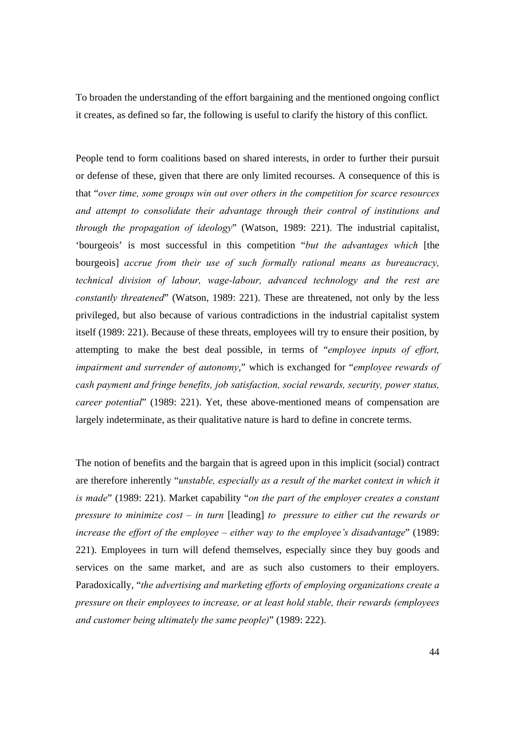To broaden the understanding of the effort bargaining and the mentioned ongoing conflict it creates, as defined so far, the following is useful to clarify the history of this conflict.

People tend to form coalitions based on shared interests, in order to further their pursuit or defense of these, given that there are only limited recourses. A consequence of this is that "*over time, some groups win out over others in the competition for scarce resources and attempt to consolidate their advantage through their control of institutions and through the propagation of ideology*" (Watson, 1989: 221). The industrial capitalist, 'bourgeois' is most successful in this competition "*but the advantages which* [the bourgeois] *accrue from their use of such formally rational means as bureaucracy, technical division of labour, wage-labour, advanced technology and the rest are constantly threatened*" (Watson, 1989: 221). These are threatened, not only by the less privileged, but also because of various contradictions in the industrial capitalist system itself (1989: 221). Because of these threats, employees will try to ensure their position, by attempting to make the best deal possible, in terms of "*employee inputs of effort, impairment and surrender of autonomy*," which is exchanged for "*employee rewards of cash payment and fringe benefits, job satisfaction, social rewards, security, power status, career potential*" (1989: 221). Yet, these above-mentioned means of compensation are largely indeterminate, as their qualitative nature is hard to define in concrete terms.

The notion of benefits and the bargain that is agreed upon in this implicit (social) contract are therefore inherently "*unstable, especially as a result of the market context in which it is made*" (1989: 221). Market capability "*on the part of the employer creates a constant pressure to minimize cost – in turn* [leading] *to pressure to either cut the rewards or increase the effort of the employee – either way to the employee's disadvantage*" (1989: 221). Employees in turn will defend themselves, especially since they buy goods and services on the same market, and are as such also customers to their employers. Paradoxically, "*the advertising and marketing efforts of employing organizations create a pressure on their employees to increase, or at least hold stable, their rewards (employees and customer being ultimately the same people)*" (1989: 222).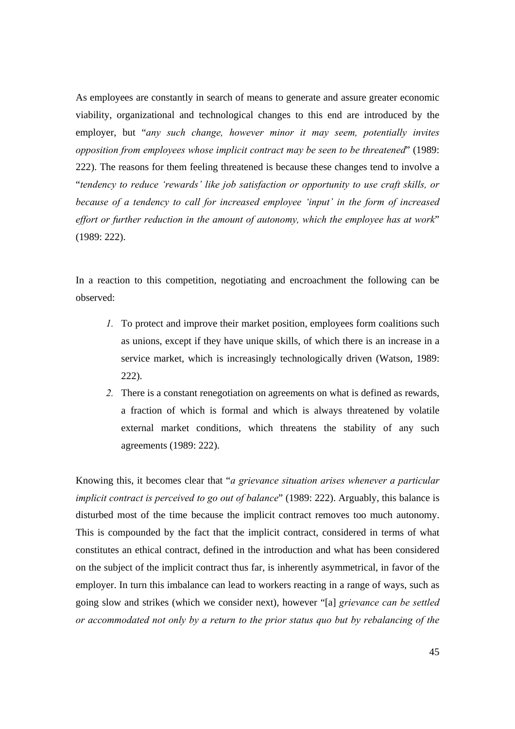As employees are constantly in search of means to generate and assure greater economic viability, organizational and technological changes to this end are introduced by the employer, but "*any such change, however minor it may seem, potentially invites opposition from employees whose implicit contract may be seen to be threatened*" (1989: 222). The reasons for them feeling threatened is because these changes tend to involve a "*tendency to reduce 'rewards' like job satisfaction or opportunity to use craft skills, or because of a tendency to call for increased employee 'input' in the form of increased effort or further reduction in the amount of autonomy, which the employee has at work*" (1989: 222).

In a reaction to this competition, negotiating and encroachment the following can be observed:

- *1.* To protect and improve their market position, employees form coalitions such as unions, except if they have unique skills, of which there is an increase in a service market, which is increasingly technologically driven (Watson, 1989: 222).
- *2.* There is a constant renegotiation on agreements on what is defined as rewards, a fraction of which is formal and which is always threatened by volatile external market conditions, which threatens the stability of any such agreements (1989: 222).

Knowing this, it becomes clear that "*a grievance situation arises whenever a particular implicit contract is perceived to go out of balance*" (1989: 222). Arguably, this balance is disturbed most of the time because the implicit contract removes too much autonomy. This is compounded by the fact that the implicit contract, considered in terms of what constitutes an ethical contract, defined in the introduction and what has been considered on the subject of the implicit contract thus far, is inherently asymmetrical, in favor of the employer. In turn this imbalance can lead to workers reacting in a range of ways, such as going slow and strikes (which we consider next), however "[a] *grievance can be settled or accommodated not only by a return to the prior status quo but by rebalancing of the*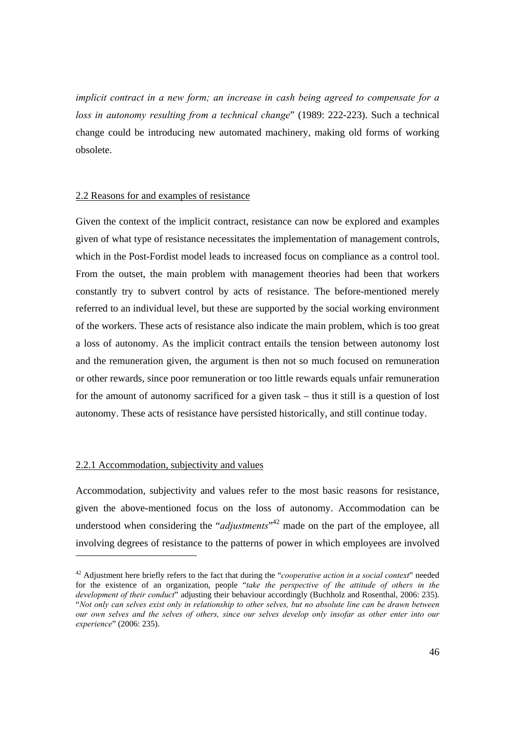*implicit contract in a new form; an increase in cash being agreed to compensate for a loss in autonomy resulting from a technical change*" (1989: 222-223). Such a technical change could be introducing new automated machinery, making old forms of working obsolete.

### 2.2 Reasons for and examples of resistance

Given the context of the implicit contract, resistance can now be explored and examples given of what type of resistance necessitates the implementation of management controls, which in the Post-Fordist model leads to increased focus on compliance as a control tool. From the outset, the main problem with management theories had been that workers constantly try to subvert control by acts of resistance. The before-mentioned merely referred to an individual level, but these are supported by the social working environment of the workers. These acts of resistance also indicate the main problem, which is too great a loss of autonomy. As the implicit contract entails the tension between autonomy lost and the remuneration given, the argument is then not so much focused on remuneration or other rewards, since poor remuneration or too little rewards equals unfair remuneration for the amount of autonomy sacrificed for a given task – thus it still is a question of lost autonomy. These acts of resistance have persisted historically, and still continue today.

#### 2.2.1 Accommodation, subjectivity and values

Accommodation, subjectivity and values refer to the most basic reasons for resistance, given the above-mentioned focus on the loss of autonomy. Accommodation can be understood when considering the "*adjustments*"<sup>42</sup> made on the part of the employee, all involving degrees of resistance to the patterns of power in which employees are involved

<sup>42</sup> Adjustment here briefly refers to the fact that during the "*cooperative action in a social context*" needed for the existence of an organization, people "*take the perspective of the attitude of others in the development of their conduct*" adjusting their behaviour accordingly (Buchholz and Rosenthal, 2006: 235). "*Not only can selves exist only in relationship to other selves, but no absolute line can be drawn between our own selves and the selves of others, since our selves develop only insofar as other enter into our experience*" (2006: 235).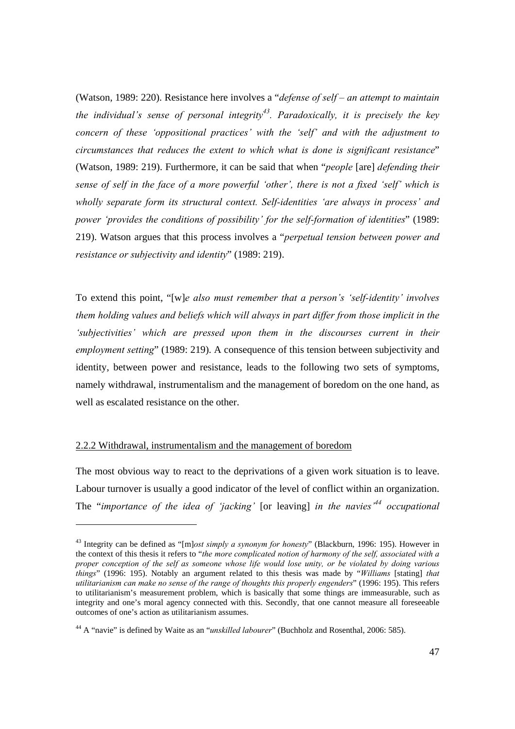(Watson, 1989: 220). Resistance here involves a "*defense of self – an attempt to maintain the individual's sense of personal integrity*<sup>43</sup>. Paradoxically, it is precisely the key *concern of these 'oppositional practices' with the 'self' and with the adjustment to circumstances that reduces the extent to which what is done is significant resistance*" (Watson, 1989: 219). Furthermore, it can be said that when "*people* [are] *defending their sense of self in the face of a more powerful 'other', there is not a fixed 'self' which is wholly separate form its structural context. Self-identities 'are always in process' and power 'provides the conditions of possibility' for the self-formation of identities*" (1989: 219). Watson argues that this process involves a "*perpetual tension between power and resistance or subjectivity and identity*" (1989: 219).

To extend this point, "[w]*e also must remember that a person's 'self-identity' involves them holding values and beliefs which will always in part differ from those implicit in the 'subjectivities' which are pressed upon them in the discourses current in their employment setting*" (1989: 219). A consequence of this tension between subjectivity and identity, between power and resistance, leads to the following two sets of symptoms, namely withdrawal, instrumentalism and the management of boredom on the one hand, as well as escalated resistance on the other.

## 2.2.2 Withdrawal, instrumentalism and the management of boredom

The most obvious way to react to the deprivations of a given work situation is to leave. Labour turnover is usually a good indicator of the level of conflict within an organization. The "*importance of the idea of 'jacking'* [or leaving] *in the navies'44 occupational* 

<sup>43</sup> Integrity can be defined as "[m]*ost simply a synonym for honesty*" (Blackburn, 1996: 195). However in the context of this thesis it refers to "*the more complicated notion of harmony of the self, associated with a proper conception of the self as someone whose life would lose unity, or be violated by doing various things*" (1996: 195). Notably an argument related to this thesis was made by "*Williams* [stating] *that utilitarianism can make no sense of the range of thoughts this properly engenders*" (1996: 195). This refers to utilitarianism's measurement problem, which is basically that some things are immeasurable, such as integrity and one's moral agency connected with this. Secondly, that one cannot measure all foreseeable outcomes of one's action as utilitarianism assumes.

<sup>44</sup> A "navie" is defined by Waite as an "*unskilled labourer*" (Buchholz and Rosenthal, 2006: 585).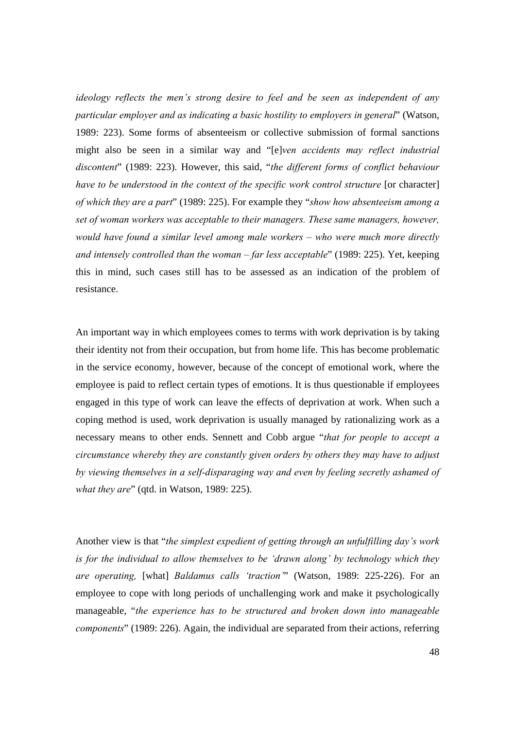*ideology reflects the men's strong desire to feel and be seen as independent of any particular employer and as indicating a basic hostility to employers in general*" (Watson, 1989: 223). Some forms of absenteeism or collective submission of formal sanctions might also be seen in a similar way and "[e]*ven accidents may reflect industrial discontent*" (1989: 223). However, this said, "*the different forms of conflict behaviour have to be understood in the context of the specific work control structure* [or character] *of which they are a part*" (1989: 225). For example they "*show how absenteeism among a set of woman workers was acceptable to their managers. These same managers, however, would have found a similar level among male workers – who were much more directly and intensely controlled than the woman – far less acceptable*" (1989: 225). Yet, keeping this in mind, such cases still has to be assessed as an indication of the problem of resistance.

An important way in which employees comes to terms with work deprivation is by taking their identity not from their occupation, but from home life. This has become problematic in the service economy, however, because of the concept of emotional work, where the employee is paid to reflect certain types of emotions. It is thus questionable if employees engaged in this type of work can leave the effects of deprivation at work. When such a coping method is used, work deprivation is usually managed by rationalizing work as a necessary means to other ends. Sennett and Cobb argue "*that for people to accept a circumstance whereby they are constantly given orders by others they may have to adjust by viewing themselves in a self-disparaging way and even by feeling secretly ashamed of what they are*" (qtd. in Watson, 1989: 225).

Another view is that "*the simplest expedient of getting through an unfulfilling day's work is for the individual to allow themselves to be 'drawn along' by technology which they are operating,* [what] *Baldamus calls 'traction'*" (Watson, 1989: 225-226). For an employee to cope with long periods of unchallenging work and make it psychologically manageable, "*the experience has to be structured and broken down into manageable components*" (1989: 226). Again, the individual are separated from their actions, referring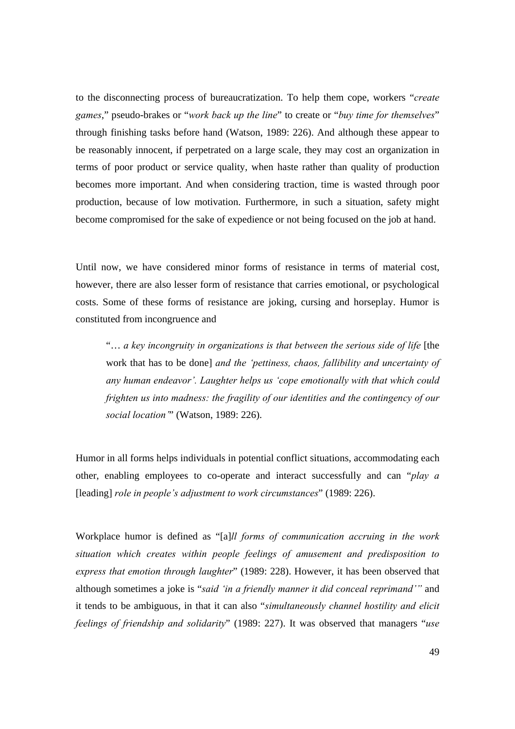to the disconnecting process of bureaucratization. To help them cope, workers "*create games*," pseudo-brakes or "*work back up the line*" to create or "*buy time for themselves*" through finishing tasks before hand (Watson, 1989: 226). And although these appear to be reasonably innocent, if perpetrated on a large scale, they may cost an organization in terms of poor product or service quality, when haste rather than quality of production becomes more important. And when considering traction, time is wasted through poor production, because of low motivation. Furthermore, in such a situation, safety might become compromised for the sake of expedience or not being focused on the job at hand.

Until now, we have considered minor forms of resistance in terms of material cost, however, there are also lesser form of resistance that carries emotional, or psychological costs. Some of these forms of resistance are joking, cursing and horseplay. Humor is constituted from incongruence and

"… *a key incongruity in organizations is that between the serious side of life* [the work that has to be done] *and the 'pettiness, chaos, fallibility and uncertainty of any human endeavor'. Laughter helps us 'cope emotionally with that which could frighten us into madness: the fragility of our identities and the contingency of our social location'*" (Watson, 1989: 226).

Humor in all forms helps individuals in potential conflict situations, accommodating each other, enabling employees to co-operate and interact successfully and can "*play a*  [leading] *role in people's adjustment to work circumstances*" (1989: 226).

Workplace humor is defined as "[a]*ll forms of communication accruing in the work situation which creates within people feelings of amusement and predisposition to express that emotion through laughter*" (1989: 228). However, it has been observed that although sometimes a joke is "*said 'in a friendly manner it did conceal reprimand'"* and it tends to be ambiguous, in that it can also "*simultaneously channel hostility and elicit feelings of friendship and solidarity*" (1989: 227). It was observed that managers "*use*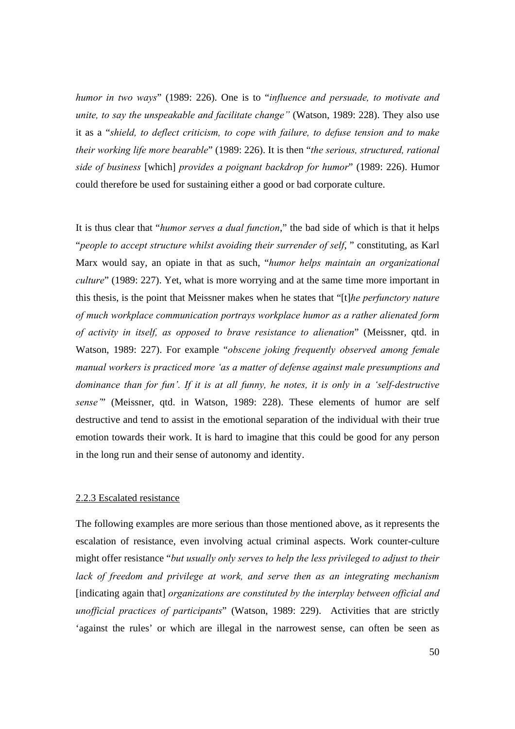*humor in two ways*" (1989: 226). One is to "*influence and persuade, to motivate and unite, to say the unspeakable and facilitate change"* (Watson, 1989: 228). They also use it as a "*shield, to deflect criticism, to cope with failure, to defuse tension and to make their working life more bearable*" (1989: 226). It is then "*the serious, structured, rational side of business* [which] *provides a poignant backdrop for humor*" (1989: 226). Humor could therefore be used for sustaining either a good or bad corporate culture.

It is thus clear that "*humor serves a dual function*," the bad side of which is that it helps "*people to accept structure whilst avoiding their surrender of self*, " constituting, as Karl Marx would say, an opiate in that as such, "*humor helps maintain an organizational culture*" (1989: 227). Yet, what is more worrying and at the same time more important in this thesis, is the point that Meissner makes when he states that "[t]*he perfunctory nature of much workplace communication portrays workplace humor as a rather alienated form of activity in itself, as opposed to brave resistance to alienation*" (Meissner, qtd. in Watson, 1989: 227). For example "*obscene joking frequently observed among female manual workers is practiced more 'as a matter of defense against male presumptions and dominance than for fun'. If it is at all funny, he notes, it is only in a 'self-destructive sense'*" (Meissner, qtd. in Watson, 1989: 228). These elements of humor are self destructive and tend to assist in the emotional separation of the individual with their true emotion towards their work. It is hard to imagine that this could be good for any person in the long run and their sense of autonomy and identity.

### 2.2.3 Escalated resistance

The following examples are more serious than those mentioned above, as it represents the escalation of resistance, even involving actual criminal aspects. Work counter-culture might offer resistance "*but usually only serves to help the less privileged to adjust to their lack of freedom and privilege at work, and serve then as an integrating mechanism* [indicating again that] *organizations are constituted by the interplay between official and unofficial practices of participants*" (Watson, 1989: 229). Activities that are strictly 'against the rules' or which are illegal in the narrowest sense, can often be seen as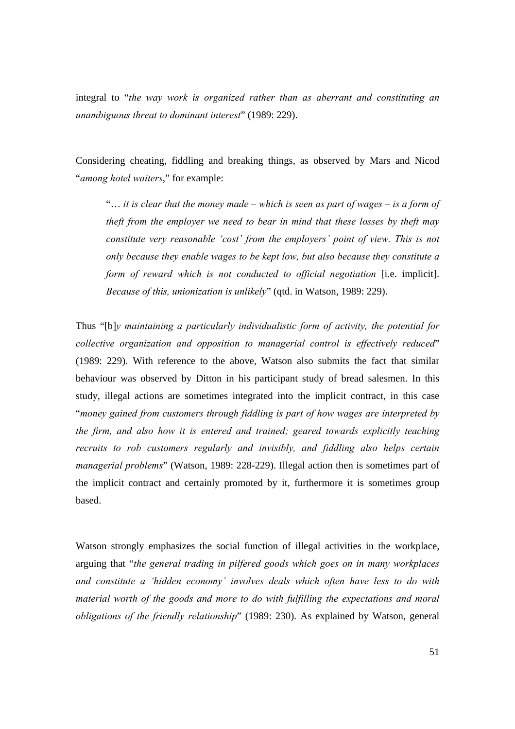integral to "*the way work is organized rather than as aberrant and constituting an unambiguous threat to dominant interest*" (1989: 229).

Considering cheating, fiddling and breaking things, as observed by Mars and Nicod "*among hotel waiters*," for example:

"… *it is clear that the money made – which is seen as part of wages – is a form of theft from the employer we need to bear in mind that these losses by theft may constitute very reasonable 'cost' from the employers' point of view. This is not only because they enable wages to be kept low, but also because they constitute a form of reward which is not conducted to official negotiation* [i.e. implicit]. *Because of this, unionization is unlikely*" (qtd. in Watson, 1989: 229).

Thus "[b]*y maintaining a particularly individualistic form of activity, the potential for collective organization and opposition to managerial control is effectively reduced*" (1989: 229). With reference to the above, Watson also submits the fact that similar behaviour was observed by Ditton in his participant study of bread salesmen. In this study, illegal actions are sometimes integrated into the implicit contract, in this case "*money gained from customers through fiddling is part of how wages are interpreted by the firm, and also how it is entered and trained; geared towards explicitly teaching recruits to rob customers regularly and invisibly, and fiddling also helps certain managerial problems*" (Watson, 1989: 228-229). Illegal action then is sometimes part of the implicit contract and certainly promoted by it, furthermore it is sometimes group based.

Watson strongly emphasizes the social function of illegal activities in the workplace, arguing that "*the general trading in pilfered goods which goes on in many workplaces and constitute a 'hidden economy' involves deals which often have less to do with material worth of the goods and more to do with fulfilling the expectations and moral obligations of the friendly relationship*" (1989: 230). As explained by Watson, general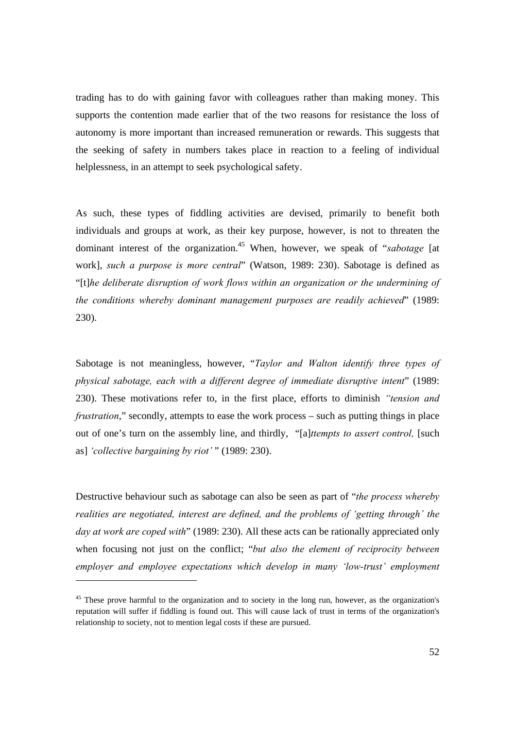trading has to do with gaining favor with colleagues rather than making money. This supports the contention made earlier that of the two reasons for resistance the loss of autonomy is more important than increased remuneration or rewards. This suggests that the seeking of safety in numbers takes place in reaction to a feeling of individual helplessness, in an attempt to seek psychological safety.

As such, these types of fiddling activities are devised, primarily to benefit both individuals and groups at work, as their key purpose, however, is not to threaten the dominant interest of the organization.45 When, however, we speak of "*sabotage* [at work], *such a purpose is more central*" (Watson, 1989: 230). Sabotage is defined as "[t]*he deliberate disruption of work flows within an organization or the undermining of the conditions whereby dominant management purposes are readily achieved*" (1989: 230).

Sabotage is not meaningless, however, "*Taylor and Walton identify three types of physical sabotage, each with a different degree of immediate disruptive intent*" (1989: 230). These motivations refer to, in the first place, efforts to diminish *"tension and frustration*," secondly, attempts to ease the work process – such as putting things in place out of one's turn on the assembly line, and thirdly, "[a]*ttempts to assert control,* [such as] *'collective bargaining by riot'* " (1989: 230).

Destructive behaviour such as sabotage can also be seen as part of "*the process whereby realities are negotiated, interest are defined, and the problems of 'getting through' the day at work are coped with*" (1989: 230). All these acts can be rationally appreciated only when focusing not just on the conflict; "*but also the element of reciprocity between employer and employee expectations which develop in many 'low-trust' employment* 

l

<sup>&</sup>lt;sup>45</sup> These prove harmful to the organization and to society in the long run, however, as the organization's reputation will suffer if fiddling is found out. This will cause lack of trust in terms of the organization's relationship to society, not to mention legal costs if these are pursued.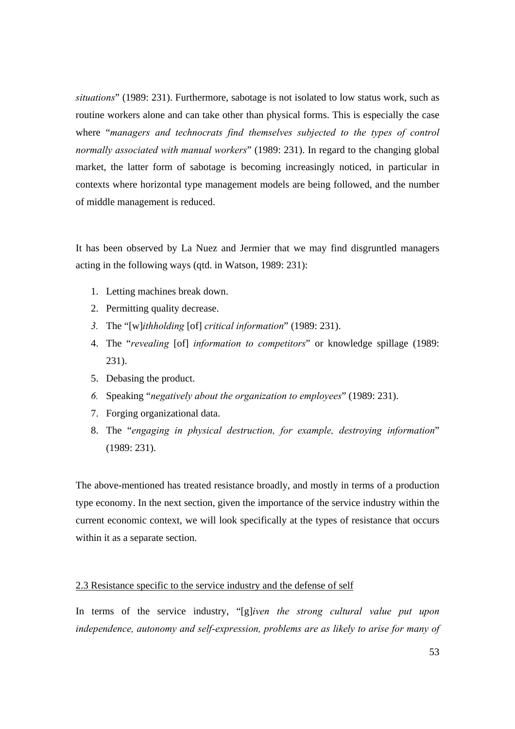*situations*" (1989: 231). Furthermore, sabotage is not isolated to low status work, such as routine workers alone and can take other than physical forms. This is especially the case where "*managers and technocrats find themselves subjected to the types of control normally associated with manual workers*" (1989: 231). In regard to the changing global market, the latter form of sabotage is becoming increasingly noticed, in particular in contexts where horizontal type management models are being followed, and the number of middle management is reduced.

It has been observed by La Nuez and Jermier that we may find disgruntled managers acting in the following ways (qtd. in Watson, 1989: 231):

- 1. Letting machines break down.
- 2. Permitting quality decrease.
- *3.* The "[w]*ithholding* [of] *critical information*" (1989: 231).
- 4. The "*revealing* [of] *information to competitors*" or knowledge spillage (1989: 231).
- 5. Debasing the product.
- *6.* Speaking "*negatively about the organization to employees*" (1989: 231).
- 7. Forging organizational data.
- 8. The "*engaging in physical destruction, for example, destroying information*" (1989: 231).

The above-mentioned has treated resistance broadly, and mostly in terms of a production type economy. In the next section, given the importance of the service industry within the current economic context, we will look specifically at the types of resistance that occurs within it as a separate section.

### 2.3 Resistance specific to the service industry and the defense of self

In terms of the service industry, "[g]*iven the strong cultural value put upon independence, autonomy and self-expression, problems are as likely to arise for many of*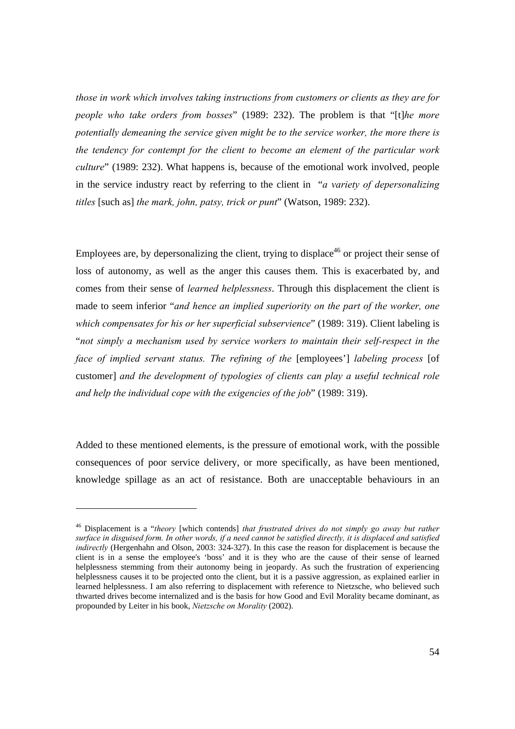*those in work which involves taking instructions from customers or clients as they are for people who take orders from bosses*" (1989: 232). The problem is that "[t]*he more potentially demeaning the service given might be to the service worker, the more there is the tendency for contempt for the client to become an element of the particular work culture*" (1989: 232). What happens is, because of the emotional work involved, people in the service industry react by referring to the client in "*a variety of depersonalizing titles* [such as] *the mark, john, patsy, trick or punt*" (Watson, 1989: 232).

Employees are, by depersonalizing the client, trying to displace<sup>46</sup> or project their sense of loss of autonomy, as well as the anger this causes them. This is exacerbated by, and comes from their sense of *learned helplessness*. Through this displacement the client is made to seem inferior "*and hence an implied superiority on the part of the worker, one which compensates for his or her superficial subservience*" (1989: 319). Client labeling is "*not simply a mechanism used by service workers to maintain their self-respect in the face of implied servant status. The refining of the [employees'] labeling process* [of customer] *and the development of typologies of clients can play a useful technical role and help the individual cope with the exigencies of the job*" (1989: 319).

Added to these mentioned elements, is the pressure of emotional work, with the possible consequences of poor service delivery, or more specifically, as have been mentioned, knowledge spillage as an act of resistance. Both are unacceptable behaviours in an

<sup>46</sup> Displacement is a "*theory* [which contends] *that frustrated drives do not simply go away but rather surface in disguised form. In other words, if a need cannot be satisfied directly, it is displaced and satisfied indirectly* (Hergenhahn and Olson, 2003: 324-327). In this case the reason for displacement is because the client is in a sense the employee's 'boss' and it is they who are the cause of their sense of learned helplessness stemming from their autonomy being in jeopardy. As such the frustration of experiencing helplessness causes it to be projected onto the client, but it is a passive aggression, as explained earlier in learned helplessness. I am also referring to displacement with reference to Nietzsche, who believed such thwarted drives become internalized and is the basis for how Good and Evil Morality became dominant, as propounded by Leiter in his book, *Nietzsche on Morality* (2002).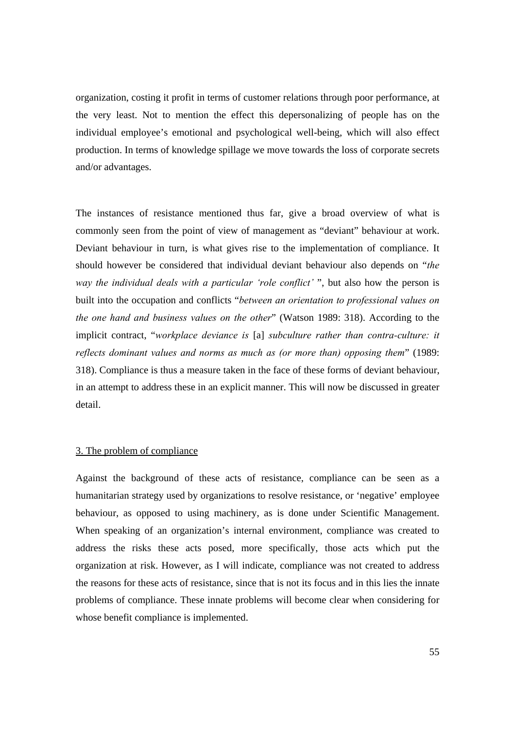organization, costing it profit in terms of customer relations through poor performance, at the very least. Not to mention the effect this depersonalizing of people has on the individual employee's emotional and psychological well-being, which will also effect production. In terms of knowledge spillage we move towards the loss of corporate secrets and/or advantages.

The instances of resistance mentioned thus far, give a broad overview of what is commonly seen from the point of view of management as "deviant" behaviour at work. Deviant behaviour in turn, is what gives rise to the implementation of compliance. It should however be considered that individual deviant behaviour also depends on "*the way the individual deals with a particular 'role conflict'* ", but also how the person is built into the occupation and conflicts "*between an orientation to professional values on the one hand and business values on the other*" (Watson 1989: 318). According to the implicit contract, "*workplace deviance is* [a] *subculture rather than contra-culture: it reflects dominant values and norms as much as (or more than) opposing them*" (1989: 318). Compliance is thus a measure taken in the face of these forms of deviant behaviour, in an attempt to address these in an explicit manner. This will now be discussed in greater detail.

# 3. The problem of compliance

Against the background of these acts of resistance, compliance can be seen as a humanitarian strategy used by organizations to resolve resistance, or 'negative' employee behaviour, as opposed to using machinery, as is done under Scientific Management. When speaking of an organization's internal environment, compliance was created to address the risks these acts posed, more specifically, those acts which put the organization at risk. However, as I will indicate, compliance was not created to address the reasons for these acts of resistance, since that is not its focus and in this lies the innate problems of compliance. These innate problems will become clear when considering for whose benefit compliance is implemented.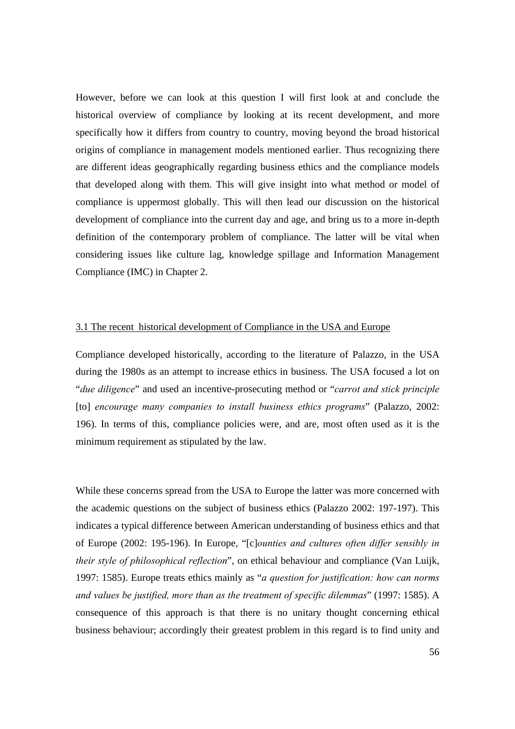However, before we can look at this question I will first look at and conclude the historical overview of compliance by looking at its recent development, and more specifically how it differs from country to country, moving beyond the broad historical origins of compliance in management models mentioned earlier. Thus recognizing there are different ideas geographically regarding business ethics and the compliance models that developed along with them. This will give insight into what method or model of compliance is uppermost globally. This will then lead our discussion on the historical development of compliance into the current day and age, and bring us to a more in-depth definition of the contemporary problem of compliance. The latter will be vital when considering issues like culture lag, knowledge spillage and Information Management Compliance (IMC) in Chapter 2.

# 3.1 The recent historical development of Compliance in the USA and Europe

Compliance developed historically, according to the literature of Palazzo, in the USA during the 1980s as an attempt to increase ethics in business. The USA focused a lot on "*due diligence*" and used an incentive-prosecuting method or "*carrot and stick principle* [to] *encourage many companies to install business ethics programs*" (Palazzo, 2002: 196). In terms of this, compliance policies were, and are, most often used as it is the minimum requirement as stipulated by the law.

While these concerns spread from the USA to Europe the latter was more concerned with the academic questions on the subject of business ethics (Palazzo 2002: 197-197). This indicates a typical difference between American understanding of business ethics and that of Europe (2002: 195-196). In Europe, "[c]*ounties and cultures often differ sensibly in their style of philosophical reflection*", on ethical behaviour and compliance (Van Luijk, 1997: 1585). Europe treats ethics mainly as "*a question for justification: how can norms and values be justified, more than as the treatment of specific dilemmas*" (1997: 1585). A consequence of this approach is that there is no unitary thought concerning ethical business behaviour; accordingly their greatest problem in this regard is to find unity and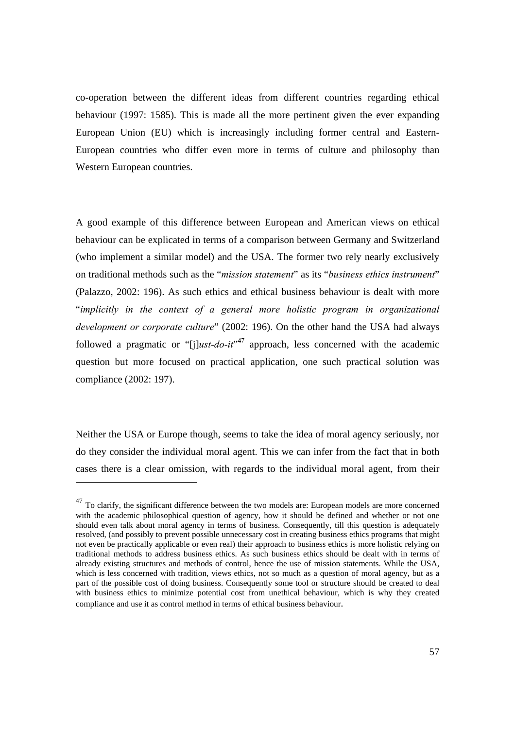co-operation between the different ideas from different countries regarding ethical behaviour (1997: 1585). This is made all the more pertinent given the ever expanding European Union (EU) which is increasingly including former central and Eastern-European countries who differ even more in terms of culture and philosophy than Western European countries.

A good example of this difference between European and American views on ethical behaviour can be explicated in terms of a comparison between Germany and Switzerland (who implement a similar model) and the USA. The former two rely nearly exclusively on traditional methods such as the "*mission statement*" as its "*business ethics instrument*" (Palazzo, 2002: 196). As such ethics and ethical business behaviour is dealt with more "*implicitly in the context of a general more holistic program in organizational development or corporate culture*" (2002: 196). On the other hand the USA had always followed a pragmatic or "[j]*ust-do-it*"<sup>47</sup> approach, less concerned with the academic question but more focused on practical application, one such practical solution was compliance (2002: 197).

Neither the USA or Europe though, seems to take the idea of moral agency seriously, nor do they consider the individual moral agent. This we can infer from the fact that in both cases there is a clear omission, with regards to the individual moral agent, from their

<sup>&</sup>lt;sup>47</sup> To clarify, the significant difference between the two models are: European models are more concerned with the academic philosophical question of agency, how it should be defined and whether or not one should even talk about moral agency in terms of business. Consequently, till this question is adequately resolved, (and possibly to prevent possible unnecessary cost in creating business ethics programs that might not even be practically applicable or even real) their approach to business ethics is more holistic relying on traditional methods to address business ethics. As such business ethics should be dealt with in terms of already existing structures and methods of control, hence the use of mission statements. While the USA, which is less concerned with tradition, views ethics, not so much as a question of moral agency, but as a part of the possible cost of doing business. Consequently some tool or structure should be created to deal with business ethics to minimize potential cost from unethical behaviour, which is why they created compliance and use it as control method in terms of ethical business behaviour.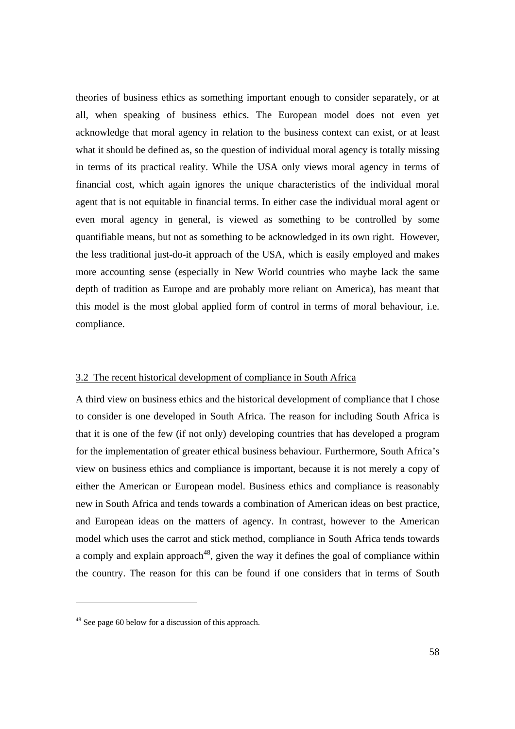theories of business ethics as something important enough to consider separately, or at all, when speaking of business ethics. The European model does not even yet acknowledge that moral agency in relation to the business context can exist, or at least what it should be defined as, so the question of individual moral agency is totally missing in terms of its practical reality. While the USA only views moral agency in terms of financial cost, which again ignores the unique characteristics of the individual moral agent that is not equitable in financial terms. In either case the individual moral agent or even moral agency in general, is viewed as something to be controlled by some quantifiable means, but not as something to be acknowledged in its own right. However, the less traditional just-do-it approach of the USA, which is easily employed and makes more accounting sense (especially in New World countries who maybe lack the same depth of tradition as Europe and are probably more reliant on America), has meant that this model is the most global applied form of control in terms of moral behaviour, i.e. compliance.

#### 3.2 The recent historical development of compliance in South Africa

A third view on business ethics and the historical development of compliance that I chose to consider is one developed in South Africa. The reason for including South Africa is that it is one of the few (if not only) developing countries that has developed a program for the implementation of greater ethical business behaviour. Furthermore, South Africa's view on business ethics and compliance is important, because it is not merely a copy of either the American or European model. Business ethics and compliance is reasonably new in South Africa and tends towards a combination of American ideas on best practice, and European ideas on the matters of agency. In contrast, however to the American model which uses the carrot and stick method, compliance in South Africa tends towards a comply and explain approach<sup>48</sup>, given the way it defines the goal of compliance within the country. The reason for this can be found if one considers that in terms of South

<sup>48</sup> See page 60 below for a discussion of this approach.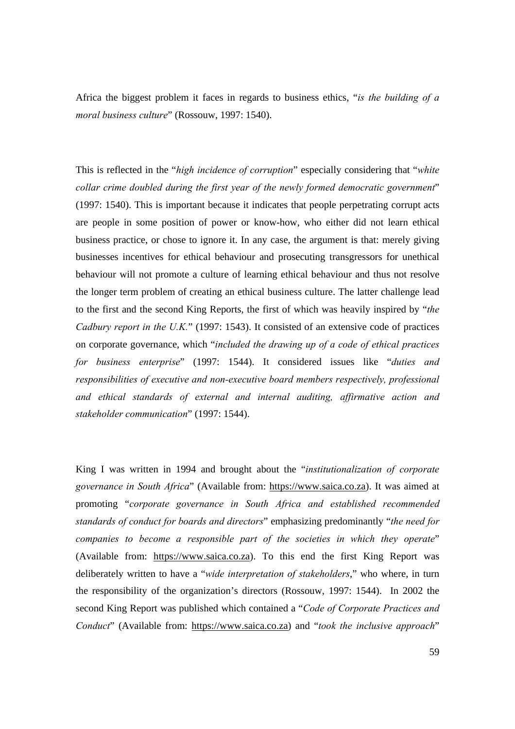Africa the biggest problem it faces in regards to business ethics, "*is the building of a moral business culture*" (Rossouw, 1997: 1540).

This is reflected in the "*high incidence of corruption*" especially considering that "*white collar crime doubled during the first year of the newly formed democratic government*" (1997: 1540). This is important because it indicates that people perpetrating corrupt acts are people in some position of power or know-how, who either did not learn ethical business practice, or chose to ignore it. In any case, the argument is that: merely giving businesses incentives for ethical behaviour and prosecuting transgressors for unethical behaviour will not promote a culture of learning ethical behaviour and thus not resolve the longer term problem of creating an ethical business culture. The latter challenge lead to the first and the second King Reports, the first of which was heavily inspired by "*the Cadbury report in the U.K.*" (1997: 1543). It consisted of an extensive code of practices on corporate governance, which "*included the drawing up of a code of ethical practices for business enterprise*" (1997: 1544). It considered issues like "*duties and responsibilities of executive and non-executive board members respectively, professional and ethical standards of external and internal auditing, affirmative action and stakeholder communication*" (1997: 1544).

King I was written in 1994 and brought about the "*institutionalization of corporate governance in South Africa*" (Available from: https://www.saica.co.za). It was aimed at promoting "*corporate governance in South Africa and established recommended standards of conduct for boards and directors*" emphasizing predominantly "*the need for companies to become a responsible part of the societies in which they operate*" (Available from: https://www.saica.co.za). To this end the first King Report was deliberately written to have a "*wide interpretation of stakeholders*," who where, in turn the responsibility of the organization's directors (Rossouw, 1997: 1544). In 2002 the second King Report was published which contained a "*Code of Corporate Practices and Conduct*" (Available from: https://www.saica.co.za) and "*took the inclusive approach*"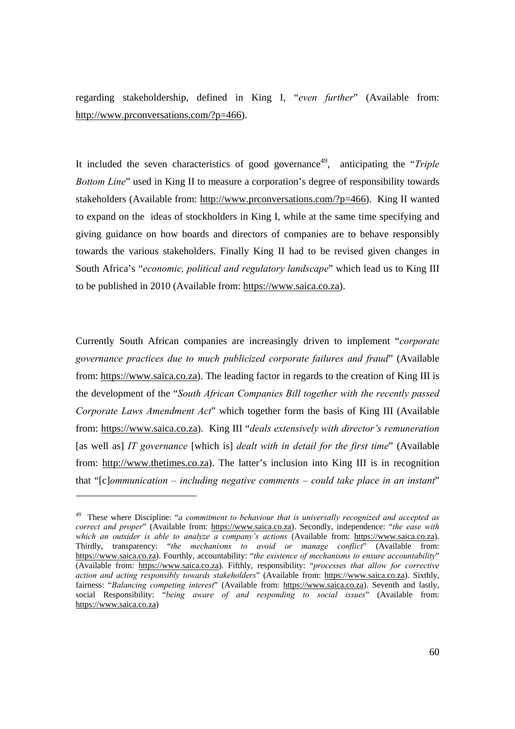regarding stakeholdership, defined in King I, "*even further*" (Available from: http://www.prconversations.com/?p=466).

It included the seven characteristics of good governance<sup>49</sup>, anticipating the "*Triple Bottom Line*" used in King II to measure a corporation's degree of responsibility towards stakeholders (Available from: http://www.prconversations.com/?p=466). King II wanted to expand on the ideas of stockholders in King I, while at the same time specifying and giving guidance on how boards and directors of companies are to behave responsibly towards the various stakeholders. Finally King II had to be revised given changes in South Africa's "*economic, political and regulatory landscape*" which lead us to King III to be published in 2010 (Available from: https://www.saica.co.za).

Currently South African companies are increasingly driven to implement "*corporate governance practices due to much publicized corporate failures and fraud*" (Available from: https://www.saica.co.za). The leading factor in regards to the creation of King III is the development of the "*South African Companies Bill together with the recently passed Corporate Laws Amendment Act*" which together form the basis of King III (Available from: https://www.saica.co.za). King III "*deals extensively with director's remuneration*  [as well as] IT governance [which is] dealt with in detail for the first time" (Available from: http://www.thetimes.co.za). The latter's inclusion into King III is in recognition that "[c]*ommunication – including negative comments – could take place in an instant*"

 $\overline{a}$ 

<sup>49</sup> These where Discipline: "*a commitment to behaviour that is universally recognized and accepted as correct and proper*" (Available from: https://www.saica.co.za). Secondly, independence: "*the ease with which an outsider is able to analyze a company's actions* (Available from: https://www.saica.co.za). Thirdly, transparency: "*the mechanisms to avoid or manage conflict*" (Available from: https://www.saica.co.za). Fourthly, accountability: "*the existence of mechanisms to ensure accountability*" (Available from: https://www.saica.co.za). Fifthly, responsibility: "*processes that allow for corrective action and acting responsibly towards stakeholders*" (Available from: https://www.saica.co.za). Sixthly, fairness: "*Balancing competing interest*" (Available from: https://www.saica.co.za). Seventh and lastly, social Responsibility: "*being aware of and responding to social issues*" (Available from: https://www.saica.co.za)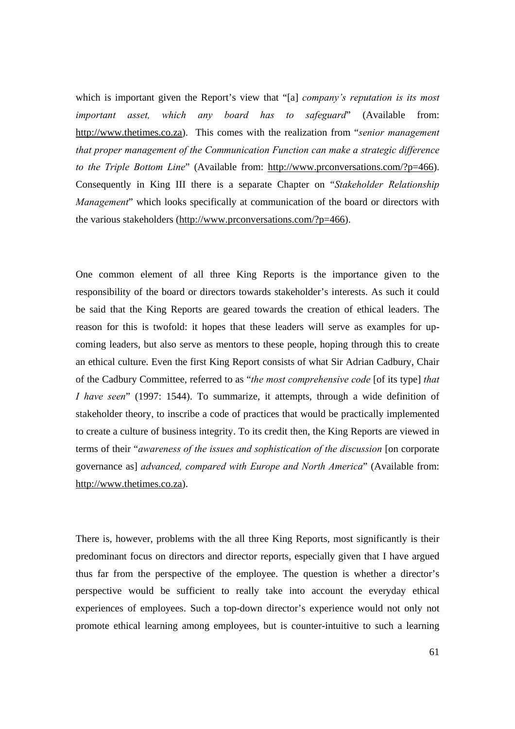which is important given the Report's view that "[a] *company's reputation is its most important asset, which any board has to safeguard*" (Available from: http://www.thetimes.co.za). This comes with the realization from "*senior management that proper management of the Communication Function can make a strategic difference to the Triple Bottom Line*" (Available from: http://www.prconversations.com/?p=466). Consequently in King III there is a separate Chapter on "*Stakeholder Relationship Management*" which looks specifically at communication of the board or directors with the various stakeholders (http://www.prconversations.com/?p=466).

One common element of all three King Reports is the importance given to the responsibility of the board or directors towards stakeholder's interests. As such it could be said that the King Reports are geared towards the creation of ethical leaders. The reason for this is twofold: it hopes that these leaders will serve as examples for upcoming leaders, but also serve as mentors to these people, hoping through this to create an ethical culture. Even the first King Report consists of what Sir Adrian Cadbury, Chair of the Cadbury Committee, referred to as "*the most comprehensive code* [of its type] *that I have seen*" (1997: 1544). To summarize, it attempts, through a wide definition of stakeholder theory, to inscribe a code of practices that would be practically implemented to create a culture of business integrity. To its credit then, the King Reports are viewed in terms of their "*awareness of the issues and sophistication of the discussion* [on corporate governance as] *advanced, compared with Europe and North America*" (Available from: http://www.thetimes.co.za).

There is, however, problems with the all three King Reports, most significantly is their predominant focus on directors and director reports, especially given that I have argued thus far from the perspective of the employee. The question is whether a director's perspective would be sufficient to really take into account the everyday ethical experiences of employees. Such a top-down director's experience would not only not promote ethical learning among employees, but is counter-intuitive to such a learning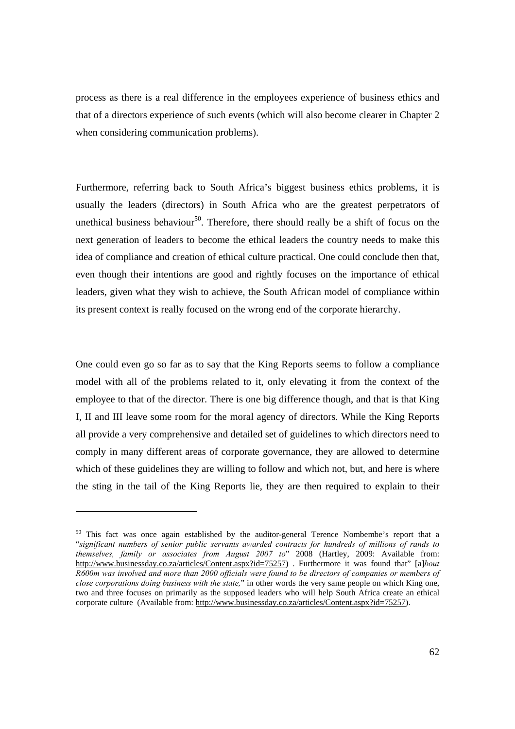process as there is a real difference in the employees experience of business ethics and that of a directors experience of such events (which will also become clearer in Chapter 2 when considering communication problems).

Furthermore, referring back to South Africa's biggest business ethics problems, it is usually the leaders (directors) in South Africa who are the greatest perpetrators of unethical business behaviour<sup>50</sup>. Therefore, there should really be a shift of focus on the next generation of leaders to become the ethical leaders the country needs to make this idea of compliance and creation of ethical culture practical. One could conclude then that, even though their intentions are good and rightly focuses on the importance of ethical leaders, given what they wish to achieve, the South African model of compliance within its present context is really focused on the wrong end of the corporate hierarchy.

One could even go so far as to say that the King Reports seems to follow a compliance model with all of the problems related to it, only elevating it from the context of the employee to that of the director. There is one big difference though, and that is that King I, II and III leave some room for the moral agency of directors. While the King Reports all provide a very comprehensive and detailed set of guidelines to which directors need to comply in many different areas of corporate governance, they are allowed to determine which of these guidelines they are willing to follow and which not, but, and here is where the sting in the tail of the King Reports lie, they are then required to explain to their

<sup>&</sup>lt;sup>50</sup> This fact was once again established by the auditor-general Terence Nombembe's report that a "*significant numbers of senior public servants awarded contracts for hundreds of millions of rands to themselves, family or associates from August 2007 to*" 2008 (Hartley, 2009: Available from: http://www.businessday.co.za/articles/Content.aspx?id=75257) . Furthermore it was found that" [a]*bout R600m was involved and more than 2000 officials were found to be directors of companies or members of close corporations doing business with the state,*" in other words the very same people on which King one, two and three focuses on primarily as the supposed leaders who will help South Africa create an ethical corporate culture (Available from: http://www.businessday.co.za/articles/Content.aspx?id=75257).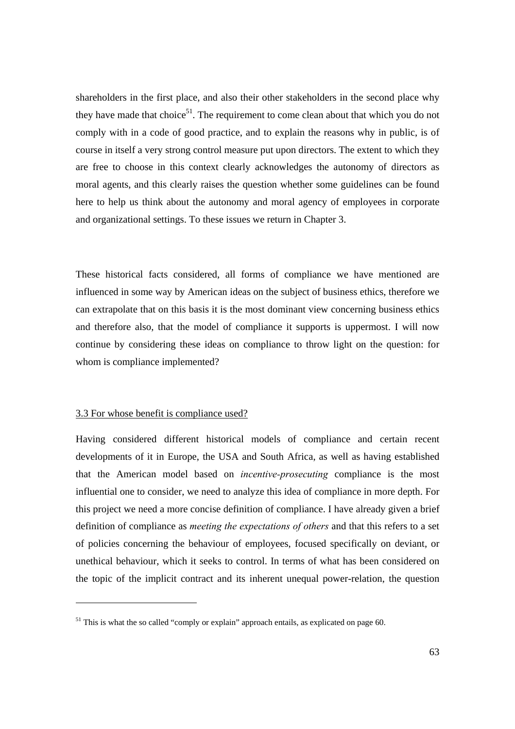shareholders in the first place, and also their other stakeholders in the second place why they have made that choice<sup>51</sup>. The requirement to come clean about that which you do not comply with in a code of good practice, and to explain the reasons why in public, is of course in itself a very strong control measure put upon directors. The extent to which they are free to choose in this context clearly acknowledges the autonomy of directors as moral agents, and this clearly raises the question whether some guidelines can be found here to help us think about the autonomy and moral agency of employees in corporate and organizational settings. To these issues we return in Chapter 3.

These historical facts considered, all forms of compliance we have mentioned are influenced in some way by American ideas on the subject of business ethics, therefore we can extrapolate that on this basis it is the most dominant view concerning business ethics and therefore also, that the model of compliance it supports is uppermost. I will now continue by considering these ideas on compliance to throw light on the question: for whom is compliance implemented?

# 3.3 For whose benefit is compliance used?

Having considered different historical models of compliance and certain recent developments of it in Europe, the USA and South Africa, as well as having established that the American model based on *incentive-prosecuting* compliance is the most influential one to consider, we need to analyze this idea of compliance in more depth. For this project we need a more concise definition of compliance. I have already given a brief definition of compliance as *meeting the expectations of others* and that this refers to a set of policies concerning the behaviour of employees, focused specifically on deviant, or unethical behaviour, which it seeks to control. In terms of what has been considered on the topic of the implicit contract and its inherent unequal power-relation, the question

 $51$  This is what the so called "comply or explain" approach entails, as explicated on page 60.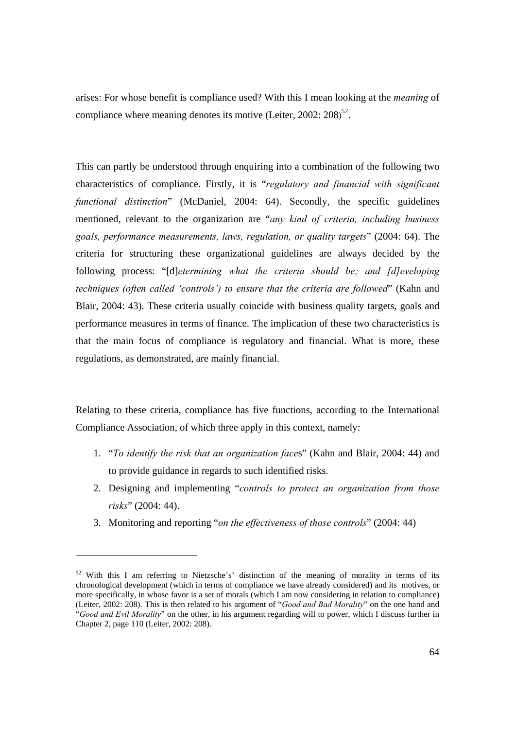arises: For whose benefit is compliance used? With this I mean looking at the *meaning* of compliance where meaning denotes its motive (Leiter, 2002:  $208$ )<sup>52</sup>.

This can partly be understood through enquiring into a combination of the following two characteristics of compliance. Firstly, it is "*regulatory and financial with significant functional distinction*" (McDaniel, 2004: 64). Secondly, the specific guidelines mentioned, relevant to the organization are "*any kind of criteria, including business goals, performance measurements, laws, regulation, or quality targets*" (2004: 64). The criteria for structuring these organizational guidelines are always decided by the following process: "[d]*etermining what the criteria should be; and [d]eveloping techniques (often called 'controls') to ensure that the criteria are followed*" (Kahn and Blair, 2004: 43). These criteria usually coincide with business quality targets, goals and performance measures in terms of finance. The implication of these two characteristics is that the main focus of compliance is regulatory and financial. What is more, these regulations, as demonstrated, are mainly financial.

Relating to these criteria, compliance has five functions, according to the International Compliance Association, of which three apply in this context, namely:

- 1. "*To identify the risk that an organization face*s" (Kahn and Blair, 2004: 44) and to provide guidance in regards to such identified risks.
- 2. Designing and implementing "*controls to protect an organization from those risks*" (2004: 44).
- 3. Monitoring and reporting "*on the effectiveness of those controls*" (2004: 44)

<sup>&</sup>lt;sup>52</sup> With this I am referring to Nietzsche's' distinction of the meaning of morality in terms of its chronological development (which in terms of compliance we have already considered) and its motives, or more specifically, in whose favor is a set of morals (which I am now considering in relation to compliance) (Leiter, 2002: 208). This is then related to his argument of "*Good and Bad Morality*" on the one hand and "*Good and Evil Morality*" on the other, in his argument regarding will to power, which I discuss further in Chapter 2, page 110 (Leiter, 2002: 208).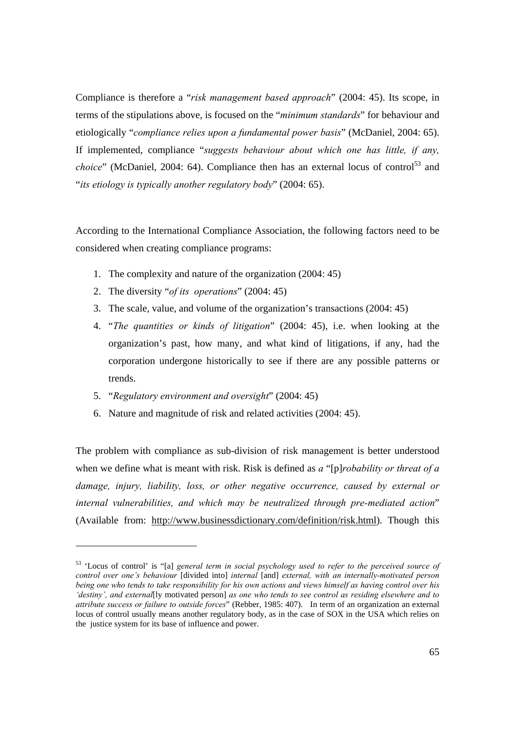Compliance is therefore a "*risk management based approach*" (2004: 45). Its scope, in terms of the stipulations above, is focused on the "*minimum standards*" for behaviour and etiologically "*compliance relies upon a fundamental power basis*" (McDaniel, 2004: 65). If implemented, compliance "*suggests behaviour about which one has little, if any, choice*" (McDaniel, 2004: 64). Compliance then has an external locus of control<sup>53</sup> and "*its etiology is typically another regulatory body*" (2004: 65).

According to the International Compliance Association, the following factors need to be considered when creating compliance programs:

- 1. The complexity and nature of the organization (2004: 45)
- 2. The diversity "*of its operations*" (2004: 45)
- 3. The scale, value, and volume of the organization's transactions (2004: 45)
- 4. "*The quantities or kinds of litigation*" (2004: 45), i.e. when looking at the organization's past, how many, and what kind of litigations, if any, had the corporation undergone historically to see if there are any possible patterns or trends.
- 5. "*Regulatory environment and oversight*" (2004: 45)

 $\overline{a}$ 

6. Nature and magnitude of risk and related activities (2004: 45).

The problem with compliance as sub-division of risk management is better understood when we define what is meant with risk. Risk is defined as *a* "[p]*robability or threat of a damage, injury, liability, loss, or other negative occurrence, caused by external or internal vulnerabilities, and which may be neutralized through pre-mediated action*" (Available from: http://www.businessdictionary.com/definition/risk.html). Though this

<sup>53 &#</sup>x27;Locus of control' is "[a] *general term in social psychology used to refer to the perceived source of control over one's behaviour* [divided into] *internal* [and] *external, with an internally-motivated person being one who tends to take responsibility for his own actions and views himself as having control over his 'destiny', and external*[ly motivated person] *as one who tends to see control as residing elsewhere and to attribute success or failure to outside forces*" (Rebber, 1985: 407). In term of an organization an external locus of control usually means another regulatory body, as in the case of SOX in the USA which relies on the justice system for its base of influence and power.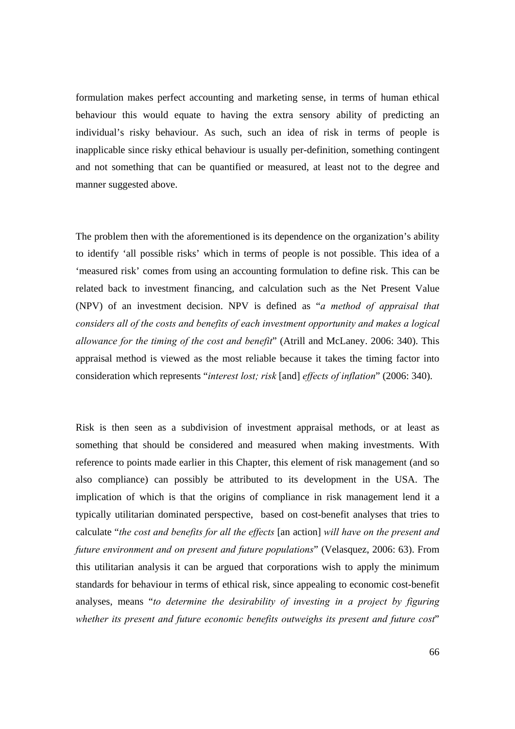formulation makes perfect accounting and marketing sense, in terms of human ethical behaviour this would equate to having the extra sensory ability of predicting an individual's risky behaviour. As such, such an idea of risk in terms of people is inapplicable since risky ethical behaviour is usually per-definition, something contingent and not something that can be quantified or measured, at least not to the degree and manner suggested above.

The problem then with the aforementioned is its dependence on the organization's ability to identify 'all possible risks' which in terms of people is not possible. This idea of a 'measured risk' comes from using an accounting formulation to define risk. This can be related back to investment financing, and calculation such as the Net Present Value (NPV) of an investment decision. NPV is defined as "*a method of appraisal that considers all of the costs and benefits of each investment opportunity and makes a logical allowance for the timing of the cost and benefit*" (Atrill and McLaney. 2006: 340). This appraisal method is viewed as the most reliable because it takes the timing factor into consideration which represents "*interest lost; risk* [and] *effects of inflation*" (2006: 340).

Risk is then seen as a subdivision of investment appraisal methods, or at least as something that should be considered and measured when making investments. With reference to points made earlier in this Chapter, this element of risk management (and so also compliance) can possibly be attributed to its development in the USA. The implication of which is that the origins of compliance in risk management lend it a typically utilitarian dominated perspective, based on cost-benefit analyses that tries to calculate "*the cost and benefits for all the effects* [an action] *will have on the present and future environment and on present and future populations*" (Velasquez, 2006: 63). From this utilitarian analysis it can be argued that corporations wish to apply the minimum standards for behaviour in terms of ethical risk, since appealing to economic cost-benefit analyses, means "*to determine the desirability of investing in a project by figuring whether its present and future economic benefits outweighs its present and future cost*"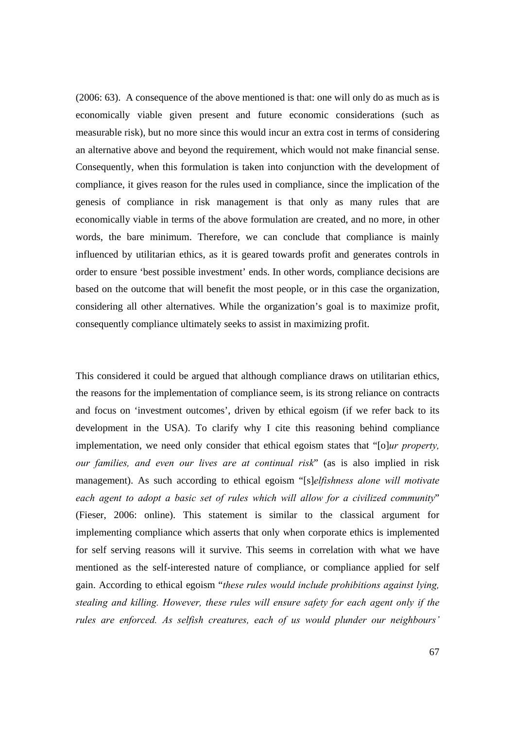(2006: 63). A consequence of the above mentioned is that: one will only do as much as is economically viable given present and future economic considerations (such as measurable risk), but no more since this would incur an extra cost in terms of considering an alternative above and beyond the requirement, which would not make financial sense. Consequently, when this formulation is taken into conjunction with the development of compliance, it gives reason for the rules used in compliance, since the implication of the genesis of compliance in risk management is that only as many rules that are economically viable in terms of the above formulation are created, and no more, in other words, the bare minimum. Therefore, we can conclude that compliance is mainly influenced by utilitarian ethics, as it is geared towards profit and generates controls in order to ensure 'best possible investment' ends. In other words, compliance decisions are based on the outcome that will benefit the most people, or in this case the organization, considering all other alternatives. While the organization's goal is to maximize profit, consequently compliance ultimately seeks to assist in maximizing profit.

This considered it could be argued that although compliance draws on utilitarian ethics, the reasons for the implementation of compliance seem, is its strong reliance on contracts and focus on 'investment outcomes', driven by ethical egoism (if we refer back to its development in the USA). To clarify why I cite this reasoning behind compliance implementation, we need only consider that ethical egoism states that "[o]*ur property, our families, and even our lives are at continual risk*" (as is also implied in risk management). As such according to ethical egoism "[s]*elfishness alone will motivate each agent to adopt a basic set of rules which will allow for a civilized community*" (Fieser, 2006: online). This statement is similar to the classical argument for implementing compliance which asserts that only when corporate ethics is implemented for self serving reasons will it survive. This seems in correlation with what we have mentioned as the self-interested nature of compliance, or compliance applied for self gain. According to ethical egoism "*these rules would include prohibitions against lying, stealing and killing. However, these rules will ensure safety for each agent only if the rules are enforced. As selfish creatures, each of us would plunder our neighbours'*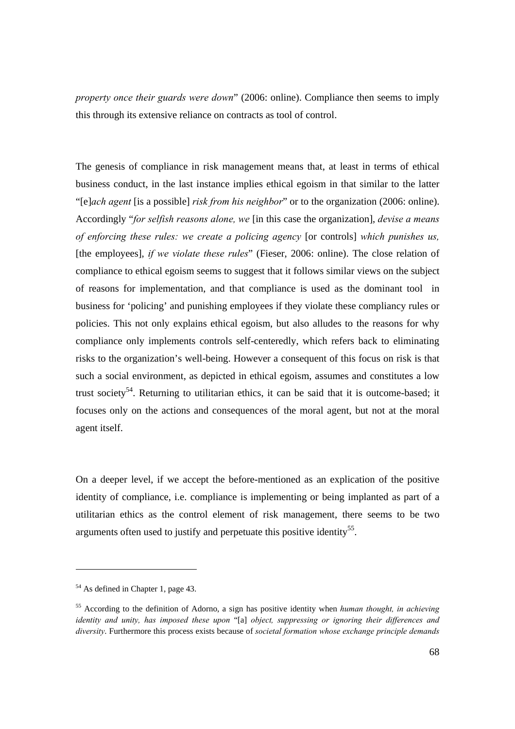*property once their guards were down*" (2006: online). Compliance then seems to imply this through its extensive reliance on contracts as tool of control.

The genesis of compliance in risk management means that, at least in terms of ethical business conduct, in the last instance implies ethical egoism in that similar to the latter "[e]*ach agent* [is a possible] *risk from his neighbor*" or to the organization (2006: online). Accordingly "*for selfish reasons alone, we* [in this case the organization], *devise a means of enforcing these rules: we create a policing agency* [or controls] *which punishes us,*  [the employees], *if we violate these rules*" (Fieser, 2006: online). The close relation of compliance to ethical egoism seems to suggest that it follows similar views on the subject of reasons for implementation, and that compliance is used as the dominant tool in business for 'policing' and punishing employees if they violate these compliancy rules or policies. This not only explains ethical egoism, but also alludes to the reasons for why compliance only implements controls self-centeredly, which refers back to eliminating risks to the organization's well-being. However a consequent of this focus on risk is that such a social environment, as depicted in ethical egoism, assumes and constitutes a low trust society<sup>54</sup>. Returning to utilitarian ethics, it can be said that it is outcome-based; it focuses only on the actions and consequences of the moral agent, but not at the moral agent itself.

On a deeper level, if we accept the before-mentioned as an explication of the positive identity of compliance, i.e. compliance is implementing or being implanted as part of a utilitarian ethics as the control element of risk management, there seems to be two arguments often used to justify and perpetuate this positive identity<sup>55</sup>.

<sup>&</sup>lt;sup>54</sup> As defined in Chapter 1, page 43.

<sup>55</sup> According to the definition of Adorno, a sign has positive identity when *human thought, in achieving identity and unity, has imposed these upon* "[a] *object, suppressing or ignoring their differences and diversity*. Furthermore this process exists because of *societal formation whose exchange principle demands*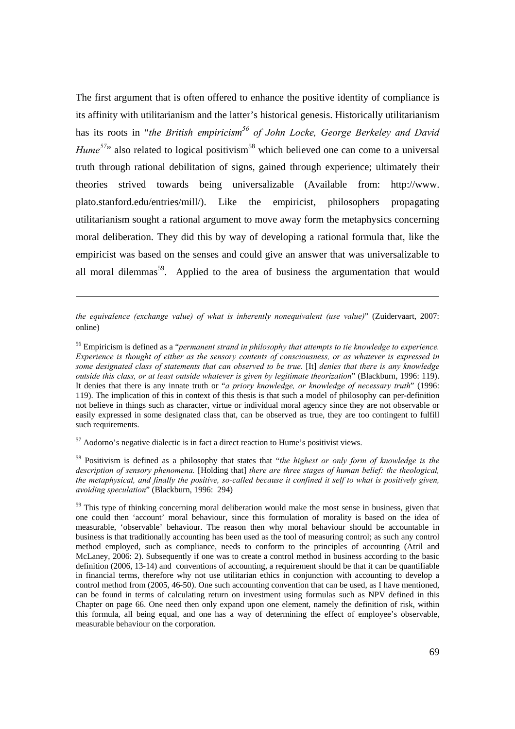The first argument that is often offered to enhance the positive identity of compliance is its affinity with utilitarianism and the latter's historical genesis. Historically utilitarianism has its roots in "*the British empiricism*<sup>56</sup> of John Locke, George Berkeley and David *Hume*<sup>57</sup>" also related to logical positivism<sup>58</sup> which believed one can come to a universal truth through rational debilitation of signs, gained through experience; ultimately their theories strived towards being universalizable (Available from: http://www. plato.stanford.edu/entries/mill/). Like the empiricist, philosophers propagating utilitarianism sought a rational argument to move away form the metaphysics concerning moral deliberation. They did this by way of developing a rational formula that, like the empiricist was based on the senses and could give an answer that was universalizable to all moral dilemmas<sup>59</sup>. Applied to the area of business the argumentation that would

*the equivalence (exchange value) of what is inherently nonequivalent (use value)*" (Zuidervaart, 2007: online)

56 Empiricism is defined as a "*permanent strand in philosophy that attempts to tie knowledge to experience. Experience is thought of either as the sensory contents of consciousness, or as whatever is expressed in some designated class of statements that can observed to be true.* [It] *denies that there is any knowledge outside this class, or at least outside whatever is given by legitimate theorization*" (Blackburn, 1996: 119). It denies that there is any innate truth or "*a priory knowledge, or knowledge of necessary truth*" (1996: 119). The implication of this in context of this thesis is that such a model of philosophy can per-definition not believe in things such as character, virtue or individual moral agency since they are not observable or easily expressed in some designated class that, can be observed as true, they are too contingent to fulfill such requirements.

 $57$  Aodorno's negative dialectic is in fact a direct reaction to Hume's positivist views.

l

58 Positivism is defined as a philosophy that states that "*the highest or only form of knowledge is the description of sensory phenomena.* [Holding that] *there are three stages of human belief: the theological, the metaphysical, and finally the positive, so-called because it confined it self to what is positively given, avoiding speculation*" (Blackburn, 1996: 294)

<sup>59</sup> This type of thinking concerning moral deliberation would make the most sense in business, given that one could then 'account' moral behaviour, since this formulation of morality is based on the idea of measurable, 'observable' behaviour. The reason then why moral behaviour should be accountable in business is that traditionally accounting has been used as the tool of measuring control; as such any control method employed, such as compliance, needs to conform to the principles of accounting (Atril and McLaney, 2006: 2). Subsequently if one was to create a control method in business according to the basic definition (2006, 13-14) and conventions of accounting, a requirement should be that it can be quantifiable in financial terms, therefore why not use utilitarian ethics in conjunction with accounting to develop a control method from (2005, 46-50). One such accounting convention that can be used, as I have mentioned, can be found in terms of calculating return on investment using formulas such as NPV defined in this Chapter on page 66. One need then only expand upon one element, namely the definition of risk, within this formula, all being equal, and one has a way of determining the effect of employee's observable, measurable behaviour on the corporation.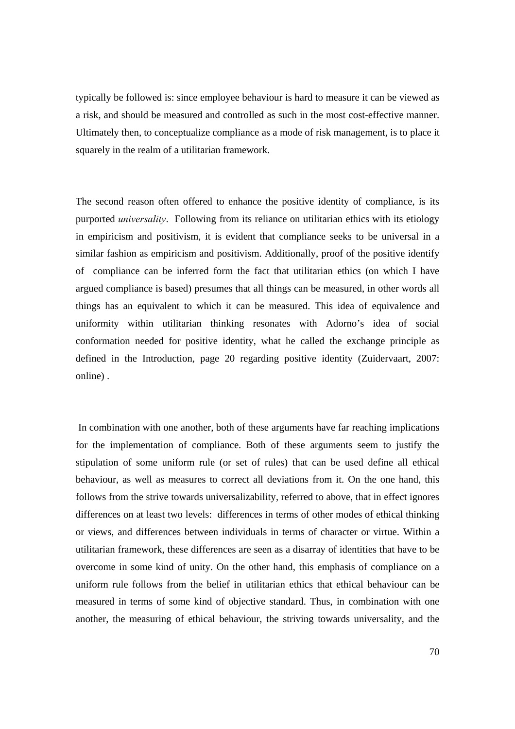typically be followed is: since employee behaviour is hard to measure it can be viewed as a risk, and should be measured and controlled as such in the most cost-effective manner. Ultimately then, to conceptualize compliance as a mode of risk management, is to place it squarely in the realm of a utilitarian framework.

The second reason often offered to enhance the positive identity of compliance, is its purported *universality*. Following from its reliance on utilitarian ethics with its etiology in empiricism and positivism, it is evident that compliance seeks to be universal in a similar fashion as empiricism and positivism. Additionally, proof of the positive identify of compliance can be inferred form the fact that utilitarian ethics (on which I have argued compliance is based) presumes that all things can be measured, in other words all things has an equivalent to which it can be measured. This idea of equivalence and uniformity within utilitarian thinking resonates with Adorno's idea of social conformation needed for positive identity, what he called the exchange principle as defined in the Introduction, page 20 regarding positive identity (Zuidervaart, 2007: online) .

 In combination with one another, both of these arguments have far reaching implications for the implementation of compliance. Both of these arguments seem to justify the stipulation of some uniform rule (or set of rules) that can be used define all ethical behaviour, as well as measures to correct all deviations from it. On the one hand, this follows from the strive towards universalizability, referred to above, that in effect ignores differences on at least two levels: differences in terms of other modes of ethical thinking or views, and differences between individuals in terms of character or virtue. Within a utilitarian framework, these differences are seen as a disarray of identities that have to be overcome in some kind of unity. On the other hand, this emphasis of compliance on a uniform rule follows from the belief in utilitarian ethics that ethical behaviour can be measured in terms of some kind of objective standard. Thus, in combination with one another, the measuring of ethical behaviour, the striving towards universality, and the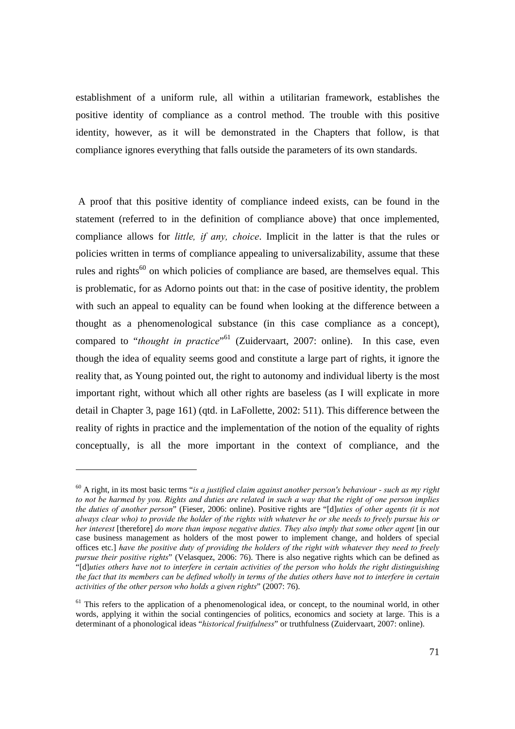establishment of a uniform rule, all within a utilitarian framework, establishes the positive identity of compliance as a control method. The trouble with this positive identity, however, as it will be demonstrated in the Chapters that follow, is that compliance ignores everything that falls outside the parameters of its own standards.

 A proof that this positive identity of compliance indeed exists, can be found in the statement (referred to in the definition of compliance above) that once implemented, compliance allows for *little, if any, choice*. Implicit in the latter is that the rules or policies written in terms of compliance appealing to universalizability, assume that these rules and rights<sup>60</sup> on which policies of compliance are based, are themselves equal. This is problematic, for as Adorno points out that: in the case of positive identity, the problem with such an appeal to equality can be found when looking at the difference between a thought as a phenomenological substance (in this case compliance as a concept), compared to "*thought in practice*"<sup>61</sup> (Zuidervaart, 2007: online). In this case, even though the idea of equality seems good and constitute a large part of rights, it ignore the reality that, as Young pointed out, the right to autonomy and individual liberty is the most important right, without which all other rights are baseless (as I will explicate in more detail in Chapter 3, page 161) (qtd. in LaFollette, 2002: 511). This difference between the reality of rights in practice and the implementation of the notion of the equality of rights conceptually, is all the more important in the context of compliance, and the

<sup>60</sup> A right, in its most basic terms "*is a justified claim against another person's behaviour - such as my right to not be harmed by you. Rights and duties are related in such a way that the right of one person implies the duties of another person*" (Fieser, 2006: online). Positive rights are "[d]*uties of other agents (it is not always clear who) to provide the holder of the rights with whatever he or she needs to freely pursue his or her interest* [therefore] *do more than impose negative duties. They also imply that some other agent* [in our case business management as holders of the most power to implement change, and holders of special offices etc.] *have the positive duty of providing the holders of the right with whatever they need to freely pursue their positive rights*" (Velasquez, 2006: 76). There is also negative rights which can be defined as "[d]*uties others have not to interfere in certain activities of the person who holds the right distinguishing the fact that its members can be defined wholly in terms of the duties others have not to interfere in certain activities of the other person who holds a given rights*" (2007: 76).

<sup>&</sup>lt;sup>61</sup> This refers to the application of a phenomenological idea, or concept, to the nouminal world, in other words, applying it within the social contingencies of politics, economics and society at large. This is a determinant of a phonological ideas "*historical fruitfulness*" or truthfulness (Zuidervaart, 2007: online).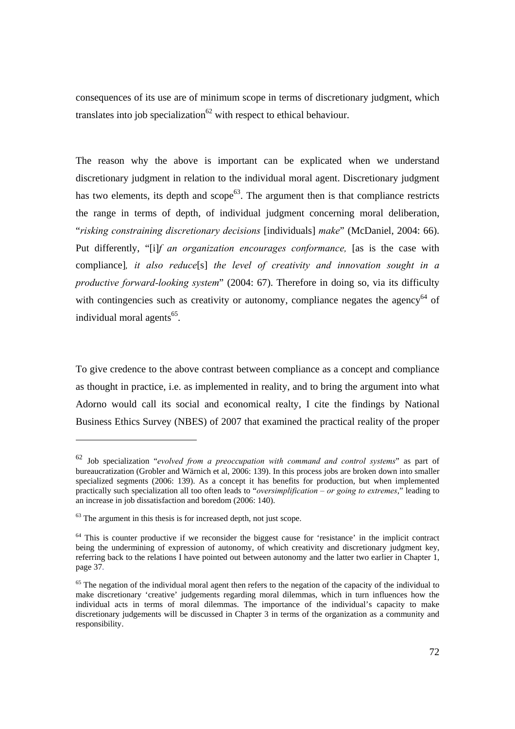consequences of its use are of minimum scope in terms of discretionary judgment, which translates into job specialization<sup>62</sup> with respect to ethical behaviour.

The reason why the above is important can be explicated when we understand discretionary judgment in relation to the individual moral agent. Discretionary judgment has two elements, its depth and  $\text{scope}^{63}$ . The argument then is that compliance restricts the range in terms of depth, of individual judgment concerning moral deliberation, "*risking constraining discretionary decisions* [individuals] *make*" (McDaniel, 2004: 66). Put differently, "[i]*f an organization encourages conformance,* [as is the case with compliance]*, it also reduce*[s] *the level of creativity and innovation sought in a productive forward-looking system*" (2004: 67). Therefore in doing so, via its difficulty with contingencies such as creativity or autonomy, compliance negates the agency<sup>64</sup> of individual moral agents $^{65}$ .

To give credence to the above contrast between compliance as a concept and compliance as thought in practice, i.e. as implemented in reality, and to bring the argument into what Adorno would call its social and economical realty, I cite the findings by National Business Ethics Survey (NBES) of 2007 that examined the practical reality of the proper

 $\overline{a}$ 

<sup>62</sup> Job specialization "*evolved from a preoccupation with command and control systems*" as part of bureaucratization (Grobler and Wärnich et al, 2006: 139). In this process jobs are broken down into smaller specialized segments (2006: 139). As a concept it has benefits for production, but when implemented practically such specialization all too often leads to "*oversimplification – or going to extremes*," leading to an increase in job dissatisfaction and boredom (2006: 140).

 $63$  The argument in this thesis is for increased depth, not just scope.

<sup>&</sup>lt;sup>64</sup> This is counter productive if we reconsider the biggest cause for 'resistance' in the implicit contract being the undermining of expression of autonomy, of which creativity and discretionary judgment key, referring back to the relations I have pointed out between autonomy and the latter two earlier in Chapter 1, page 37.

<sup>&</sup>lt;sup>65</sup> The negation of the individual moral agent then refers to the negation of the capacity of the individual to make discretionary 'creative' judgements regarding moral dilemmas, which in turn influences how the individual acts in terms of moral dilemmas. The importance of the individual's capacity to make discretionary judgements will be discussed in Chapter 3 in terms of the organization as a community and responsibility.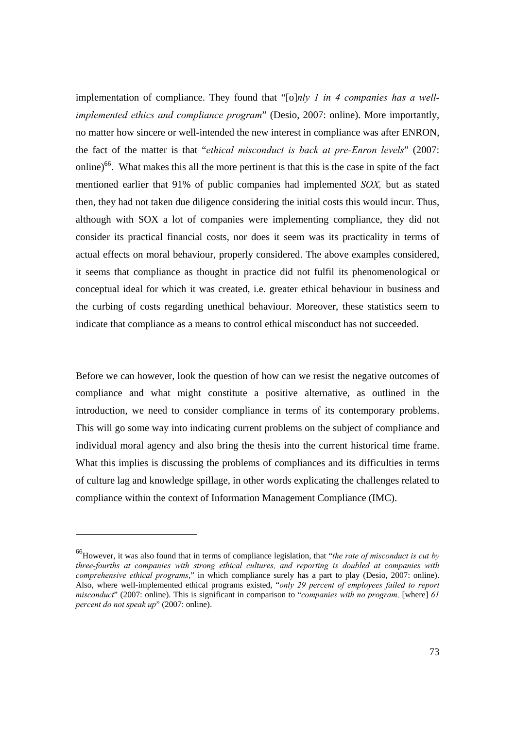implementation of compliance. They found that "[o]*nly 1 in 4 companies has a wellimplemented ethics and compliance program*" (Desio, 2007: online). More importantly, no matter how sincere or well-intended the new interest in compliance was after ENRON, the fact of the matter is that "*ethical misconduct is back at pre-Enron levels*" (2007: online)<sup>66</sup>. What makes this all the more pertinent is that this is the case in spite of the fact mentioned earlier that 91% of public companies had implemented *SOX,* but as stated then, they had not taken due diligence considering the initial costs this would incur. Thus, although with SOX a lot of companies were implementing compliance, they did not consider its practical financial costs, nor does it seem was its practicality in terms of actual effects on moral behaviour, properly considered. The above examples considered, it seems that compliance as thought in practice did not fulfil its phenomenological or conceptual ideal for which it was created, i.e. greater ethical behaviour in business and the curbing of costs regarding unethical behaviour. Moreover, these statistics seem to indicate that compliance as a means to control ethical misconduct has not succeeded.

Before we can however, look the question of how can we resist the negative outcomes of compliance and what might constitute a positive alternative, as outlined in the introduction, we need to consider compliance in terms of its contemporary problems. This will go some way into indicating current problems on the subject of compliance and individual moral agency and also bring the thesis into the current historical time frame. What this implies is discussing the problems of compliances and its difficulties in terms of culture lag and knowledge spillage, in other words explicating the challenges related to compliance within the context of Information Management Compliance (IMC).

<sup>66</sup>However, it was also found that in terms of compliance legislation, that "*the rate of misconduct is cut by three-fourths at companies with strong ethical cultures, and reporting is doubled at companies with comprehensive ethical programs*," in which compliance surely has a part to play (Desio, 2007: online). Also, where well-implemented ethical programs existed, "*only 29 percent of employees failed to report misconduct*" (2007: online). This is significant in comparison to "*companies with no program*, [where] 61 *percent do not speak up*" (2007: online).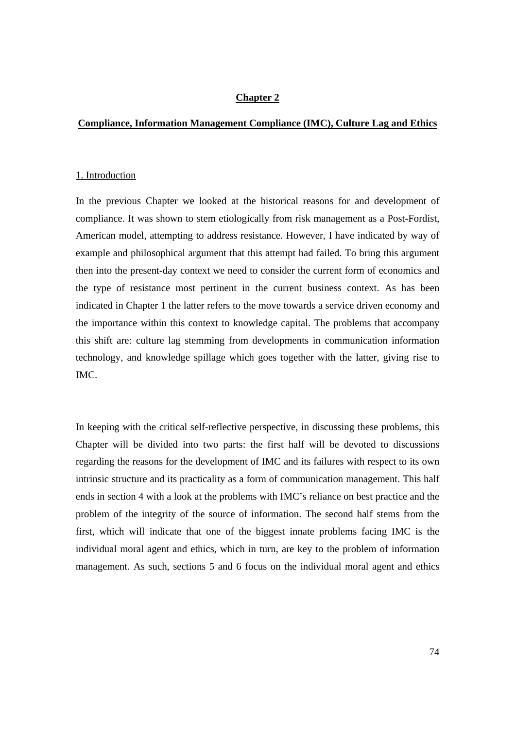## **Chapter 2**

## **Compliance, Information Management Compliance (IMC), Culture Lag and Ethics**

#### 1. Introduction

In the previous Chapter we looked at the historical reasons for and development of compliance. It was shown to stem etiologically from risk management as a Post-Fordist, American model, attempting to address resistance. However, I have indicated by way of example and philosophical argument that this attempt had failed. To bring this argument then into the present-day context we need to consider the current form of economics and the type of resistance most pertinent in the current business context. As has been indicated in Chapter 1 the latter refers to the move towards a service driven economy and the importance within this context to knowledge capital. The problems that accompany this shift are: culture lag stemming from developments in communication information technology, and knowledge spillage which goes together with the latter, giving rise to IMC.

In keeping with the critical self-reflective perspective, in discussing these problems, this Chapter will be divided into two parts: the first half will be devoted to discussions regarding the reasons for the development of IMC and its failures with respect to its own intrinsic structure and its practicality as a form of communication management. This half ends in section 4 with a look at the problems with IMC's reliance on best practice and the problem of the integrity of the source of information. The second half stems from the first, which will indicate that one of the biggest innate problems facing IMC is the individual moral agent and ethics, which in turn, are key to the problem of information management. As such, sections 5 and 6 focus on the individual moral agent and ethics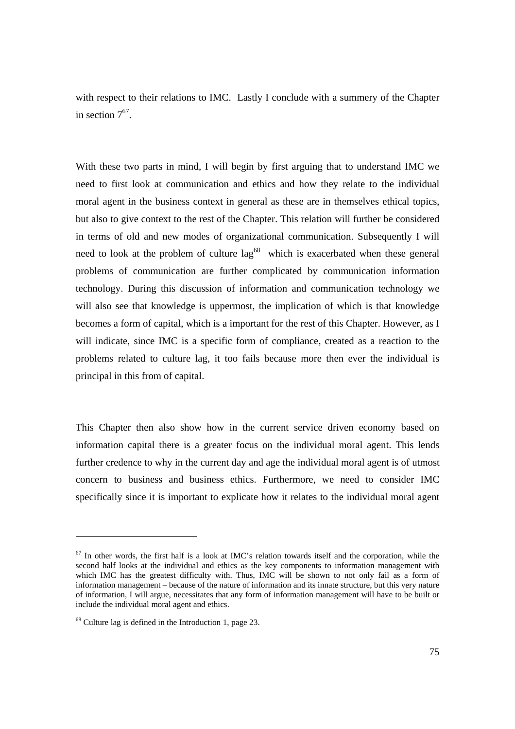with respect to their relations to IMC. Lastly I conclude with a summery of the Chapter in section  $7^{67}$ .

With these two parts in mind, I will begin by first arguing that to understand IMC we need to first look at communication and ethics and how they relate to the individual moral agent in the business context in general as these are in themselves ethical topics, but also to give context to the rest of the Chapter. This relation will further be considered in terms of old and new modes of organizational communication. Subsequently I will need to look at the problem of culture  $\log^{68}$  which is exacerbated when these general problems of communication are further complicated by communication information technology. During this discussion of information and communication technology we will also see that knowledge is uppermost, the implication of which is that knowledge becomes a form of capital, which is a important for the rest of this Chapter. However, as I will indicate, since IMC is a specific form of compliance, created as a reaction to the problems related to culture lag, it too fails because more then ever the individual is principal in this from of capital.

This Chapter then also show how in the current service driven economy based on information capital there is a greater focus on the individual moral agent. This lends further credence to why in the current day and age the individual moral agent is of utmost concern to business and business ethics. Furthermore, we need to consider IMC specifically since it is important to explicate how it relates to the individual moral agent

 $67$  In other words, the first half is a look at IMC's relation towards itself and the corporation, while the second half looks at the individual and ethics as the key components to information management with which IMC has the greatest difficulty with. Thus, IMC will be shown to not only fail as a form of information management – because of the nature of information and its innate structure, but this very nature of information, I will argue, necessitates that any form of information management will have to be built or include the individual moral agent and ethics.

<sup>68</sup> Culture lag is defined in the Introduction 1, page 23.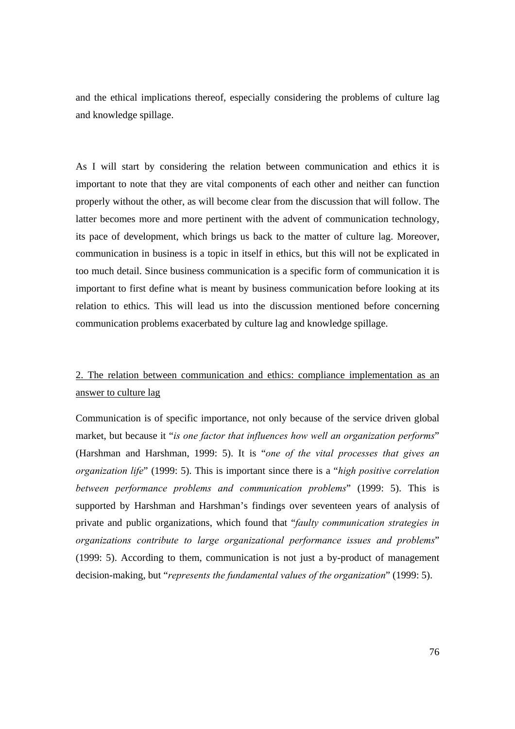and the ethical implications thereof, especially considering the problems of culture lag and knowledge spillage.

As I will start by considering the relation between communication and ethics it is important to note that they are vital components of each other and neither can function properly without the other, as will become clear from the discussion that will follow. The latter becomes more and more pertinent with the advent of communication technology, its pace of development, which brings us back to the matter of culture lag. Moreover, communication in business is a topic in itself in ethics, but this will not be explicated in too much detail. Since business communication is a specific form of communication it is important to first define what is meant by business communication before looking at its relation to ethics. This will lead us into the discussion mentioned before concerning communication problems exacerbated by culture lag and knowledge spillage.

# 2. The relation between communication and ethics: compliance implementation as an answer to culture lag

Communication is of specific importance, not only because of the service driven global market, but because it "*is one factor that influences how well an organization performs*" (Harshman and Harshman, 1999: 5). It is "*one of the vital processes that gives an organization life*" (1999: 5). This is important since there is a "*high positive correlation between performance problems and communication problems*" (1999: 5). This is supported by Harshman and Harshman's findings over seventeen years of analysis of private and public organizations, which found that "*faulty communication strategies in organizations contribute to large organizational performance issues and problems*" (1999: 5). According to them, communication is not just a by-product of management decision-making, but "*represents the fundamental values of the organization*" (1999: 5).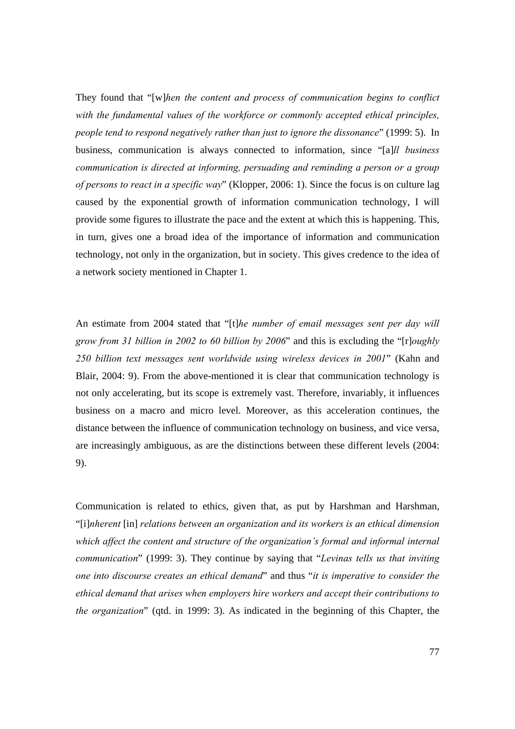They found that "[w]*hen the content and process of communication begins to conflict with the fundamental values of the workforce or commonly accepted ethical principles, people tend to respond negatively rather than just to ignore the dissonance*" (1999: 5). In business, communication is always connected to information, since "[a]*ll business communication is directed at informing, persuading and reminding a person or a group of persons to react in a specific way*" (Klopper, 2006: 1). Since the focus is on culture lag caused by the exponential growth of information communication technology, I will provide some figures to illustrate the pace and the extent at which this is happening. This, in turn, gives one a broad idea of the importance of information and communication technology, not only in the organization, but in society. This gives credence to the idea of a network society mentioned in Chapter 1.

An estimate from 2004 stated that "[t]*he number of email messages sent per day will grow from 31 billion in 2002 to 60 billion by 2006*" and this is excluding the "[r]*oughly 250 billion text messages sent worldwide using wireless devices in 2001*" (Kahn and Blair, 2004: 9). From the above-mentioned it is clear that communication technology is not only accelerating, but its scope is extremely vast. Therefore, invariably, it influences business on a macro and micro level. Moreover, as this acceleration continues, the distance between the influence of communication technology on business, and vice versa, are increasingly ambiguous, as are the distinctions between these different levels (2004: 9).

Communication is related to ethics, given that, as put by Harshman and Harshman, "[i]*nherent* [in] *relations between an organization and its workers is an ethical dimension which affect the content and structure of the organization's formal and informal internal communication*" (1999: 3). They continue by saying that "*Levinas tells us that inviting one into discourse creates an ethical demand*" and thus "*it is imperative to consider the ethical demand that arises when employers hire workers and accept their contributions to the organization*" (qtd. in 1999: 3). As indicated in the beginning of this Chapter, the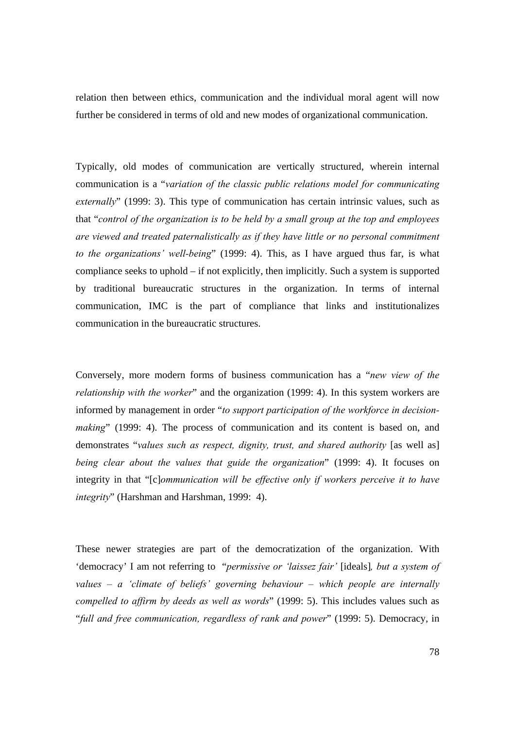relation then between ethics, communication and the individual moral agent will now further be considered in terms of old and new modes of organizational communication.

Typically, old modes of communication are vertically structured, wherein internal communication is a "*variation of the classic public relations model for communicating externally*" (1999: 3). This type of communication has certain intrinsic values, such as that "*control of the organization is to be held by a small group at the top and employees are viewed and treated paternalistically as if they have little or no personal commitment to the organizations' well-being*" (1999: 4). This, as I have argued thus far, is what compliance seeks to uphold – if not explicitly, then implicitly. Such a system is supported by traditional bureaucratic structures in the organization. In terms of internal communication, IMC is the part of compliance that links and institutionalizes communication in the bureaucratic structures.

Conversely, more modern forms of business communication has a "*new view of the relationship with the worker*" and the organization (1999: 4). In this system workers are informed by management in order "*to support participation of the workforce in decisionmaking*" (1999: 4). The process of communication and its content is based on, and demonstrates "*values such as respect, dignity, trust, and shared authority* [as well as] *being clear about the values that guide the organization*" (1999: 4). It focuses on integrity in that "[c]*ommunication will be effective only if workers perceive it to have integrity*" (Harshman and Harshman, 1999: 4).

These newer strategies are part of the democratization of the organization. With 'democracy' I am not referring to "*permissive or 'laissez fair'* [ideals]*, but a system of values – a 'climate of beliefs' governing behaviour – which people are internally compelled to affirm by deeds as well as words*" (1999: 5). This includes values such as "*full and free communication, regardless of rank and power*" (1999: 5). Democracy, in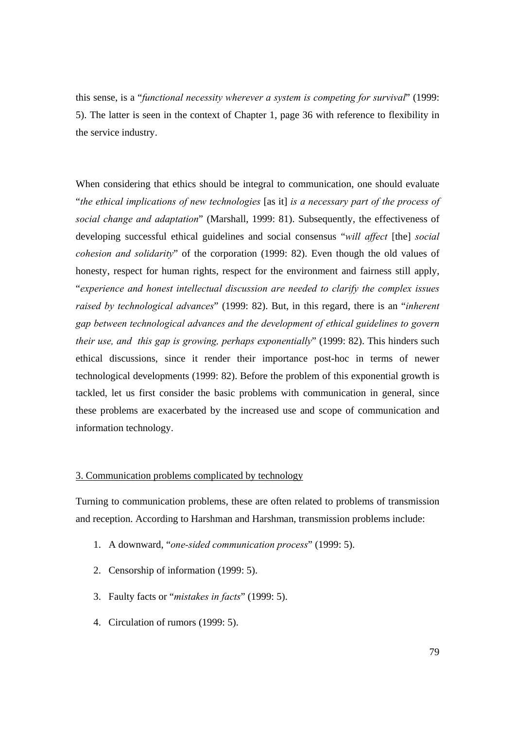this sense, is a "*functional necessity wherever a system is competing for survival*" (1999: 5). The latter is seen in the context of Chapter 1, page 36 with reference to flexibility in the service industry.

When considering that ethics should be integral to communication, one should evaluate "*the ethical implications of new technologies* [as it] *is a necessary part of the process of social change and adaptation*" (Marshall, 1999: 81). Subsequently, the effectiveness of developing successful ethical guidelines and social consensus "*will affect* [the] *social cohesion and solidarity*" of the corporation (1999: 82). Even though the old values of honesty, respect for human rights, respect for the environment and fairness still apply, "*experience and honest intellectual discussion are needed to clarify the complex issues raised by technological advances*" (1999: 82). But, in this regard, there is an "*inherent gap between technological advances and the development of ethical guidelines to govern their use, and this gap is growing, perhaps exponentially*" (1999: 82). This hinders such ethical discussions, since it render their importance post-hoc in terms of newer technological developments (1999: 82). Before the problem of this exponential growth is tackled, let us first consider the basic problems with communication in general, since these problems are exacerbated by the increased use and scope of communication and information technology.

## 3. Communication problems complicated by technology

Turning to communication problems, these are often related to problems of transmission and reception. According to Harshman and Harshman, transmission problems include:

- 1. A downward, "*one-sided communication process*" (1999: 5).
- 2. Censorship of information (1999: 5).
- 3. Faulty facts or "*mistakes in facts*" (1999: 5).
- 4. Circulation of rumors (1999: 5).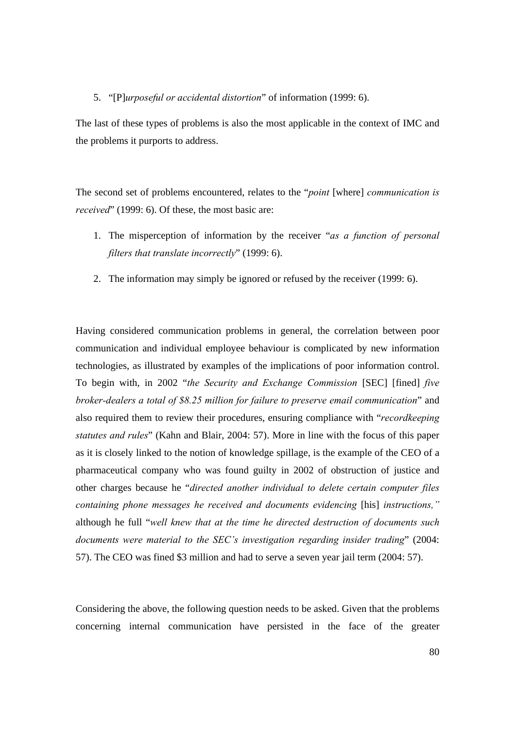#### 5. "[P]*urposeful or accidental distortion*" of information (1999: 6).

The last of these types of problems is also the most applicable in the context of IMC and the problems it purports to address.

The second set of problems encountered, relates to the "*point* [where] *communication is received*" (1999: 6). Of these, the most basic are:

- 1. The misperception of information by the receiver "*as a function of personal filters that translate incorrectly*" (1999: 6).
- 2. The information may simply be ignored or refused by the receiver (1999: 6).

Having considered communication problems in general, the correlation between poor communication and individual employee behaviour is complicated by new information technologies, as illustrated by examples of the implications of poor information control. To begin with, in 2002 "*the Security and Exchange Commission* [SEC] [fined] *five broker-dealers a total of \$8.25 million for failure to preserve email communication*" and also required them to review their procedures, ensuring compliance with "*recordkeeping statutes and rules*" (Kahn and Blair, 2004: 57). More in line with the focus of this paper as it is closely linked to the notion of knowledge spillage, is the example of the CEO of a pharmaceutical company who was found guilty in 2002 of obstruction of justice and other charges because he "*directed another individual to delete certain computer files containing phone messages he received and documents evidencing* [his] *instructions,"*  although he full "*well knew that at the time he directed destruction of documents such documents were material to the SEC's investigation regarding insider trading*" (2004: 57). The CEO was fined \$3 million and had to serve a seven year jail term (2004: 57).

Considering the above, the following question needs to be asked. Given that the problems concerning internal communication have persisted in the face of the greater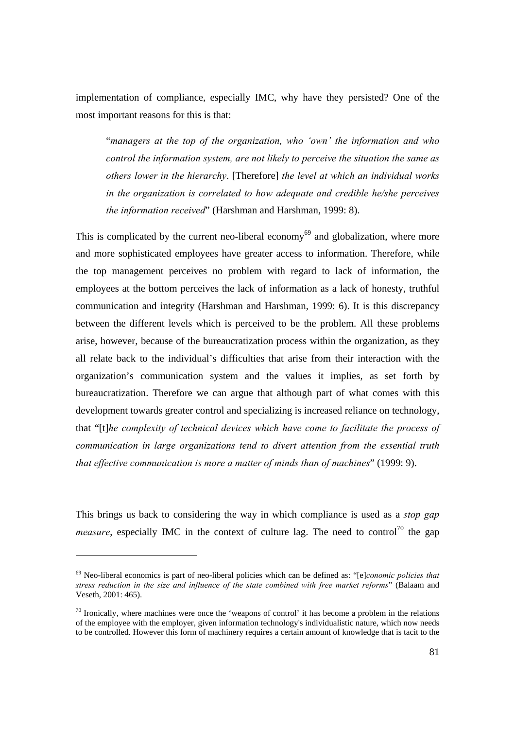implementation of compliance, especially IMC, why have they persisted? One of the most important reasons for this is that:

"*managers at the top of the organization, who 'own' the information and who control the information system, are not likely to perceive the situation the same as others lower in the hierarchy*. [Therefore] *the level at which an individual works in the organization is correlated to how adequate and credible he/she perceives the information received*" (Harshman and Harshman, 1999: 8).

This is complicated by the current neo-liberal economy<sup>69</sup> and globalization, where more and more sophisticated employees have greater access to information. Therefore, while the top management perceives no problem with regard to lack of information, the employees at the bottom perceives the lack of information as a lack of honesty, truthful communication and integrity (Harshman and Harshman, 1999: 6). It is this discrepancy between the different levels which is perceived to be the problem. All these problems arise, however, because of the bureaucratization process within the organization, as they all relate back to the individual's difficulties that arise from their interaction with the organization's communication system and the values it implies, as set forth by bureaucratization. Therefore we can argue that although part of what comes with this development towards greater control and specializing is increased reliance on technology, that "[t]*he complexity of technical devices which have come to facilitate the process of communication in large organizations tend to divert attention from the essential truth that effective communication is more a matter of minds than of machines*" (1999: 9).

This brings us back to considering the way in which compliance is used as a *stop gap measure*, especially IMC in the context of culture lag. The need to control<sup>70</sup> the gap

<sup>69</sup> Neo-liberal economics is part of neo-liberal policies which can be defined as: "[e]*conomic policies that stress reduction in the size and influence of the state combined with free market reforms*" (Balaam and Veseth, 2001: 465).

 $70$  Ironically, where machines were once the 'weapons of control' it has become a problem in the relations of the employee with the employer, given information technology's individualistic nature, which now needs to be controlled. However this form of machinery requires a certain amount of knowledge that is tacit to the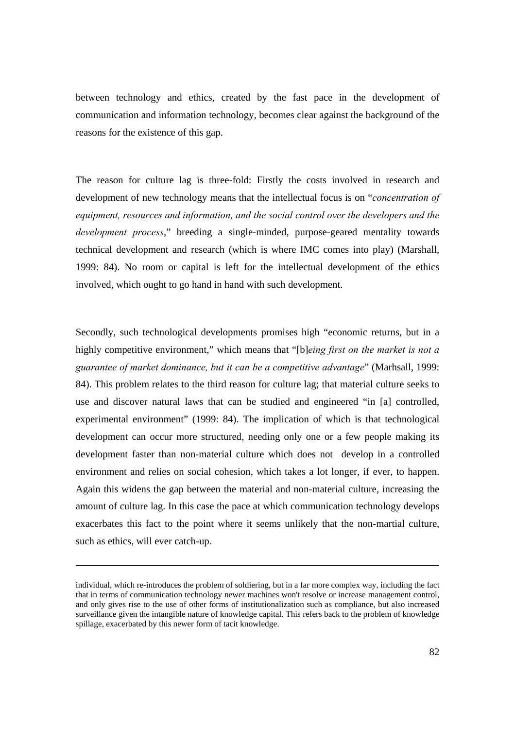between technology and ethics, created by the fast pace in the development of communication and information technology, becomes clear against the background of the reasons for the existence of this gap.

The reason for culture lag is three-fold: Firstly the costs involved in research and development of new technology means that the intellectual focus is on "*concentration of equipment, resources and information, and the social control over the developers and the development process*," breeding a single-minded, purpose-geared mentality towards technical development and research (which is where IMC comes into play) (Marshall, 1999: 84). No room or capital is left for the intellectual development of the ethics involved, which ought to go hand in hand with such development.

Secondly, such technological developments promises high "economic returns, but in a highly competitive environment," which means that "[b]*eing first on the market is not a guarantee of market dominance, but it can be a competitive advantage*" (Marhsall, 1999: 84). This problem relates to the third reason for culture lag; that material culture seeks to use and discover natural laws that can be studied and engineered "in [a] controlled, experimental environment" (1999: 84). The implication of which is that technological development can occur more structured, needing only one or a few people making its development faster than non-material culture which does not develop in a controlled environment and relies on social cohesion, which takes a lot longer, if ever, to happen. Again this widens the gap between the material and non-material culture, increasing the amount of culture lag. In this case the pace at which communication technology develops exacerbates this fact to the point where it seems unlikely that the non-martial culture, such as ethics, will ever catch-up.

individual, which re-introduces the problem of soldiering, but in a far more complex way, including the fact that in terms of communication technology newer machines won't resolve or increase management control, and only gives rise to the use of other forms of institutionalization such as compliance, but also increased surveillance given the intangible nature of knowledge capital. This refers back to the problem of knowledge spillage, exacerbated by this newer form of tacit knowledge.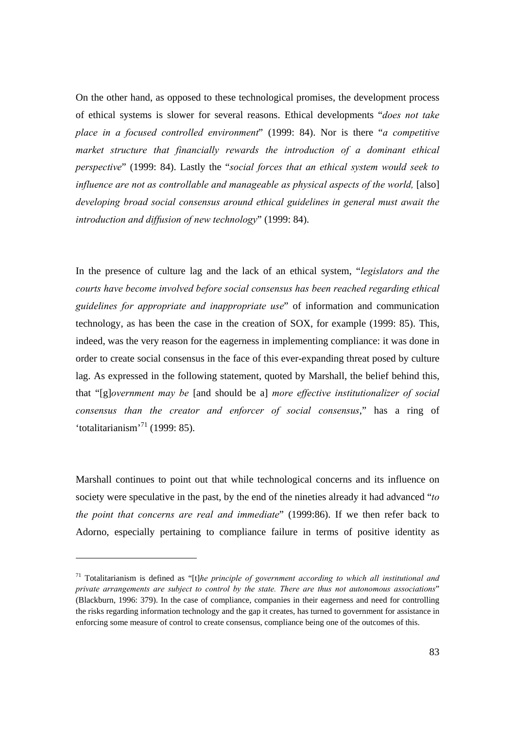On the other hand, as opposed to these technological promises, the development process of ethical systems is slower for several reasons. Ethical developments "*does not take place in a focused controlled environment*" (1999: 84). Nor is there "*a competitive market structure that financially rewards the introduction of a dominant ethical perspective*" (1999: 84). Lastly the "*social forces that an ethical system would seek to influence are not as controllable and manageable as physical aspects of the world,* [also] *developing broad social consensus around ethical guidelines in general must await the introduction and diffusion of new technology*" (1999: 84).

In the presence of culture lag and the lack of an ethical system, "*legislators and the courts have become involved before social consensus has been reached regarding ethical guidelines for appropriate and inappropriate use*" of information and communication technology, as has been the case in the creation of SOX, for example (1999: 85). This, indeed, was the very reason for the eagerness in implementing compliance: it was done in order to create social consensus in the face of this ever-expanding threat posed by culture lag. As expressed in the following statement, quoted by Marshall, the belief behind this, that "[g]*overnment may be* [and should be a] *more effective institutionalizer of social consensus than the creator and enforcer of social consensus*," has a ring of 'totalitarianism'71 (1999: 85).

Marshall continues to point out that while technological concerns and its influence on society were speculative in the past, by the end of the nineties already it had advanced "*to the point that concerns are real and immediate*" (1999:86). If we then refer back to Adorno, especially pertaining to compliance failure in terms of positive identity as

<sup>71</sup> Totalitarianism is defined as "[t]*he principle of government according to which all institutional and private arrangements are subject to control by the state. There are thus not autonomous associations*" (Blackburn, 1996: 379). In the case of compliance, companies in their eagerness and need for controlling the risks regarding information technology and the gap it creates, has turned to government for assistance in enforcing some measure of control to create consensus, compliance being one of the outcomes of this.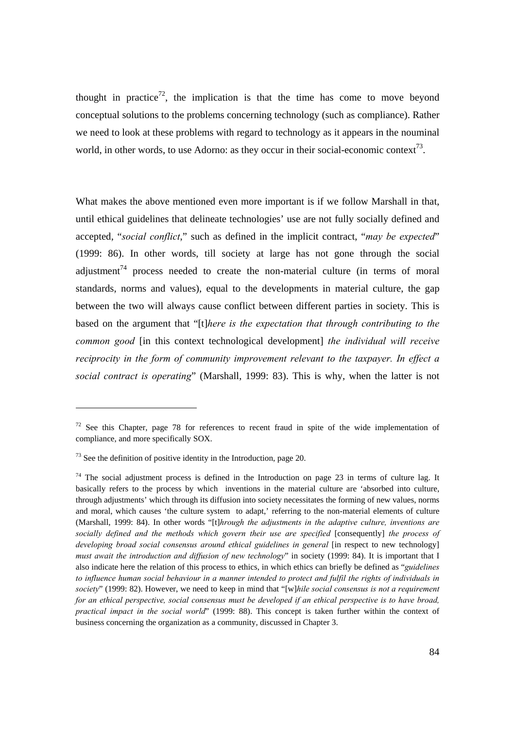thought in practice<sup>72</sup>, the implication is that the time has come to move beyond conceptual solutions to the problems concerning technology (such as compliance). Rather we need to look at these problems with regard to technology as it appears in the nouminal world, in other words, to use Adorno: as they occur in their social-economic context<sup>73</sup>.

What makes the above mentioned even more important is if we follow Marshall in that, until ethical guidelines that delineate technologies' use are not fully socially defined and accepted, "*social conflict*," such as defined in the implicit contract, "*may be expected*" (1999: 86). In other words, till society at large has not gone through the social adjustment<sup>74</sup> process needed to create the non-material culture (in terms of moral standards, norms and values), equal to the developments in material culture, the gap between the two will always cause conflict between different parties in society. This is based on the argument that "[t]*here is the expectation that through contributing to the common good* [in this context technological development] *the individual will receive reciprocity in the form of community improvement relevant to the taxpayer. In effect a social contract is operating*" (Marshall, 1999: 83). This is why, when the latter is not

 $72$  See this Chapter, page 78 for references to recent fraud in spite of the wide implementation of compliance, and more specifically SOX.

<sup>73</sup> See the definition of positive identity in the Introduction, page 20.

 $74$  The social adjustment process is defined in the Introduction on page 23 in terms of culture lag. It basically refers to the process by which inventions in the material culture are 'absorbed into culture, through adjustments' which through its diffusion into society necessitates the forming of new values, norms and moral, which causes 'the culture system to adapt,' referring to the non-material elements of culture (Marshall, 1999: 84). In other words "[t]*hrough the adjustments in the adaptive culture, inventions are socially defined and the methods which govern their use are specified* [consequently] *the process of developing broad social consensus around ethical guidelines in general* [in respect to new technology] *must await the introduction and diffusion of new technology*" in society (1999: 84). It is important that I also indicate here the relation of this process to ethics, in which ethics can briefly be defined as "*guidelines to influence human social behaviour in a manner intended to protect and fulfil the rights of individuals in society*" (1999: 82). However, we need to keep in mind that "[w]*hile social consensus is not a requirement for an ethical perspective, social consensus must be developed if an ethical perspective is to have broad, practical impact in the social world*" (1999: 88). This concept is taken further within the context of business concerning the organization as a community, discussed in Chapter 3.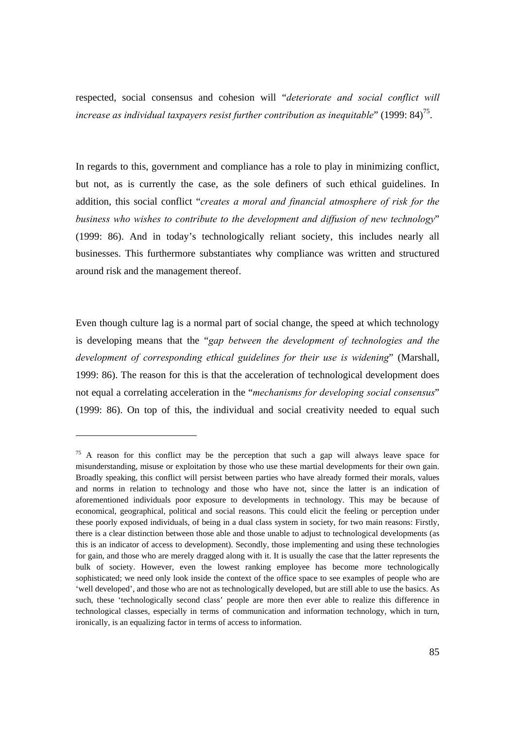respected, social consensus and cohesion will "*deteriorate and social conflict will increase as individual taxpayers resist further contribution as inequitable*" (1999: 84)<sup>75</sup>.

In regards to this, government and compliance has a role to play in minimizing conflict, but not, as is currently the case, as the sole definers of such ethical guidelines. In addition, this social conflict "*creates a moral and financial atmosphere of risk for the business who wishes to contribute to the development and diffusion of new technology*" (1999: 86). And in today's technologically reliant society, this includes nearly all businesses. This furthermore substantiates why compliance was written and structured around risk and the management thereof.

Even though culture lag is a normal part of social change, the speed at which technology is developing means that the "*gap between the development of technologies and the development of corresponding ethical guidelines for their use is widening*" (Marshall, 1999: 86). The reason for this is that the acceleration of technological development does not equal a correlating acceleration in the "*mechanisms for developing social consensus*" (1999: 86). On top of this, the individual and social creativity needed to equal such

l

 $75$  A reason for this conflict may be the perception that such a gap will always leave space for misunderstanding, misuse or exploitation by those who use these martial developments for their own gain. Broadly speaking, this conflict will persist between parties who have already formed their morals, values and norms in relation to technology and those who have not, since the latter is an indication of aforementioned individuals poor exposure to developments in technology. This may be because of economical, geographical, political and social reasons. This could elicit the feeling or perception under these poorly exposed individuals, of being in a dual class system in society, for two main reasons: Firstly, there is a clear distinction between those able and those unable to adjust to technological developments (as this is an indicator of access to development). Secondly, those implementing and using these technologies for gain, and those who are merely dragged along with it. It is usually the case that the latter represents the bulk of society. However, even the lowest ranking employee has become more technologically sophisticated; we need only look inside the context of the office space to see examples of people who are 'well developed', and those who are not as technologically developed, but are still able to use the basics. As such, these 'technologically second class' people are more then ever able to realize this difference in technological classes, especially in terms of communication and information technology, which in turn, ironically, is an equalizing factor in terms of access to information.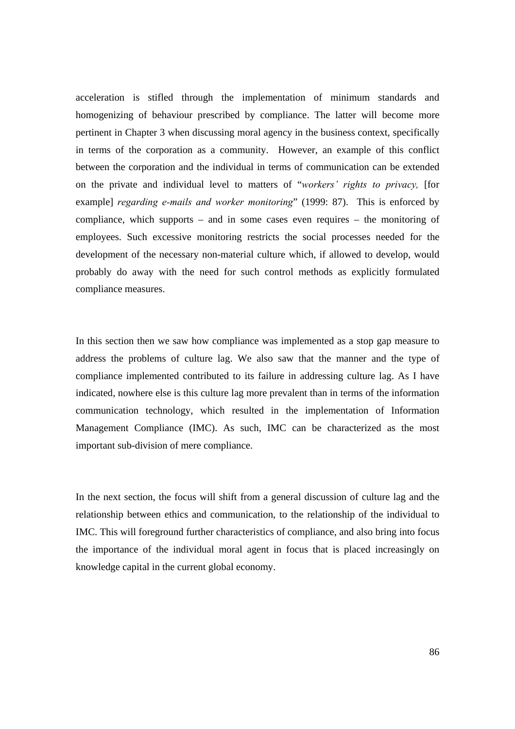acceleration is stifled through the implementation of minimum standards and homogenizing of behaviour prescribed by compliance. The latter will become more pertinent in Chapter 3 when discussing moral agency in the business context, specifically in terms of the corporation as a community. However, an example of this conflict between the corporation and the individual in terms of communication can be extended on the private and individual level to matters of "*workers' rights to privacy,* [for example] *regarding e-mails and worker monitoring*" (1999: 87). This is enforced by compliance, which supports – and in some cases even requires – the monitoring of employees. Such excessive monitoring restricts the social processes needed for the development of the necessary non-material culture which, if allowed to develop, would probably do away with the need for such control methods as explicitly formulated compliance measures.

In this section then we saw how compliance was implemented as a stop gap measure to address the problems of culture lag. We also saw that the manner and the type of compliance implemented contributed to its failure in addressing culture lag. As I have indicated, nowhere else is this culture lag more prevalent than in terms of the information communication technology, which resulted in the implementation of Information Management Compliance (IMC). As such, IMC can be characterized as the most important sub-division of mere compliance.

In the next section, the focus will shift from a general discussion of culture lag and the relationship between ethics and communication, to the relationship of the individual to IMC. This will foreground further characteristics of compliance, and also bring into focus the importance of the individual moral agent in focus that is placed increasingly on knowledge capital in the current global economy.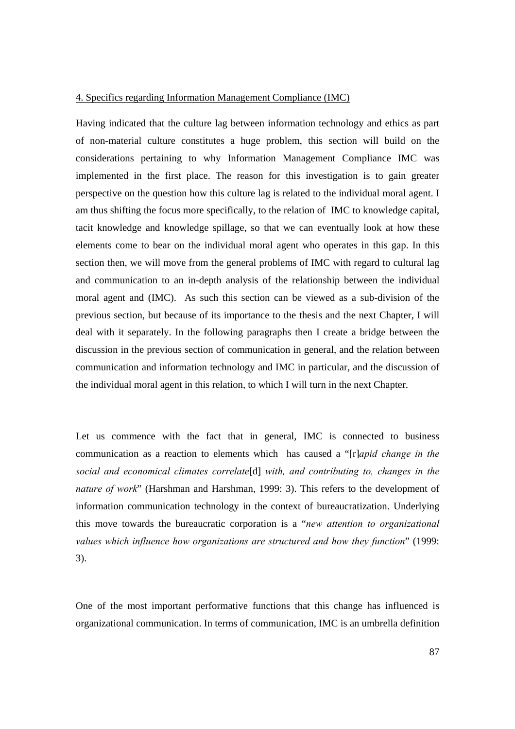#### 4. Specifics regarding Information Management Compliance (IMC)

Having indicated that the culture lag between information technology and ethics as part of non-material culture constitutes a huge problem, this section will build on the considerations pertaining to why Information Management Compliance IMC was implemented in the first place. The reason for this investigation is to gain greater perspective on the question how this culture lag is related to the individual moral agent. I am thus shifting the focus more specifically, to the relation of IMC to knowledge capital, tacit knowledge and knowledge spillage, so that we can eventually look at how these elements come to bear on the individual moral agent who operates in this gap. In this section then, we will move from the general problems of IMC with regard to cultural lag and communication to an in-depth analysis of the relationship between the individual moral agent and (IMC). As such this section can be viewed as a sub-division of the previous section, but because of its importance to the thesis and the next Chapter, I will deal with it separately. In the following paragraphs then I create a bridge between the discussion in the previous section of communication in general, and the relation between communication and information technology and IMC in particular, and the discussion of the individual moral agent in this relation, to which I will turn in the next Chapter.

Let us commence with the fact that in general, IMC is connected to business communication as a reaction to elements which has caused a "[r]*apid change in the social and economical climates correlate*[d] *with, and contributing to, changes in the nature of work*" (Harshman and Harshman, 1999: 3). This refers to the development of information communication technology in the context of bureaucratization. Underlying this move towards the bureaucratic corporation is a "*new attention to organizational values which influence how organizations are structured and how they function*" (1999: 3).

One of the most important performative functions that this change has influenced is organizational communication. In terms of communication, IMC is an umbrella definition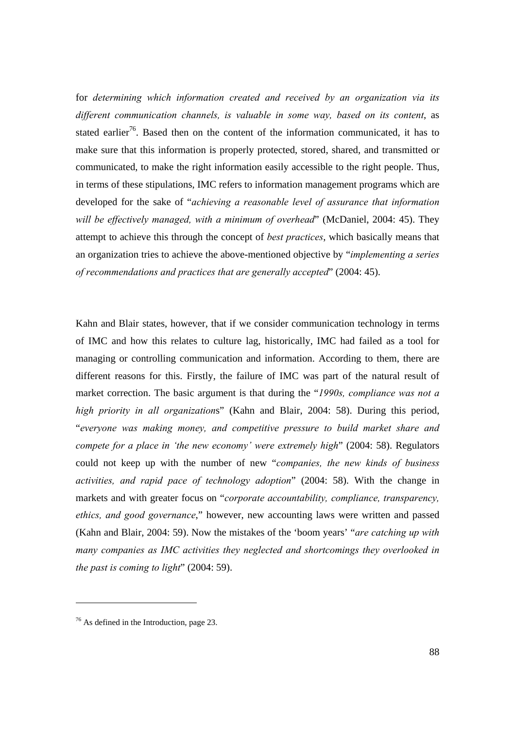for *determining which information created and received by an organization via its different communication channels, is valuable in some way, based on its content*, as stated earlier<sup>76</sup>. Based then on the content of the information communicated, it has to make sure that this information is properly protected, stored, shared, and transmitted or communicated, to make the right information easily accessible to the right people. Thus, in terms of these stipulations, IMC refers to information management programs which are developed for the sake of "*achieving a reasonable level of assurance that information will be effectively managed, with a minimum of overhead*" (McDaniel, 2004: 45). They attempt to achieve this through the concept of *best practices*, which basically means that an organization tries to achieve the above-mentioned objective by "*implementing a series of recommendations and practices that are generally accepted*" (2004: 45).

Kahn and Blair states, however, that if we consider communication technology in terms of IMC and how this relates to culture lag, historically, IMC had failed as a tool for managing or controlling communication and information. According to them, there are different reasons for this. Firstly, the failure of IMC was part of the natural result of market correction. The basic argument is that during the "*1990s, compliance was not a high priority in all organization*s" (Kahn and Blair, 2004: 58). During this period, "*everyone was making money, and competitive pressure to build market share and compete for a place in 'the new economy' were extremely high*" (2004: 58). Regulators could not keep up with the number of new "*companies, the new kinds of business activities, and rapid pace of technology adoption*" (2004: 58). With the change in markets and with greater focus on "*corporate accountability, compliance, transparency, ethics, and good governance*," however, new accounting laws were written and passed (Kahn and Blair, 2004: 59). Now the mistakes of the 'boom years' "*are catching up with many companies as IMC activities they neglected and shortcomings they overlooked in the past is coming to light*" (2004: 59).

<sup>76</sup> As defined in the Introduction, page 23.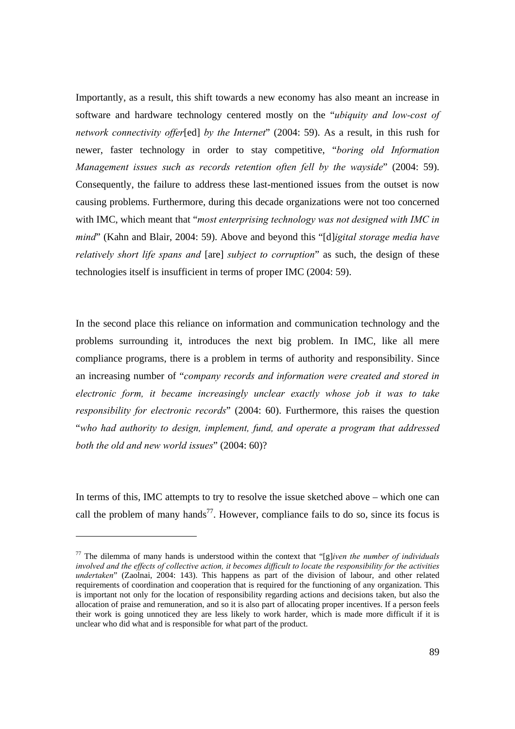Importantly, as a result, this shift towards a new economy has also meant an increase in software and hardware technology centered mostly on the "*ubiquity and low-cost of network connectivity offer*[ed] *by the Internet*" (2004: 59). As a result, in this rush for newer, faster technology in order to stay competitive, "*boring old Information Management issues such as records retention often fell by the wayside*" (2004: 59). Consequently, the failure to address these last-mentioned issues from the outset is now causing problems. Furthermore, during this decade organizations were not too concerned with IMC, which meant that "*most enterprising technology was not designed with IMC in mind*" (Kahn and Blair, 2004: 59). Above and beyond this "[d]*igital storage media have relatively short life spans and* [are] *subject to corruption*" as such, the design of these technologies itself is insufficient in terms of proper IMC (2004: 59).

In the second place this reliance on information and communication technology and the problems surrounding it, introduces the next big problem. In IMC, like all mere compliance programs, there is a problem in terms of authority and responsibility. Since an increasing number of "*company records and information were created and stored in electronic form, it became increasingly unclear exactly whose job it was to take responsibility for electronic records*" (2004: 60). Furthermore, this raises the question "*who had authority to design, implement, fund, and operate a program that addressed both the old and new world issues*" (2004: 60)?

In terms of this, IMC attempts to try to resolve the issue sketched above – which one can call the problem of many hands<sup>77</sup>. However, compliance fails to do so, since its focus is

<sup>77</sup> The dilemma of many hands is understood within the context that "[g]*iven the number of individuals involved and the effects of collective action, it becomes difficult to locate the responsibility for the activities undertaken*" (Zaolnai, 2004: 143). This happens as part of the division of labour, and other related requirements of coordination and cooperation that is required for the functioning of any organization. This is important not only for the location of responsibility regarding actions and decisions taken, but also the allocation of praise and remuneration, and so it is also part of allocating proper incentives. If a person feels their work is going unnoticed they are less likely to work harder, which is made more difficult if it is unclear who did what and is responsible for what part of the product.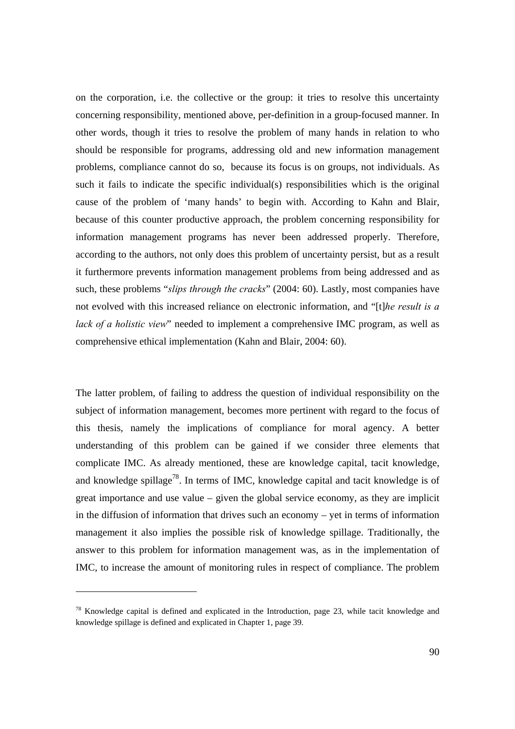on the corporation, i.e. the collective or the group: it tries to resolve this uncertainty concerning responsibility, mentioned above, per-definition in a group-focused manner. In other words, though it tries to resolve the problem of many hands in relation to who should be responsible for programs, addressing old and new information management problems, compliance cannot do so, because its focus is on groups, not individuals. As such it fails to indicate the specific individual(s) responsibilities which is the original cause of the problem of 'many hands' to begin with. According to Kahn and Blair, because of this counter productive approach, the problem concerning responsibility for information management programs has never been addressed properly. Therefore, according to the authors, not only does this problem of uncertainty persist, but as a result it furthermore prevents information management problems from being addressed and as such, these problems "*slips through the cracks*" (2004: 60). Lastly, most companies have not evolved with this increased reliance on electronic information, and "[t]*he result is a lack of a holistic view*" needed to implement a comprehensive IMC program, as well as comprehensive ethical implementation (Kahn and Blair, 2004: 60).

The latter problem, of failing to address the question of individual responsibility on the subject of information management, becomes more pertinent with regard to the focus of this thesis, namely the implications of compliance for moral agency. A better understanding of this problem can be gained if we consider three elements that complicate IMC. As already mentioned, these are knowledge capital, tacit knowledge, and knowledge spillage<sup>78</sup>. In terms of IMC, knowledge capital and tacit knowledge is of great importance and use value – given the global service economy, as they are implicit in the diffusion of information that drives such an economy – yet in terms of information management it also implies the possible risk of knowledge spillage. Traditionally, the answer to this problem for information management was, as in the implementation of IMC, to increase the amount of monitoring rules in respect of compliance. The problem

<sup>78</sup> Knowledge capital is defined and explicated in the Introduction, page 23, while tacit knowledge and knowledge spillage is defined and explicated in Chapter 1, page 39.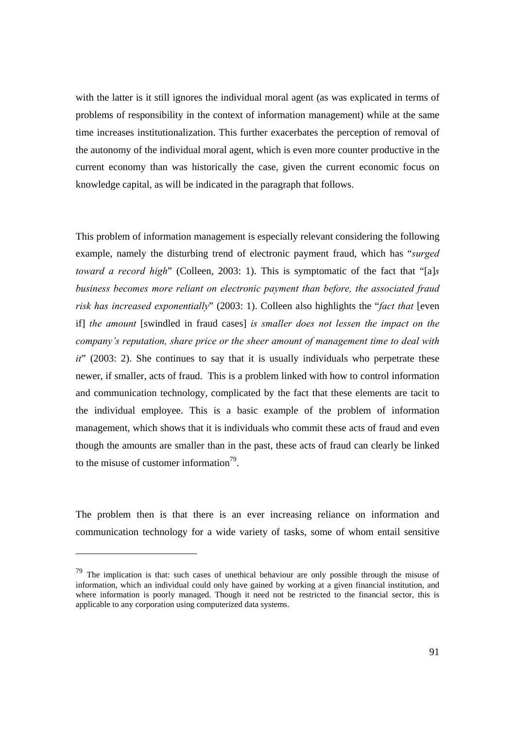with the latter is it still ignores the individual moral agent (as was explicated in terms of problems of responsibility in the context of information management) while at the same time increases institutionalization. This further exacerbates the perception of removal of the autonomy of the individual moral agent, which is even more counter productive in the current economy than was historically the case, given the current economic focus on knowledge capital, as will be indicated in the paragraph that follows.

This problem of information management is especially relevant considering the following example, namely the disturbing trend of electronic payment fraud, which has "*surged toward a record high*" (Colleen, 2003: 1). This is symptomatic of the fact that "[a]*s business becomes more reliant on electronic payment than before, the associated fraud risk has increased exponentially*" (2003: 1). Colleen also highlights the "*fact that* [even if] *the amount* [swindled in fraud cases] *is smaller does not lessen the impact on the company's reputation, share price or the sheer amount of management time to deal with it*" (2003: 2). She continues to say that it is usually individuals who perpetrate these newer, if smaller, acts of fraud. This is a problem linked with how to control information and communication technology, complicated by the fact that these elements are tacit to the individual employee. This is a basic example of the problem of information management, which shows that it is individuals who commit these acts of fraud and even though the amounts are smaller than in the past, these acts of fraud can clearly be linked to the misuse of customer information<sup>79</sup>.

The problem then is that there is an ever increasing reliance on information and communication technology for a wide variety of tasks, some of whom entail sensitive

 $79$  The implication is that: such cases of unethical behaviour are only possible through the misuse of information, which an individual could only have gained by working at a given financial institution, and where information is poorly managed. Though it need not be restricted to the financial sector, this is applicable to any corporation using computerized data systems.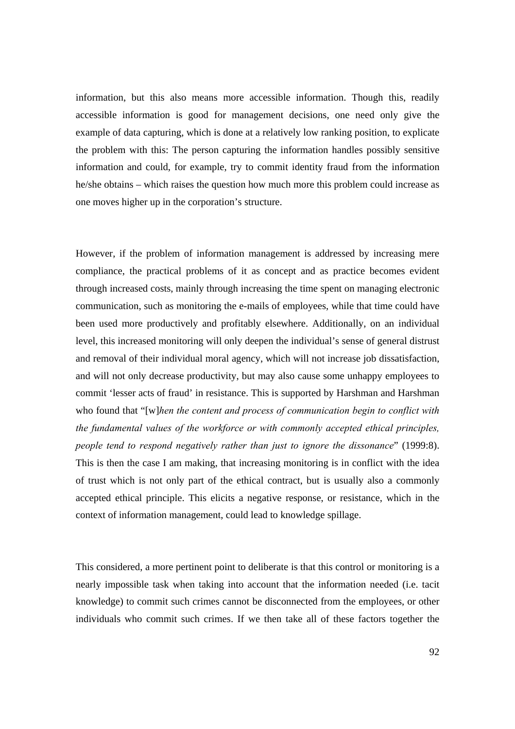information, but this also means more accessible information. Though this, readily accessible information is good for management decisions, one need only give the example of data capturing, which is done at a relatively low ranking position, to explicate the problem with this: The person capturing the information handles possibly sensitive information and could, for example, try to commit identity fraud from the information he/she obtains – which raises the question how much more this problem could increase as one moves higher up in the corporation's structure.

However, if the problem of information management is addressed by increasing mere compliance, the practical problems of it as concept and as practice becomes evident through increased costs, mainly through increasing the time spent on managing electronic communication, such as monitoring the e-mails of employees, while that time could have been used more productively and profitably elsewhere. Additionally, on an individual level, this increased monitoring will only deepen the individual's sense of general distrust and removal of their individual moral agency, which will not increase job dissatisfaction, and will not only decrease productivity, but may also cause some unhappy employees to commit 'lesser acts of fraud' in resistance. This is supported by Harshman and Harshman who found that "[w]*hen the content and process of communication begin to conflict with the fundamental values of the workforce or with commonly accepted ethical principles, people tend to respond negatively rather than just to ignore the dissonance*" (1999:8). This is then the case I am making, that increasing monitoring is in conflict with the idea of trust which is not only part of the ethical contract, but is usually also a commonly accepted ethical principle. This elicits a negative response, or resistance, which in the context of information management, could lead to knowledge spillage.

This considered, a more pertinent point to deliberate is that this control or monitoring is a nearly impossible task when taking into account that the information needed (i.e. tacit knowledge) to commit such crimes cannot be disconnected from the employees, or other individuals who commit such crimes. If we then take all of these factors together the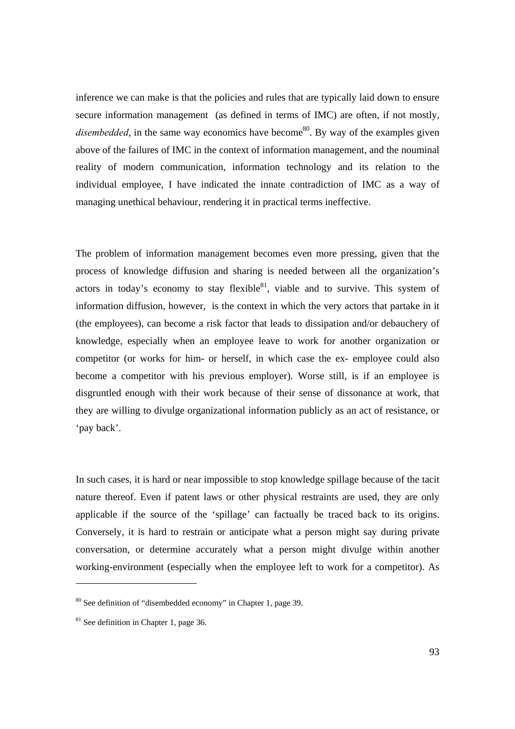inference we can make is that the policies and rules that are typically laid down to ensure secure information management (as defined in terms of IMC) are often, if not mostly, *disembedded*, in the same way economics have become<sup>80</sup>. By way of the examples given above of the failures of IMC in the context of information management, and the nouminal reality of modern communication, information technology and its relation to the individual employee, I have indicated the innate contradiction of IMC as a way of managing unethical behaviour, rendering it in practical terms ineffective.

The problem of information management becomes even more pressing, given that the process of knowledge diffusion and sharing is needed between all the organization's actors in today's economy to stay flexible and to survive. This system of information diffusion, however, is the context in which the very actors that partake in it (the employees), can become a risk factor that leads to dissipation and/or debauchery of knowledge, especially when an employee leave to work for another organization or competitor (or works for him- or herself, in which case the ex- employee could also become a competitor with his previous employer). Worse still, is if an employee is disgruntled enough with their work because of their sense of dissonance at work, that they are willing to divulge organizational information publicly as an act of resistance, or 'pay back'.

In such cases, it is hard or near impossible to stop knowledge spillage because of the tacit nature thereof. Even if patent laws or other physical restraints are used, they are only applicable if the source of the 'spillage' can factually be traced back to its origins. Conversely, it is hard to restrain or anticipate what a person might say during private conversation, or determine accurately what a person might divulge within another working-environment (especially when the employee left to work for a competitor). As

<sup>80</sup> See definition of "disembedded economy" in Chapter 1, page 39.

<sup>81</sup> See definition in Chapter 1, page 36.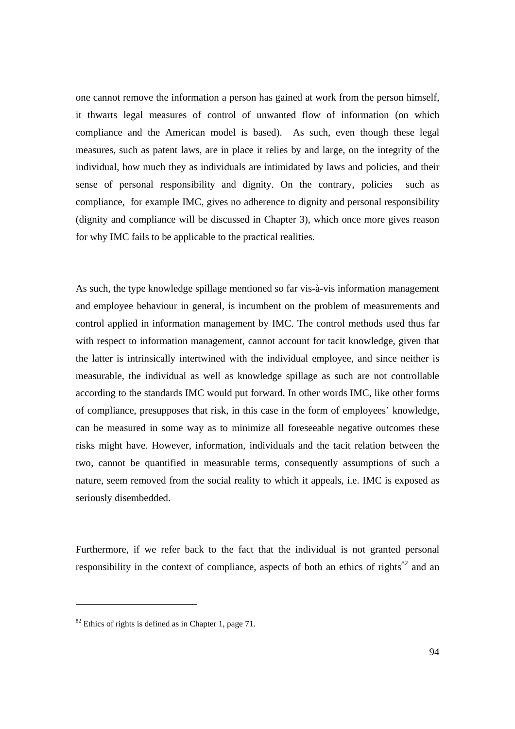one cannot remove the information a person has gained at work from the person himself, it thwarts legal measures of control of unwanted flow of information (on which compliance and the American model is based). As such, even though these legal measures, such as patent laws, are in place it relies by and large, on the integrity of the individual, how much they as individuals are intimidated by laws and policies, and their sense of personal responsibility and dignity. On the contrary, policies such as compliance, for example IMC, gives no adherence to dignity and personal responsibility (dignity and compliance will be discussed in Chapter 3), which once more gives reason for why IMC fails to be applicable to the practical realities.

As such, the type knowledge spillage mentioned so far vis-à-vis information management and employee behaviour in general, is incumbent on the problem of measurements and control applied in information management by IMC. The control methods used thus far with respect to information management, cannot account for tacit knowledge, given that the latter is intrinsically intertwined with the individual employee, and since neither is measurable, the individual as well as knowledge spillage as such are not controllable according to the standards IMC would put forward. In other words IMC, like other forms of compliance, presupposes that risk, in this case in the form of employees' knowledge, can be measured in some way as to minimize all foreseeable negative outcomes these risks might have. However, information, individuals and the tacit relation between the two, cannot be quantified in measurable terms, consequently assumptions of such a nature, seem removed from the social reality to which it appeals, i.e. IMC is exposed as seriously disembedded.

Furthermore, if we refer back to the fact that the individual is not granted personal responsibility in the context of compliance, aspects of both an ethics of rights<sup>82</sup> and an

 $\overline{a}$ 

 $82$  Ethics of rights is defined as in Chapter 1, page 71.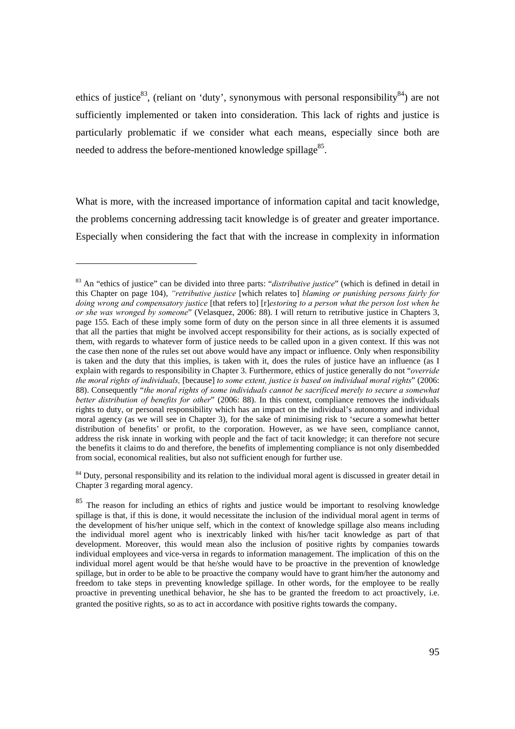ethics of justice<sup>83</sup>, (reliant on 'duty', synonymous with personal responsibility<sup>84</sup>) are not sufficiently implemented or taken into consideration. This lack of rights and justice is particularly problematic if we consider what each means, especially since both are needed to address the before-mentioned knowledge spillage $85$ .

What is more, with the increased importance of information capital and tacit knowledge, the problems concerning addressing tacit knowledge is of greater and greater importance. Especially when considering the fact that with the increase in complexity in information

<sup>84</sup> Duty, personal responsibility and its relation to the individual moral agent is discussed in greater detail in Chapter 3 regarding moral agency.

<sup>83</sup> An "ethics of justice" can be divided into three parts: "*distributive justice*" (which is defined in detail in this Chapter on page 104), *"retributive justice* [which relates to] *blaming or punishing persons fairly for doing wrong and compensatory justice* [that refers to] [r]*estoring to a person what the person lost when he or she was wronged by someone*" (Velasquez, 2006: 88). I will return to retributive justice in Chapters 3, page 155. Each of these imply some form of duty on the person since in all three elements it is assumed that all the parties that might be involved accept responsibility for their actions, as is socially expected of them, with regards to whatever form of justice needs to be called upon in a given context. If this was not the case then none of the rules set out above would have any impact or influence. Only when responsibility is taken and the duty that this implies, is taken with it, does the rules of justice have an influence (as I explain with regards to responsibility in Chapter 3. Furthermore, ethics of justice generally do not "*override the moral rights of individuals,* [because] *to some extent, justice is based on individual moral rights*" (2006: 88). Consequently "*the moral rights of some individuals cannot be sacrificed merely to secure a somewhat better distribution of benefits for other*" (2006: 88). In this context, compliance removes the individuals rights to duty, or personal responsibility which has an impact on the individual's autonomy and individual moral agency (as we will see in Chapter 3), for the sake of minimising risk to 'secure a somewhat better distribution of benefits' or profit, to the corporation. However, as we have seen, compliance cannot, address the risk innate in working with people and the fact of tacit knowledge; it can therefore not secure the benefits it claims to do and therefore, the benefits of implementing compliance is not only disembedded from social, economical realities, but also not sufficient enough for further use.

<sup>&</sup>lt;sup>85</sup> The reason for including an ethics of rights and justice would be important to resolving knowledge spillage is that, if this is done, it would necessitate the inclusion of the individual moral agent in terms of the development of his/her unique self, which in the context of knowledge spillage also means including the individual morel agent who is inextricably linked with his/her tacit knowledge as part of that development. Moreover, this would mean also the inclusion of positive rights by companies towards individual employees and vice-versa in regards to information management. The implication of this on the individual morel agent would be that he/she would have to be proactive in the prevention of knowledge spillage, but in order to be able to be proactive the company would have to grant him/her the autonomy and freedom to take steps in preventing knowledge spillage. In other words, for the employee to be really proactive in preventing unethical behavior, he she has to be granted the freedom to act proactively, i.e. granted the positive rights, so as to act in accordance with positive rights towards the company.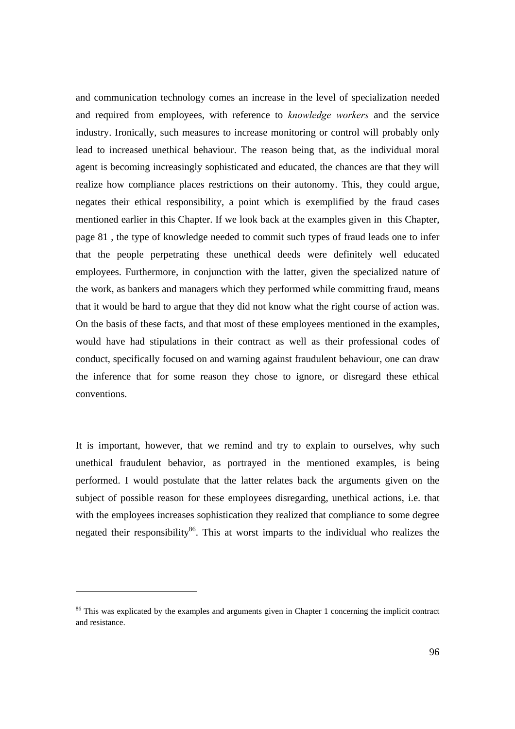and communication technology comes an increase in the level of specialization needed and required from employees, with reference to *knowledge workers* and the service industry. Ironically, such measures to increase monitoring or control will probably only lead to increased unethical behaviour. The reason being that, as the individual moral agent is becoming increasingly sophisticated and educated, the chances are that they will realize how compliance places restrictions on their autonomy. This, they could argue, negates their ethical responsibility, a point which is exemplified by the fraud cases mentioned earlier in this Chapter. If we look back at the examples given in this Chapter, page 81 , the type of knowledge needed to commit such types of fraud leads one to infer that the people perpetrating these unethical deeds were definitely well educated employees. Furthermore, in conjunction with the latter, given the specialized nature of the work, as bankers and managers which they performed while committing fraud, means that it would be hard to argue that they did not know what the right course of action was. On the basis of these facts, and that most of these employees mentioned in the examples, would have had stipulations in their contract as well as their professional codes of conduct, specifically focused on and warning against fraudulent behaviour, one can draw the inference that for some reason they chose to ignore, or disregard these ethical conventions.

It is important, however, that we remind and try to explain to ourselves, why such unethical fraudulent behavior, as portrayed in the mentioned examples, is being performed. I would postulate that the latter relates back the arguments given on the subject of possible reason for these employees disregarding, unethical actions, i.e. that with the employees increases sophistication they realized that compliance to some degree negated their responsibility<sup>86</sup>. This at worst imparts to the individual who realizes the

<sup>&</sup>lt;sup>86</sup> This was explicated by the examples and arguments given in Chapter 1 concerning the implicit contract and resistance.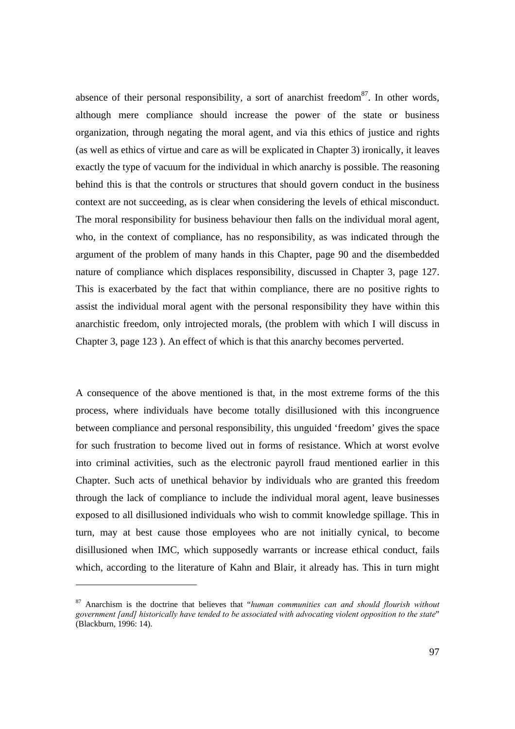absence of their personal responsibility, a sort of anarchist freedom<sup>87</sup>. In other words, although mere compliance should increase the power of the state or business organization, through negating the moral agent, and via this ethics of justice and rights (as well as ethics of virtue and care as will be explicated in Chapter 3) ironically, it leaves exactly the type of vacuum for the individual in which anarchy is possible. The reasoning behind this is that the controls or structures that should govern conduct in the business context are not succeeding, as is clear when considering the levels of ethical misconduct. The moral responsibility for business behaviour then falls on the individual moral agent, who, in the context of compliance, has no responsibility, as was indicated through the argument of the problem of many hands in this Chapter, page 90 and the disembedded nature of compliance which displaces responsibility, discussed in Chapter 3, page 127. This is exacerbated by the fact that within compliance, there are no positive rights to assist the individual moral agent with the personal responsibility they have within this anarchistic freedom, only introjected morals, (the problem with which I will discuss in Chapter 3, page 123 ). An effect of which is that this anarchy becomes perverted.

A consequence of the above mentioned is that, in the most extreme forms of the this process, where individuals have become totally disillusioned with this incongruence between compliance and personal responsibility, this unguided 'freedom' gives the space for such frustration to become lived out in forms of resistance. Which at worst evolve into criminal activities, such as the electronic payroll fraud mentioned earlier in this Chapter. Such acts of unethical behavior by individuals who are granted this freedom through the lack of compliance to include the individual moral agent, leave businesses exposed to all disillusioned individuals who wish to commit knowledge spillage. This in turn, may at best cause those employees who are not initially cynical, to become disillusioned when IMC, which supposedly warrants or increase ethical conduct, fails which, according to the literature of Kahn and Blair, it already has. This in turn might

<sup>87</sup> Anarchism is the doctrine that believes that "*human communities can and should flourish without government [and] historically have tended to be associated with advocating violent opposition to the state*" (Blackburn, 1996: 14).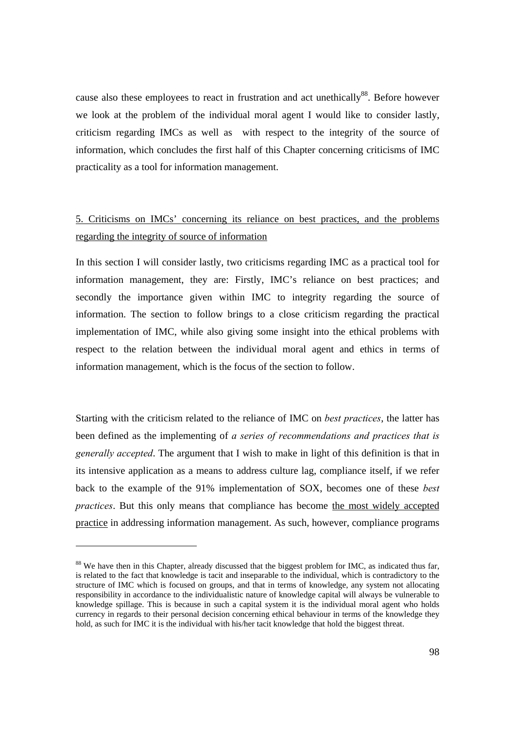cause also these employees to react in frustration and act unethically<sup>88</sup>. Before however we look at the problem of the individual moral agent I would like to consider lastly, criticism regarding IMCs as well as with respect to the integrity of the source of information, which concludes the first half of this Chapter concerning criticisms of IMC practicality as a tool for information management.

## 5. Criticisms on IMCs' concerning its reliance on best practices, and the problems regarding the integrity of source of information

In this section I will consider lastly, two criticisms regarding IMC as a practical tool for information management, they are: Firstly, IMC's reliance on best practices; and secondly the importance given within IMC to integrity regarding the source of information. The section to follow brings to a close criticism regarding the practical implementation of IMC, while also giving some insight into the ethical problems with respect to the relation between the individual moral agent and ethics in terms of information management, which is the focus of the section to follow.

Starting with the criticism related to the reliance of IMC on *best practices*, the latter has been defined as the implementing of *a series of recommendations and practices that is generally accepted*. The argument that I wish to make in light of this definition is that in its intensive application as a means to address culture lag, compliance itself, if we refer back to the example of the 91% implementation of SOX, becomes one of these *best practices*. But this only means that compliance has become the most widely accepted practice in addressing information management. As such, however, compliance programs

 $\overline{a}$ 

<sup>&</sup>lt;sup>88</sup> We have then in this Chapter, already discussed that the biggest problem for IMC, as indicated thus far, is related to the fact that knowledge is tacit and inseparable to the individual, which is contradictory to the structure of IMC which is focused on groups, and that in terms of knowledge, any system not allocating responsibility in accordance to the individualistic nature of knowledge capital will always be vulnerable to knowledge spillage. This is because in such a capital system it is the individual moral agent who holds currency in regards to their personal decision concerning ethical behaviour in terms of the knowledge they hold, as such for IMC it is the individual with his/her tacit knowledge that hold the biggest threat.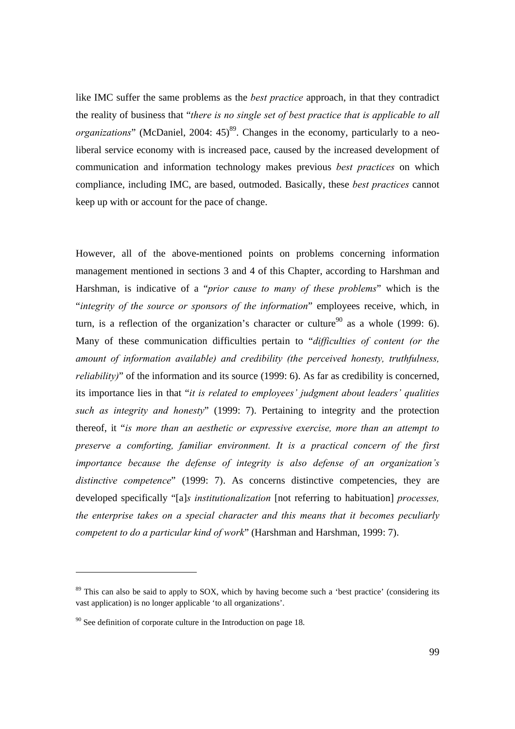like IMC suffer the same problems as the *best practice* approach, in that they contradict the reality of business that "*there is no single set of best practice that is applicable to all organizations*" (McDaniel, 2004: 45)<sup>89</sup>. Changes in the economy, particularly to a neoliberal service economy with is increased pace, caused by the increased development of communication and information technology makes previous *best practices* on which compliance, including IMC, are based, outmoded. Basically, these *best practices* cannot keep up with or account for the pace of change.

However, all of the above-mentioned points on problems concerning information management mentioned in sections 3 and 4 of this Chapter, according to Harshman and Harshman, is indicative of a "*prior cause to many of these problems*" which is the "*integrity of the source or sponsors of the information*" employees receive, which, in turn, is a reflection of the organization's character or culture<sup>90</sup> as a whole (1999: 6). Many of these communication difficulties pertain to "*difficulties of content (or the amount of information available) and credibility (the perceived honesty, truthfulness, reliability*)" of the information and its source (1999: 6). As far as credibility is concerned, its importance lies in that "*it is related to employees' judgment about leaders' qualities such as integrity and honesty*" (1999: 7). Pertaining to integrity and the protection thereof, it "*is more than an aesthetic or expressive exercise, more than an attempt to preserve a comforting, familiar environment. It is a practical concern of the first importance because the defense of integrity is also defense of an organization's*  distinctive competence" (1999: 7). As concerns distinctive competencies, they are developed specifically "[a]*s institutionalization* [not referring to habituation] *processes, the enterprise takes on a special character and this means that it becomes peculiarly competent to do a particular kind of work*" (Harshman and Harshman, 1999: 7).

l

<sup>&</sup>lt;sup>89</sup> This can also be said to apply to SOX, which by having become such a 'best practice' (considering its vast application) is no longer applicable 'to all organizations'.

 $90$  See definition of corporate culture in the Introduction on page 18.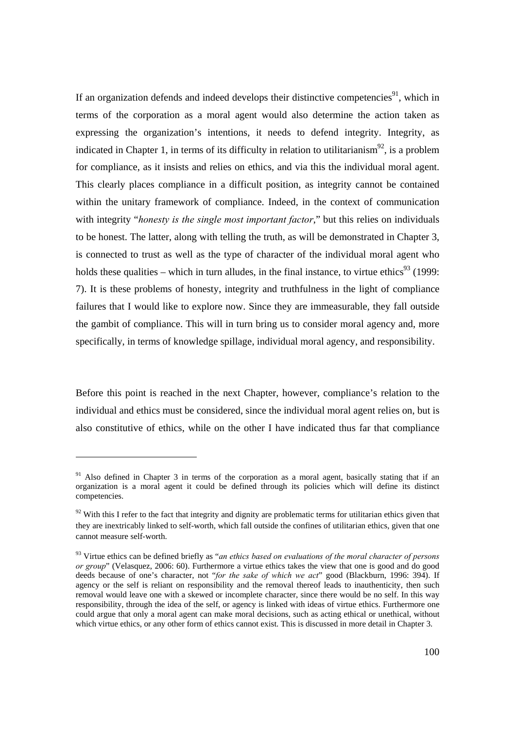If an organization defends and indeed develops their distinctive competencies<sup>91</sup>, which in terms of the corporation as a moral agent would also determine the action taken as expressing the organization's intentions, it needs to defend integrity. Integrity, as indicated in Chapter 1, in terms of its difficulty in relation to utilitarianism<sup>92</sup>, is a problem for compliance, as it insists and relies on ethics, and via this the individual moral agent. This clearly places compliance in a difficult position, as integrity cannot be contained within the unitary framework of compliance. Indeed, in the context of communication with integrity "*honesty is the single most important factor*," but this relies on individuals to be honest. The latter, along with telling the truth, as will be demonstrated in Chapter 3, is connected to trust as well as the type of character of the individual moral agent who holds these qualities – which in turn alludes, in the final instance, to virtue ethics<sup>93</sup> (1999: 7). It is these problems of honesty, integrity and truthfulness in the light of compliance failures that I would like to explore now. Since they are immeasurable, they fall outside the gambit of compliance. This will in turn bring us to consider moral agency and, more specifically, in terms of knowledge spillage, individual moral agency, and responsibility.

Before this point is reached in the next Chapter, however, compliance's relation to the individual and ethics must be considered, since the individual moral agent relies on, but is also constitutive of ethics, while on the other I have indicated thus far that compliance

 $\overline{a}$ 

<sup>&</sup>lt;sup>91</sup> Also defined in Chapter 3 in terms of the corporation as a moral agent, basically stating that if an organization is a moral agent it could be defined through its policies which will define its distinct competencies.

 $92$  With this I refer to the fact that integrity and dignity are problematic terms for utilitarian ethics given that they are inextricably linked to self-worth, which fall outside the confines of utilitarian ethics, given that one cannot measure self-worth.

<sup>93</sup> Virtue ethics can be defined briefly as "*an ethics based on evaluations of the moral character of persons or group*" (Velasquez, 2006: 60). Furthermore a virtue ethics takes the view that one is good and do good deeds because of one's character, not "*for the sake of which we act*" good (Blackburn, 1996: 394). If agency or the self is reliant on responsibility and the removal thereof leads to inauthenticity, then such removal would leave one with a skewed or incomplete character, since there would be no self. In this way responsibility, through the idea of the self, or agency is linked with ideas of virtue ethics. Furthermore one could argue that only a moral agent can make moral decisions, such as acting ethical or unethical, without which virtue ethics, or any other form of ethics cannot exist. This is discussed in more detail in Chapter 3.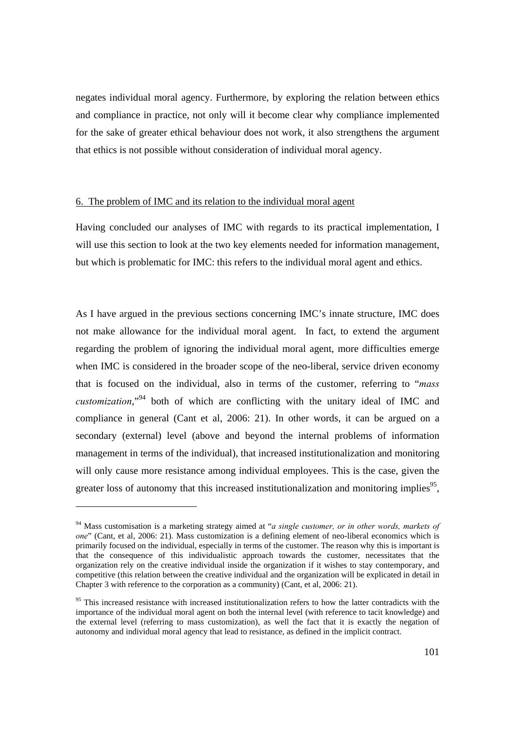negates individual moral agency. Furthermore, by exploring the relation between ethics and compliance in practice, not only will it become clear why compliance implemented for the sake of greater ethical behaviour does not work, it also strengthens the argument that ethics is not possible without consideration of individual moral agency.

#### 6. The problem of IMC and its relation to the individual moral agent

Having concluded our analyses of IMC with regards to its practical implementation, I will use this section to look at the two key elements needed for information management, but which is problematic for IMC: this refers to the individual moral agent and ethics.

As I have argued in the previous sections concerning IMC's innate structure, IMC does not make allowance for the individual moral agent. In fact, to extend the argument regarding the problem of ignoring the individual moral agent, more difficulties emerge when IMC is considered in the broader scope of the neo-liberal, service driven economy that is focused on the individual, also in terms of the customer, referring to "*mass customization*,"94 both of which are conflicting with the unitary ideal of IMC and compliance in general (Cant et al, 2006: 21). In other words, it can be argued on a secondary (external) level (above and beyond the internal problems of information management in terms of the individual), that increased institutionalization and monitoring will only cause more resistance among individual employees. This is the case, given the greater loss of autonomy that this increased institutionalization and monitoring implies<sup>95</sup>,

<sup>94</sup> Mass customisation is a marketing strategy aimed at "*a single customer, or in other words, markets of one*" (Cant, et al, 2006: 21). Mass customization is a defining element of neo-liberal economics which is primarily focused on the individual, especially in terms of the customer. The reason why this is important is that the consequence of this individualistic approach towards the customer, necessitates that the organization rely on the creative individual inside the organization if it wishes to stay contemporary, and competitive (this relation between the creative individual and the organization will be explicated in detail in Chapter 3 with reference to the corporation as a community) (Cant, et al, 2006: 21).

<sup>&</sup>lt;sup>95</sup> This increased resistance with increased institutionalization refers to how the latter contradicts with the importance of the individual moral agent on both the internal level (with reference to tacit knowledge) and the external level (referring to mass customization), as well the fact that it is exactly the negation of autonomy and individual moral agency that lead to resistance, as defined in the implicit contract.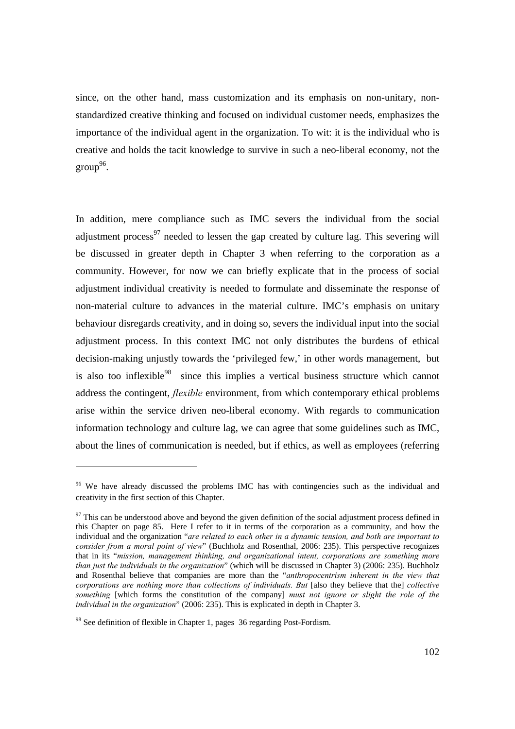since, on the other hand, mass customization and its emphasis on non-unitary, nonstandardized creative thinking and focused on individual customer needs, emphasizes the importance of the individual agent in the organization. To wit: it is the individual who is creative and holds the tacit knowledge to survive in such a neo-liberal economy, not the  $\text{group}^{96}$ .

In addition, mere compliance such as IMC severs the individual from the social adjustment process<sup>97</sup> needed to lessen the gap created by culture lag. This severing will be discussed in greater depth in Chapter 3 when referring to the corporation as a community. However, for now we can briefly explicate that in the process of social adjustment individual creativity is needed to formulate and disseminate the response of non-material culture to advances in the material culture. IMC's emphasis on unitary behaviour disregards creativity, and in doing so, severs the individual input into the social adjustment process. In this context IMC not only distributes the burdens of ethical decision-making unjustly towards the 'privileged few,' in other words management, but is also too inflexible $98$  since this implies a vertical business structure which cannot address the contingent, *flexible* environment, from which contemporary ethical problems arise within the service driven neo-liberal economy. With regards to communication information technology and culture lag, we can agree that some guidelines such as IMC, about the lines of communication is needed, but if ethics, as well as employees (referring

<sup>&</sup>lt;sup>96</sup> We have already discussed the problems IMC has with contingencies such as the individual and creativity in the first section of this Chapter.

 $97$  This can be understood above and beyond the given definition of the social adjustment process defined in this Chapter on page 85. Here I refer to it in terms of the corporation as a community, and how the individual and the organization "*are related to each other in a dynamic tension, and both are important to consider from a moral point of view*" (Buchholz and Rosenthal, 2006: 235). This perspective recognizes that in its "*mission, management thinking, and organizational intent, corporations are something more than just the individuals in the organization*" (which will be discussed in Chapter 3) (2006: 235). Buchholz and Rosenthal believe that companies are more than the "*anthropocentrism inherent in the view that corporations are nothing more than collections of individuals. But* [also they believe that the] *collective something* [which forms the constitution of the company] *must not ignore or slight the role of the individual in the organization*" (2006: 235). This is explicated in depth in Chapter 3.

<sup>&</sup>lt;sup>98</sup> See definition of flexible in Chapter 1, pages 36 regarding Post-Fordism.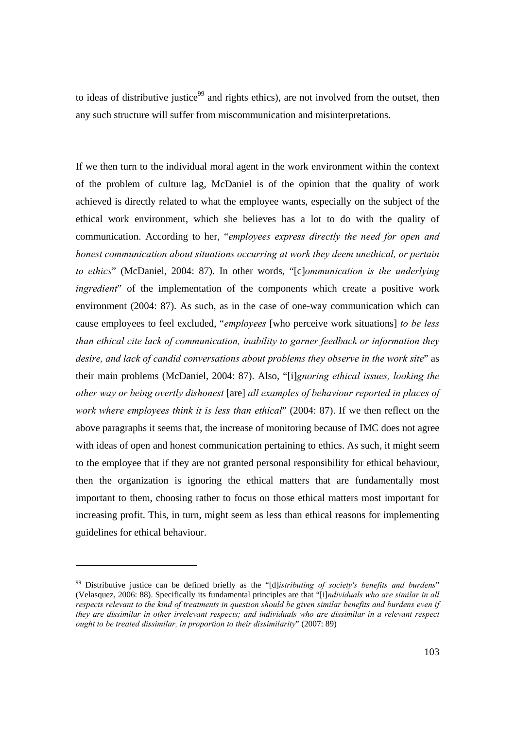to ideas of distributive justice<sup>99</sup> and rights ethics), are not involved from the outset, then any such structure will suffer from miscommunication and misinterpretations.

If we then turn to the individual moral agent in the work environment within the context of the problem of culture lag, McDaniel is of the opinion that the quality of work achieved is directly related to what the employee wants, especially on the subject of the ethical work environment, which she believes has a lot to do with the quality of communication. According to her, "*employees express directly the need for open and honest communication about situations occurring at work they deem unethical, or pertain to ethics*" (McDaniel, 2004: 87). In other words, "[c]*ommunication is the underlying ingredient*" of the implementation of the components which create a positive work environment (2004: 87). As such, as in the case of one-way communication which can cause employees to feel excluded, "*employees* [who perceive work situations] *to be less than ethical cite lack of communication, inability to garner feedback or information they desire, and lack of candid conversations about problems they observe in the work site*" as their main problems (McDaniel, 2004: 87). Also, "[i]*gnoring ethical issues, looking the other way or being overtly dishonest* [are] *all examples of behaviour reported in places of work where employees think it is less than ethical*" (2004: 87). If we then reflect on the above paragraphs it seems that, the increase of monitoring because of IMC does not agree with ideas of open and honest communication pertaining to ethics. As such, it might seem to the employee that if they are not granted personal responsibility for ethical behaviour, then the organization is ignoring the ethical matters that are fundamentally most important to them, choosing rather to focus on those ethical matters most important for increasing profit. This, in turn, might seem as less than ethical reasons for implementing guidelines for ethical behaviour.

<sup>99</sup> Distributive justice can be defined briefly as the "[d]*istributing of society's benefits and burdens*" (Velasquez, 2006: 88). Specifically its fundamental principles are that "[i]*ndividuals who are similar in all respects relevant to the kind of treatments in question should be given similar benefits and burdens even if they are dissimilar in other irrelevant respects; and individuals who are dissimilar in a relevant respect ought to be treated dissimilar, in proportion to their dissimilarity*" (2007: 89)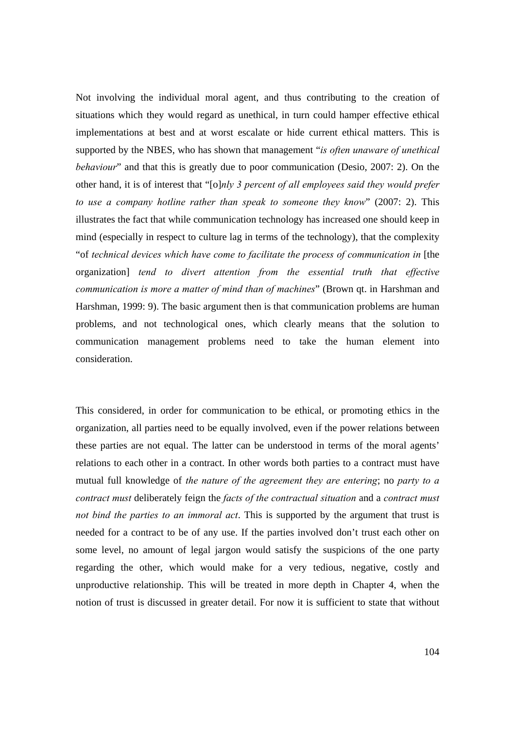Not involving the individual moral agent, and thus contributing to the creation of situations which they would regard as unethical, in turn could hamper effective ethical implementations at best and at worst escalate or hide current ethical matters. This is supported by the NBES, who has shown that management "*is often unaware of unethical behaviour*" and that this is greatly due to poor communication (Desio, 2007: 2). On the other hand, it is of interest that "[o]*nly 3 percent of all employees said they would prefer to use a company hotline rather than speak to someone they know*" (2007: 2). This illustrates the fact that while communication technology has increased one should keep in mind (especially in respect to culture lag in terms of the technology), that the complexity "of *technical devices which have come to facilitate the process of communication in* [the organization] *tend to divert attention from the essential truth that effective communication is more a matter of mind than of machines*" (Brown qt. in Harshman and Harshman, 1999: 9). The basic argument then is that communication problems are human problems, and not technological ones, which clearly means that the solution to communication management problems need to take the human element into consideration.

This considered, in order for communication to be ethical, or promoting ethics in the organization, all parties need to be equally involved, even if the power relations between these parties are not equal. The latter can be understood in terms of the moral agents' relations to each other in a contract. In other words both parties to a contract must have mutual full knowledge of *the nature of the agreement they are entering*; no *party to a contract must* deliberately feign the *facts of the contractual situation* and a *contract must not bind the parties to an immoral act*. This is supported by the argument that trust is needed for a contract to be of any use. If the parties involved don't trust each other on some level, no amount of legal jargon would satisfy the suspicions of the one party regarding the other, which would make for a very tedious, negative, costly and unproductive relationship. This will be treated in more depth in Chapter 4, when the notion of trust is discussed in greater detail. For now it is sufficient to state that without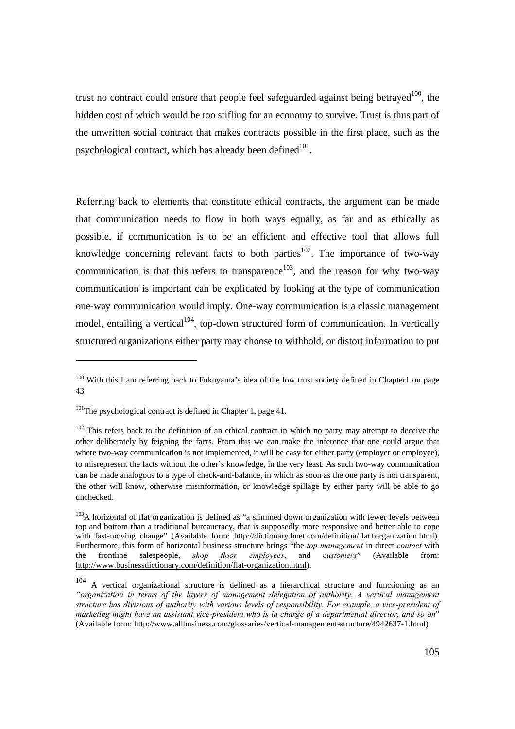trust no contract could ensure that people feel safeguarded against being betrayed $100$ , the hidden cost of which would be too stifling for an economy to survive. Trust is thus part of the unwritten social contract that makes contracts possible in the first place, such as the psychological contract, which has already been defined $101$ .

Referring back to elements that constitute ethical contracts, the argument can be made that communication needs to flow in both ways equally, as far and as ethically as possible, if communication is to be an efficient and effective tool that allows full knowledge concerning relevant facts to both parties<sup>102</sup>. The importance of two-way communication is that this refers to transparence<sup>103</sup>, and the reason for why two-way communication is important can be explicated by looking at the type of communication one-way communication would imply. One-way communication is a classic management model, entailing a vertical<sup>104</sup>, top-down structured form of communication. In vertically structured organizations either party may choose to withhold, or distort information to put

<sup>&</sup>lt;sup>100</sup> With this I am referring back to Fukuyama's idea of the low trust society defined in Chapter1 on page 43

 $101$ The psychological contract is defined in Chapter 1, page 41.

 $102$  This refers back to the definition of an ethical contract in which no party may attempt to deceive the other deliberately by feigning the facts. From this we can make the inference that one could argue that where two-way communication is not implemented, it will be easy for either party (employer or employee), to misrepresent the facts without the other's knowledge, in the very least. As such two-way communication can be made analogous to a type of check-and-balance, in which as soon as the one party is not transparent, the other will know, otherwise misinformation, or knowledge spillage by either party will be able to go unchecked.

 $103A$  horizontal of flat organization is defined as "a slimmed down organization with fewer levels between top and bottom than a traditional bureaucracy, that is supposedly more responsive and better able to cope with fast-moving change" (Available form: http://dictionary.bnet.com/definition/flat+organization.html). Furthermore, this form of horizontal business structure brings "the *top management* in direct *contact* with the frontline salespeople, *shop floor employees*, and *customers*" (Available from: http://www.businessdictionary.com/definition/flat-organization.html).

<sup>&</sup>lt;sup>104</sup> A vertical organizational structure is defined as a hierarchical structure and functioning as an *"organization in terms of the layers of management delegation of authority. A vertical management structure has divisions of authority with various levels of responsibility. For example, a vice-president of marketing might have an assistant vice-president who is in charge of a departmental director, and so on*" (Available form: http://www.allbusiness.com/glossaries/vertical-management-structure/4942637-1.html)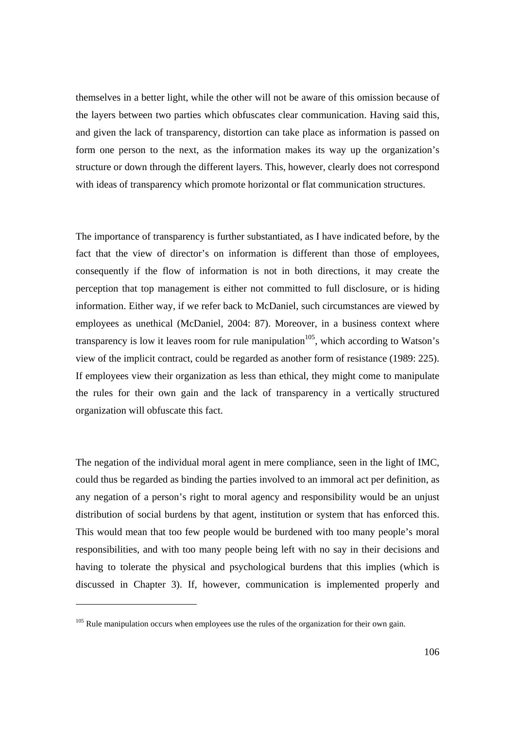themselves in a better light, while the other will not be aware of this omission because of the layers between two parties which obfuscates clear communication. Having said this, and given the lack of transparency, distortion can take place as information is passed on form one person to the next, as the information makes its way up the organization's structure or down through the different layers. This, however, clearly does not correspond with ideas of transparency which promote horizontal or flat communication structures.

The importance of transparency is further substantiated, as I have indicated before, by the fact that the view of director's on information is different than those of employees, consequently if the flow of information is not in both directions, it may create the perception that top management is either not committed to full disclosure, or is hiding information. Either way, if we refer back to McDaniel, such circumstances are viewed by employees as unethical (McDaniel, 2004: 87). Moreover, in a business context where transparency is low it leaves room for rule manipulation<sup>105</sup>, which according to Watson's view of the implicit contract, could be regarded as another form of resistance (1989: 225). If employees view their organization as less than ethical, they might come to manipulate the rules for their own gain and the lack of transparency in a vertically structured organization will obfuscate this fact.

The negation of the individual moral agent in mere compliance, seen in the light of IMC, could thus be regarded as binding the parties involved to an immoral act per definition, as any negation of a person's right to moral agency and responsibility would be an unjust distribution of social burdens by that agent, institution or system that has enforced this. This would mean that too few people would be burdened with too many people's moral responsibilities, and with too many people being left with no say in their decisions and having to tolerate the physical and psychological burdens that this implies (which is discussed in Chapter 3). If, however, communication is implemented properly and

 $\overline{a}$ 

 $105$  Rule manipulation occurs when employees use the rules of the organization for their own gain.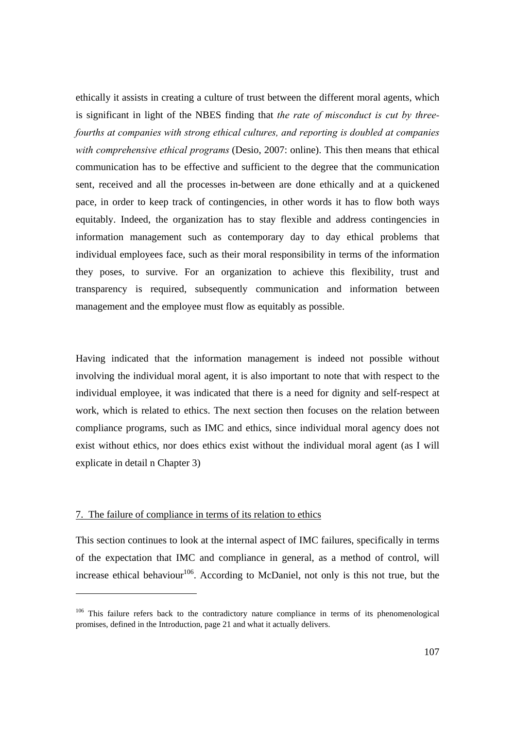ethically it assists in creating a culture of trust between the different moral agents, which is significant in light of the NBES finding that *the rate of misconduct is cut by threefourths at companies with strong ethical cultures, and reporting is doubled at companies with comprehensive ethical programs* (Desio, 2007: online). This then means that ethical communication has to be effective and sufficient to the degree that the communication sent, received and all the processes in-between are done ethically and at a quickened pace, in order to keep track of contingencies, in other words it has to flow both ways equitably. Indeed, the organization has to stay flexible and address contingencies in information management such as contemporary day to day ethical problems that individual employees face, such as their moral responsibility in terms of the information they poses, to survive. For an organization to achieve this flexibility, trust and transparency is required, subsequently communication and information between management and the employee must flow as equitably as possible.

Having indicated that the information management is indeed not possible without involving the individual moral agent, it is also important to note that with respect to the individual employee, it was indicated that there is a need for dignity and self-respect at work, which is related to ethics. The next section then focuses on the relation between compliance programs, such as IMC and ethics, since individual moral agency does not exist without ethics, nor does ethics exist without the individual moral agent (as I will explicate in detail n Chapter 3)

## 7. The failure of compliance in terms of its relation to ethics

This section continues to look at the internal aspect of IMC failures, specifically in terms of the expectation that IMC and compliance in general, as a method of control, will increase ethical behaviour<sup>106</sup>. According to McDaniel, not only is this not true, but the

<sup>&</sup>lt;sup>106</sup> This failure refers back to the contradictory nature compliance in terms of its phenomenological promises, defined in the Introduction, page 21 and what it actually delivers.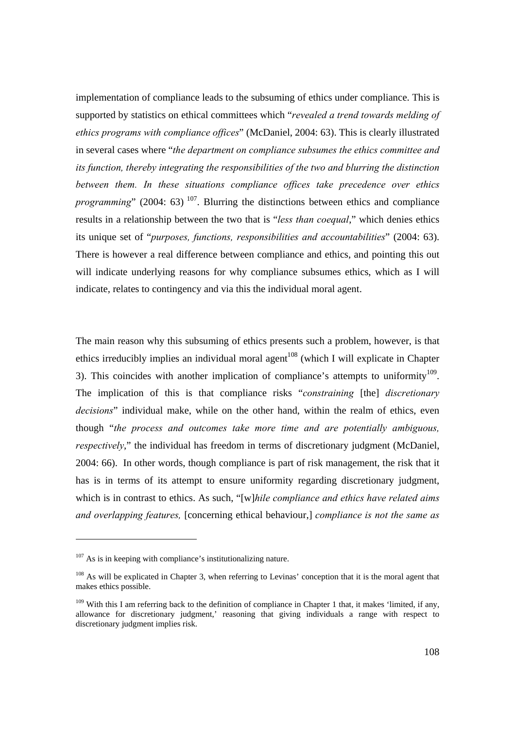implementation of compliance leads to the subsuming of ethics under compliance. This is supported by statistics on ethical committees which "*revealed a trend towards melding of ethics programs with compliance offices*" (McDaniel, 2004: 63). This is clearly illustrated in several cases where "*the department on compliance subsumes the ethics committee and its function, thereby integrating the responsibilities of the two and blurring the distinction between them. In these situations compliance offices take precedence over ethics programming*" (2004: 63)<sup>107</sup>. Blurring the distinctions between ethics and compliance results in a relationship between the two that is "*less than coequal*," which denies ethics its unique set of "*purposes, functions, responsibilities and accountabilities*" (2004: 63). There is however a real difference between compliance and ethics, and pointing this out will indicate underlying reasons for why compliance subsumes ethics, which as I will indicate, relates to contingency and via this the individual moral agent.

The main reason why this subsuming of ethics presents such a problem, however, is that ethics irreducibly implies an individual moral agent<sup>108</sup> (which I will explicate in Chapter 3). This coincides with another implication of compliance's attempts to uniformity<sup>109</sup>. The implication of this is that compliance risks "*constraining* [the] *discretionary decisions*" individual make, while on the other hand, within the realm of ethics, even though "*the process and outcomes take more time and are potentially ambiguous, respectively*," the individual has freedom in terms of discretionary judgment (McDaniel, 2004: 66). In other words, though compliance is part of risk management, the risk that it has is in terms of its attempt to ensure uniformity regarding discretionary judgment, which is in contrast to ethics. As such, "[w]*hile compliance and ethics have related aims and overlapping features,* [concerning ethical behaviour,] *compliance is not the same as* 

l

 $107$  As is in keeping with compliance's institutionalizing nature.

<sup>&</sup>lt;sup>108</sup> As will be explicated in Chapter 3, when referring to Levinas' conception that it is the moral agent that makes ethics possible.

<sup>&</sup>lt;sup>109</sup> With this I am referring back to the definition of compliance in Chapter 1 that, it makes 'limited, if any, allowance for discretionary judgment,' reasoning that giving individuals a range with respect to discretionary judgment implies risk.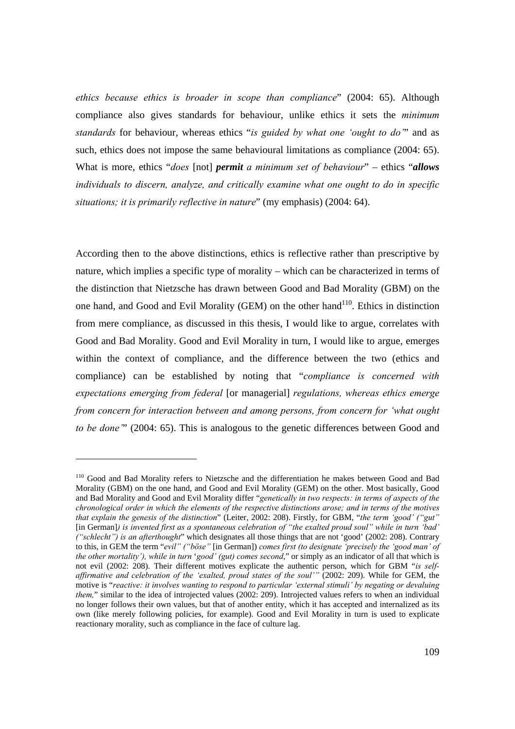*ethics because ethics is broader in scope than compliance*" (2004: 65). Although compliance also gives standards for behaviour, unlike ethics it sets the *minimum standards* for behaviour, whereas ethics "*is guided by what one 'ought to do'*" and as such, ethics does not impose the same behavioural limitations as compliance (2004: 65). What is more, ethics "*does* [not] *permit a minimum set of behaviour*" – ethics "*allows individuals to discern, analyze, and critically examine what one ought to do in specific situations; it is primarily reflective in nature*" (my emphasis) (2004: 64).

According then to the above distinctions, ethics is reflective rather than prescriptive by nature, which implies a specific type of morality – which can be characterized in terms of the distinction that Nietzsche has drawn between Good and Bad Morality (GBM) on the one hand, and Good and Evil Morality (GEM) on the other hand<sup>110</sup>. Ethics in distinction from mere compliance, as discussed in this thesis, I would like to argue, correlates with Good and Bad Morality. Good and Evil Morality in turn, I would like to argue, emerges within the context of compliance, and the difference between the two (ethics and compliance) can be established by noting that "*compliance is concerned with expectations emerging from federal* [or managerial] *regulations, whereas ethics emerge from concern for interaction between and among persons, from concern for 'what ought to be done'*" (2004: 65). This is analogous to the genetic differences between Good and

<sup>&</sup>lt;sup>110</sup> Good and Bad Morality refers to Nietzsche and the differentiation he makes between Good and Bad Morality (GBM) on the one hand, and Good and Evil Morality (GEM) on the other. Most basically, Good and Bad Morality and Good and Evil Morality differ "*genetically in two respects: in terms of aspects of the chronological order in which the elements of the respective distinctions arose; and in terms of the motives that explain the genesis of the distinction*" (Leiter, 2002: 208). Firstly, for GBM, "*the term 'good' ("gut"*  [in German]*) is invented first as a spontaneous celebration of "the exalted proud soul" while in turn 'bad' ("schlecht") is an afterthought*" which designates all those things that are not 'good' (2002: 208). Contrary to this, in GEM the term "*evil" ("böse"* [in German]) *comes first (to designate 'precisely the 'good man' of the other mortality'), while in turn* '*good' (gut) comes second*," or simply as an indicator of all that which is not evil (2002: 208). Their different motives explicate the authentic person, which for GBM "*is selfaffirmative and celebration of the 'exalted, proud states of the soul'"* (2002: 209). While for GEM, the motive is "*reactive: it involves wanting to respond to particular 'external stimuli' by negating or devaluing them*," similar to the idea of introjected values (2002: 209). Introjected values refers to when an individual no longer follows their own values, but that of another entity, which it has accepted and internalized as its own (like merely following policies, for example). Good and Evil Morality in turn is used to explicate reactionary morality, such as compliance in the face of culture lag.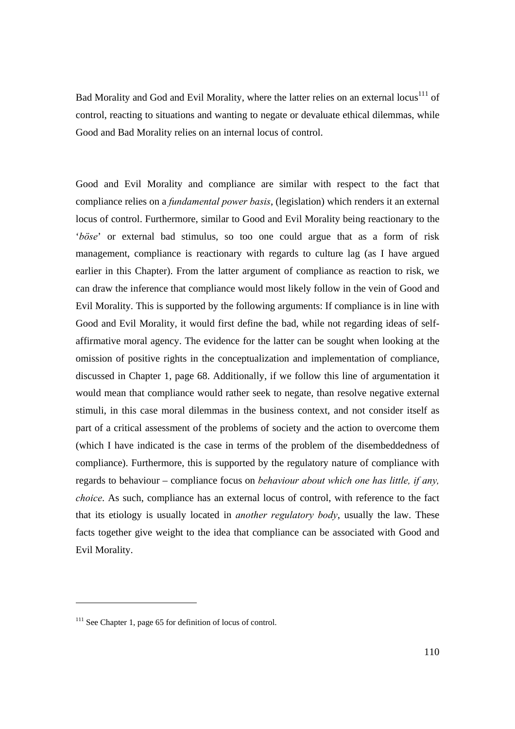Bad Morality and God and Evil Morality, where the latter relies on an external locus<sup>111</sup> of control, reacting to situations and wanting to negate or devaluate ethical dilemmas, while Good and Bad Morality relies on an internal locus of control.

Good and Evil Morality and compliance are similar with respect to the fact that compliance relies on a *fundamental power basis*, (legislation) which renders it an external locus of control. Furthermore, similar to Good and Evil Morality being reactionary to the '*böse*' or external bad stimulus, so too one could argue that as a form of risk management, compliance is reactionary with regards to culture lag (as I have argued earlier in this Chapter). From the latter argument of compliance as reaction to risk, we can draw the inference that compliance would most likely follow in the vein of Good and Evil Morality. This is supported by the following arguments: If compliance is in line with Good and Evil Morality, it would first define the bad, while not regarding ideas of selfaffirmative moral agency. The evidence for the latter can be sought when looking at the omission of positive rights in the conceptualization and implementation of compliance, discussed in Chapter 1, page 68. Additionally, if we follow this line of argumentation it would mean that compliance would rather seek to negate, than resolve negative external stimuli, in this case moral dilemmas in the business context, and not consider itself as part of a critical assessment of the problems of society and the action to overcome them (which I have indicated is the case in terms of the problem of the disembeddedness of compliance). Furthermore, this is supported by the regulatory nature of compliance with regards to behaviour – compliance focus on *behaviour about which one has little, if any, choice*. As such, compliance has an external locus of control, with reference to the fact that its etiology is usually located in *another regulatory body*, usually the law. These facts together give weight to the idea that compliance can be associated with Good and Evil Morality.

<sup>&</sup>lt;sup>111</sup> See Chapter 1, page 65 for definition of locus of control.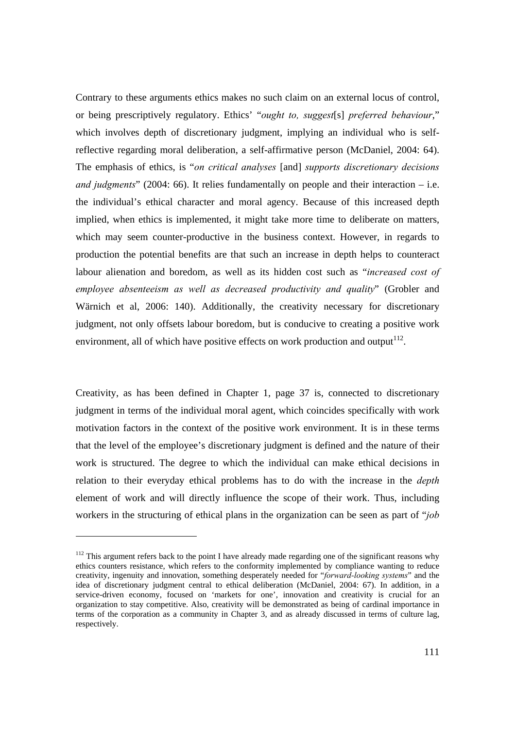Contrary to these arguments ethics makes no such claim on an external locus of control, or being prescriptively regulatory. Ethics' "*ought to, suggest*[s] *preferred behaviour*," which involves depth of discretionary judgment, implying an individual who is selfreflective regarding moral deliberation, a self-affirmative person (McDaniel, 2004: 64). The emphasis of ethics, is "*on critical analyses* [and] *supports discretionary decisions and judgments*" (2004: 66). It relies fundamentally on people and their interaction – i.e. the individual's ethical character and moral agency. Because of this increased depth implied, when ethics is implemented, it might take more time to deliberate on matters, which may seem counter-productive in the business context. However, in regards to production the potential benefits are that such an increase in depth helps to counteract labour alienation and boredom, as well as its hidden cost such as "*increased cost of employee absenteeism as well as decreased productivity and quality*" (Grobler and Wärnich et al, 2006: 140). Additionally, the creativity necessary for discretionary judgment, not only offsets labour boredom, but is conducive to creating a positive work environment, all of which have positive effects on work production and output<sup>112</sup>.

Creativity, as has been defined in Chapter 1, page 37 is, connected to discretionary judgment in terms of the individual moral agent, which coincides specifically with work motivation factors in the context of the positive work environment. It is in these terms that the level of the employee's discretionary judgment is defined and the nature of their work is structured. The degree to which the individual can make ethical decisions in relation to their everyday ethical problems has to do with the increase in the *depth* element of work and will directly influence the scope of their work. Thus, including workers in the structuring of ethical plans in the organization can be seen as part of "*job* 

<sup>&</sup>lt;sup>112</sup> This argument refers back to the point I have already made regarding one of the significant reasons why ethics counters resistance, which refers to the conformity implemented by compliance wanting to reduce creativity, ingenuity and innovation, something desperately needed for "*forward-looking systems*" and the idea of discretionary judgment central to ethical deliberation (McDaniel, 2004: 67). In addition, in a service-driven economy, focused on 'markets for one', innovation and creativity is crucial for an organization to stay competitive. Also, creativity will be demonstrated as being of cardinal importance in terms of the corporation as a community in Chapter 3, and as already discussed in terms of culture lag, respectively.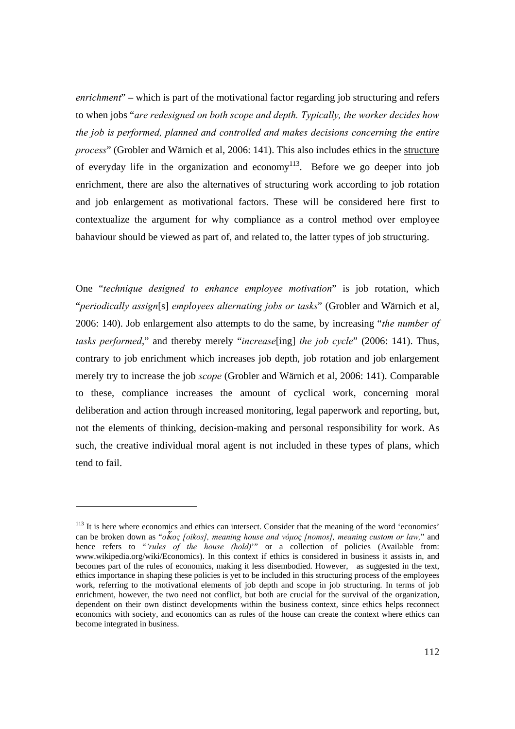*enrichment*" – which is part of the motivational factor regarding job structuring and refers to when jobs "*are redesigned on both scope and depth. Typically, the worker decides how the job is performed, planned and controlled and makes decisions concerning the entire process*" (Grobler and Wärnich et al, 2006: 141). This also includes ethics in the structure of everyday life in the organization and economy<sup>113</sup>. Before we go deeper into job enrichment, there are also the alternatives of structuring work according to job rotation and job enlargement as motivational factors. These will be considered here first to contextualize the argument for why compliance as a control method over employee bahaviour should be viewed as part of, and related to, the latter types of job structuring.

One "*technique designed to enhance employee motivation*" is job rotation, which "*periodically assign*[s] *employees alternating jobs or tasks*" (Grobler and Wärnich et al, 2006: 140). Job enlargement also attempts to do the same, by increasing "*the number of tasks performed*," and thereby merely "*increase*[ing] *the job cycle*" (2006: 141). Thus, contrary to job enrichment which increases job depth, job rotation and job enlargement merely try to increase the job *scope* (Grobler and Wärnich et al, 2006: 141). Comparable to these, compliance increases the amount of cyclical work, concerning moral deliberation and action through increased monitoring, legal paperwork and reporting, but, not the elements of thinking, decision-making and personal responsibility for work. As such, the creative individual moral agent is not included in these types of plans, which tend to fail.

 $\overline{a}$ 

<sup>&</sup>lt;sup>113</sup> It is here where economics and ethics can intersect. Consider that the meaning of the word 'economics' can be broken down as "*ο*ἶ*κος [oikos], meaning house and νόμος [nomos], meaning custom or law,*" and hence refers to "*'rules of the house (hold)*'" or a collection of policies (Available from: www.wikipedia.org/wiki/Economics). In this context if ethics is considered in business it assists in, and becomes part of the rules of economics, making it less disembodied. However, as suggested in the text, ethics importance in shaping these policies is yet to be included in this structuring process of the employees work, referring to the motivational elements of job depth and scope in job structuring. In terms of job enrichment, however, the two need not conflict, but both are crucial for the survival of the organization, dependent on their own distinct developments within the business context, since ethics helps reconnect economics with society, and economics can as rules of the house can create the context where ethics can become integrated in business.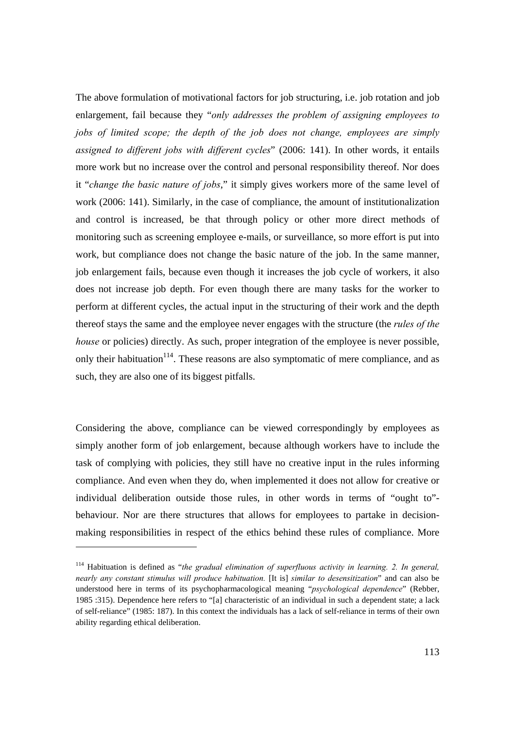The above formulation of motivational factors for job structuring, i.e. job rotation and job enlargement, fail because they "*only addresses the problem of assigning employees to jobs of limited scope; the depth of the job does not change, employees are simply assigned to different jobs with different cycles*" (2006: 141). In other words, it entails more work but no increase over the control and personal responsibility thereof. Nor does it "*change the basic nature of jobs*," it simply gives workers more of the same level of work (2006: 141). Similarly, in the case of compliance, the amount of institutionalization and control is increased, be that through policy or other more direct methods of monitoring such as screening employee e-mails, or surveillance, so more effort is put into work, but compliance does not change the basic nature of the job. In the same manner, job enlargement fails, because even though it increases the job cycle of workers, it also does not increase job depth. For even though there are many tasks for the worker to perform at different cycles, the actual input in the structuring of their work and the depth thereof stays the same and the employee never engages with the structure (the *rules of the house* or policies) directly. As such, proper integration of the employee is never possible, only their habituation<sup>114</sup>. These reasons are also symptomatic of mere compliance, and as such, they are also one of its biggest pitfalls.

Considering the above, compliance can be viewed correspondingly by employees as simply another form of job enlargement, because although workers have to include the task of complying with policies, they still have no creative input in the rules informing compliance. And even when they do, when implemented it does not allow for creative or individual deliberation outside those rules, in other words in terms of "ought to" behaviour. Nor are there structures that allows for employees to partake in decisionmaking responsibilities in respect of the ethics behind these rules of compliance. More

 $\overline{a}$ 

<sup>&</sup>lt;sup>114</sup> Habituation is defined as "the gradual elimination of superfluous activity in learning. 2. In general, *nearly any constant stimulus will produce habituation.* [It is] *similar to desensitization*" and can also be understood here in terms of its psychopharmacological meaning "*psychological dependence*" (Rebber, 1985 :315). Dependence here refers to "[a] characteristic of an individual in such a dependent state; a lack of self-reliance" (1985: 187). In this context the individuals has a lack of self-reliance in terms of their own ability regarding ethical deliberation.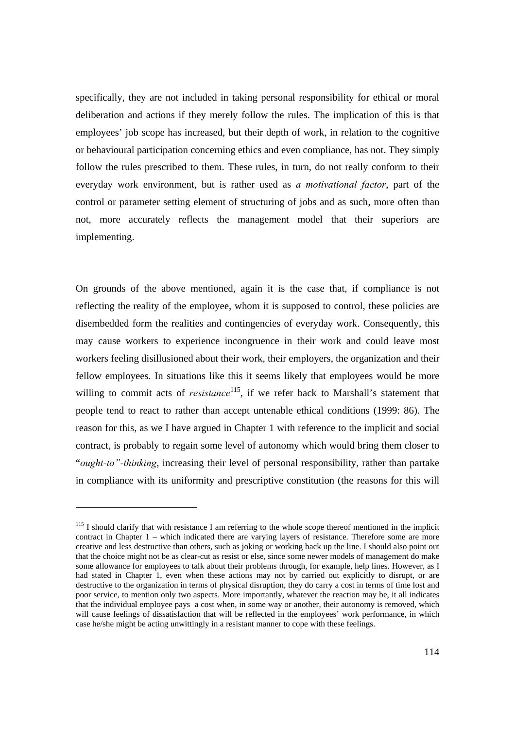specifically, they are not included in taking personal responsibility for ethical or moral deliberation and actions if they merely follow the rules. The implication of this is that employees' job scope has increased, but their depth of work, in relation to the cognitive or behavioural participation concerning ethics and even compliance, has not. They simply follow the rules prescribed to them. These rules, in turn, do not really conform to their everyday work environment, but is rather used as *a motivational factor*, part of the control or parameter setting element of structuring of jobs and as such, more often than not, more accurately reflects the management model that their superiors are implementing.

On grounds of the above mentioned, again it is the case that, if compliance is not reflecting the reality of the employee, whom it is supposed to control, these policies are disembedded form the realities and contingencies of everyday work. Consequently, this may cause workers to experience incongruence in their work and could leave most workers feeling disillusioned about their work, their employers, the organization and their fellow employees. In situations like this it seems likely that employees would be more willing to commit acts of *resistance*<sup>115</sup>, if we refer back to Marshall's statement that people tend to react to rather than accept untenable ethical conditions (1999: 86). The reason for this, as we I have argued in Chapter 1 with reference to the implicit and social contract, is probably to regain some level of autonomy which would bring them closer to "*ought-to"-thinking*, increasing their level of personal responsibility, rather than partake in compliance with its uniformity and prescriptive constitution (the reasons for this will

<sup>&</sup>lt;sup>115</sup> I should clarify that with resistance I am referring to the whole scope thereof mentioned in the implicit contract in Chapter 1 – which indicated there are varying layers of resistance. Therefore some are more creative and less destructive than others, such as joking or working back up the line. I should also point out that the choice might not be as clear-cut as resist or else, since some newer models of management do make some allowance for employees to talk about their problems through, for example, help lines. However, as I had stated in Chapter 1, even when these actions may not by carried out explicitly to disrupt, or are destructive to the organization in terms of physical disruption, they do carry a cost in terms of time lost and poor service, to mention only two aspects. More importantly, whatever the reaction may be, it all indicates that the individual employee pays a cost when, in some way or another, their autonomy is removed, which will cause feelings of dissatisfaction that will be reflected in the employees' work performance, in which case he/she might be acting unwittingly in a resistant manner to cope with these feelings.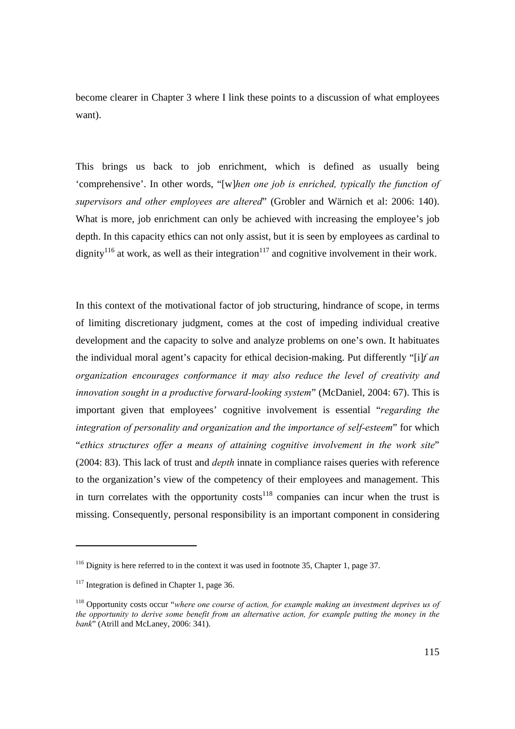become clearer in Chapter 3 where I link these points to a discussion of what employees want).

This brings us back to job enrichment, which is defined as usually being 'comprehensive'. In other words, "[w]*hen one job is enriched, typically the function of supervisors and other employees are altered*" (Grobler and Wärnich et al: 2006: 140). What is more, job enrichment can only be achieved with increasing the employee's job depth. In this capacity ethics can not only assist, but it is seen by employees as cardinal to dignity<sup>116</sup> at work, as well as their integration<sup>117</sup> and cognitive involvement in their work.

In this context of the motivational factor of job structuring, hindrance of scope, in terms of limiting discretionary judgment, comes at the cost of impeding individual creative development and the capacity to solve and analyze problems on one's own. It habituates the individual moral agent's capacity for ethical decision-making. Put differently "[i]*f an organization encourages conformance it may also reduce the level of creativity and innovation sought in a productive forward-looking system*" (McDaniel, 2004: 67). This is important given that employees' cognitive involvement is essential "*regarding the integration of personality and organization and the importance of self-esteem*" for which "*ethics structures offer a means of attaining cognitive involvement in the work site*" (2004: 83). This lack of trust and *depth* innate in compliance raises queries with reference to the organization's view of the competency of their employees and management. This in turn correlates with the opportunity costs<sup>118</sup> companies can incur when the trust is missing. Consequently, personal responsibility is an important component in considering

<sup>&</sup>lt;sup>116</sup> Dignity is here referred to in the context it was used in footnote 35, Chapter 1, page 37.

 $117$  Integration is defined in Chapter 1, page 36.

<sup>118</sup> Opportunity costs occur "*where one course of action, for example making an investment deprives us of the opportunity to derive some benefit from an alternative action, for example putting the money in the bank*" (Atrill and McLaney, 2006: 341).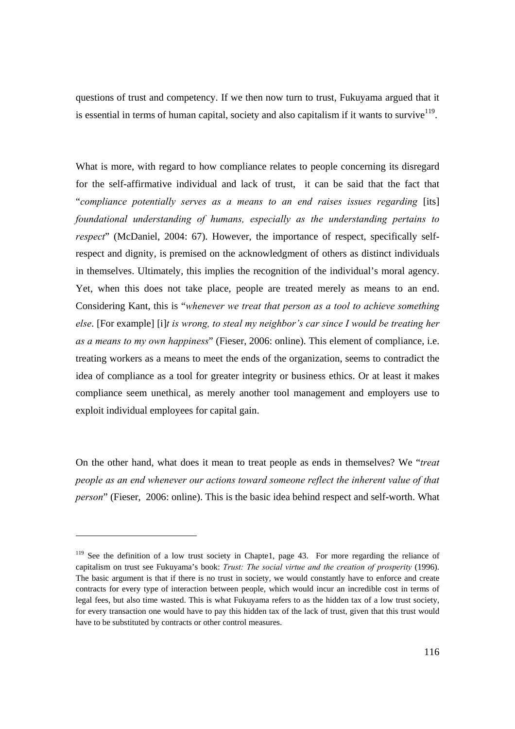questions of trust and competency. If we then now turn to trust, Fukuyama argued that it is essential in terms of human capital, society and also capitalism if it wants to survive<sup>119</sup>.

What is more, with regard to how compliance relates to people concerning its disregard for the self-affirmative individual and lack of trust, it can be said that the fact that "*compliance potentially serves as a means to an end raises issues regarding* [its] *foundational understanding of humans, especially as the understanding pertains to respect*" (McDaniel, 2004: 67). However, the importance of respect, specifically selfrespect and dignity, is premised on the acknowledgment of others as distinct individuals in themselves. Ultimately, this implies the recognition of the individual's moral agency. Yet, when this does not take place, people are treated merely as means to an end. Considering Kant, this is "*whenever we treat that person as a tool to achieve something else*. [For example] [i]*t is wrong, to steal my neighbor's car since I would be treating her as a means to my own happiness*" (Fieser, 2006: online). This element of compliance, i.e. treating workers as a means to meet the ends of the organization, seems to contradict the idea of compliance as a tool for greater integrity or business ethics. Or at least it makes compliance seem unethical, as merely another tool management and employers use to exploit individual employees for capital gain.

On the other hand, what does it mean to treat people as ends in themselves? We "*treat people as an end whenever our actions toward someone reflect the inherent value of that person*" (Fieser, 2006: online). This is the basic idea behind respect and self-worth. What

<sup>&</sup>lt;sup>119</sup> See the definition of a low trust society in Chapte1, page 43. For more regarding the reliance of capitalism on trust see Fukuyama's book: *Trust: The social virtue and the creation of prosperity* (1996). The basic argument is that if there is no trust in society, we would constantly have to enforce and create contracts for every type of interaction between people, which would incur an incredible cost in terms of legal fees, but also time wasted. This is what Fukuyama refers to as the hidden tax of a low trust society, for every transaction one would have to pay this hidden tax of the lack of trust, given that this trust would have to be substituted by contracts or other control measures.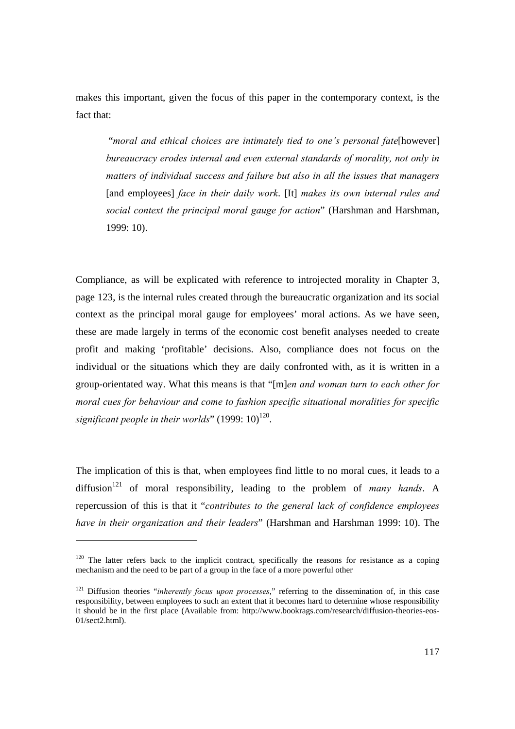makes this important, given the focus of this paper in the contemporary context, is the fact that:

 "*moral and ethical choices are intimately tied to one's personal fate*[however] *bureaucracy erodes internal and even external standards of morality, not only in matters of individual success and failure but also in all the issues that managers*  [and employees] *face in their daily work*. [It] *makes its own internal rules and social context the principal moral gauge for action*" (Harshman and Harshman, 1999: 10).

Compliance, as will be explicated with reference to introjected morality in Chapter 3, page 123, is the internal rules created through the bureaucratic organization and its social context as the principal moral gauge for employees' moral actions. As we have seen, these are made largely in terms of the economic cost benefit analyses needed to create profit and making 'profitable' decisions. Also, compliance does not focus on the individual or the situations which they are daily confronted with, as it is written in a group-orientated way. What this means is that "[m]*en and woman turn to each other for moral cues for behaviour and come to fashion specific situational moralities for specific*  significant people in their worlds" (1999: 10)<sup>120</sup>.

The implication of this is that, when employees find little to no moral cues, it leads to a diffusion<sup>121</sup> of moral responsibility, leading to the problem of *many hands*. A repercussion of this is that it "*contributes to the general lack of confidence employees have in their organization and their leaders*" (Harshman and Harshman 1999: 10). The

 $\overline{a}$ 

 $120$  The latter refers back to the implicit contract, specifically the reasons for resistance as a coping mechanism and the need to be part of a group in the face of a more powerful other

<sup>&</sup>lt;sup>121</sup> Diffusion theories "*inherently focus upon processes*," referring to the dissemination of, in this case responsibility, between employees to such an extent that it becomes hard to determine whose responsibility it should be in the first place (Available from: http://www.bookrags.com/research/diffusion-theories-eos-01/sect2.html).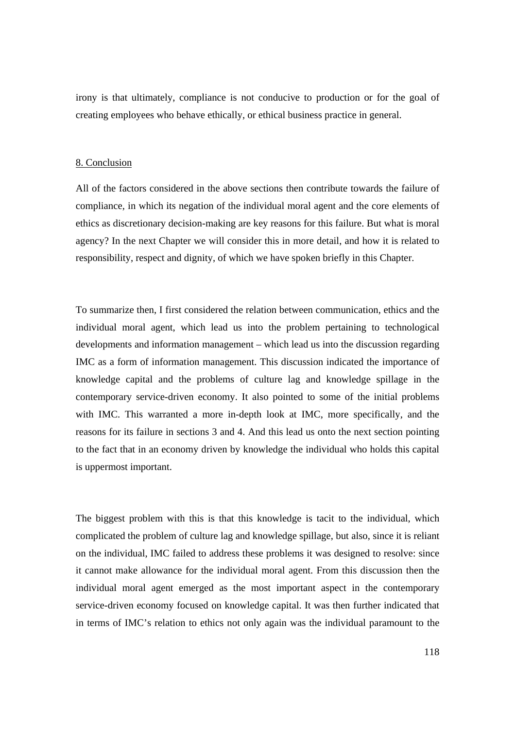irony is that ultimately, compliance is not conducive to production or for the goal of creating employees who behave ethically, or ethical business practice in general.

#### 8. Conclusion

All of the factors considered in the above sections then contribute towards the failure of compliance, in which its negation of the individual moral agent and the core elements of ethics as discretionary decision-making are key reasons for this failure. But what is moral agency? In the next Chapter we will consider this in more detail, and how it is related to responsibility, respect and dignity, of which we have spoken briefly in this Chapter.

To summarize then, I first considered the relation between communication, ethics and the individual moral agent, which lead us into the problem pertaining to technological developments and information management – which lead us into the discussion regarding IMC as a form of information management. This discussion indicated the importance of knowledge capital and the problems of culture lag and knowledge spillage in the contemporary service-driven economy. It also pointed to some of the initial problems with IMC. This warranted a more in-depth look at IMC, more specifically, and the reasons for its failure in sections 3 and 4. And this lead us onto the next section pointing to the fact that in an economy driven by knowledge the individual who holds this capital is uppermost important.

The biggest problem with this is that this knowledge is tacit to the individual, which complicated the problem of culture lag and knowledge spillage, but also, since it is reliant on the individual, IMC failed to address these problems it was designed to resolve: since it cannot make allowance for the individual moral agent. From this discussion then the individual moral agent emerged as the most important aspect in the contemporary service-driven economy focused on knowledge capital. It was then further indicated that in terms of IMC's relation to ethics not only again was the individual paramount to the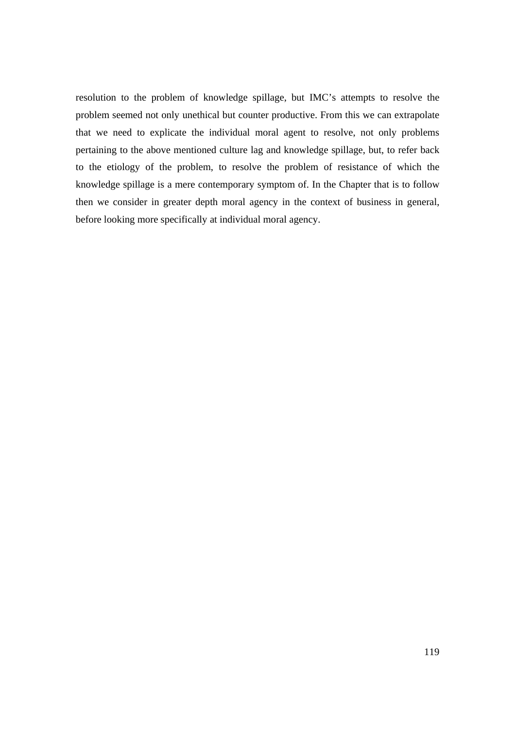resolution to the problem of knowledge spillage, but IMC's attempts to resolve the problem seemed not only unethical but counter productive. From this we can extrapolate that we need to explicate the individual moral agent to resolve, not only problems pertaining to the above mentioned culture lag and knowledge spillage, but, to refer back to the etiology of the problem, to resolve the problem of resistance of which the knowledge spillage is a mere contemporary symptom of. In the Chapter that is to follow then we consider in greater depth moral agency in the context of business in general, before looking more specifically at individual moral agency.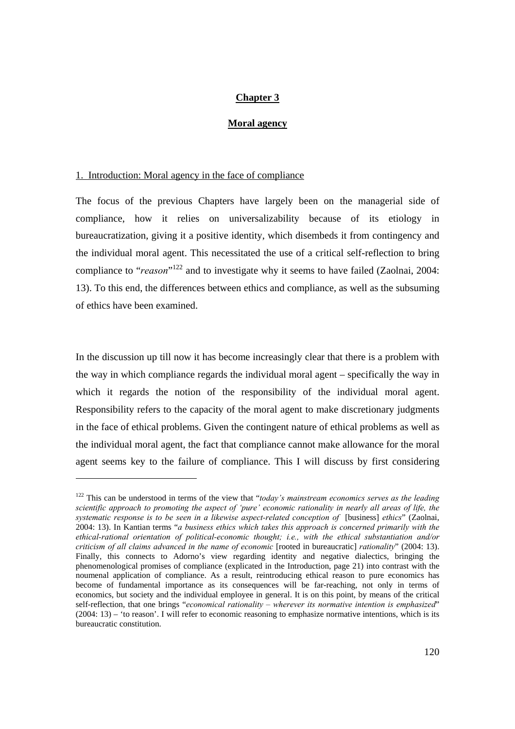## **Chapter 3**

#### **Moral agency**

#### 1. Introduction: Moral agency in the face of compliance

The focus of the previous Chapters have largely been on the managerial side of compliance, how it relies on universalizability because of its etiology in bureaucratization, giving it a positive identity, which disembeds it from contingency and the individual moral agent. This necessitated the use of a critical self-reflection to bring compliance to "*reason*"<sup>122</sup> and to investigate why it seems to have failed (Zaolnai, 2004: 13). To this end, the differences between ethics and compliance, as well as the subsuming of ethics have been examined.

In the discussion up till now it has become increasingly clear that there is a problem with the way in which compliance regards the individual moral agent – specifically the way in which it regards the notion of the responsibility of the individual moral agent. Responsibility refers to the capacity of the moral agent to make discretionary judgments in the face of ethical problems. Given the contingent nature of ethical problems as well as the individual moral agent, the fact that compliance cannot make allowance for the moral agent seems key to the failure of compliance. This I will discuss by first considering

<sup>122</sup> This can be understood in terms of the view that "*today's mainstream economics serves as the leading scientific approach to promoting the aspect of 'pure' economic rationality in nearly all areas of life, the systematic response is to be seen in a likewise aspect-related conception of* [business] *ethics*" (Zaolnai, 2004: 13). In Kantian terms "*a business ethics which takes this approach is concerned primarily with the ethical-rational orientation of political-economic thought; i.e., with the ethical substantiation and/or criticism of all claims advanced in the name of economic* [rooted in bureaucratic] *rationality*" (2004: 13). Finally, this connects to Adorno's view regarding identity and negative dialectics, bringing the phenomenological promises of compliance (explicated in the Introduction, page 21) into contrast with the noumenal application of compliance. As a result, reintroducing ethical reason to pure economics has become of fundamental importance as its consequences will be far-reaching, not only in terms of economics, but society and the individual employee in general. It is on this point, by means of the critical self-reflection, that one brings "*economical rationality – wherever its normative intention is emphasized*" (2004: 13) – 'to reason'. I will refer to economic reasoning to emphasize normative intentions, which is its bureaucratic constitution.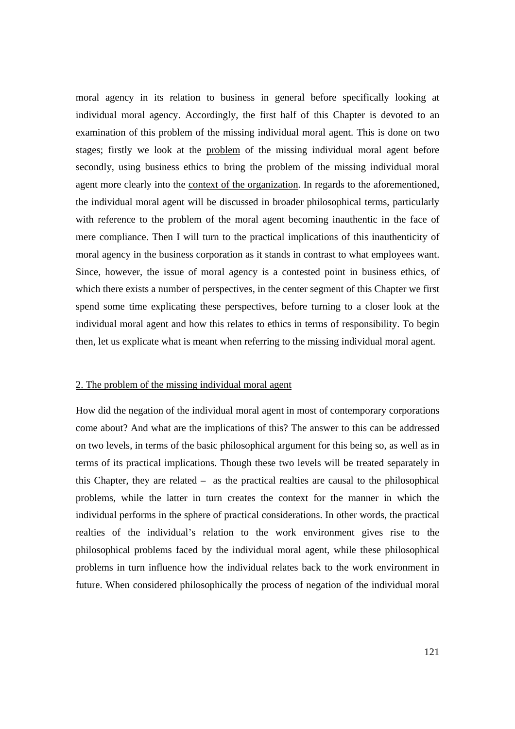moral agency in its relation to business in general before specifically looking at individual moral agency. Accordingly, the first half of this Chapter is devoted to an examination of this problem of the missing individual moral agent. This is done on two stages; firstly we look at the problem of the missing individual moral agent before secondly, using business ethics to bring the problem of the missing individual moral agent more clearly into the context of the organization. In regards to the aforementioned, the individual moral agent will be discussed in broader philosophical terms, particularly with reference to the problem of the moral agent becoming inauthentic in the face of mere compliance. Then I will turn to the practical implications of this inauthenticity of moral agency in the business corporation as it stands in contrast to what employees want. Since, however, the issue of moral agency is a contested point in business ethics, of which there exists a number of perspectives, in the center segment of this Chapter we first spend some time explicating these perspectives, before turning to a closer look at the individual moral agent and how this relates to ethics in terms of responsibility. To begin then, let us explicate what is meant when referring to the missing individual moral agent.

### 2. The problem of the missing individual moral agent

How did the negation of the individual moral agent in most of contemporary corporations come about? And what are the implications of this? The answer to this can be addressed on two levels, in terms of the basic philosophical argument for this being so, as well as in terms of its practical implications. Though these two levels will be treated separately in this Chapter, they are related – as the practical realties are causal to the philosophical problems, while the latter in turn creates the context for the manner in which the individual performs in the sphere of practical considerations. In other words, the practical realties of the individual's relation to the work environment gives rise to the philosophical problems faced by the individual moral agent, while these philosophical problems in turn influence how the individual relates back to the work environment in future. When considered philosophically the process of negation of the individual moral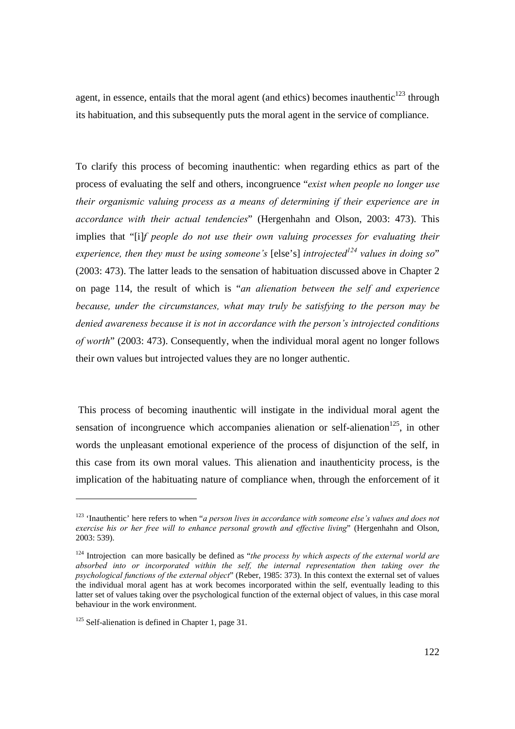agent, in essence, entails that the moral agent (and ethics) becomes inauthentic $^{123}$  through its habituation, and this subsequently puts the moral agent in the service of compliance.

To clarify this process of becoming inauthentic: when regarding ethics as part of the process of evaluating the self and others, incongruence "*exist when people no longer use their organismic valuing process as a means of determining if their experience are in accordance with their actual tendencies*" (Hergenhahn and Olson, 2003: 473). This implies that "[i]*f people do not use their own valuing processes for evaluating their experience, then they must be using someone's* [else's] *introjected*<sup>124</sup> values in doing so" (2003: 473). The latter leads to the sensation of habituation discussed above in Chapter 2 on page 114, the result of which is "*an alienation between the self and experience because, under the circumstances, what may truly be satisfying to the person may be denied awareness because it is not in accordance with the person's introjected conditions of worth*" (2003: 473). Consequently, when the individual moral agent no longer follows their own values but introjected values they are no longer authentic.

 This process of becoming inauthentic will instigate in the individual moral agent the sensation of incongruence which accompanies alienation or self-alienation<sup>125</sup>, in other words the unpleasant emotional experience of the process of disjunction of the self, in this case from its own moral values. This alienation and inauthenticity process, is the implication of the habituating nature of compliance when, through the enforcement of it

<sup>123 &#</sup>x27;Inauthentic' here refers to when "*a person lives in accordance with someone else's values and does not exercise his or her free will to enhance personal growth and effective living*" (Hergenhahn and Olson, 2003: 539).

<sup>&</sup>lt;sup>124</sup> Introjection can more basically be defined as "*the process by which aspects of the external world are absorbed into or incorporated within the self, the internal representation then taking over the psychological functions of the external object*" (Reber, 1985: 373). In this context the external set of values the individual moral agent has at work becomes incorporated within the self, eventually leading to this latter set of values taking over the psychological function of the external object of values, in this case moral behaviour in the work environment.

<sup>&</sup>lt;sup>125</sup> Self-alienation is defined in Chapter 1, page 31.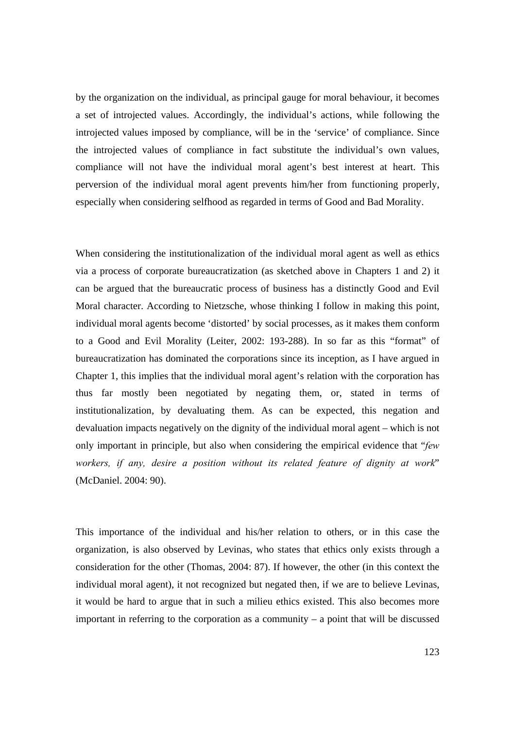by the organization on the individual, as principal gauge for moral behaviour, it becomes a set of introjected values. Accordingly, the individual's actions, while following the introjected values imposed by compliance, will be in the 'service' of compliance. Since the introjected values of compliance in fact substitute the individual's own values, compliance will not have the individual moral agent's best interest at heart. This perversion of the individual moral agent prevents him/her from functioning properly, especially when considering selfhood as regarded in terms of Good and Bad Morality.

When considering the institutionalization of the individual moral agent as well as ethics via a process of corporate bureaucratization (as sketched above in Chapters 1 and 2) it can be argued that the bureaucratic process of business has a distinctly Good and Evil Moral character. According to Nietzsche, whose thinking I follow in making this point, individual moral agents become 'distorted' by social processes, as it makes them conform to a Good and Evil Morality (Leiter, 2002: 193-288). In so far as this "format" of bureaucratization has dominated the corporations since its inception, as I have argued in Chapter 1, this implies that the individual moral agent's relation with the corporation has thus far mostly been negotiated by negating them, or, stated in terms of institutionalization, by devaluating them. As can be expected, this negation and devaluation impacts negatively on the dignity of the individual moral agent – which is not only important in principle, but also when considering the empirical evidence that "*few workers, if any, desire a position without its related feature of dignity at work*" (McDaniel. 2004: 90).

This importance of the individual and his/her relation to others, or in this case the organization, is also observed by Levinas, who states that ethics only exists through a consideration for the other (Thomas, 2004: 87). If however, the other (in this context the individual moral agent), it not recognized but negated then, if we are to believe Levinas, it would be hard to argue that in such a milieu ethics existed. This also becomes more important in referring to the corporation as a community – a point that will be discussed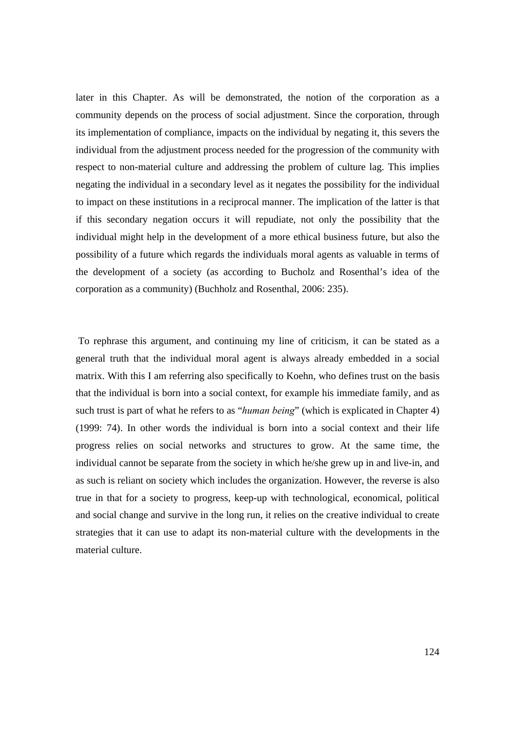later in this Chapter. As will be demonstrated, the notion of the corporation as a community depends on the process of social adjustment. Since the corporation, through its implementation of compliance, impacts on the individual by negating it, this severs the individual from the adjustment process needed for the progression of the community with respect to non-material culture and addressing the problem of culture lag. This implies negating the individual in a secondary level as it negates the possibility for the individual to impact on these institutions in a reciprocal manner. The implication of the latter is that if this secondary negation occurs it will repudiate, not only the possibility that the individual might help in the development of a more ethical business future, but also the possibility of a future which regards the individuals moral agents as valuable in terms of the development of a society (as according to Bucholz and Rosenthal's idea of the corporation as a community) (Buchholz and Rosenthal, 2006: 235).

 To rephrase this argument, and continuing my line of criticism, it can be stated as a general truth that the individual moral agent is always already embedded in a social matrix. With this I am referring also specifically to Koehn, who defines trust on the basis that the individual is born into a social context, for example his immediate family, and as such trust is part of what he refers to as "*human being*" (which is explicated in Chapter 4) (1999: 74). In other words the individual is born into a social context and their life progress relies on social networks and structures to grow. At the same time, the individual cannot be separate from the society in which he/she grew up in and live-in, and as such is reliant on society which includes the organization. However, the reverse is also true in that for a society to progress, keep-up with technological, economical, political and social change and survive in the long run, it relies on the creative individual to create strategies that it can use to adapt its non-material culture with the developments in the material culture.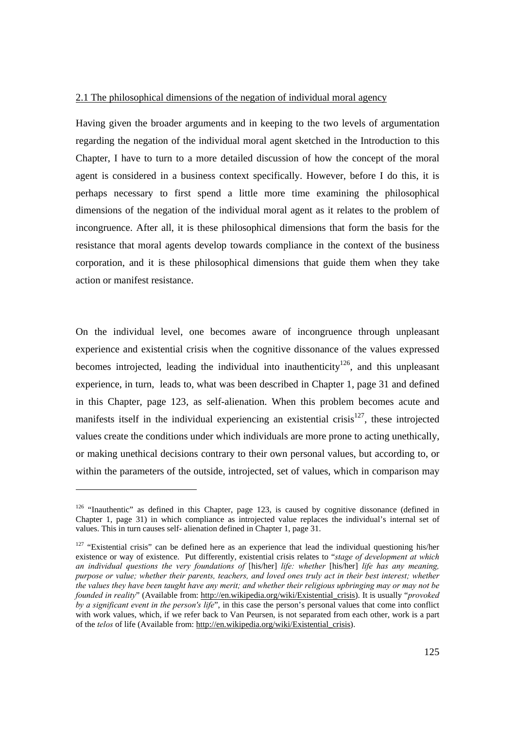### 2.1 The philosophical dimensions of the negation of individual moral agency

Having given the broader arguments and in keeping to the two levels of argumentation regarding the negation of the individual moral agent sketched in the Introduction to this Chapter, I have to turn to a more detailed discussion of how the concept of the moral agent is considered in a business context specifically. However, before I do this, it is perhaps necessary to first spend a little more time examining the philosophical dimensions of the negation of the individual moral agent as it relates to the problem of incongruence. After all, it is these philosophical dimensions that form the basis for the resistance that moral agents develop towards compliance in the context of the business corporation, and it is these philosophical dimensions that guide them when they take action or manifest resistance.

On the individual level, one becomes aware of incongruence through unpleasant experience and existential crisis when the cognitive dissonance of the values expressed becomes introjected, leading the individual into inauthenticity<sup>126</sup>, and this unpleasant experience, in turn, leads to, what was been described in Chapter 1, page 31 and defined in this Chapter, page 123, as self-alienation. When this problem becomes acute and manifests itself in the individual experiencing an existential crisis $127$ , these introjected values create the conditions under which individuals are more prone to acting unethically, or making unethical decisions contrary to their own personal values, but according to, or within the parameters of the outside, introjected, set of values, which in comparison may

 $126$  "Inauthentic" as defined in this Chapter, page 123, is caused by cognitive dissonance (defined in Chapter 1, page 31) in which compliance as introjected value replaces the individual's internal set of values. This in turn causes self- alienation defined in Chapter 1, page 31.

<sup>&</sup>lt;sup>127</sup> "Existential crisis" can be defined here as an experience that lead the individual questioning his/her existence or way of existence. Put differently, existential crisis relates to "*stage of development at which an individual questions the very foundations of* [his/her] *life: whether* [his/her] *life has any meaning, purpose or value; whether their parents, teachers, and loved ones truly act in their best interest; whether the values they have been taught have any merit; and whether their religious upbringing may or may not be founded in reality*" (Available from: http://en.wikipedia.org/wiki/Existential\_crisis). It is usually "*provoked by a significant event in the person's life*", in this case the person's personal values that come into conflict with work values, which, if we refer back to Van Peursen, is not separated from each other, work is a part of the *telos* of life (Available from: http://en.wikipedia.org/wiki/Existential\_crisis).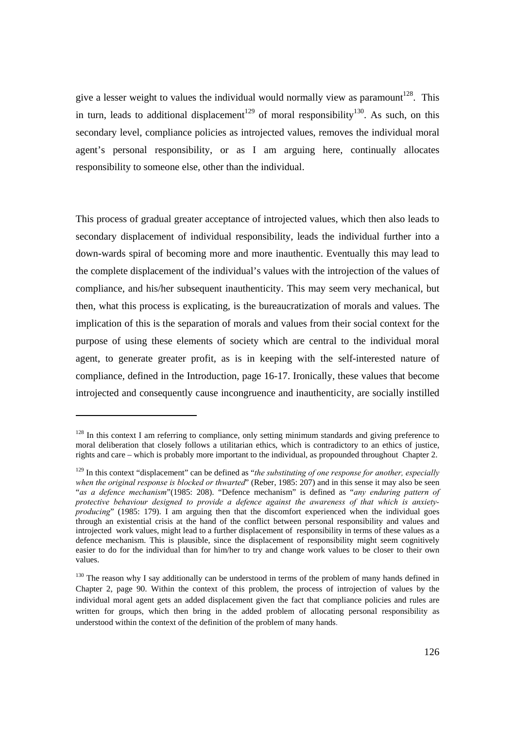give a lesser weight to values the individual would normally view as paramount<sup>128</sup>. This in turn, leads to additional displacement<sup>129</sup> of moral responsibility<sup>130</sup>. As such, on this secondary level, compliance policies as introjected values, removes the individual moral agent's personal responsibility, or as I am arguing here, continually allocates responsibility to someone else, other than the individual.

This process of gradual greater acceptance of introjected values, which then also leads to secondary displacement of individual responsibility, leads the individual further into a down-wards spiral of becoming more and more inauthentic. Eventually this may lead to the complete displacement of the individual's values with the introjection of the values of compliance, and his/her subsequent inauthenticity. This may seem very mechanical, but then, what this process is explicating, is the bureaucratization of morals and values. The implication of this is the separation of morals and values from their social context for the purpose of using these elements of society which are central to the individual moral agent, to generate greater profit, as is in keeping with the self-interested nature of compliance, defined in the Introduction, page 16-17. Ironically, these values that become introjected and consequently cause incongruence and inauthenticity, are socially instilled

 $128$  In this context I am referring to compliance, only setting minimum standards and giving preference to moral deliberation that closely follows a utilitarian ethics, which is contradictory to an ethics of justice, rights and care – which is probably more important to the individual, as propounded throughout Chapter 2.

<sup>&</sup>lt;sup>129</sup> In this context "displacement" can be defined as "*the substituting of one response for another, especially when the original response is blocked or thwarted*" (Reber, 1985: 207) and in this sense it may also be seen "*as a defence mechanism*"(1985: 208). "Defence mechanism" is defined as "*any enduring pattern of protective behaviour designed to provide a defence against the awareness of that which is anxietyproducing*" (1985: 179). I am arguing then that the discomfort experienced when the individual goes through an existential crisis at the hand of the conflict between personal responsibility and values and introjected work values, might lead to a further displacement of responsibility in terms of these values as a defence mechanism. This is plausible, since the displacement of responsibility might seem cognitively easier to do for the individual than for him/her to try and change work values to be closer to their own values.

<sup>&</sup>lt;sup>130</sup> The reason why I say additionally can be understood in terms of the problem of many hands defined in Chapter 2, page 90. Within the context of this problem, the process of introjection of values by the individual moral agent gets an added displacement given the fact that compliance policies and rules are written for groups, which then bring in the added problem of allocating personal responsibility as understood within the context of the definition of the problem of many hands.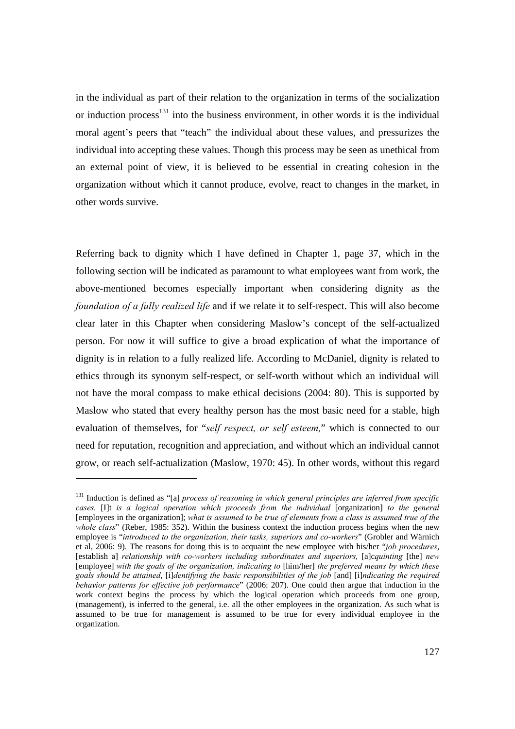in the individual as part of their relation to the organization in terms of the socialization or induction process<sup>131</sup> into the business environment, in other words it is the individual moral agent's peers that "teach" the individual about these values, and pressurizes the individual into accepting these values. Though this process may be seen as unethical from an external point of view, it is believed to be essential in creating cohesion in the organization without which it cannot produce, evolve, react to changes in the market, in other words survive.

Referring back to dignity which I have defined in Chapter 1, page 37, which in the following section will be indicated as paramount to what employees want from work, the above-mentioned becomes especially important when considering dignity as the *foundation of a fully realized life* and if we relate it to self-respect. This will also become clear later in this Chapter when considering Maslow's concept of the self-actualized person. For now it will suffice to give a broad explication of what the importance of dignity is in relation to a fully realized life. According to McDaniel, dignity is related to ethics through its synonym self-respect, or self-worth without which an individual will not have the moral compass to make ethical decisions (2004: 80). This is supported by Maslow who stated that every healthy person has the most basic need for a stable, high evaluation of themselves, for "*self respect, or self esteem,*" which is connected to our need for reputation, recognition and appreciation, and without which an individual cannot grow, or reach self-actualization (Maslow, 1970: 45). In other words, without this regard

<sup>&</sup>lt;sup>131</sup> Induction is defined as "[a] process of reasoning in which general principles are inferred from specific *cases.* [I]t *is a logical operation which proceeds from the individual* [organization] *to the general* [employees in the organization]; *what is assumed to be true of elements from a class is assumed true of the whole class*" (Reber, 1985: 352). Within the business context the induction process begins when the new employee is "*introduced to the organization, their tasks, superiors and co-workers*" (Grobler and Wärnich et al, 2006: 9). The reasons for doing this is to acquaint the new employee with his/her "*job procedures*, [establish a] *relationship with co-workers including subordinates and superiors,* [a]c*quinting* [the] *new* [employee] *with the goals of the organization, indicating to* [him/her] *the preferred means by which these goals should be attained*, [i]*dentifying the basic responsibilities of the job* [and] [i]*ndicating the required behavior patterns for effective job performance*" (2006: 207). One could then argue that induction in the work context begins the process by which the logical operation which proceeds from one group, (management), is inferred to the general, i.e. all the other employees in the organization. As such what is assumed to be true for management is assumed to be true for every individual employee in the organization.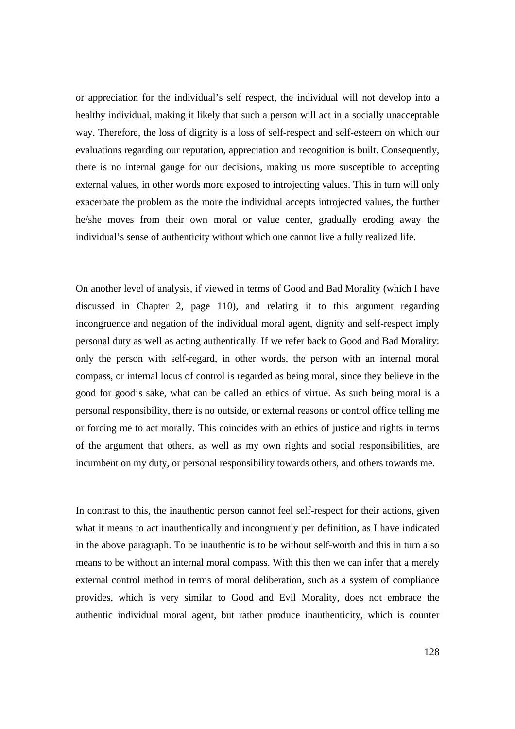or appreciation for the individual's self respect, the individual will not develop into a healthy individual, making it likely that such a person will act in a socially unacceptable way. Therefore, the loss of dignity is a loss of self-respect and self-esteem on which our evaluations regarding our reputation, appreciation and recognition is built. Consequently, there is no internal gauge for our decisions, making us more susceptible to accepting external values, in other words more exposed to introjecting values. This in turn will only exacerbate the problem as the more the individual accepts introjected values, the further he/she moves from their own moral or value center, gradually eroding away the individual's sense of authenticity without which one cannot live a fully realized life.

On another level of analysis, if viewed in terms of Good and Bad Morality (which I have discussed in Chapter 2, page 110), and relating it to this argument regarding incongruence and negation of the individual moral agent, dignity and self-respect imply personal duty as well as acting authentically. If we refer back to Good and Bad Morality: only the person with self-regard, in other words, the person with an internal moral compass, or internal locus of control is regarded as being moral, since they believe in the good for good's sake, what can be called an ethics of virtue. As such being moral is a personal responsibility, there is no outside, or external reasons or control office telling me or forcing me to act morally. This coincides with an ethics of justice and rights in terms of the argument that others, as well as my own rights and social responsibilities, are incumbent on my duty, or personal responsibility towards others, and others towards me.

In contrast to this, the inauthentic person cannot feel self-respect for their actions, given what it means to act inauthentically and incongruently per definition, as I have indicated in the above paragraph. To be inauthentic is to be without self-worth and this in turn also means to be without an internal moral compass. With this then we can infer that a merely external control method in terms of moral deliberation, such as a system of compliance provides, which is very similar to Good and Evil Morality, does not embrace the authentic individual moral agent, but rather produce inauthenticity, which is counter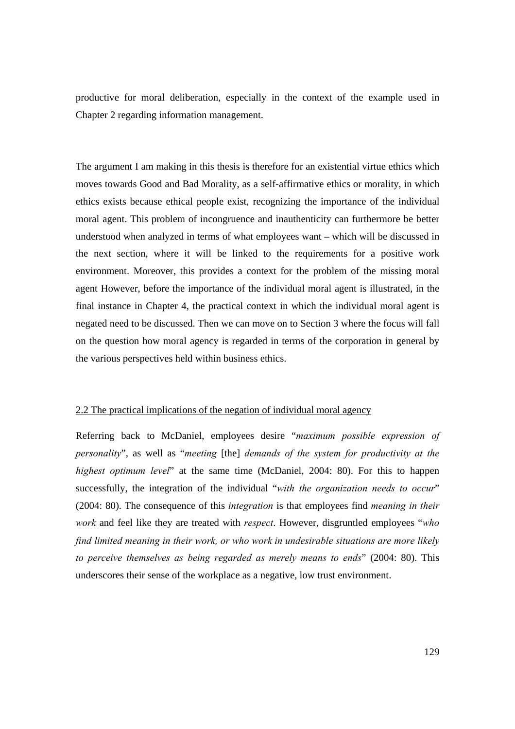productive for moral deliberation, especially in the context of the example used in Chapter 2 regarding information management.

The argument I am making in this thesis is therefore for an existential virtue ethics which moves towards Good and Bad Morality, as a self-affirmative ethics or morality, in which ethics exists because ethical people exist, recognizing the importance of the individual moral agent. This problem of incongruence and inauthenticity can furthermore be better understood when analyzed in terms of what employees want – which will be discussed in the next section, where it will be linked to the requirements for a positive work environment. Moreover, this provides a context for the problem of the missing moral agent However, before the importance of the individual moral agent is illustrated, in the final instance in Chapter 4, the practical context in which the individual moral agent is negated need to be discussed. Then we can move on to Section 3 where the focus will fall on the question how moral agency is regarded in terms of the corporation in general by the various perspectives held within business ethics.

## 2.2 The practical implications of the negation of individual moral agency

Referring back to McDaniel, employees desire "*maximum possible expression of personality*", as well as "*meeting* [the] *demands of the system for productivity at the highest optimum level*" at the same time (McDaniel, 2004: 80). For this to happen successfully, the integration of the individual "*with the organization needs to occur*" (2004: 80). The consequence of this *integration* is that employees find *meaning in their work* and feel like they are treated with *respect*. However, disgruntled employees "*who find limited meaning in their work, or who work in undesirable situations are more likely to perceive themselves as being regarded as merely means to ends*" (2004: 80). This underscores their sense of the workplace as a negative, low trust environment.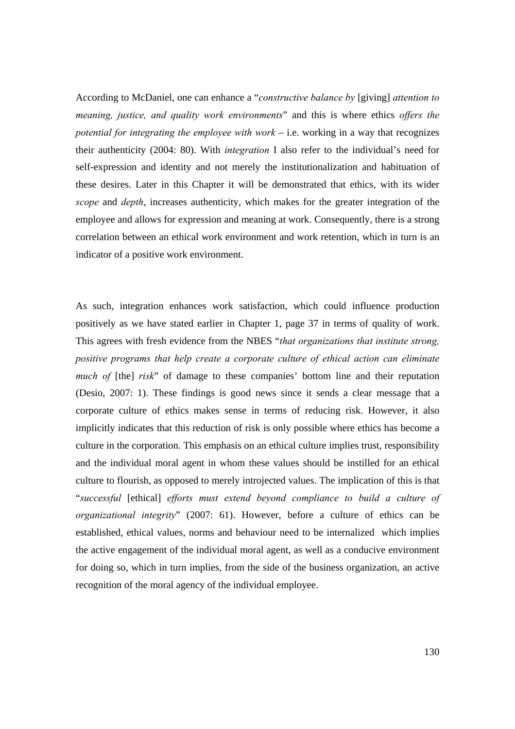According to McDaniel, one can enhance a "*constructive balance by* [giving] *attention to meaning, justice, and quality work environments*" and this is where ethics *offers the potential for integrating the employee with work* – i.e. working in a way that recognizes their authenticity (2004: 80). With *integration* I also refer to the individual's need for self-expression and identity and not merely the institutionalization and habituation of these desires. Later in this Chapter it will be demonstrated that ethics, with its wider *scope* and *depth*, increases authenticity, which makes for the greater integration of the employee and allows for expression and meaning at work. Consequently, there is a strong correlation between an ethical work environment and work retention, which in turn is an indicator of a positive work environment.

As such, integration enhances work satisfaction, which could influence production positively as we have stated earlier in Chapter 1, page 37 in terms of quality of work. This agrees with fresh evidence from the NBES "*that organizations that institute strong, positive programs that help create a corporate culture of ethical action can eliminate much of* [the] *risk*" of damage to these companies' bottom line and their reputation (Desio, 2007: 1). These findings is good news since it sends a clear message that a corporate culture of ethics makes sense in terms of reducing risk. However, it also implicitly indicates that this reduction of risk is only possible where ethics has become a culture in the corporation. This emphasis on an ethical culture implies trust, responsibility and the individual moral agent in whom these values should be instilled for an ethical culture to flourish, as opposed to merely introjected values. The implication of this is that "*successful* [ethical] *efforts must extend beyond compliance to build a culture of organizational integrity*" (2007: 61). However, before a culture of ethics can be established, ethical values, norms and behaviour need to be internalized which implies the active engagement of the individual moral agent, as well as a conducive environment for doing so, which in turn implies, from the side of the business organization, an active recognition of the moral agency of the individual employee.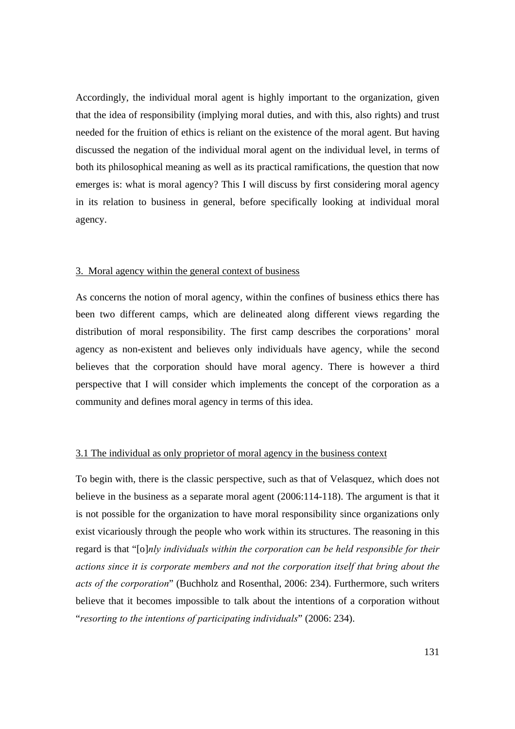Accordingly, the individual moral agent is highly important to the organization, given that the idea of responsibility (implying moral duties, and with this, also rights) and trust needed for the fruition of ethics is reliant on the existence of the moral agent. But having discussed the negation of the individual moral agent on the individual level, in terms of both its philosophical meaning as well as its practical ramifications, the question that now emerges is: what is moral agency? This I will discuss by first considering moral agency in its relation to business in general, before specifically looking at individual moral agency.

# 3. Moral agency within the general context of business

As concerns the notion of moral agency, within the confines of business ethics there has been two different camps, which are delineated along different views regarding the distribution of moral responsibility. The first camp describes the corporations' moral agency as non-existent and believes only individuals have agency, while the second believes that the corporation should have moral agency. There is however a third perspective that I will consider which implements the concept of the corporation as a community and defines moral agency in terms of this idea.

## 3.1 The individual as only proprietor of moral agency in the business context

To begin with, there is the classic perspective, such as that of Velasquez, which does not believe in the business as a separate moral agent (2006:114-118). The argument is that it is not possible for the organization to have moral responsibility since organizations only exist vicariously through the people who work within its structures. The reasoning in this regard is that "[o]*nly individuals within the corporation can be held responsible for their actions since it is corporate members and not the corporation itself that bring about the acts of the corporation*" (Buchholz and Rosenthal, 2006: 234). Furthermore, such writers believe that it becomes impossible to talk about the intentions of a corporation without "*resorting to the intentions of participating individuals*" (2006: 234).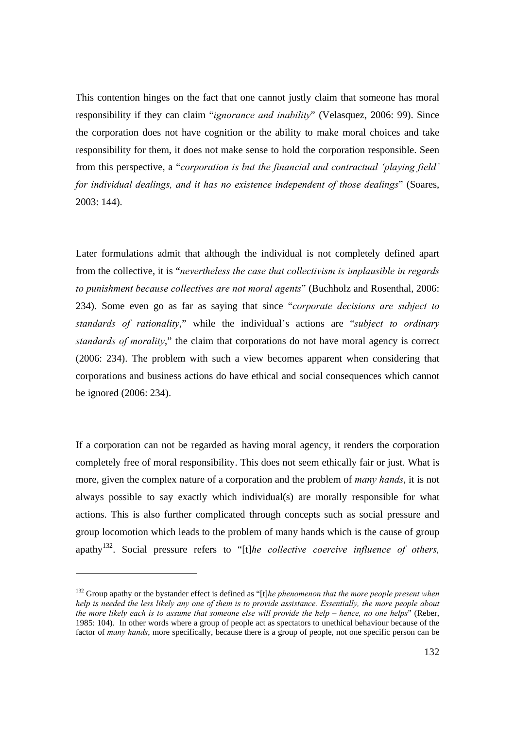This contention hinges on the fact that one cannot justly claim that someone has moral responsibility if they can claim "*ignorance and inability*" (Velasquez, 2006: 99). Since the corporation does not have cognition or the ability to make moral choices and take responsibility for them, it does not make sense to hold the corporation responsible. Seen from this perspective, a "*corporation is but the financial and contractual 'playing field' for individual dealings, and it has no existence independent of those dealings*" (Soares, 2003: 144).

Later formulations admit that although the individual is not completely defined apart from the collective, it is "*nevertheless the case that collectivism is implausible in regards to punishment because collectives are not moral agents*" (Buchholz and Rosenthal, 2006: 234). Some even go as far as saying that since "*corporate decisions are subject to standards of rationality*," while the individual's actions are "*subject to ordinary standards of morality*," the claim that corporations do not have moral agency is correct (2006: 234). The problem with such a view becomes apparent when considering that corporations and business actions do have ethical and social consequences which cannot be ignored (2006: 234).

If a corporation can not be regarded as having moral agency, it renders the corporation completely free of moral responsibility. This does not seem ethically fair or just. What is more, given the complex nature of a corporation and the problem of *many hands*, it is not always possible to say exactly which individual(s) are morally responsible for what actions. This is also further complicated through concepts such as social pressure and group locomotion which leads to the problem of many hands which is the cause of group apathy132. Social pressure refers to "[t]*he collective coercive influence of others,* 

<sup>&</sup>lt;sup>132</sup> Group apathy or the bystander effect is defined as "[t]*he phenomenon that the more people present when help is needed the less likely any one of them is to provide assistance. Essentially, the more people about the more likely each is to assume that someone else will provide the help – hence, no one helps*" (Reber, 1985: 104). In other words where a group of people act as spectators to unethical behaviour because of the factor of *many hands*, more specifically, because there is a group of people, not one specific person can be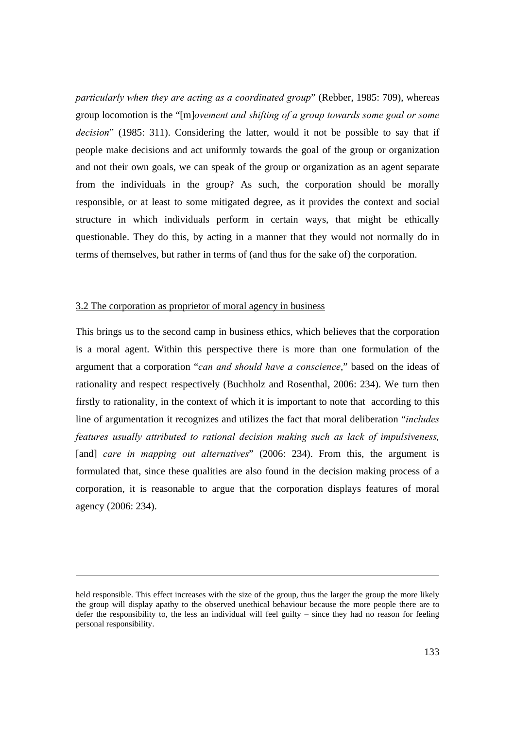*particularly when they are acting as a coordinated group*" (Rebber, 1985: 709), whereas group locomotion is the "[m]*ovement and shifting of a group towards some goal or some decision*" (1985: 311). Considering the latter, would it not be possible to say that if people make decisions and act uniformly towards the goal of the group or organization and not their own goals, we can speak of the group or organization as an agent separate from the individuals in the group? As such, the corporation should be morally responsible, or at least to some mitigated degree, as it provides the context and social structure in which individuals perform in certain ways, that might be ethically questionable. They do this, by acting in a manner that they would not normally do in terms of themselves, but rather in terms of (and thus for the sake of) the corporation.

#### 3.2 The corporation as proprietor of moral agency in business

This brings us to the second camp in business ethics, which believes that the corporation is a moral agent. Within this perspective there is more than one formulation of the argument that a corporation "*can and should have a conscience*," based on the ideas of rationality and respect respectively (Buchholz and Rosenthal, 2006: 234). We turn then firstly to rationality, in the context of which it is important to note that according to this line of argumentation it recognizes and utilizes the fact that moral deliberation "*includes features usually attributed to rational decision making such as lack of impulsiveness,*  [and] *care in mapping out alternatives*" (2006: 234). From this, the argument is formulated that, since these qualities are also found in the decision making process of a corporation, it is reasonable to argue that the corporation displays features of moral agency (2006: 234).

held responsible. This effect increases with the size of the group, thus the larger the group the more likely the group will display apathy to the observed unethical behaviour because the more people there are to defer the responsibility to, the less an individual will feel guilty – since they had no reason for feeling personal responsibility.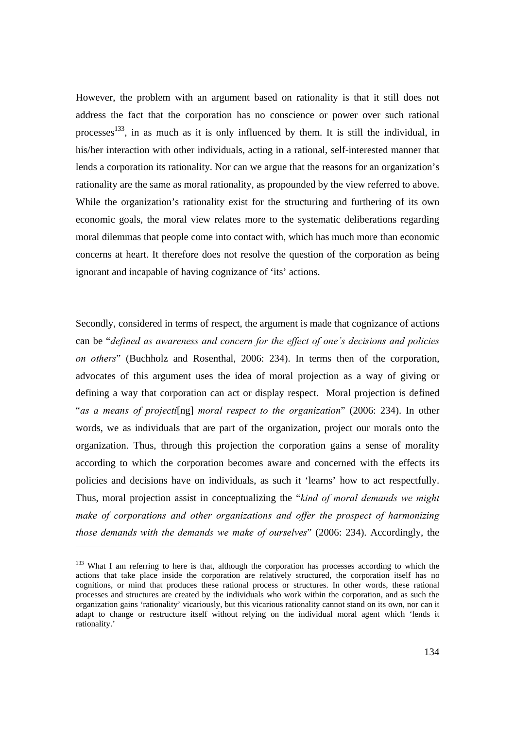However, the problem with an argument based on rationality is that it still does not address the fact that the corporation has no conscience or power over such rational processes<sup>133</sup>, in as much as it is only influenced by them. It is still the individual, in his/her interaction with other individuals, acting in a rational, self-interested manner that lends a corporation its rationality. Nor can we argue that the reasons for an organization's rationality are the same as moral rationality, as propounded by the view referred to above. While the organization's rationality exist for the structuring and furthering of its own economic goals, the moral view relates more to the systematic deliberations regarding moral dilemmas that people come into contact with, which has much more than economic concerns at heart. It therefore does not resolve the question of the corporation as being ignorant and incapable of having cognizance of 'its' actions.

Secondly, considered in terms of respect, the argument is made that cognizance of actions can be "*defined as awareness and concern for the effect of one's decisions and policies on others*" (Buchholz and Rosenthal, 2006: 234). In terms then of the corporation, advocates of this argument uses the idea of moral projection as a way of giving or defining a way that corporation can act or display respect. Moral projection is defined "*as a means of projecti*[ng] *moral respect to the organization*" (2006: 234). In other words, we as individuals that are part of the organization, project our morals onto the organization. Thus, through this projection the corporation gains a sense of morality according to which the corporation becomes aware and concerned with the effects its policies and decisions have on individuals, as such it 'learns' how to act respectfully. Thus, moral projection assist in conceptualizing the "*kind of moral demands we might make of corporations and other organizations and offer the prospect of harmonizing those demands with the demands we make of ourselves*" (2006: 234). Accordingly, the

 $\overline{a}$ 

<sup>&</sup>lt;sup>133</sup> What I am referring to here is that, although the corporation has processes according to which the actions that take place inside the corporation are relatively structured, the corporation itself has no cognitions, or mind that produces these rational process or structures. In other words, these rational processes and structures are created by the individuals who work within the corporation, and as such the organization gains 'rationality' vicariously, but this vicarious rationality cannot stand on its own, nor can it adapt to change or restructure itself without relying on the individual moral agent which 'lends it rationality.'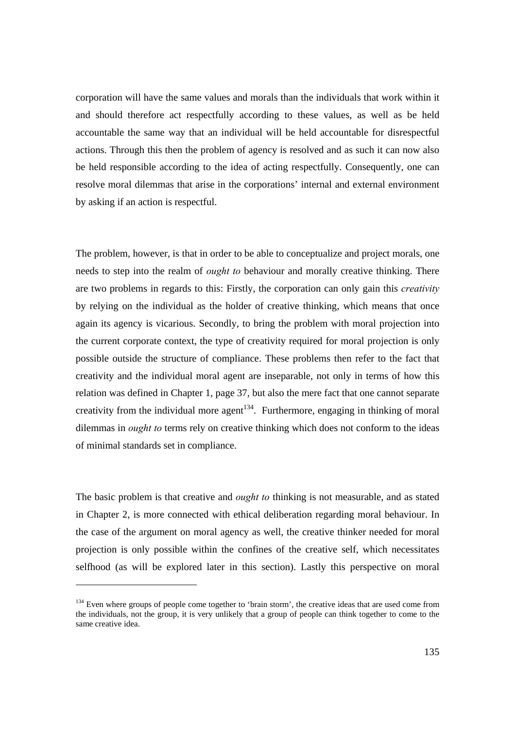corporation will have the same values and morals than the individuals that work within it and should therefore act respectfully according to these values, as well as be held accountable the same way that an individual will be held accountable for disrespectful actions. Through this then the problem of agency is resolved and as such it can now also be held responsible according to the idea of acting respectfully. Consequently, one can resolve moral dilemmas that arise in the corporations' internal and external environment by asking if an action is respectful.

The problem, however, is that in order to be able to conceptualize and project morals, one needs to step into the realm of *ought to* behaviour and morally creative thinking. There are two problems in regards to this: Firstly, the corporation can only gain this *creativity* by relying on the individual as the holder of creative thinking, which means that once again its agency is vicarious. Secondly, to bring the problem with moral projection into the current corporate context, the type of creativity required for moral projection is only possible outside the structure of compliance. These problems then refer to the fact that creativity and the individual moral agent are inseparable, not only in terms of how this relation was defined in Chapter 1, page 37, but also the mere fact that one cannot separate creativity from the individual more agent<sup>134</sup>. Furthermore, engaging in thinking of moral dilemmas in *ought to* terms rely on creative thinking which does not conform to the ideas of minimal standards set in compliance.

The basic problem is that creative and *ought to* thinking is not measurable, and as stated in Chapter 2, is more connected with ethical deliberation regarding moral behaviour. In the case of the argument on moral agency as well, the creative thinker needed for moral projection is only possible within the confines of the creative self, which necessitates selfhood (as will be explored later in this section). Lastly this perspective on moral

<sup>&</sup>lt;sup>134</sup> Even where groups of people come together to 'brain storm', the creative ideas that are used come from the individuals, not the group, it is very unlikely that a group of people can think together to come to the same creative idea.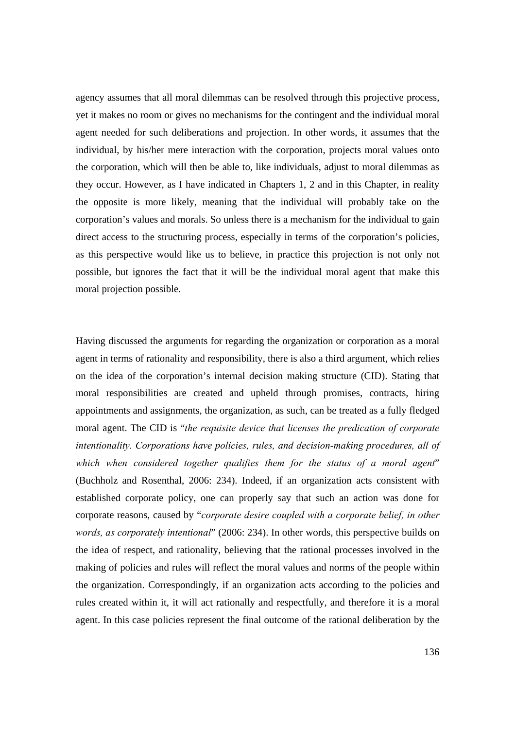agency assumes that all moral dilemmas can be resolved through this projective process, yet it makes no room or gives no mechanisms for the contingent and the individual moral agent needed for such deliberations and projection. In other words, it assumes that the individual, by his/her mere interaction with the corporation, projects moral values onto the corporation, which will then be able to, like individuals, adjust to moral dilemmas as they occur. However, as I have indicated in Chapters 1, 2 and in this Chapter, in reality the opposite is more likely, meaning that the individual will probably take on the corporation's values and morals. So unless there is a mechanism for the individual to gain direct access to the structuring process, especially in terms of the corporation's policies, as this perspective would like us to believe, in practice this projection is not only not possible, but ignores the fact that it will be the individual moral agent that make this moral projection possible.

Having discussed the arguments for regarding the organization or corporation as a moral agent in terms of rationality and responsibility, there is also a third argument, which relies on the idea of the corporation's internal decision making structure (CID). Stating that moral responsibilities are created and upheld through promises, contracts, hiring appointments and assignments, the organization, as such, can be treated as a fully fledged moral agent. The CID is "*the requisite device that licenses the predication of corporate intentionality. Corporations have policies, rules, and decision-making procedures, all of which when considered together qualifies them for the status of a moral agent*" (Buchholz and Rosenthal, 2006: 234). Indeed, if an organization acts consistent with established corporate policy, one can properly say that such an action was done for corporate reasons, caused by "*corporate desire coupled with a corporate belief, in other words, as corporately intentional*" (2006: 234). In other words, this perspective builds on the idea of respect, and rationality, believing that the rational processes involved in the making of policies and rules will reflect the moral values and norms of the people within the organization. Correspondingly, if an organization acts according to the policies and rules created within it, it will act rationally and respectfully, and therefore it is a moral agent. In this case policies represent the final outcome of the rational deliberation by the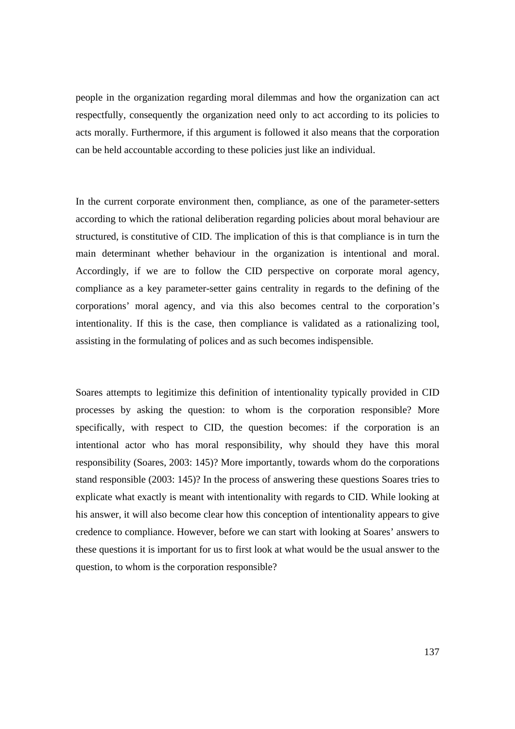people in the organization regarding moral dilemmas and how the organization can act respectfully, consequently the organization need only to act according to its policies to acts morally. Furthermore, if this argument is followed it also means that the corporation can be held accountable according to these policies just like an individual.

In the current corporate environment then, compliance, as one of the parameter-setters according to which the rational deliberation regarding policies about moral behaviour are structured, is constitutive of CID. The implication of this is that compliance is in turn the main determinant whether behaviour in the organization is intentional and moral. Accordingly, if we are to follow the CID perspective on corporate moral agency, compliance as a key parameter-setter gains centrality in regards to the defining of the corporations' moral agency, and via this also becomes central to the corporation's intentionality. If this is the case, then compliance is validated as a rationalizing tool, assisting in the formulating of polices and as such becomes indispensible.

Soares attempts to legitimize this definition of intentionality typically provided in CID processes by asking the question: to whom is the corporation responsible? More specifically, with respect to CID, the question becomes: if the corporation is an intentional actor who has moral responsibility, why should they have this moral responsibility (Soares, 2003: 145)? More importantly, towards whom do the corporations stand responsible (2003: 145)? In the process of answering these questions Soares tries to explicate what exactly is meant with intentionality with regards to CID. While looking at his answer, it will also become clear how this conception of intentionality appears to give credence to compliance. However, before we can start with looking at Soares' answers to these questions it is important for us to first look at what would be the usual answer to the question, to whom is the corporation responsible?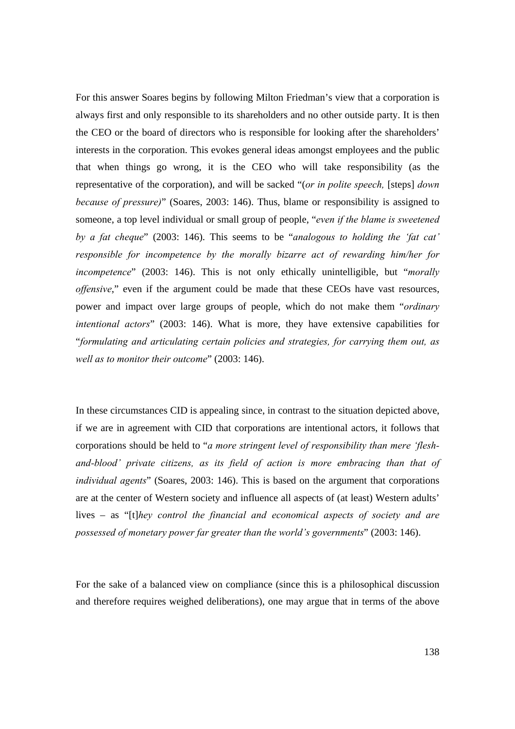For this answer Soares begins by following Milton Friedman's view that a corporation is always first and only responsible to its shareholders and no other outside party. It is then the CEO or the board of directors who is responsible for looking after the shareholders' interests in the corporation. This evokes general ideas amongst employees and the public that when things go wrong, it is the CEO who will take responsibility (as the representative of the corporation), and will be sacked "(*or in polite speech,* [steps] *down because of pressure)*" (Soares, 2003: 146). Thus, blame or responsibility is assigned to someone, a top level individual or small group of people, "*even if the blame is sweetened by a fat cheque*" (2003: 146). This seems to be "*analogous to holding the 'fat cat' responsible for incompetence by the morally bizarre act of rewarding him/her for incompetence*" (2003: 146). This is not only ethically unintelligible, but "*morally offensive*," even if the argument could be made that these CEOs have vast resources, power and impact over large groups of people, which do not make them "*ordinary intentional actors*" (2003: 146). What is more, they have extensive capabilities for "*formulating and articulating certain policies and strategies, for carrying them out, as well as to monitor their outcome*" (2003: 146).

In these circumstances CID is appealing since, in contrast to the situation depicted above, if we are in agreement with CID that corporations are intentional actors, it follows that corporations should be held to "*a more stringent level of responsibility than mere 'fleshand-blood' private citizens, as its field of action is more embracing than that of individual agents*" (Soares, 2003: 146). This is based on the argument that corporations are at the center of Western society and influence all aspects of (at least) Western adults' lives – as "[t]*hey control the financial and economical aspects of society and are possessed of monetary power far greater than the world's governments*" (2003: 146).

For the sake of a balanced view on compliance (since this is a philosophical discussion and therefore requires weighed deliberations), one may argue that in terms of the above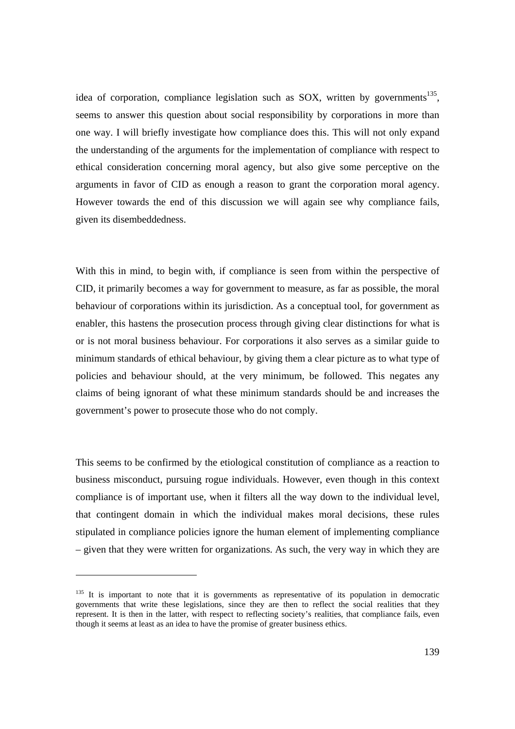idea of corporation, compliance legislation such as SOX, written by governments<sup>135</sup>. seems to answer this question about social responsibility by corporations in more than one way. I will briefly investigate how compliance does this. This will not only expand the understanding of the arguments for the implementation of compliance with respect to ethical consideration concerning moral agency, but also give some perceptive on the arguments in favor of CID as enough a reason to grant the corporation moral agency. However towards the end of this discussion we will again see why compliance fails, given its disembeddedness.

With this in mind, to begin with, if compliance is seen from within the perspective of CID, it primarily becomes a way for government to measure, as far as possible, the moral behaviour of corporations within its jurisdiction. As a conceptual tool, for government as enabler, this hastens the prosecution process through giving clear distinctions for what is or is not moral business behaviour. For corporations it also serves as a similar guide to minimum standards of ethical behaviour, by giving them a clear picture as to what type of policies and behaviour should, at the very minimum, be followed. This negates any claims of being ignorant of what these minimum standards should be and increases the government's power to prosecute those who do not comply.

This seems to be confirmed by the etiological constitution of compliance as a reaction to business misconduct, pursuing rogue individuals. However, even though in this context compliance is of important use, when it filters all the way down to the individual level, that contingent domain in which the individual makes moral decisions, these rules stipulated in compliance policies ignore the human element of implementing compliance – given that they were written for organizations. As such, the very way in which they are

 $135$  It is important to note that it is governments as representative of its population in democratic governments that write these legislations, since they are then to reflect the social realities that they represent. It is then in the latter, with respect to reflecting society's realities, that compliance fails, even though it seems at least as an idea to have the promise of greater business ethics.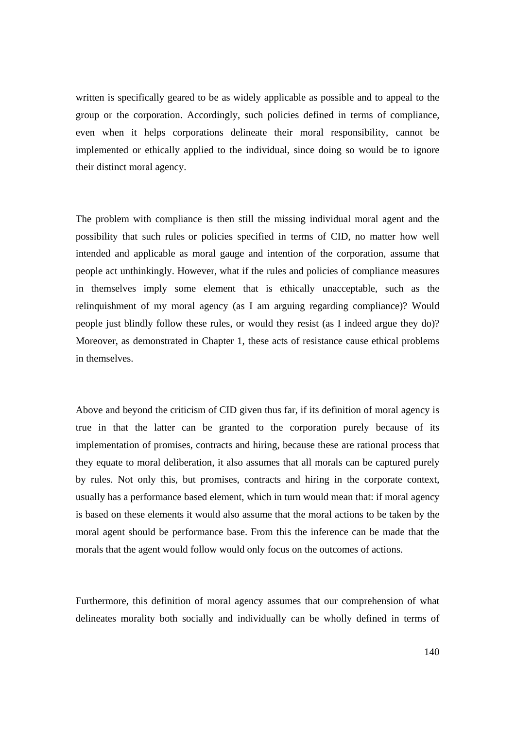written is specifically geared to be as widely applicable as possible and to appeal to the group or the corporation. Accordingly, such policies defined in terms of compliance, even when it helps corporations delineate their moral responsibility, cannot be implemented or ethically applied to the individual, since doing so would be to ignore their distinct moral agency.

The problem with compliance is then still the missing individual moral agent and the possibility that such rules or policies specified in terms of CID, no matter how well intended and applicable as moral gauge and intention of the corporation, assume that people act unthinkingly. However, what if the rules and policies of compliance measures in themselves imply some element that is ethically unacceptable, such as the relinquishment of my moral agency (as I am arguing regarding compliance)? Would people just blindly follow these rules, or would they resist (as I indeed argue they do)? Moreover, as demonstrated in Chapter 1, these acts of resistance cause ethical problems in themselves.

Above and beyond the criticism of CID given thus far, if its definition of moral agency is true in that the latter can be granted to the corporation purely because of its implementation of promises, contracts and hiring, because these are rational process that they equate to moral deliberation, it also assumes that all morals can be captured purely by rules. Not only this, but promises, contracts and hiring in the corporate context, usually has a performance based element, which in turn would mean that: if moral agency is based on these elements it would also assume that the moral actions to be taken by the moral agent should be performance base. From this the inference can be made that the morals that the agent would follow would only focus on the outcomes of actions.

Furthermore, this definition of moral agency assumes that our comprehension of what delineates morality both socially and individually can be wholly defined in terms of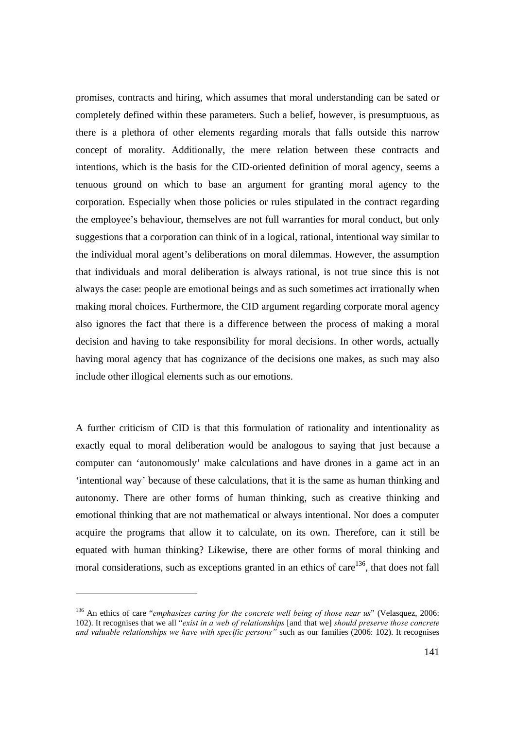promises, contracts and hiring, which assumes that moral understanding can be sated or completely defined within these parameters. Such a belief, however, is presumptuous, as there is a plethora of other elements regarding morals that falls outside this narrow concept of morality. Additionally, the mere relation between these contracts and intentions, which is the basis for the CID-oriented definition of moral agency, seems a tenuous ground on which to base an argument for granting moral agency to the corporation. Especially when those policies or rules stipulated in the contract regarding the employee's behaviour, themselves are not full warranties for moral conduct, but only suggestions that a corporation can think of in a logical, rational, intentional way similar to the individual moral agent's deliberations on moral dilemmas. However, the assumption that individuals and moral deliberation is always rational, is not true since this is not always the case: people are emotional beings and as such sometimes act irrationally when making moral choices. Furthermore, the CID argument regarding corporate moral agency also ignores the fact that there is a difference between the process of making a moral decision and having to take responsibility for moral decisions. In other words, actually having moral agency that has cognizance of the decisions one makes, as such may also include other illogical elements such as our emotions.

A further criticism of CID is that this formulation of rationality and intentionality as exactly equal to moral deliberation would be analogous to saying that just because a computer can 'autonomously' make calculations and have drones in a game act in an 'intentional way' because of these calculations, that it is the same as human thinking and autonomy. There are other forms of human thinking, such as creative thinking and emotional thinking that are not mathematical or always intentional. Nor does a computer acquire the programs that allow it to calculate, on its own. Therefore, can it still be equated with human thinking? Likewise, there are other forms of moral thinking and moral considerations, such as exceptions granted in an ethics of care<sup>136</sup>, that does not fall

<sup>136</sup> An ethics of care "*emphasizes caring for the concrete well being of those near us*" (Velasquez, 2006: 102). It recognises that we all "*exist in a web of relationships* [and that we] *should preserve those concrete and valuable relationships we have with specific persons"* such as our families (2006: 102). It recognises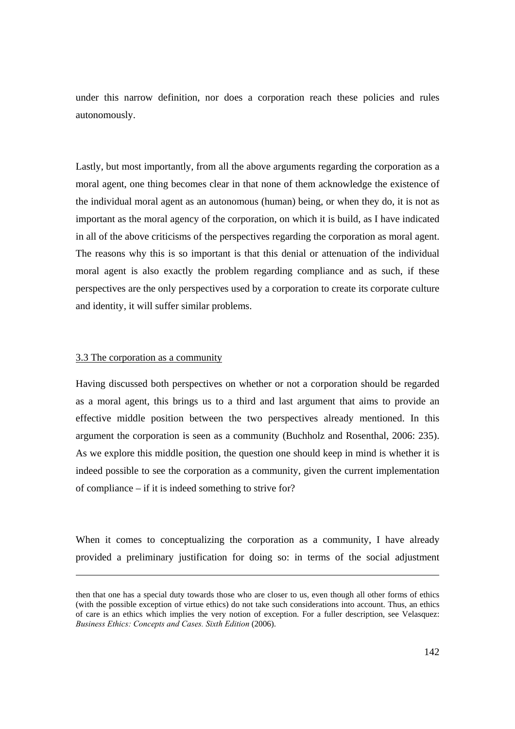under this narrow definition, nor does a corporation reach these policies and rules autonomously.

Lastly, but most importantly, from all the above arguments regarding the corporation as a moral agent, one thing becomes clear in that none of them acknowledge the existence of the individual moral agent as an autonomous (human) being, or when they do, it is not as important as the moral agency of the corporation, on which it is build, as I have indicated in all of the above criticisms of the perspectives regarding the corporation as moral agent. The reasons why this is so important is that this denial or attenuation of the individual moral agent is also exactly the problem regarding compliance and as such, if these perspectives are the only perspectives used by a corporation to create its corporate culture and identity, it will suffer similar problems.

### 3.3 The corporation as a community

Having discussed both perspectives on whether or not a corporation should be regarded as a moral agent, this brings us to a third and last argument that aims to provide an effective middle position between the two perspectives already mentioned. In this argument the corporation is seen as a community (Buchholz and Rosenthal, 2006: 235). As we explore this middle position, the question one should keep in mind is whether it is indeed possible to see the corporation as a community, given the current implementation of compliance – if it is indeed something to strive for?

When it comes to conceptualizing the corporation as a community, I have already provided a preliminary justification for doing so: in terms of the social adjustment

then that one has a special duty towards those who are closer to us, even though all other forms of ethics (with the possible exception of virtue ethics) do not take such considerations into account. Thus, an ethics of care is an ethics which implies the very notion of exception. For a fuller description, see Velasquez: *Business Ethics: Concepts and Cases. Sixth Edition* (2006).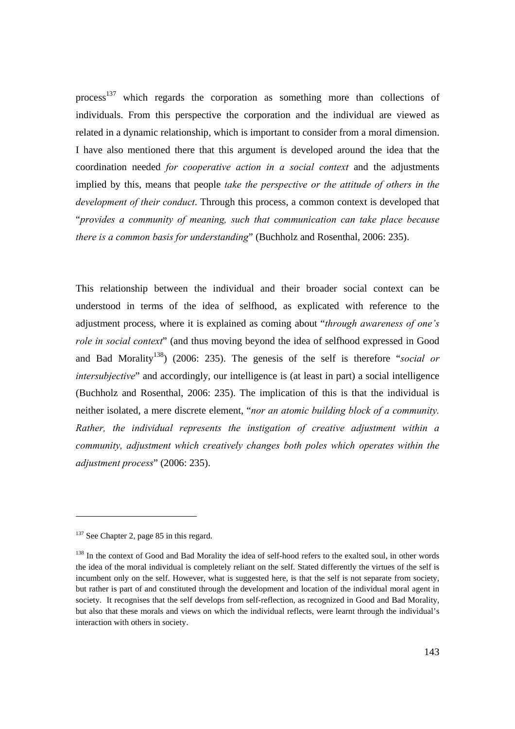process<sup>137</sup> which regards the corporation as something more than collections of individuals. From this perspective the corporation and the individual are viewed as related in a dynamic relationship, which is important to consider from a moral dimension. I have also mentioned there that this argument is developed around the idea that the coordination needed *for cooperative action in a social context* and the adjustments implied by this, means that people *take the perspective or the attitude of others in the development of their conduct*. Through this process, a common context is developed that "*provides a community of meaning, such that communication can take place because there is a common basis for understanding*" (Buchholz and Rosenthal, 2006: 235).

This relationship between the individual and their broader social context can be understood in terms of the idea of selfhood, as explicated with reference to the adjustment process, where it is explained as coming about "*through awareness of one's role in social context*" (and thus moving beyond the idea of selfhood expressed in Good and Bad Morality<sup>138</sup>) (2006: 235). The genesis of the self is therefore "*social or intersubjective*" and accordingly, our intelligence is (at least in part) a social intelligence (Buchholz and Rosenthal, 2006: 235). The implication of this is that the individual is neither isolated, a mere discrete element, "*nor an atomic building block of a community. Rather, the individual represents the instigation of creative adjustment within a community, adjustment which creatively changes both poles which operates within the adjustment process*" (2006: 235).

<sup>&</sup>lt;sup>137</sup> See Chapter 2, page 85 in this regard.

<sup>&</sup>lt;sup>138</sup> In the context of Good and Bad Morality the idea of self-hood refers to the exalted soul, in other words the idea of the moral individual is completely reliant on the self. Stated differently the virtues of the self is incumbent only on the self. However, what is suggested here, is that the self is not separate from society, but rather is part of and constituted through the development and location of the individual moral agent in society. It recognises that the self develops from self-reflection, as recognized in Good and Bad Morality, but also that these morals and views on which the individual reflects, were learnt through the individual's interaction with others in society.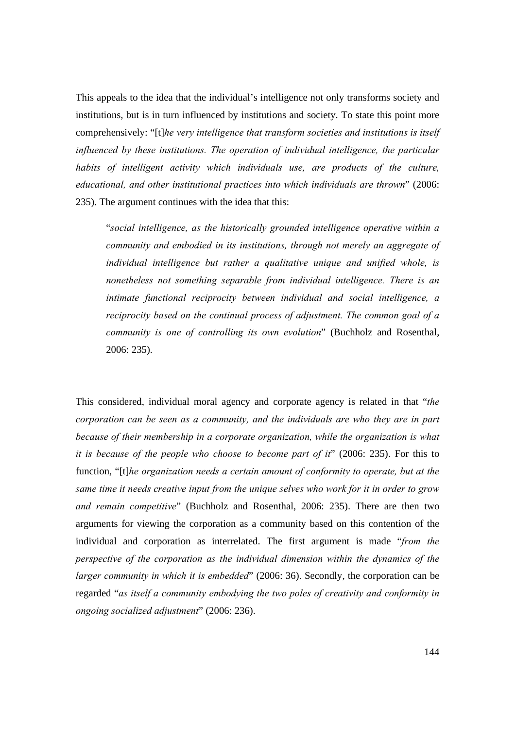This appeals to the idea that the individual's intelligence not only transforms society and institutions, but is in turn influenced by institutions and society. To state this point more comprehensively: "[t]*he very intelligence that transform societies and institutions is itself influenced by these institutions. The operation of individual intelligence, the particular habits of intelligent activity which individuals use, are products of the culture, educational, and other institutional practices into which individuals are thrown*" (2006: 235). The argument continues with the idea that this:

"*social intelligence, as the historically grounded intelligence operative within a community and embodied in its institutions, through not merely an aggregate of individual intelligence but rather a qualitative unique and unified whole, is nonetheless not something separable from individual intelligence. There is an intimate functional reciprocity between individual and social intelligence, a reciprocity based on the continual process of adjustment. The common goal of a community is one of controlling its own evolution*" (Buchholz and Rosenthal, 2006: 235).

This considered, individual moral agency and corporate agency is related in that "*the corporation can be seen as a community, and the individuals are who they are in part because of their membership in a corporate organization, while the organization is what it is because of the people who choose to become part of it*" (2006: 235). For this to function, "[t]*he organization needs a certain amount of conformity to operate, but at the same time it needs creative input from the unique selves who work for it in order to grow and remain competitive*" (Buchholz and Rosenthal, 2006: 235). There are then two arguments for viewing the corporation as a community based on this contention of the individual and corporation as interrelated. The first argument is made "*from the perspective of the corporation as the individual dimension within the dynamics of the larger community in which it is embedded*" (2006: 36). Secondly, the corporation can be regarded "*as itself a community embodying the two poles of creativity and conformity in ongoing socialized adjustment*" (2006: 236).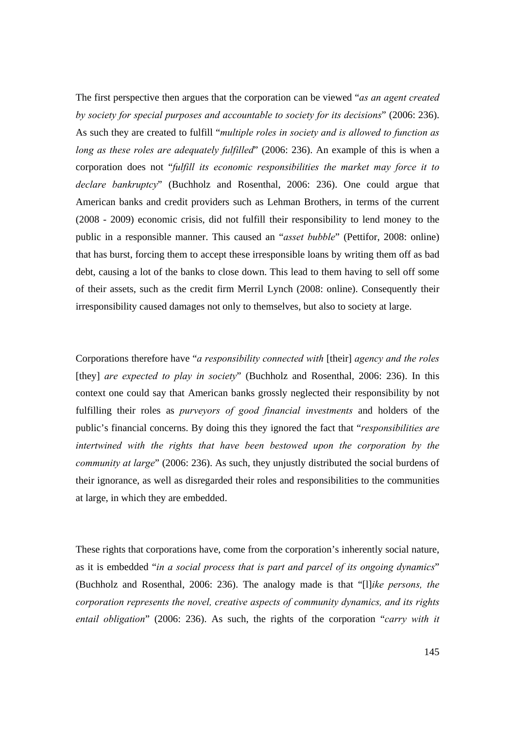The first perspective then argues that the corporation can be viewed "*as an agent created by society for special purposes and accountable to society for its decisions*" (2006: 236). As such they are created to fulfill "*multiple roles in society and is allowed to function as long as these roles are adequately fulfilled*" (2006: 236). An example of this is when a corporation does not "*fulfill its economic responsibilities the market may force it to declare bankruptcy*" (Buchholz and Rosenthal, 2006: 236). One could argue that American banks and credit providers such as Lehman Brothers, in terms of the current (2008 - 2009) economic crisis, did not fulfill their responsibility to lend money to the public in a responsible manner. This caused an "*asset bubble*" (Pettifor, 2008: online) that has burst, forcing them to accept these irresponsible loans by writing them off as bad debt, causing a lot of the banks to close down. This lead to them having to sell off some of their assets, such as the credit firm Merril Lynch (2008: online). Consequently their irresponsibility caused damages not only to themselves, but also to society at large.

Corporations therefore have "*a responsibility connected with* [their] *agency and the roles* [they] *are expected to play in society*" (Buchholz and Rosenthal, 2006: 236). In this context one could say that American banks grossly neglected their responsibility by not fulfilling their roles as *purveyors of good financial investments* and holders of the public's financial concerns. By doing this they ignored the fact that "*responsibilities are intertwined with the rights that have been bestowed upon the corporation by the community at large*" (2006: 236). As such, they unjustly distributed the social burdens of their ignorance, as well as disregarded their roles and responsibilities to the communities at large, in which they are embedded.

These rights that corporations have, come from the corporation's inherently social nature, as it is embedded "*in a social process that is part and parcel of its ongoing dynamics*" (Buchholz and Rosenthal, 2006: 236). The analogy made is that "[l]*ike persons, the corporation represents the novel, creative aspects of community dynamics, and its rights entail obligation*" (2006: 236). As such, the rights of the corporation "*carry with it*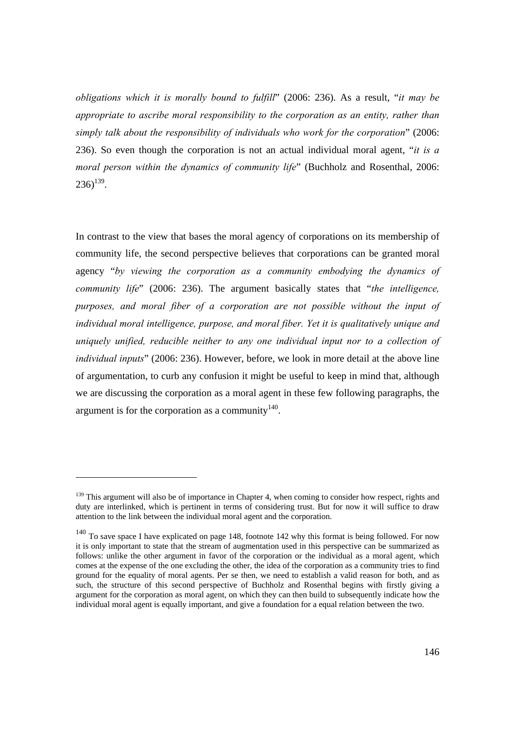*obligations which it is morally bound to fulfill*" (2006: 236). As a result, "*it may be appropriate to ascribe moral responsibility to the corporation as an entity, rather than simply talk about the responsibility of individuals who work for the corporation*" (2006: 236). So even though the corporation is not an actual individual moral agent, "*it is a moral person within the dynamics of community life*" (Buchholz and Rosenthal, 2006:  $236)$ <sup>139</sup>.

In contrast to the view that bases the moral agency of corporations on its membership of community life, the second perspective believes that corporations can be granted moral agency "*by viewing the corporation as a community embodying the dynamics of community life*" (2006: 236). The argument basically states that "*the intelligence, purposes, and moral fiber of a corporation are not possible without the input of individual moral intelligence, purpose, and moral fiber. Yet it is qualitatively unique and uniquely unified, reducible neither to any one individual input nor to a collection of individual inputs*" (2006: 236). However, before, we look in more detail at the above line of argumentation, to curb any confusion it might be useful to keep in mind that, although we are discussing the corporation as a moral agent in these few following paragraphs, the argument is for the corporation as a community  $140$ .

<sup>&</sup>lt;sup>139</sup> This argument will also be of importance in Chapter 4, when coming to consider how respect, rights and duty are interlinked, which is pertinent in terms of considering trust. But for now it will suffice to draw attention to the link between the individual moral agent and the corporation.

<sup>&</sup>lt;sup>140</sup> To save space I have explicated on page 148, footnote 142 why this format is being followed. For now it is only important to state that the stream of augmentation used in this perspective can be summarized as follows: unlike the other argument in favor of the corporation or the individual as a moral agent, which comes at the expense of the one excluding the other, the idea of the corporation as a community tries to find ground for the equality of moral agents. Per se then, we need to establish a valid reason for both, and as such, the structure of this second perspective of Buchholz and Rosenthal begins with firstly giving a argument for the corporation as moral agent, on which they can then build to subsequently indicate how the individual moral agent is equally important, and give a foundation for a equal relation between the two.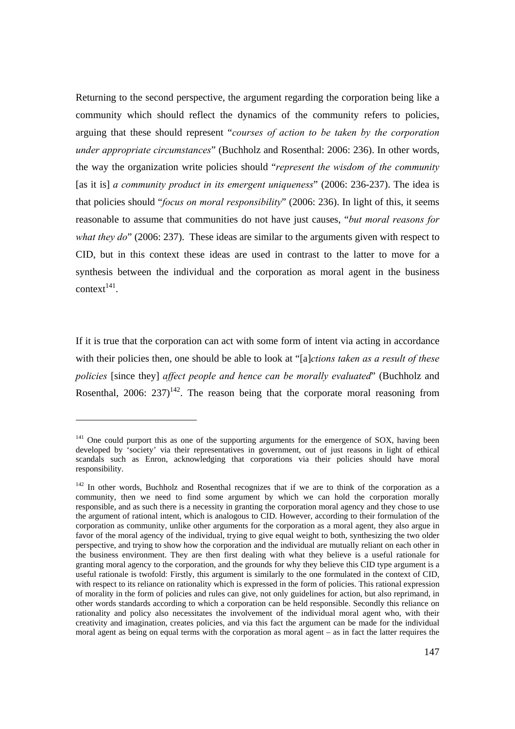Returning to the second perspective, the argument regarding the corporation being like a community which should reflect the dynamics of the community refers to policies, arguing that these should represent "*courses of action to be taken by the corporation under appropriate circumstances*" (Buchholz and Rosenthal: 2006: 236). In other words, the way the organization write policies should "*represent the wisdom of the community*  [as it is] *a community product in its emergent uniqueness*" (2006: 236-237). The idea is that policies should "*focus on moral responsibility*" (2006: 236). In light of this, it seems reasonable to assume that communities do not have just causes, "*but moral reasons for what they do*" (2006: 237). These ideas are similar to the arguments given with respect to CID, but in this context these ideas are used in contrast to the latter to move for a synthesis between the individual and the corporation as moral agent in the business context<sup>141</sup>.

If it is true that the corporation can act with some form of intent via acting in accordance with their policies then, one should be able to look at "[a]*ctions taken as a result of these policies* [since they] *affect people and hence can be morally evaluated*" (Buchholz and Rosenthal, 2006:  $237$ <sup>142</sup>. The reason being that the corporate moral reasoning from

<sup>&</sup>lt;sup>141</sup> One could purport this as one of the supporting arguments for the emergence of SOX, having been developed by 'society' via their representatives in government, out of just reasons in light of ethical scandals such as Enron, acknowledging that corporations via their policies should have moral responsibility.

<sup>&</sup>lt;sup>142</sup> In other words, Buchholz and Rosenthal recognizes that if we are to think of the corporation as a community, then we need to find some argument by which we can hold the corporation morally responsible, and as such there is a necessity in granting the corporation moral agency and they chose to use the argument of rational intent, which is analogous to CID. However, according to their formulation of the corporation as community, unlike other arguments for the corporation as a moral agent, they also argue in favor of the moral agency of the individual, trying to give equal weight to both, synthesizing the two older perspective, and trying to show how the corporation and the individual are mutually reliant on each other in the business environment. They are then first dealing with what they believe is a useful rationale for granting moral agency to the corporation, and the grounds for why they believe this CID type argument is a useful rationale is twofold: Firstly, this argument is similarly to the one formulated in the context of CID, with respect to its reliance on rationality which is expressed in the form of policies. This rational expression of morality in the form of policies and rules can give, not only guidelines for action, but also reprimand, in other words standards according to which a corporation can be held responsible. Secondly this reliance on rationality and policy also necessitates the involvement of the individual moral agent who, with their creativity and imagination, creates policies, and via this fact the argument can be made for the individual moral agent as being on equal terms with the corporation as moral agent – as in fact the latter requires the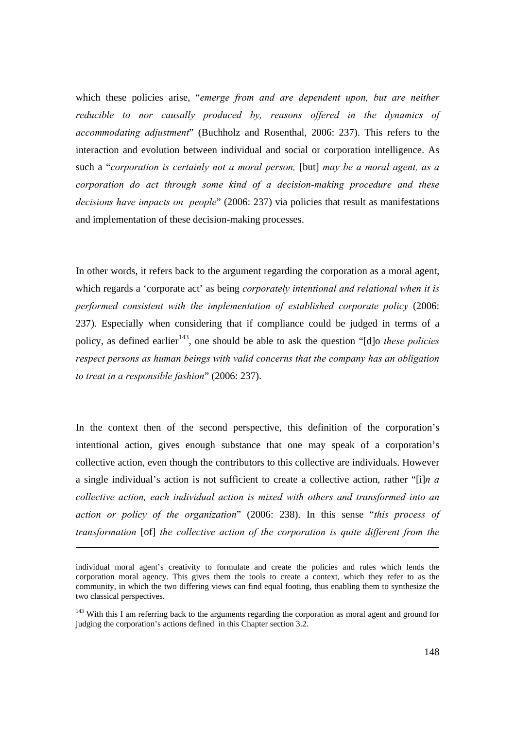which these policies arise, "*emerge from and are dependent upon, but are neither reducible to nor causally produced by, reasons offered in the dynamics of accommodating adjustment*" (Buchholz and Rosenthal, 2006: 237). This refers to the interaction and evolution between individual and social or corporation intelligence. As such a "*corporation is certainly not a moral person,* [but] *may be a moral agent, as a corporation do act through some kind of a decision-making procedure and these decisions have impacts on people*" (2006: 237) via policies that result as manifestations and implementation of these decision-making processes.

In other words, it refers back to the argument regarding the corporation as a moral agent, which regards a 'corporate act' as being *corporately intentional and relational when it is performed consistent with the implementation of established corporate policy* (2006: 237). Especially when considering that if compliance could be judged in terms of a policy, as defined earlier<sup>143</sup>, one should be able to ask the question "[d]o *these policies respect persons as human beings with valid concerns that the company has an obligation to treat in a responsible fashion*" (2006: 237).

In the context then of the second perspective, this definition of the corporation's intentional action, gives enough substance that one may speak of a corporation's collective action, even though the contributors to this collective are individuals. However a single individual's action is not sufficient to create a collective action, rather "[i]*n a collective action, each individual action is mixed with others and transformed into an action or policy of the organization*" (2006: 238). In this sense "*this process of transformation* [of] *the collective action of the corporation is quite different from the* 

 $\overline{a}$ 

individual moral agent's creativity to formulate and create the policies and rules which lends the corporation moral agency. This gives them the tools to create a context, which they refer to as the community, in which the two differing views can find equal footing, thus enabling them to synthesize the two classical perspectives.

<sup>&</sup>lt;sup>143</sup> With this I am referring back to the arguments regarding the corporation as moral agent and ground for judging the corporation's actions defined in this Chapter section 3.2.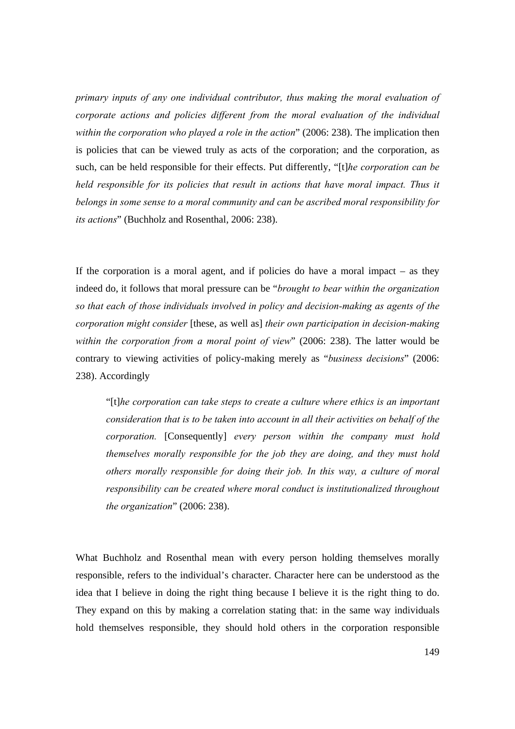*primary inputs of any one individual contributor, thus making the moral evaluation of corporate actions and policies different from the moral evaluation of the individual within the corporation who played a role in the action*" (2006: 238). The implication then is policies that can be viewed truly as acts of the corporation; and the corporation, as such, can be held responsible for their effects. Put differently, "[t]*he corporation can be held responsible for its policies that result in actions that have moral impact. Thus it belongs in some sense to a moral community and can be ascribed moral responsibility for its actions*" (Buchholz and Rosenthal, 2006: 238).

If the corporation is a moral agent, and if policies do have a moral impact  $-$  as they indeed do, it follows that moral pressure can be "*brought to bear within the organization so that each of those individuals involved in policy and decision-making as agents of the corporation might consider* [these, as well as] *their own participation in decision-making within the corporation from a moral point of view*" (2006: 238). The latter would be contrary to viewing activities of policy-making merely as "*business decisions*" (2006: 238). Accordingly

"[t]*he corporation can take steps to create a culture where ethics is an important consideration that is to be taken into account in all their activities on behalf of the corporation.* [Consequently] *every person within the company must hold themselves morally responsible for the job they are doing, and they must hold others morally responsible for doing their job. In this way, a culture of moral responsibility can be created where moral conduct is institutionalized throughout the organization*" (2006: 238).

What Buchholz and Rosenthal mean with every person holding themselves morally responsible, refers to the individual's character. Character here can be understood as the idea that I believe in doing the right thing because I believe it is the right thing to do. They expand on this by making a correlation stating that: in the same way individuals hold themselves responsible, they should hold others in the corporation responsible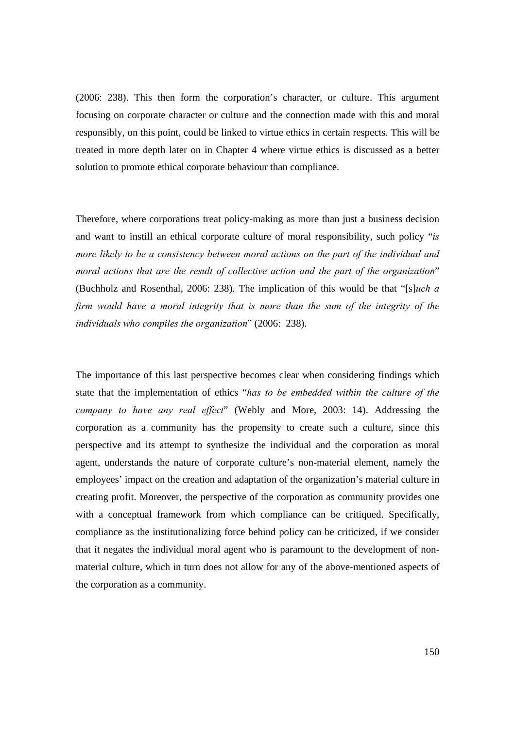(2006: 238). This then form the corporation's character, or culture. This argument focusing on corporate character or culture and the connection made with this and moral responsibly, on this point, could be linked to virtue ethics in certain respects. This will be treated in more depth later on in Chapter 4 where virtue ethics is discussed as a better solution to promote ethical corporate behaviour than compliance.

Therefore, where corporations treat policy-making as more than just a business decision and want to instill an ethical corporate culture of moral responsibility, such policy "*is more likely to be a consistency between moral actions on the part of the individual and moral actions that are the result of collective action and the part of the organization*" (Buchholz and Rosenthal, 2006: 238). The implication of this would be that "[s]*uch a firm would have a moral integrity that is more than the sum of the integrity of the individuals who compiles the organization*" (2006: 238).

The importance of this last perspective becomes clear when considering findings which state that the implementation of ethics "*has to be embedded within the culture of the company to have any real effect*" (Webly and More, 2003: 14). Addressing the corporation as a community has the propensity to create such a culture, since this perspective and its attempt to synthesize the individual and the corporation as moral agent, understands the nature of corporate culture's non-material element, namely the employees' impact on the creation and adaptation of the organization's material culture in creating profit. Moreover, the perspective of the corporation as community provides one with a conceptual framework from which compliance can be critiqued. Specifically, compliance as the institutionalizing force behind policy can be criticized, if we consider that it negates the individual moral agent who is paramount to the development of nonmaterial culture, which in turn does not allow for any of the above-mentioned aspects of the corporation as a community.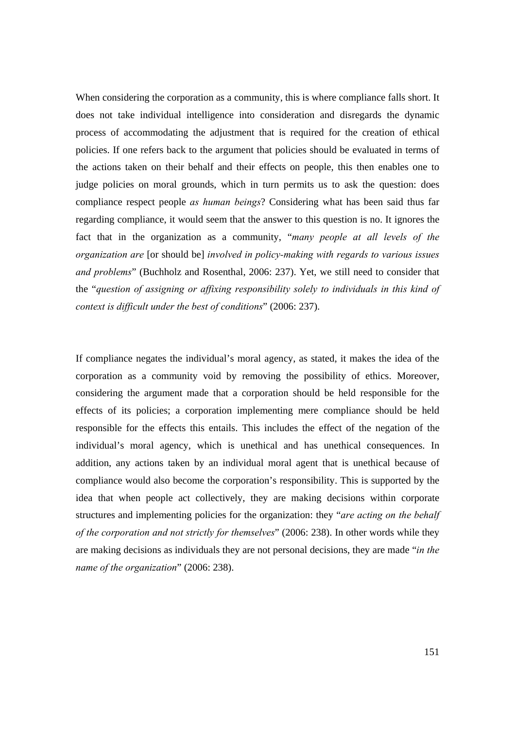When considering the corporation as a community, this is where compliance falls short. It does not take individual intelligence into consideration and disregards the dynamic process of accommodating the adjustment that is required for the creation of ethical policies. If one refers back to the argument that policies should be evaluated in terms of the actions taken on their behalf and their effects on people, this then enables one to judge policies on moral grounds, which in turn permits us to ask the question: does compliance respect people *as human beings*? Considering what has been said thus far regarding compliance, it would seem that the answer to this question is no. It ignores the fact that in the organization as a community, "*many people at all levels of the organization are* [or should be] *involved in policy-making with regards to various issues and problems*" (Buchholz and Rosenthal, 2006: 237). Yet, we still need to consider that the "*question of assigning or affixing responsibility solely to individuals in this kind of context is difficult under the best of conditions*" (2006: 237).

If compliance negates the individual's moral agency, as stated, it makes the idea of the corporation as a community void by removing the possibility of ethics. Moreover, considering the argument made that a corporation should be held responsible for the effects of its policies; a corporation implementing mere compliance should be held responsible for the effects this entails. This includes the effect of the negation of the individual's moral agency, which is unethical and has unethical consequences. In addition, any actions taken by an individual moral agent that is unethical because of compliance would also become the corporation's responsibility. This is supported by the idea that when people act collectively, they are making decisions within corporate structures and implementing policies for the organization: they "*are acting on the behalf of the corporation and not strictly for themselves*" (2006: 238). In other words while they are making decisions as individuals they are not personal decisions, they are made "*in the name of the organization*" (2006: 238).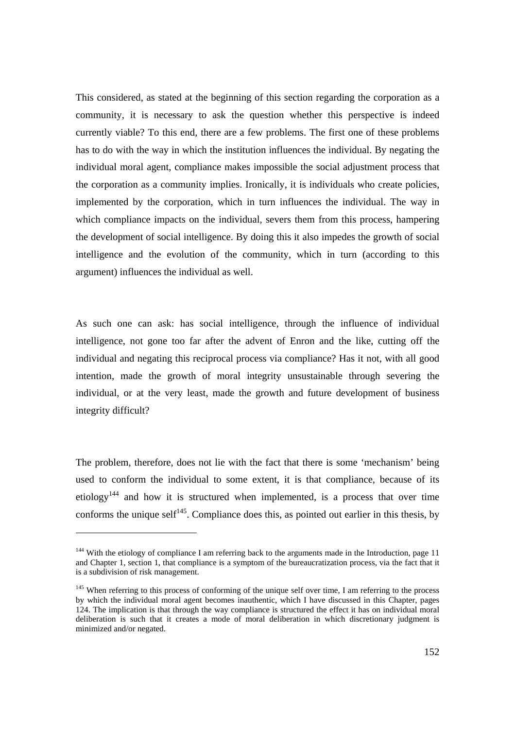This considered, as stated at the beginning of this section regarding the corporation as a community, it is necessary to ask the question whether this perspective is indeed currently viable? To this end, there are a few problems. The first one of these problems has to do with the way in which the institution influences the individual. By negating the individual moral agent, compliance makes impossible the social adjustment process that the corporation as a community implies. Ironically, it is individuals who create policies, implemented by the corporation, which in turn influences the individual. The way in which compliance impacts on the individual, severs them from this process, hampering the development of social intelligence. By doing this it also impedes the growth of social intelligence and the evolution of the community, which in turn (according to this argument) influences the individual as well.

As such one can ask: has social intelligence, through the influence of individual intelligence, not gone too far after the advent of Enron and the like, cutting off the individual and negating this reciprocal process via compliance? Has it not, with all good intention, made the growth of moral integrity unsustainable through severing the individual, or at the very least, made the growth and future development of business integrity difficult?

The problem, therefore, does not lie with the fact that there is some 'mechanism' being used to conform the individual to some extent, it is that compliance, because of its etiology<sup>144</sup> and how it is structured when implemented, is a process that over time conforms the unique self<sup>145</sup>. Compliance does this, as pointed out earlier in this thesis, by

<sup>&</sup>lt;sup>144</sup> With the etiology of compliance I am referring back to the arguments made in the Introduction, page 11 and Chapter 1, section 1, that compliance is a symptom of the bureaucratization process, via the fact that it is a subdivision of risk management.

<sup>&</sup>lt;sup>145</sup> When referring to this process of conforming of the unique self over time, I am referring to the process by which the individual moral agent becomes inauthentic, which I have discussed in this Chapter, pages 124. The implication is that through the way compliance is structured the effect it has on individual moral deliberation is such that it creates a mode of moral deliberation in which discretionary judgment is minimized and/or negated.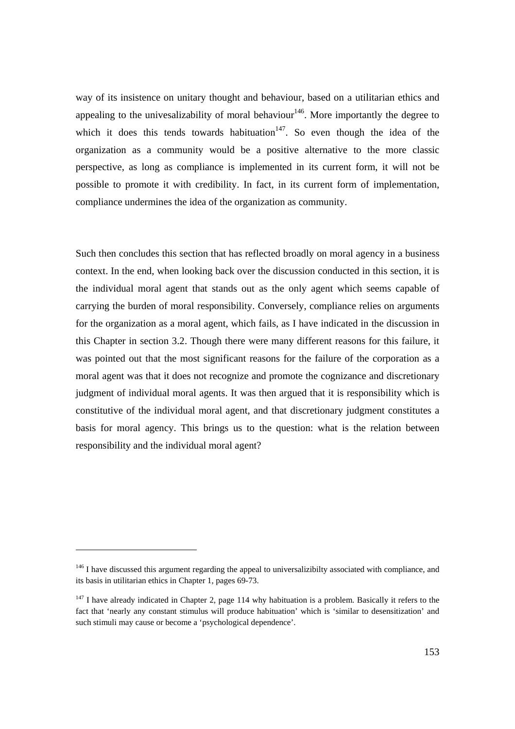way of its insistence on unitary thought and behaviour, based on a utilitarian ethics and appealing to the univesalizability of moral behaviour<sup>146</sup>. More importantly the degree to which it does this tends towards habituation<sup>147</sup>. So even though the idea of the organization as a community would be a positive alternative to the more classic perspective, as long as compliance is implemented in its current form, it will not be possible to promote it with credibility. In fact, in its current form of implementation, compliance undermines the idea of the organization as community.

Such then concludes this section that has reflected broadly on moral agency in a business context. In the end, when looking back over the discussion conducted in this section, it is the individual moral agent that stands out as the only agent which seems capable of carrying the burden of moral responsibility. Conversely, compliance relies on arguments for the organization as a moral agent, which fails, as I have indicated in the discussion in this Chapter in section 3.2. Though there were many different reasons for this failure, it was pointed out that the most significant reasons for the failure of the corporation as a moral agent was that it does not recognize and promote the cognizance and discretionary judgment of individual moral agents. It was then argued that it is responsibility which is constitutive of the individual moral agent, and that discretionary judgment constitutes a basis for moral agency. This brings us to the question: what is the relation between responsibility and the individual moral agent?

<sup>&</sup>lt;sup>146</sup> I have discussed this argument regarding the appeal to universalizibilty associated with compliance, and its basis in utilitarian ethics in Chapter 1, pages 69-73.

 $147$  I have already indicated in Chapter 2, page 114 why habituation is a problem. Basically it refers to the fact that 'nearly any constant stimulus will produce habituation' which is 'similar to desensitization' and such stimuli may cause or become a 'psychological dependence'.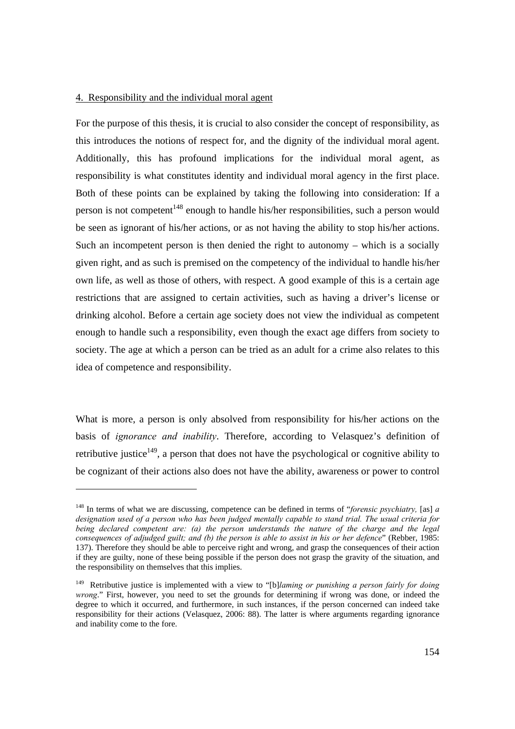### 4. Responsibility and the individual moral agent

l

For the purpose of this thesis, it is crucial to also consider the concept of responsibility, as this introduces the notions of respect for, and the dignity of the individual moral agent. Additionally, this has profound implications for the individual moral agent, as responsibility is what constitutes identity and individual moral agency in the first place. Both of these points can be explained by taking the following into consideration: If a person is not competent<sup>148</sup> enough to handle his/her responsibilities, such a person would be seen as ignorant of his/her actions, or as not having the ability to stop his/her actions. Such an incompetent person is then denied the right to autonomy – which is a socially given right, and as such is premised on the competency of the individual to handle his/her own life, as well as those of others, with respect. A good example of this is a certain age restrictions that are assigned to certain activities, such as having a driver's license or drinking alcohol. Before a certain age society does not view the individual as competent enough to handle such a responsibility, even though the exact age differs from society to society. The age at which a person can be tried as an adult for a crime also relates to this idea of competence and responsibility.

What is more, a person is only absolved from responsibility for his/her actions on the basis of *ignorance and inability*. Therefore, according to Velasquez's definition of retributive justice<sup>149</sup>, a person that does not have the psychological or cognitive ability to be cognizant of their actions also does not have the ability, awareness or power to control

<sup>148</sup> In terms of what we are discussing, competence can be defined in terms of "*forensic psychiatry,* [as] *a designation used of a person who has been judged mentally capable to stand trial. The usual criteria for being declared competent are: (a) the person understands the nature of the charge and the legal consequences of adjudged guilt; and (b) the person is able to assist in his or her defence*" (Rebber, 1985: 137). Therefore they should be able to perceive right and wrong, and grasp the consequences of their action if they are guilty, none of these being possible if the person does not grasp the gravity of the situation, and the responsibility on themselves that this implies.

<sup>149</sup> Retributive justice is implemented with a view to "[b]*laming or punishing a person fairly for doing wrong*." First, however, you need to set the grounds for determining if wrong was done, or indeed the degree to which it occurred, and furthermore, in such instances, if the person concerned can indeed take responsibility for their actions (Velasquez, 2006: 88). The latter is where arguments regarding ignorance and inability come to the fore.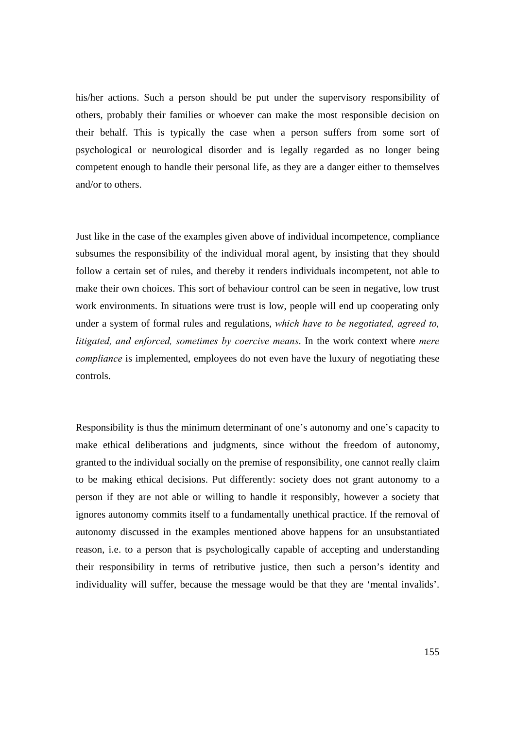his/her actions. Such a person should be put under the supervisory responsibility of others, probably their families or whoever can make the most responsible decision on their behalf. This is typically the case when a person suffers from some sort of psychological or neurological disorder and is legally regarded as no longer being competent enough to handle their personal life, as they are a danger either to themselves and/or to others.

Just like in the case of the examples given above of individual incompetence, compliance subsumes the responsibility of the individual moral agent, by insisting that they should follow a certain set of rules, and thereby it renders individuals incompetent, not able to make their own choices. This sort of behaviour control can be seen in negative, low trust work environments. In situations were trust is low, people will end up cooperating only under a system of formal rules and regulations, *which have to be negotiated, agreed to, litigated, and enforced, sometimes by coercive means*. In the work context where *mere compliance* is implemented, employees do not even have the luxury of negotiating these controls.

Responsibility is thus the minimum determinant of one's autonomy and one's capacity to make ethical deliberations and judgments, since without the freedom of autonomy, granted to the individual socially on the premise of responsibility, one cannot really claim to be making ethical decisions. Put differently: society does not grant autonomy to a person if they are not able or willing to handle it responsibly, however a society that ignores autonomy commits itself to a fundamentally unethical practice. If the removal of autonomy discussed in the examples mentioned above happens for an unsubstantiated reason, i.e. to a person that is psychologically capable of accepting and understanding their responsibility in terms of retributive justice, then such a person's identity and individuality will suffer, because the message would be that they are 'mental invalids'.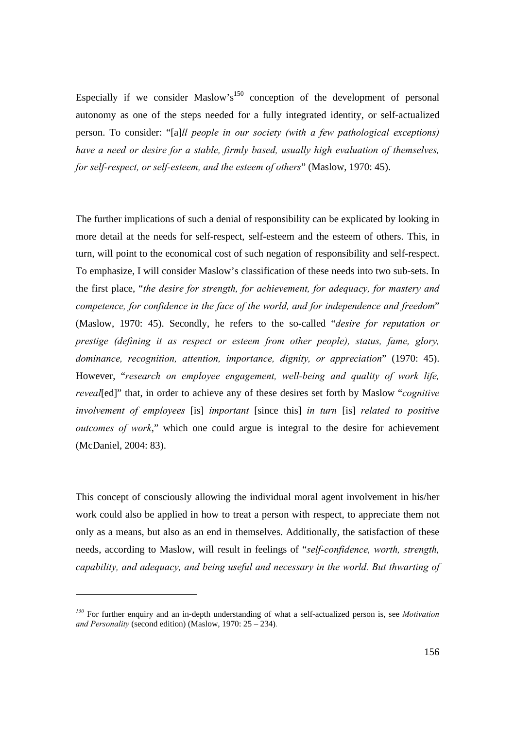Especially if we consider Maslow's<sup>150</sup> conception of the development of personal autonomy as one of the steps needed for a fully integrated identity, or self-actualized person. To consider: "[a]*ll people in our society (with a few pathological exceptions) have a need or desire for a stable, firmly based, usually high evaluation of themselves, for self-respect, or self-esteem, and the esteem of others*" (Maslow, 1970: 45).

The further implications of such a denial of responsibility can be explicated by looking in more detail at the needs for self-respect, self-esteem and the esteem of others. This, in turn, will point to the economical cost of such negation of responsibility and self-respect. To emphasize, I will consider Maslow's classification of these needs into two sub-sets. In the first place, "*the desire for strength, for achievement, for adequacy, for mastery and competence, for confidence in the face of the world, and for independence and freedom*" (Maslow, 1970: 45). Secondly, he refers to the so-called "*desire for reputation or prestige (defining it as respect or esteem from other people), status, fame, glory, dominance, recognition, attention, importance, dignity, or appreciation*" (1970: 45). However, "*research on employee engagement, well-being and quality of work life, reveal*[ed]" that, in order to achieve any of these desires set forth by Maslow "*cognitive involvement of employees* [is] *important* [since this] *in turn* [is] *related to positive outcomes of work*," which one could argue is integral to the desire for achievement (McDaniel, 2004: 83).

This concept of consciously allowing the individual moral agent involvement in his/her work could also be applied in how to treat a person with respect, to appreciate them not only as a means, but also as an end in themselves. Additionally, the satisfaction of these needs, according to Maslow, will result in feelings of "*self-confidence, worth, strength, capability, and adequacy, and being useful and necessary in the world. But thwarting of* 

*<sup>150</sup>* For further enquiry and an in-depth understanding of what a self-actualized person is, see *Motivation and Personality* (second edition) (Maslow, 1970: 25 – 234)*.*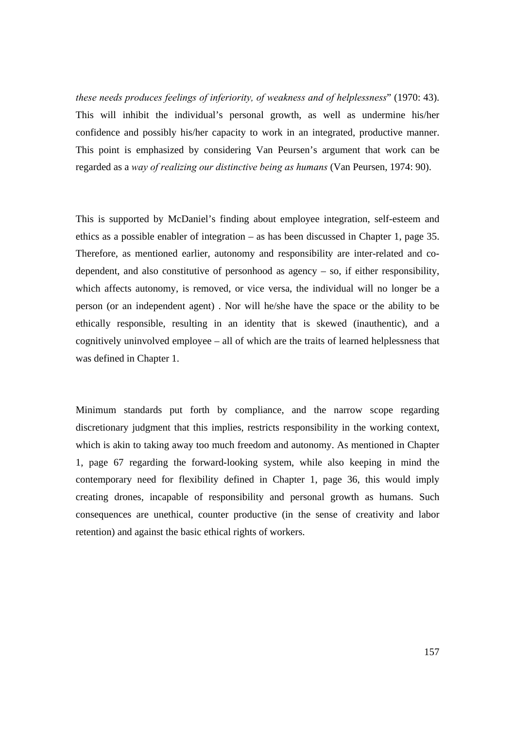*these needs produces feelings of inferiority, of weakness and of helplessness*" (1970: 43). This will inhibit the individual's personal growth, as well as undermine his/her confidence and possibly his/her capacity to work in an integrated, productive manner. This point is emphasized by considering Van Peursen's argument that work can be regarded as a *way of realizing our distinctive being as humans* (Van Peursen, 1974: 90).

This is supported by McDaniel's finding about employee integration, self-esteem and ethics as a possible enabler of integration – as has been discussed in Chapter 1, page 35. Therefore, as mentioned earlier, autonomy and responsibility are inter-related and codependent, and also constitutive of personhood as agency – so, if either responsibility, which affects autonomy, is removed, or vice versa, the individual will no longer be a person (or an independent agent) . Nor will he/she have the space or the ability to be ethically responsible, resulting in an identity that is skewed (inauthentic), and a cognitively uninvolved employee – all of which are the traits of learned helplessness that was defined in Chapter 1.

Minimum standards put forth by compliance, and the narrow scope regarding discretionary judgment that this implies, restricts responsibility in the working context, which is akin to taking away too much freedom and autonomy. As mentioned in Chapter 1, page 67 regarding the forward-looking system, while also keeping in mind the contemporary need for flexibility defined in Chapter 1, page 36, this would imply creating drones, incapable of responsibility and personal growth as humans. Such consequences are unethical, counter productive (in the sense of creativity and labor retention) and against the basic ethical rights of workers.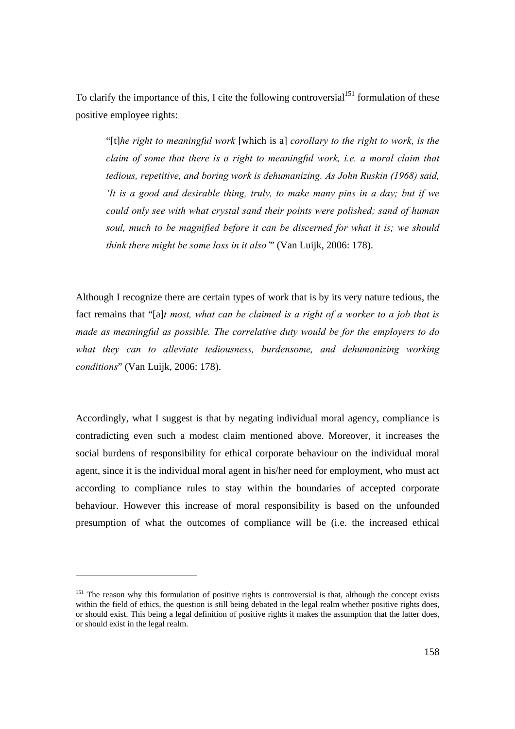To clarify the importance of this, I cite the following controversial<sup>151</sup> formulation of these positive employee rights:

"[t]*he right to meaningful work* [which is a] *corollary to the right to work, is the claim of some that there is a right to meaningful work, i.e. a moral claim that tedious, repetitive, and boring work is dehumanizing. As John Ruskin (1968) said, 'It is a good and desirable thing, truly, to make many pins in a day; but if we could only see with what crystal sand their points were polished; sand of human soul, much to be magnified before it can be discerned for what it is; we should think there might be some loss in it also'*" (Van Luijk, 2006: 178).

Although I recognize there are certain types of work that is by its very nature tedious, the fact remains that "[a]*t most, what can be claimed is a right of a worker to a job that is made as meaningful as possible. The correlative duty would be for the employers to do what they can to alleviate tediousness, burdensome, and dehumanizing working conditions*" (Van Luijk, 2006: 178).

Accordingly, what I suggest is that by negating individual moral agency, compliance is contradicting even such a modest claim mentioned above. Moreover, it increases the social burdens of responsibility for ethical corporate behaviour on the individual moral agent, since it is the individual moral agent in his/her need for employment, who must act according to compliance rules to stay within the boundaries of accepted corporate behaviour. However this increase of moral responsibility is based on the unfounded presumption of what the outcomes of compliance will be (i.e. the increased ethical

<sup>&</sup>lt;sup>151</sup> The reason why this formulation of positive rights is controversial is that, although the concept exists within the field of ethics, the question is still being debated in the legal realm whether positive rights does, or should exist. This being a legal definition of positive rights it makes the assumption that the latter does, or should exist in the legal realm.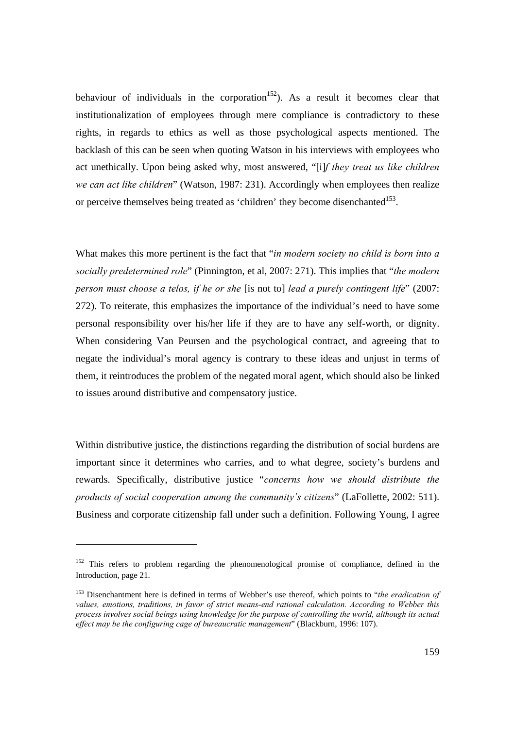behaviour of individuals in the corporation<sup>152</sup>). As a result it becomes clear that institutionalization of employees through mere compliance is contradictory to these rights, in regards to ethics as well as those psychological aspects mentioned. The backlash of this can be seen when quoting Watson in his interviews with employees who act unethically. Upon being asked why, most answered, "[i]*f they treat us like children we can act like children*" (Watson, 1987: 231). Accordingly when employees then realize or perceive themselves being treated as 'children' they become disenchanted<sup>153</sup>.

What makes this more pertinent is the fact that "*in modern society no child is born into a socially predetermined role*" (Pinnington, et al, 2007: 271). This implies that "*the modern person must choose a telos, if he or she* [is not to] *lead a purely contingent life*" (2007: 272). To reiterate, this emphasizes the importance of the individual's need to have some personal responsibility over his/her life if they are to have any self-worth, or dignity. When considering Van Peursen and the psychological contract, and agreeing that to negate the individual's moral agency is contrary to these ideas and unjust in terms of them, it reintroduces the problem of the negated moral agent, which should also be linked to issues around distributive and compensatory justice.

Within distributive justice, the distinctions regarding the distribution of social burdens are important since it determines who carries, and to what degree, society's burdens and rewards. Specifically, distributive justice "*concerns how we should distribute the products of social cooperation among the community's citizens*" (LaFollette, 2002: 511). Business and corporate citizenship fall under such a definition. Following Young, I agree

l

 $152$  This refers to problem regarding the phenomenological promise of compliance, defined in the Introduction, page 21.

<sup>153</sup> Disenchantment here is defined in terms of Webber's use thereof, which points to "*the eradication of values, emotions, traditions, in favor of strict means-end rational calculation. According to Webber this process involves social beings using knowledge for the purpose of controlling the world, although its actual effect may be the configuring cage of bureaucratic management*" (Blackburn, 1996: 107).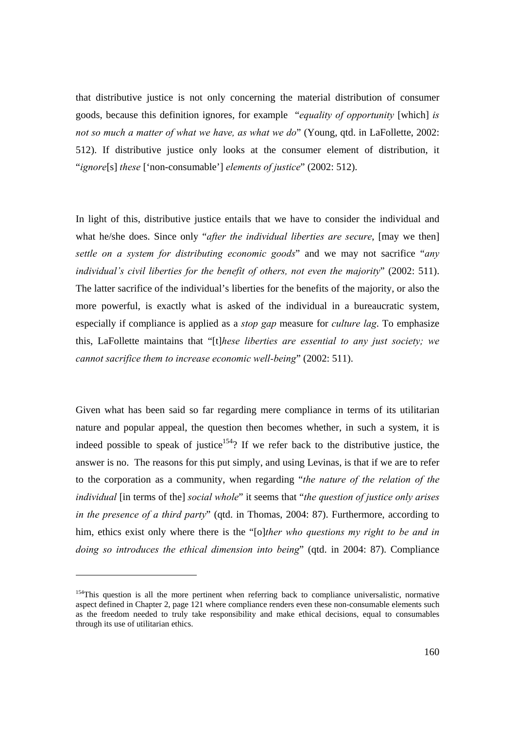that distributive justice is not only concerning the material distribution of consumer goods, because this definition ignores, for example "*equality of opportunity* [which] *is not so much a matter of what we have, as what we do*" (Young, qtd. in LaFollette, 2002: 512). If distributive justice only looks at the consumer element of distribution, it "*ignore*[s] *these* ['non-consumable'] *elements of justice*" (2002: 512).

In light of this, distributive justice entails that we have to consider the individual and what he/she does. Since only "*after the individual liberties are secure*, [may we then] *settle on a system for distributing economic goods*" and we may not sacrifice "*any individual's civil liberties for the benefit of others, not even the majority*" (2002: 511). The latter sacrifice of the individual's liberties for the benefits of the majority, or also the more powerful, is exactly what is asked of the individual in a bureaucratic system, especially if compliance is applied as a *stop gap* measure for *culture lag*. To emphasize this, LaFollette maintains that "[t]*hese liberties are essential to any just society; we cannot sacrifice them to increase economic well-being*" (2002: 511).

Given what has been said so far regarding mere compliance in terms of its utilitarian nature and popular appeal, the question then becomes whether, in such a system, it is indeed possible to speak of justice<sup>154</sup>? If we refer back to the distributive justice, the answer is no. The reasons for this put simply, and using Levinas, is that if we are to refer to the corporation as a community, when regarding "*the nature of the relation of the individual* [in terms of the] *social whole*" it seems that "*the question of justice only arises in the presence of a third party*" (qtd. in Thomas, 2004: 87). Furthermore, according to him, ethics exist only where there is the "[o]*ther who questions my right to be and in doing so introduces the ethical dimension into being*" (qtd. in 2004: 87). Compliance

<sup>&</sup>lt;sup>154</sup>This question is all the more pertinent when referring back to compliance universalistic, normative aspect defined in Chapter 2, page 121 where compliance renders even these non-consumable elements such as the freedom needed to truly take responsibility and make ethical decisions, equal to consumables through its use of utilitarian ethics.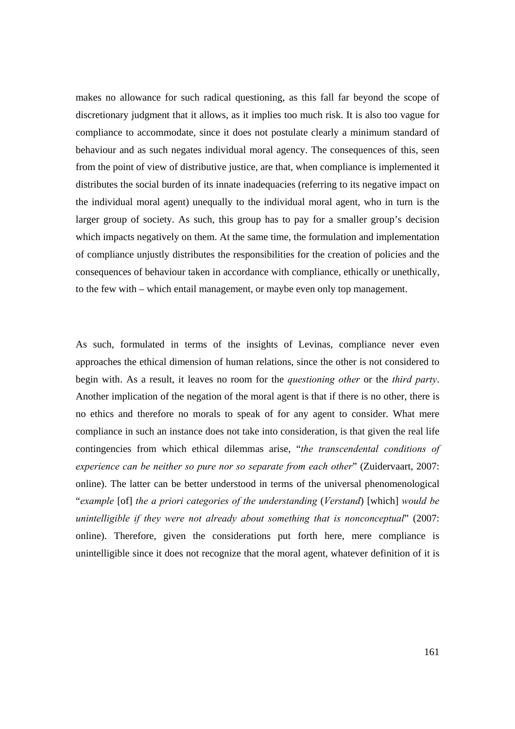makes no allowance for such radical questioning, as this fall far beyond the scope of discretionary judgment that it allows, as it implies too much risk. It is also too vague for compliance to accommodate, since it does not postulate clearly a minimum standard of behaviour and as such negates individual moral agency. The consequences of this, seen from the point of view of distributive justice, are that, when compliance is implemented it distributes the social burden of its innate inadequacies (referring to its negative impact on the individual moral agent) unequally to the individual moral agent, who in turn is the larger group of society. As such, this group has to pay for a smaller group's decision which impacts negatively on them. At the same time, the formulation and implementation of compliance unjustly distributes the responsibilities for the creation of policies and the consequences of behaviour taken in accordance with compliance, ethically or unethically, to the few with – which entail management, or maybe even only top management.

As such, formulated in terms of the insights of Levinas, compliance never even approaches the ethical dimension of human relations, since the other is not considered to begin with. As a result, it leaves no room for the *questioning other* or the *third party*. Another implication of the negation of the moral agent is that if there is no other, there is no ethics and therefore no morals to speak of for any agent to consider. What mere compliance in such an instance does not take into consideration, is that given the real life contingencies from which ethical dilemmas arise, "*the transcendental conditions of experience can be neither so pure nor so separate from each other*" (Zuidervaart, 2007: online). The latter can be better understood in terms of the universal phenomenological "*example* [of] *the a priori categories of the understanding* (*Verstand*) [which] *would be unintelligible if they were not already about something that is nonconceptual*" (2007: online). Therefore, given the considerations put forth here, mere compliance is unintelligible since it does not recognize that the moral agent, whatever definition of it is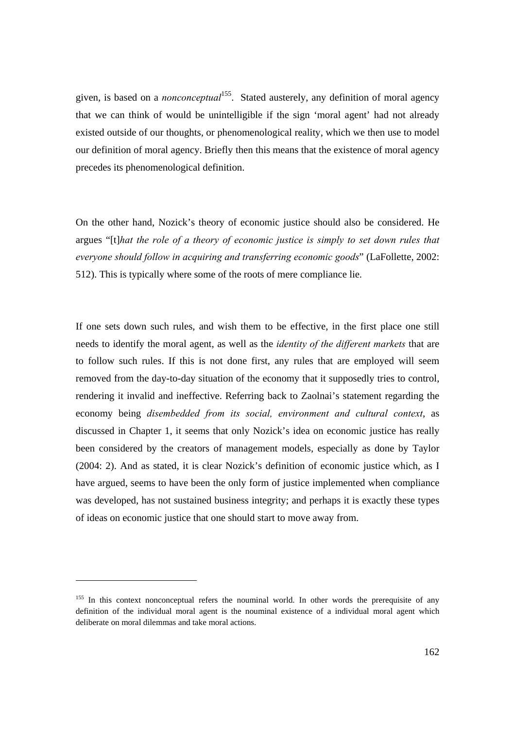given, is based on a *nonconceptual*155. Stated austerely, any definition of moral agency that we can think of would be unintelligible if the sign 'moral agent' had not already existed outside of our thoughts, or phenomenological reality, which we then use to model our definition of moral agency. Briefly then this means that the existence of moral agency precedes its phenomenological definition.

On the other hand, Nozick's theory of economic justice should also be considered. He argues "[t]*hat the role of a theory of economic justice is simply to set down rules that everyone should follow in acquiring and transferring economic goods*" (LaFollette, 2002: 512). This is typically where some of the roots of mere compliance lie.

If one sets down such rules, and wish them to be effective, in the first place one still needs to identify the moral agent, as well as the *identity of the different markets* that are to follow such rules. If this is not done first, any rules that are employed will seem removed from the day-to-day situation of the economy that it supposedly tries to control, rendering it invalid and ineffective. Referring back to Zaolnai's statement regarding the economy being *disembedded from its social, environment and cultural context*, as discussed in Chapter 1, it seems that only Nozick's idea on economic justice has really been considered by the creators of management models, especially as done by Taylor (2004: 2). And as stated, it is clear Nozick's definition of economic justice which, as I have argued, seems to have been the only form of justice implemented when compliance was developed, has not sustained business integrity; and perhaps it is exactly these types of ideas on economic justice that one should start to move away from.

l

<sup>&</sup>lt;sup>155</sup> In this context nonconceptual refers the nouminal world. In other words the prerequisite of any definition of the individual moral agent is the nouminal existence of a individual moral agent which deliberate on moral dilemmas and take moral actions.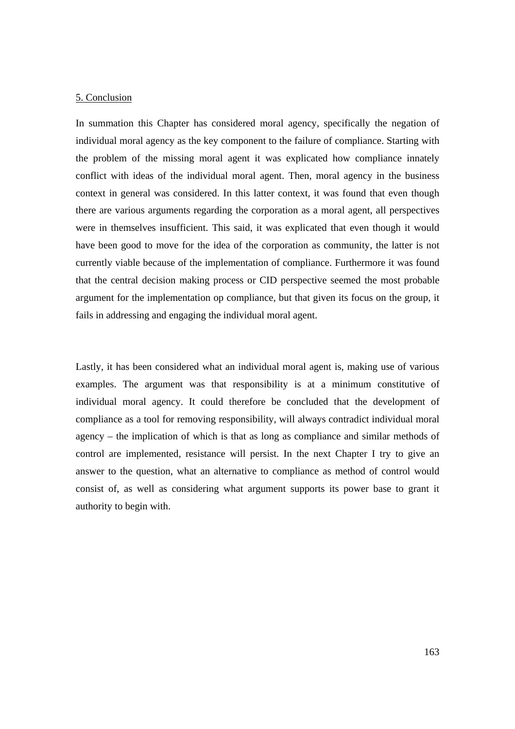#### 5. Conclusion

In summation this Chapter has considered moral agency, specifically the negation of individual moral agency as the key component to the failure of compliance. Starting with the problem of the missing moral agent it was explicated how compliance innately conflict with ideas of the individual moral agent. Then, moral agency in the business context in general was considered. In this latter context, it was found that even though there are various arguments regarding the corporation as a moral agent, all perspectives were in themselves insufficient. This said, it was explicated that even though it would have been good to move for the idea of the corporation as community, the latter is not currently viable because of the implementation of compliance. Furthermore it was found that the central decision making process or CID perspective seemed the most probable argument for the implementation op compliance, but that given its focus on the group, it fails in addressing and engaging the individual moral agent.

Lastly, it has been considered what an individual moral agent is, making use of various examples. The argument was that responsibility is at a minimum constitutive of individual moral agency. It could therefore be concluded that the development of compliance as a tool for removing responsibility, will always contradict individual moral agency – the implication of which is that as long as compliance and similar methods of control are implemented, resistance will persist. In the next Chapter I try to give an answer to the question, what an alternative to compliance as method of control would consist of, as well as considering what argument supports its power base to grant it authority to begin with.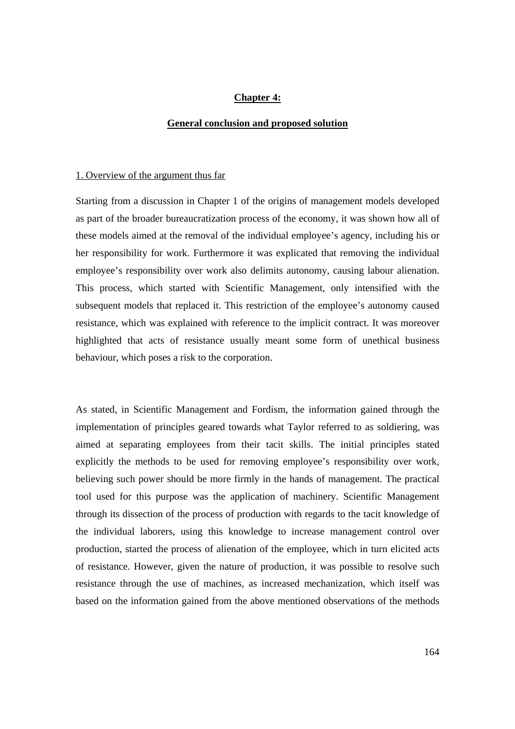## **Chapter 4:**

#### **General conclusion and proposed solution**

#### 1. Overview of the argument thus far

Starting from a discussion in Chapter 1 of the origins of management models developed as part of the broader bureaucratization process of the economy, it was shown how all of these models aimed at the removal of the individual employee's agency, including his or her responsibility for work. Furthermore it was explicated that removing the individual employee's responsibility over work also delimits autonomy, causing labour alienation. This process, which started with Scientific Management, only intensified with the subsequent models that replaced it. This restriction of the employee's autonomy caused resistance, which was explained with reference to the implicit contract. It was moreover highlighted that acts of resistance usually meant some form of unethical business behaviour, which poses a risk to the corporation.

As stated, in Scientific Management and Fordism, the information gained through the implementation of principles geared towards what Taylor referred to as soldiering, was aimed at separating employees from their tacit skills. The initial principles stated explicitly the methods to be used for removing employee's responsibility over work, believing such power should be more firmly in the hands of management. The practical tool used for this purpose was the application of machinery. Scientific Management through its dissection of the process of production with regards to the tacit knowledge of the individual laborers, using this knowledge to increase management control over production, started the process of alienation of the employee, which in turn elicited acts of resistance. However, given the nature of production, it was possible to resolve such resistance through the use of machines, as increased mechanization, which itself was based on the information gained from the above mentioned observations of the methods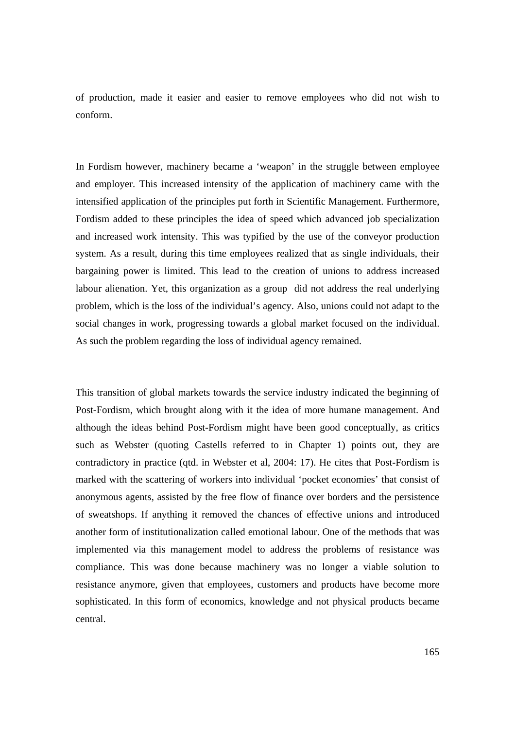of production, made it easier and easier to remove employees who did not wish to conform.

In Fordism however, machinery became a 'weapon' in the struggle between employee and employer. This increased intensity of the application of machinery came with the intensified application of the principles put forth in Scientific Management. Furthermore, Fordism added to these principles the idea of speed which advanced job specialization and increased work intensity. This was typified by the use of the conveyor production system. As a result, during this time employees realized that as single individuals, their bargaining power is limited. This lead to the creation of unions to address increased labour alienation. Yet, this organization as a group did not address the real underlying problem, which is the loss of the individual's agency. Also, unions could not adapt to the social changes in work, progressing towards a global market focused on the individual. As such the problem regarding the loss of individual agency remained.

This transition of global markets towards the service industry indicated the beginning of Post-Fordism, which brought along with it the idea of more humane management. And although the ideas behind Post-Fordism might have been good conceptually, as critics such as Webster (quoting Castells referred to in Chapter 1) points out, they are contradictory in practice (qtd. in Webster et al, 2004: 17). He cites that Post-Fordism is marked with the scattering of workers into individual 'pocket economies' that consist of anonymous agents, assisted by the free flow of finance over borders and the persistence of sweatshops. If anything it removed the chances of effective unions and introduced another form of institutionalization called emotional labour. One of the methods that was implemented via this management model to address the problems of resistance was compliance. This was done because machinery was no longer a viable solution to resistance anymore, given that employees, customers and products have become more sophisticated. In this form of economics, knowledge and not physical products became central.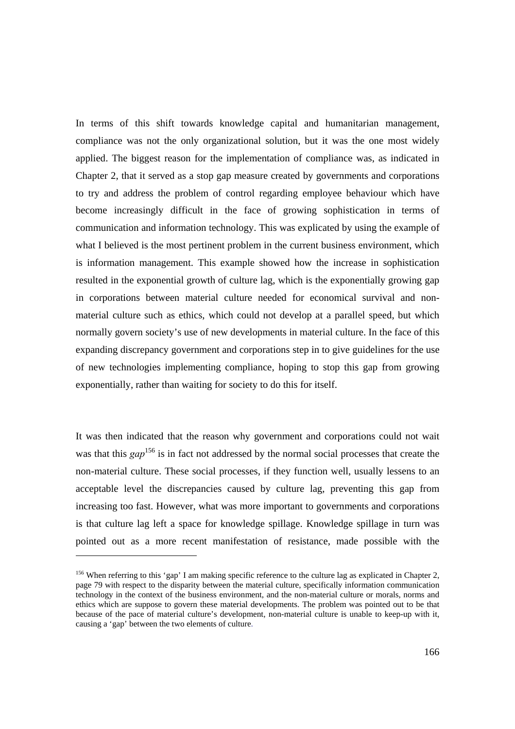In terms of this shift towards knowledge capital and humanitarian management, compliance was not the only organizational solution, but it was the one most widely applied. The biggest reason for the implementation of compliance was, as indicated in Chapter 2, that it served as a stop gap measure created by governments and corporations to try and address the problem of control regarding employee behaviour which have become increasingly difficult in the face of growing sophistication in terms of communication and information technology. This was explicated by using the example of what I believed is the most pertinent problem in the current business environment, which is information management. This example showed how the increase in sophistication resulted in the exponential growth of culture lag, which is the exponentially growing gap in corporations between material culture needed for economical survival and nonmaterial culture such as ethics, which could not develop at a parallel speed, but which normally govern society's use of new developments in material culture. In the face of this expanding discrepancy government and corporations step in to give guidelines for the use of new technologies implementing compliance, hoping to stop this gap from growing exponentially, rather than waiting for society to do this for itself.

It was then indicated that the reason why government and corporations could not wait was that this *gap* 156 is in fact not addressed by the normal social processes that create the non-material culture. These social processes, if they function well, usually lessens to an acceptable level the discrepancies caused by culture lag, preventing this gap from increasing too fast. However, what was more important to governments and corporations is that culture lag left a space for knowledge spillage. Knowledge spillage in turn was pointed out as a more recent manifestation of resistance, made possible with the

<sup>&</sup>lt;sup>156</sup> When referring to this 'gap' I am making specific reference to the culture lag as explicated in Chapter 2, page 79 with respect to the disparity between the material culture, specifically information communication technology in the context of the business environment, and the non-material culture or morals, norms and ethics which are suppose to govern these material developments. The problem was pointed out to be that because of the pace of material culture's development, non-material culture is unable to keep-up with it, causing a 'gap' between the two elements of culture.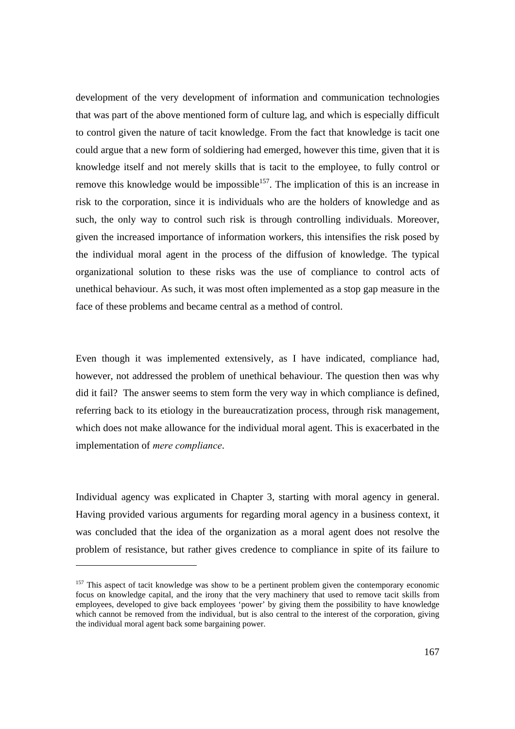development of the very development of information and communication technologies that was part of the above mentioned form of culture lag, and which is especially difficult to control given the nature of tacit knowledge. From the fact that knowledge is tacit one could argue that a new form of soldiering had emerged, however this time, given that it is knowledge itself and not merely skills that is tacit to the employee, to fully control or remove this knowledge would be impossible<sup>157</sup>. The implication of this is an increase in risk to the corporation, since it is individuals who are the holders of knowledge and as such, the only way to control such risk is through controlling individuals. Moreover, given the increased importance of information workers, this intensifies the risk posed by the individual moral agent in the process of the diffusion of knowledge. The typical organizational solution to these risks was the use of compliance to control acts of unethical behaviour. As such, it was most often implemented as a stop gap measure in the face of these problems and became central as a method of control.

Even though it was implemented extensively, as I have indicated, compliance had, however, not addressed the problem of unethical behaviour. The question then was why did it fail? The answer seems to stem form the very way in which compliance is defined, referring back to its etiology in the bureaucratization process, through risk management, which does not make allowance for the individual moral agent. This is exacerbated in the implementation of *mere compliance*.

Individual agency was explicated in Chapter 3, starting with moral agency in general. Having provided various arguments for regarding moral agency in a business context, it was concluded that the idea of the organization as a moral agent does not resolve the problem of resistance, but rather gives credence to compliance in spite of its failure to

<sup>&</sup>lt;sup>157</sup> This aspect of tacit knowledge was show to be a pertinent problem given the contemporary economic focus on knowledge capital, and the irony that the very machinery that used to remove tacit skills from employees, developed to give back employees 'power' by giving them the possibility to have knowledge which cannot be removed from the individual, but is also central to the interest of the corporation, giving the individual moral agent back some bargaining power.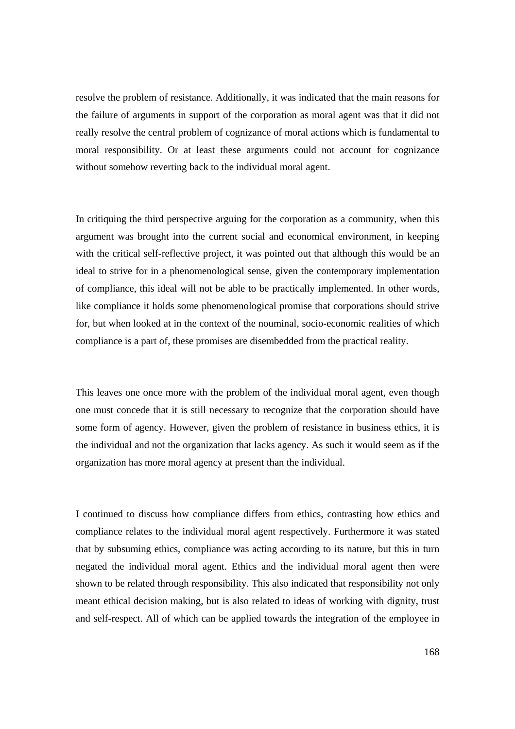resolve the problem of resistance. Additionally, it was indicated that the main reasons for the failure of arguments in support of the corporation as moral agent was that it did not really resolve the central problem of cognizance of moral actions which is fundamental to moral responsibility. Or at least these arguments could not account for cognizance without somehow reverting back to the individual moral agent.

In critiquing the third perspective arguing for the corporation as a community, when this argument was brought into the current social and economical environment, in keeping with the critical self-reflective project, it was pointed out that although this would be an ideal to strive for in a phenomenological sense, given the contemporary implementation of compliance, this ideal will not be able to be practically implemented. In other words, like compliance it holds some phenomenological promise that corporations should strive for, but when looked at in the context of the nouminal, socio-economic realities of which compliance is a part of, these promises are disembedded from the practical reality.

This leaves one once more with the problem of the individual moral agent, even though one must concede that it is still necessary to recognize that the corporation should have some form of agency. However, given the problem of resistance in business ethics, it is the individual and not the organization that lacks agency. As such it would seem as if the organization has more moral agency at present than the individual.

I continued to discuss how compliance differs from ethics, contrasting how ethics and compliance relates to the individual moral agent respectively. Furthermore it was stated that by subsuming ethics, compliance was acting according to its nature, but this in turn negated the individual moral agent. Ethics and the individual moral agent then were shown to be related through responsibility. This also indicated that responsibility not only meant ethical decision making, but is also related to ideas of working with dignity, trust and self-respect. All of which can be applied towards the integration of the employee in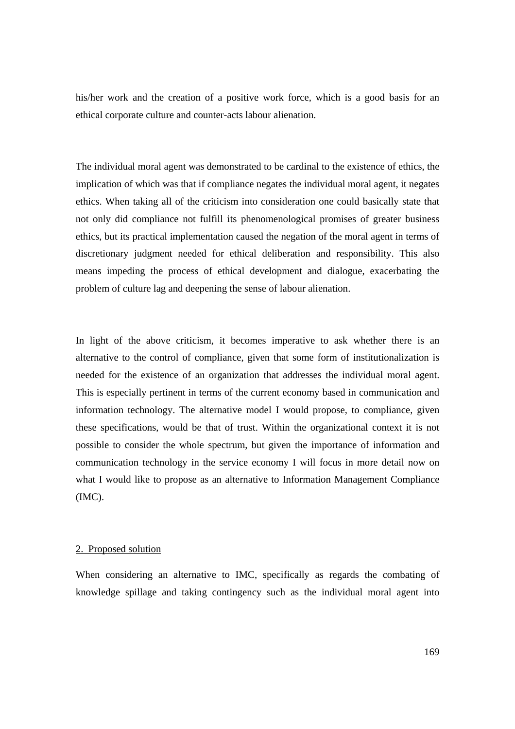his/her work and the creation of a positive work force, which is a good basis for an ethical corporate culture and counter-acts labour alienation.

The individual moral agent was demonstrated to be cardinal to the existence of ethics, the implication of which was that if compliance negates the individual moral agent, it negates ethics. When taking all of the criticism into consideration one could basically state that not only did compliance not fulfill its phenomenological promises of greater business ethics, but its practical implementation caused the negation of the moral agent in terms of discretionary judgment needed for ethical deliberation and responsibility. This also means impeding the process of ethical development and dialogue, exacerbating the problem of culture lag and deepening the sense of labour alienation.

In light of the above criticism, it becomes imperative to ask whether there is an alternative to the control of compliance, given that some form of institutionalization is needed for the existence of an organization that addresses the individual moral agent. This is especially pertinent in terms of the current economy based in communication and information technology. The alternative model I would propose, to compliance, given these specifications, would be that of trust. Within the organizational context it is not possible to consider the whole spectrum, but given the importance of information and communication technology in the service economy I will focus in more detail now on what I would like to propose as an alternative to Information Management Compliance (IMC).

#### 2. Proposed solution

When considering an alternative to IMC, specifically as regards the combating of knowledge spillage and taking contingency such as the individual moral agent into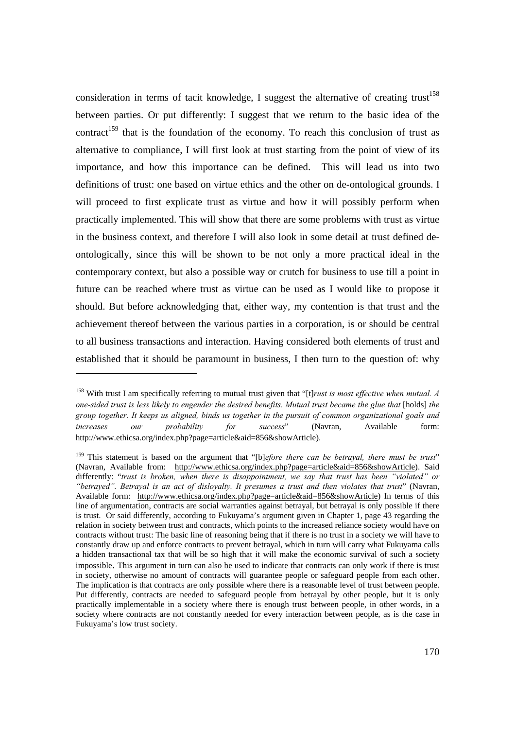consideration in terms of tacit knowledge, I suggest the alternative of creating trust<sup>158</sup> between parties. Or put differently: I suggest that we return to the basic idea of the contract<sup>159</sup> that is the foundation of the economy. To reach this conclusion of trust as alternative to compliance, I will first look at trust starting from the point of view of its importance, and how this importance can be defined. This will lead us into two definitions of trust: one based on virtue ethics and the other on de-ontological grounds. I will proceed to first explicate trust as virtue and how it will possibly perform when practically implemented. This will show that there are some problems with trust as virtue in the business context, and therefore I will also look in some detail at trust defined deontologically, since this will be shown to be not only a more practical ideal in the contemporary context, but also a possible way or crutch for business to use till a point in future can be reached where trust as virtue can be used as I would like to propose it should. But before acknowledging that, either way, my contention is that trust and the achievement thereof between the various parties in a corporation, is or should be central to all business transactions and interaction. Having considered both elements of trust and established that it should be paramount in business, I then turn to the question of: why

<sup>158</sup> With trust I am specifically referring to mutual trust given that "[t]*rust is most effective when mutual. A one-sided trust is less likely to engender the desired benefits. Mutual trust became the glue that* [holds] *the group together. It keeps us aligned, binds us together in the pursuit of common organizational goals and increases our probability for success*" (Navran, Available form: http://www.ethicsa.org/index.php?page=article&aid=856&showArticle).

<sup>&</sup>lt;sup>159</sup> This statement is based on the argument that "[b]*efore there can be betrayal, there must be trust*" (Navran, Available from: http://www.ethicsa.org/index.php?page=article&aid=856&showArticle). Said differently: "*trust is broken, when there is disappointment, we say that trust has been "violated" or "betrayed". Betrayal is an act of disloyalty. It presumes a trust and then violates that trust*" (Navran, Available form: http://www.ethicsa.org/index.php?page=article&aid=856&showArticle) In terms of this line of argumentation, contracts are social warranties against betrayal, but betrayal is only possible if there is trust. Or said differently, according to Fukuyama's argument given in Chapter 1, page 43 regarding the relation in society between trust and contracts, which points to the increased reliance society would have on contracts without trust: The basic line of reasoning being that if there is no trust in a society we will have to constantly draw up and enforce contracts to prevent betrayal, which in turn will carry what Fukuyama calls a hidden transactional tax that will be so high that it will make the economic survival of such a society impossible. This argument in turn can also be used to indicate that contracts can only work if there is trust in society, otherwise no amount of contracts will guarantee people or safeguard people from each other. The implication is that contracts are only possible where there is a reasonable level of trust between people. Put differently, contracts are needed to safeguard people from betrayal by other people, but it is only practically implementable in a society where there is enough trust between people, in other words, in a society where contracts are not constantly needed for every interaction between people, as is the case in Fukuyama's low trust society.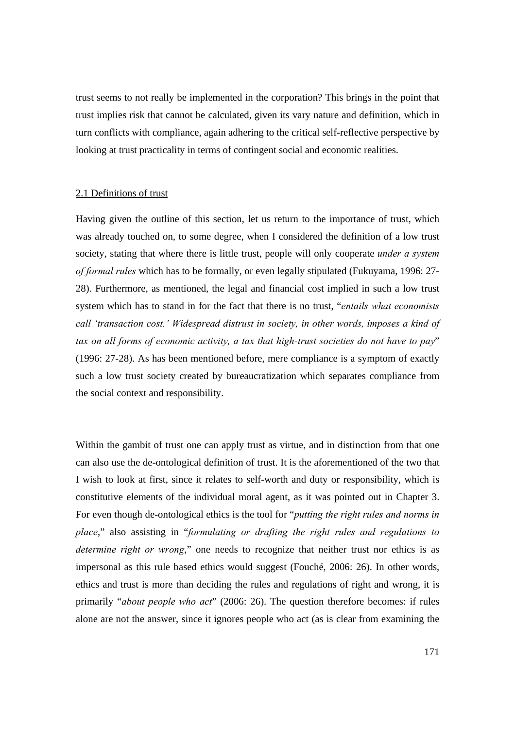trust seems to not really be implemented in the corporation? This brings in the point that trust implies risk that cannot be calculated, given its vary nature and definition, which in turn conflicts with compliance, again adhering to the critical self-reflective perspective by looking at trust practicality in terms of contingent social and economic realities.

### 2.1 Definitions of trust

Having given the outline of this section, let us return to the importance of trust, which was already touched on, to some degree, when I considered the definition of a low trust society, stating that where there is little trust, people will only cooperate *under a system of formal rules* which has to be formally, or even legally stipulated (Fukuyama, 1996: 27- 28). Furthermore, as mentioned, the legal and financial cost implied in such a low trust system which has to stand in for the fact that there is no trust, "*entails what economists call 'transaction cost.' Widespread distrust in society, in other words, imposes a kind of tax on all forms of economic activity, a tax that high-trust societies do not have to pay*" (1996: 27-28). As has been mentioned before, mere compliance is a symptom of exactly such a low trust society created by bureaucratization which separates compliance from the social context and responsibility.

Within the gambit of trust one can apply trust as virtue, and in distinction from that one can also use the de-ontological definition of trust. It is the aforementioned of the two that I wish to look at first, since it relates to self-worth and duty or responsibility, which is constitutive elements of the individual moral agent, as it was pointed out in Chapter 3. For even though de-ontological ethics is the tool for "*putting the right rules and norms in place*," also assisting in "*formulating or drafting the right rules and regulations to determine right or wrong*," one needs to recognize that neither trust nor ethics is as impersonal as this rule based ethics would suggest (Fouché, 2006: 26). In other words, ethics and trust is more than deciding the rules and regulations of right and wrong, it is primarily "*about people who act*" (2006: 26). The question therefore becomes: if rules alone are not the answer, since it ignores people who act (as is clear from examining the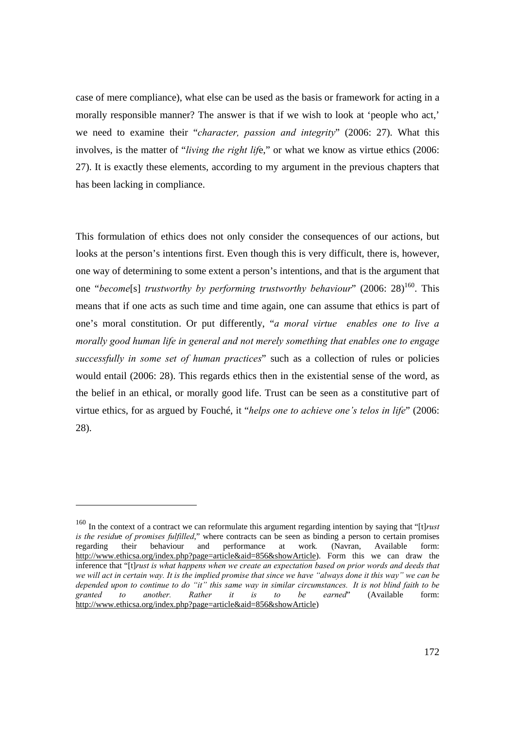case of mere compliance), what else can be used as the basis or framework for acting in a morally responsible manner? The answer is that if we wish to look at 'people who act,' we need to examine their "*character, passion and integrity*" (2006: 27). What this involves, is the matter of "*living the right lif*e," or what we know as virtue ethics (2006: 27). It is exactly these elements, according to my argument in the previous chapters that has been lacking in compliance.

This formulation of ethics does not only consider the consequences of our actions, but looks at the person's intentions first. Even though this is very difficult, there is, however, one way of determining to some extent a person's intentions, and that is the argument that one "*become*[s] *trustworthy by performing trustworthy behaviour*" (2006: 28)<sup>160</sup>. This means that if one acts as such time and time again, one can assume that ethics is part of one's moral constitution. Or put differently, "*a moral virtue enables one to live a morally good human life in general and not merely something that enables one to engage successfully in some set of human practices*" such as a collection of rules or policies would entail (2006: 28). This regards ethics then in the existential sense of the word, as the belief in an ethical, or morally good life. Trust can be seen as a constitutive part of virtue ethics, for as argued by Fouché, it "*helps one to achieve one's telos in life*" (2006: 28).

<sup>160</sup> In the context of a contract we can reformulate this argument regarding intention by saying that "[t]*rust is the residu*e *of promises fulfilled*," where contracts can be seen as binding a person to certain promises regarding their behaviour and performance at work*.* (Navran, Available form: http://www.ethicsa.org/index.php?page=article&aid=856&showArticle). Form this we can draw the inference that "[t]*rust is what happens when we create an expectation based on prior words and deeds that we will act in certain way. It is the implied promise that since we have "always done it this way" we can be depended upon to continue to do "it" this same way in similar circumstances. It is not blind faith to be granted to another. Rather it is to be earned*" (Available form: http://www.ethicsa.org/index.php?page=article&aid=856&showArticle)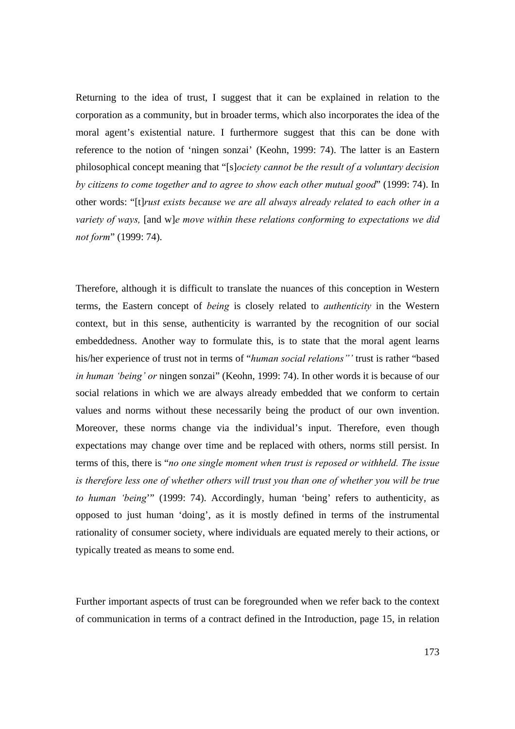Returning to the idea of trust, I suggest that it can be explained in relation to the corporation as a community, but in broader terms, which also incorporates the idea of the moral agent's existential nature. I furthermore suggest that this can be done with reference to the notion of 'ningen sonzai' (Keohn, 1999: 74). The latter is an Eastern philosophical concept meaning that "[s]*ociety cannot be the result of a voluntary decision by citizens to come together and to agree to show each other mutual good*" (1999: 74). In other words: "[t]*rust exists because we are all always already related to each other in a variety of ways,* [and w]*e move within these relations conforming to expectations we did not form*" (1999: 74).

Therefore, although it is difficult to translate the nuances of this conception in Western terms, the Eastern concept of *being* is closely related to *authenticity* in the Western context, but in this sense, authenticity is warranted by the recognition of our social embeddedness. Another way to formulate this, is to state that the moral agent learns his/her experience of trust not in terms of "*human social relations"'* trust is rather "based *in human 'being' or* ningen sonzai" (Keohn, 1999: 74). In other words it is because of our social relations in which we are always already embedded that we conform to certain values and norms without these necessarily being the product of our own invention. Moreover, these norms change via the individual's input. Therefore, even though expectations may change over time and be replaced with others, norms still persist. In terms of this, there is "*no one single moment when trust is reposed or withheld. The issue is therefore less one of whether others will trust you than one of whether you will be true to human 'being*'" (1999: 74). Accordingly, human 'being' refers to authenticity, as opposed to just human 'doing', as it is mostly defined in terms of the instrumental rationality of consumer society, where individuals are equated merely to their actions, or typically treated as means to some end.

Further important aspects of trust can be foregrounded when we refer back to the context of communication in terms of a contract defined in the Introduction, page 15, in relation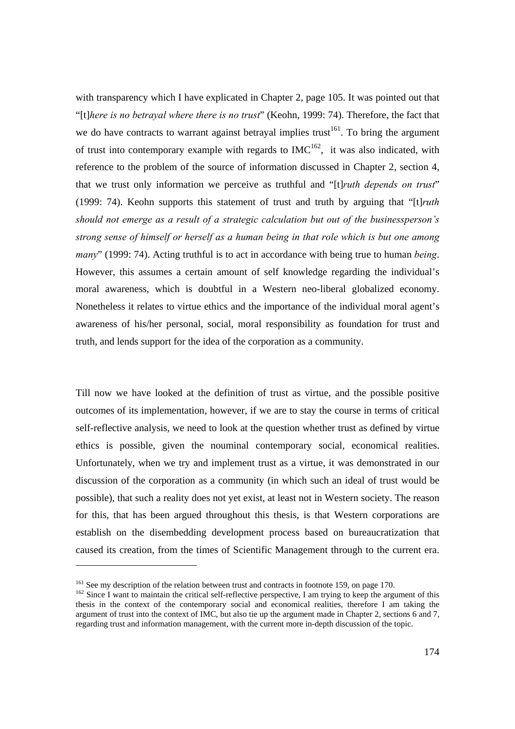with transparency which I have explicated in Chapter 2, page 105. It was pointed out that "[t]*here is no betrayal where there is no trust*" (Keohn, 1999: 74). Therefore, the fact that we do have contracts to warrant against betrayal implies trust<sup>161</sup>. To bring the argument of trust into contemporary example with regards to  $IMC^{162}$ , it was also indicated, with reference to the problem of the source of information discussed in Chapter 2, section 4, that we trust only information we perceive as truthful and "[t]*ruth depends on trust*" (1999: 74). Keohn supports this statement of trust and truth by arguing that "[t]*ruth should not emerge as a result of a strategic calculation but out of the businessperson's strong sense of himself or herself as a human being in that role which is but one among many*" (1999: 74). Acting truthful is to act in accordance with being true to human *being*. However, this assumes a certain amount of self knowledge regarding the individual's moral awareness, which is doubtful in a Western neo-liberal globalized economy. Nonetheless it relates to virtue ethics and the importance of the individual moral agent's awareness of his/her personal, social, moral responsibility as foundation for trust and truth, and lends support for the idea of the corporation as a community.

Till now we have looked at the definition of trust as virtue, and the possible positive outcomes of its implementation, however, if we are to stay the course in terms of critical self-reflective analysis, we need to look at the question whether trust as defined by virtue ethics is possible, given the nouminal contemporary social, economical realities. Unfortunately, when we try and implement trust as a virtue, it was demonstrated in our discussion of the corporation as a community (in which such an ideal of trust would be possible), that such a reality does not yet exist, at least not in Western society. The reason for this, that has been argued throughout this thesis, is that Western corporations are establish on the disembedding development process based on bureaucratization that caused its creation, from the times of Scientific Management through to the current era.

<sup>&</sup>lt;sup>161</sup> See my description of the relation between trust and contracts in footnote 159, on page 170.<br><sup>162</sup> Since I want to maintain the critical self-reflective perspective, I am trying to keep the argument of this thesis in the context of the contemporary social and economical realities, therefore I am taking the argument of trust into the context of IMC, but also tie up the argument made in Chapter 2, sections 6 and 7, regarding trust and information management, with the current more in-depth discussion of the topic.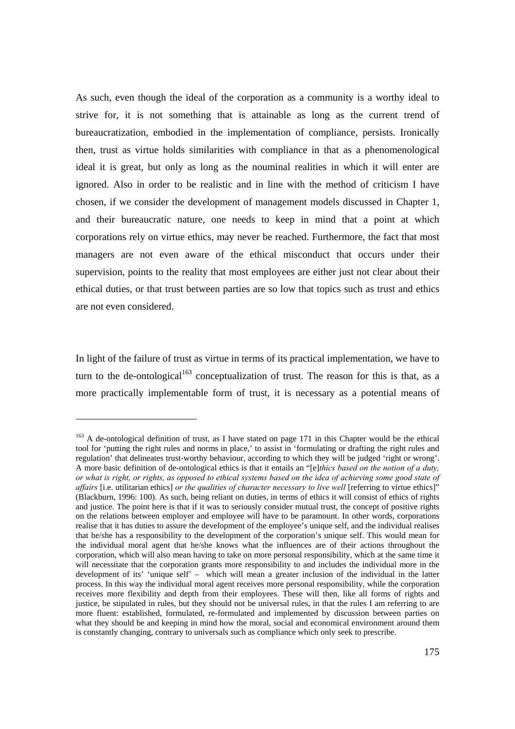As such, even though the ideal of the corporation as a community is a worthy ideal to strive for, it is not something that is attainable as long as the current trend of bureaucratization, embodied in the implementation of compliance, persists. Ironically then, trust as virtue holds similarities with compliance in that as a phenomenological ideal it is great, but only as long as the nouminal realities in which it will enter are ignored. Also in order to be realistic and in line with the method of criticism I have chosen, if we consider the development of management models discussed in Chapter 1, and their bureaucratic nature, one needs to keep in mind that a point at which corporations rely on virtue ethics, may never be reached. Furthermore, the fact that most managers are not even aware of the ethical misconduct that occurs under their supervision, points to the reality that most employees are either just not clear about their ethical duties, or that trust between parties are so low that topics such as trust and ethics are not even considered.

In light of the failure of trust as virtue in terms of its practical implementation, we have to turn to the de-ontological<sup>163</sup> conceptualization of trust. The reason for this is that, as a more practically implementable form of trust, it is necessary as a potential means of

<sup>&</sup>lt;sup>163</sup> A de-ontological definition of trust, as I have stated on page 171 in this Chapter would be the ethical tool for 'putting the right rules and norms in place,' to assist in 'formulating or drafting the right rules and regulation' that delineates trust-worthy behaviour, according to which they will be judged 'right or wrong'. A more basic definition of de-ontological ethics is that it entails an "[e]*thics based on the notion of a duty, or what is right, or rights, as opposed to ethical systems based on the idea of achieving some good state of affairs* [i.e. utilitarian ethics] *or the qualities of character necessary to live well* [referring to virtue ethics]" (Blackburn, 1996: 100). As such, being reliant on duties, in terms of ethics it will consist of ethics of rights and justice. The point here is that if it was to seriously consider mutual trust, the concept of positive rights on the relations between employer and employee will have to be paramount. In other words, corporations realise that it has duties to assure the development of the employee's unique self, and the individual realises that he/she has a responsibility to the development of the corporation's unique self. This would mean for the individual moral agent that he/she knows what the influences are of their actions throughout the corporation, which will also mean having to take on more personal responsibility, which at the same time it will necessitate that the corporation grants more responsibility to and includes the individual more in the development of its' 'unique self' – which will mean a greater inclusion of the individual in the latter process. In this way the individual moral agent receives more personal responsibility, while the corporation receives more flexibility and depth from their employees. These will then, like all forms of rights and justice, be stipulated in rules, but they should not be universal rules, in that the rules I am referring to are more fluent: established, formulated, re-formulated and implemented by discussion between parties on what they should be and keeping in mind how the moral, social and economical environment around them is constantly changing, contrary to universals such as compliance which only seek to prescribe.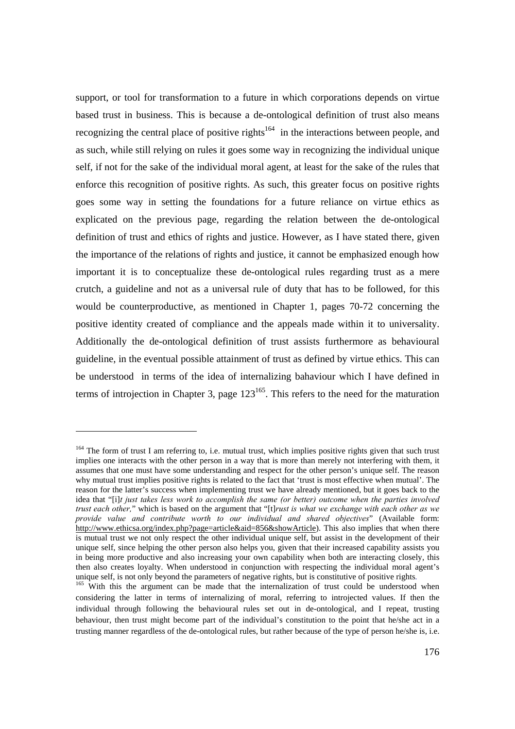support, or tool for transformation to a future in which corporations depends on virtue based trust in business. This is because a de-ontological definition of trust also means recognizing the central place of positive rights<sup>164</sup> in the interactions between people, and as such, while still relying on rules it goes some way in recognizing the individual unique self, if not for the sake of the individual moral agent, at least for the sake of the rules that enforce this recognition of positive rights. As such, this greater focus on positive rights goes some way in setting the foundations for a future reliance on virtue ethics as explicated on the previous page, regarding the relation between the de-ontological definition of trust and ethics of rights and justice. However, as I have stated there, given the importance of the relations of rights and justice, it cannot be emphasized enough how important it is to conceptualize these de-ontological rules regarding trust as a mere crutch, a guideline and not as a universal rule of duty that has to be followed, for this would be counterproductive, as mentioned in Chapter 1, pages 70-72 concerning the positive identity created of compliance and the appeals made within it to universality. Additionally the de-ontological definition of trust assists furthermore as behavioural guideline, in the eventual possible attainment of trust as defined by virtue ethics. This can be understood in terms of the idea of internalizing bahaviour which I have defined in terms of introjection in Chapter 3, page  $123^{165}$ . This refers to the need for the maturation

<sup>&</sup>lt;sup>164</sup> The form of trust I am referring to, i.e. mutual trust, which implies positive rights given that such trust implies one interacts with the other person in a way that is more than merely not interfering with them, it assumes that one must have some understanding and respect for the other person's unique self. The reason why mutual trust implies positive rights is related to the fact that 'trust is most effective when mutual'. The reason for the latter's success when implementing trust we have already mentioned, but it goes back to the idea that "[i]*t just takes less work to accomplish the same (or better) outcome when the parties involved trust each other,*" which is based on the argument that "[t]*rust is what we exchange with each other as we provide value and contribute worth to our individual and shared objectives*" (Available form: http://www.ethicsa.org/index.php?page=article&aid=856&showArticle). This also implies that when there is mutual trust we not only respect the other individual unique self, but assist in the development of their unique self, since helping the other person also helps you, given that their increased capability assists you in being more productive and also increasing your own capability when both are interacting closely, this then also creates loyalty. When understood in conjunction with respecting the individual moral agent's unique self, is not only beyond the parameters of negative rights, but is constitutive of positive rights.<br><sup>165</sup> With this the argument can be made that the internalization of trust could be understood when

considering the latter in terms of internalizing of moral, referring to introjected values. If then the individual through following the behavioural rules set out in de-ontological, and I repeat, trusting behaviour, then trust might become part of the individual's constitution to the point that he/she act in a trusting manner regardless of the de-ontological rules, but rather because of the type of person he/she is, i.e.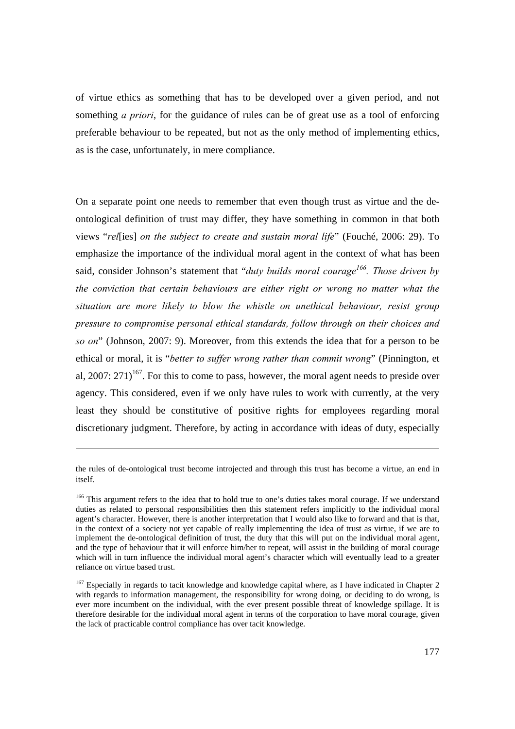of virtue ethics as something that has to be developed over a given period, and not something *a priori*, for the guidance of rules can be of great use as a tool of enforcing preferable behaviour to be repeated, but not as the only method of implementing ethics, as is the case, unfortunately, in mere compliance.

On a separate point one needs to remember that even though trust as virtue and the deontological definition of trust may differ, they have something in common in that both views "*rel*[ies] *on the subject to create and sustain moral life*" (Fouché, 2006: 29). To emphasize the importance of the individual moral agent in the context of what has been said, consider Johnson's statement that "*duty builds moral courage166. Those driven by the conviction that certain behaviours are either right or wrong no matter what the situation are more likely to blow the whistle on unethical behaviour, resist group pressure to compromise personal ethical standards, follow through on their choices and so on*" (Johnson, 2007: 9). Moreover, from this extends the idea that for a person to be ethical or moral, it is "*better to suffer wrong rather than commit wrong*" (Pinnington, et al, 2007:  $271$ <sup>167</sup>. For this to come to pass, however, the moral agent needs to preside over agency. This considered, even if we only have rules to work with currently, at the very least they should be constitutive of positive rights for employees regarding moral discretionary judgment. Therefore, by acting in accordance with ideas of duty, especially

the rules of de-ontological trust become introjected and through this trust has become a virtue, an end in itself.

<sup>&</sup>lt;sup>166</sup> This argument refers to the idea that to hold true to one's duties takes moral courage. If we understand duties as related to personal responsibilities then this statement refers implicitly to the individual moral agent's character. However, there is another interpretation that I would also like to forward and that is that, in the context of a society not yet capable of really implementing the idea of trust as virtue, if we are to implement the de-ontological definition of trust, the duty that this will put on the individual moral agent, and the type of behaviour that it will enforce him/her to repeat, will assist in the building of moral courage which will in turn influence the individual moral agent's character which will eventually lead to a greater reliance on virtue based trust.

<sup>&</sup>lt;sup>167</sup> Especially in regards to tacit knowledge and knowledge capital where, as I have indicated in Chapter 2 with regards to information management, the responsibility for wrong doing, or deciding to do wrong, is ever more incumbent on the individual, with the ever present possible threat of knowledge spillage. It is therefore desirable for the individual moral agent in terms of the corporation to have moral courage, given the lack of practicable control compliance has over tacit knowledge.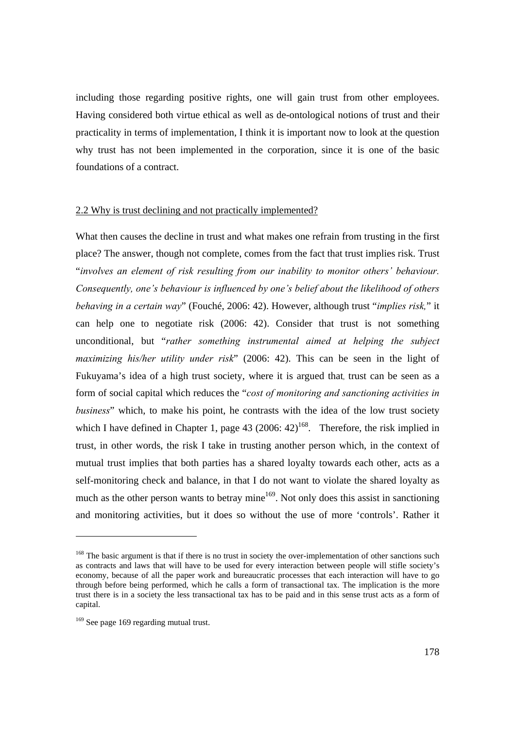including those regarding positive rights, one will gain trust from other employees. Having considered both virtue ethical as well as de-ontological notions of trust and their practicality in terms of implementation, I think it is important now to look at the question why trust has not been implemented in the corporation, since it is one of the basic foundations of a contract.

# 2.2 Why is trust declining and not practically implemented?

What then causes the decline in trust and what makes one refrain from trusting in the first place? The answer, though not complete, comes from the fact that trust implies risk. Trust "*involves an element of risk resulting from our inability to monitor others' behaviour. Consequently, one's behaviour is influenced by one's belief about the likelihood of others behaving in a certain way*" (Fouché, 2006: 42). However, although trust "*implies risk,*" it can help one to negotiate risk (2006: 42). Consider that trust is not something unconditional, but "*rather something instrumental aimed at helping the subject maximizing his/her utility under risk*" (2006: 42). This can be seen in the light of Fukuyama's idea of a high trust society, where it is argued that, trust can be seen as a form of social capital which reduces the "*cost of monitoring and sanctioning activities in business*" which, to make his point, he contrasts with the idea of the low trust society which I have defined in Chapter 1, page 43 (2006:  $42$ )<sup>168</sup>. Therefore, the risk implied in trust, in other words, the risk I take in trusting another person which, in the context of mutual trust implies that both parties has a shared loyalty towards each other, acts as a self-monitoring check and balance, in that I do not want to violate the shared loyalty as much as the other person wants to betray mine<sup>169</sup>. Not only does this assist in sanctioning and monitoring activities, but it does so without the use of more 'controls'. Rather it

<sup>&</sup>lt;sup>168</sup> The basic argument is that if there is no trust in society the over-implementation of other sanctions such as contracts and laws that will have to be used for every interaction between people will stifle society's economy, because of all the paper work and bureaucratic processes that each interaction will have to go through before being performed, which he calls a form of transactional tax. The implication is the more trust there is in a society the less transactional tax has to be paid and in this sense trust acts as a form of capital.

<sup>&</sup>lt;sup>169</sup> See page 169 regarding mutual trust.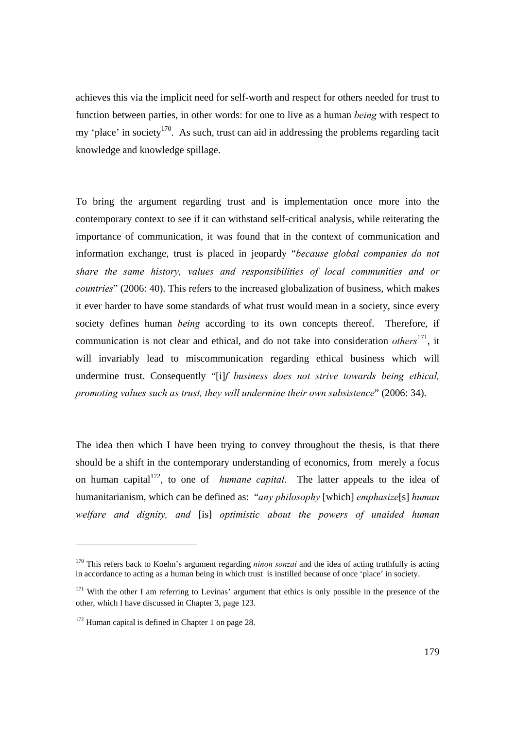achieves this via the implicit need for self-worth and respect for others needed for trust to function between parties, in other words: for one to live as a human *being* with respect to my 'place' in society<sup>170</sup>. As such, trust can aid in addressing the problems regarding tacit knowledge and knowledge spillage.

To bring the argument regarding trust and is implementation once more into the contemporary context to see if it can withstand self-critical analysis, while reiterating the importance of communication, it was found that in the context of communication and information exchange, trust is placed in jeopardy "*because global companies do not share the same history, values and responsibilities of local communities and or countries*" (2006: 40). This refers to the increased globalization of business, which makes it ever harder to have some standards of what trust would mean in a society, since every society defines human *being* according to its own concepts thereof. Therefore, if communication is not clear and ethical, and do not take into consideration *others*<sup>171</sup>, it will invariably lead to miscommunication regarding ethical business which will undermine trust. Consequently "[i]*f business does not strive towards being ethical, promoting values such as trust, they will undermine their own subsistence*" (2006: 34).

The idea then which I have been trying to convey throughout the thesis, is that there should be a shift in the contemporary understanding of economics, from merely a focus on human capital<sup>172</sup>, to one of *humane capital*. The latter appeals to the idea of humanitarianism, which can be defined as: "*any philosophy* [which] *emphasize*[s] *human welfare and dignity, and* [is] *optimistic about the powers of unaided human* 

<sup>&</sup>lt;sup>170</sup> This refers back to Koehn's argument regarding *ninon sonzai* and the idea of acting truthfully is acting in accordance to acting as a human being in which trust is instilled because of once 'place' in society.

<sup>&</sup>lt;sup>171</sup> With the other I am referring to Levinas' argument that ethics is only possible in the presence of the other, which I have discussed in Chapter 3, page 123.

<sup>&</sup>lt;sup>172</sup> Human capital is defined in Chapter 1 on page 28.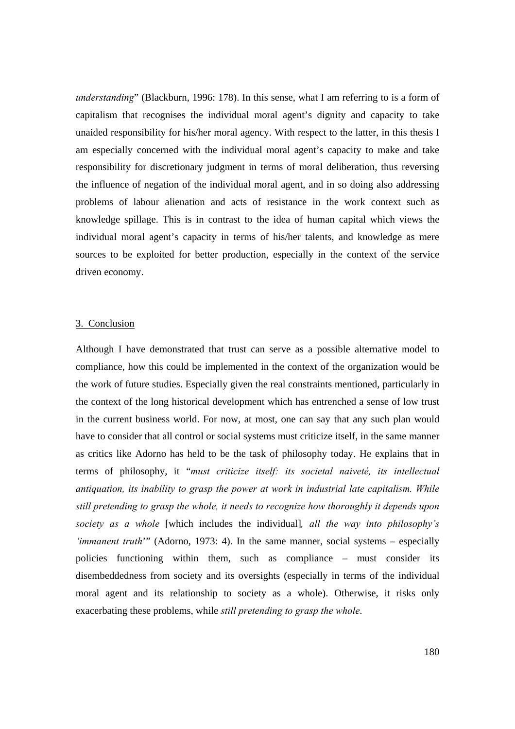*understanding*" (Blackburn, 1996: 178). In this sense, what I am referring to is a form of capitalism that recognises the individual moral agent's dignity and capacity to take unaided responsibility for his/her moral agency. With respect to the latter, in this thesis I am especially concerned with the individual moral agent's capacity to make and take responsibility for discretionary judgment in terms of moral deliberation, thus reversing the influence of negation of the individual moral agent, and in so doing also addressing problems of labour alienation and acts of resistance in the work context such as knowledge spillage. This is in contrast to the idea of human capital which views the individual moral agent's capacity in terms of his/her talents, and knowledge as mere sources to be exploited for better production, especially in the context of the service driven economy.

#### 3. Conclusion

Although I have demonstrated that trust can serve as a possible alternative model to compliance, how this could be implemented in the context of the organization would be the work of future studies. Especially given the real constraints mentioned, particularly in the context of the long historical development which has entrenched a sense of low trust in the current business world. For now, at most, one can say that any such plan would have to consider that all control or social systems must criticize itself, in the same manner as critics like Adorno has held to be the task of philosophy today. He explains that in terms of philosophy, it "*must criticize itself: its societal naiveté, its intellectual antiquation, its inability to grasp the power at work in industrial late capitalism. While still pretending to grasp the whole, it needs to recognize how thoroughly it depends upon society as a whole* [which includes the individual]*, all the way into philosophy's 'immanent truth*'" (Adorno, 1973: 4). In the same manner, social systems – especially policies functioning within them, such as compliance – must consider its disembeddedness from society and its oversights (especially in terms of the individual moral agent and its relationship to society as a whole). Otherwise, it risks only exacerbating these problems, while *still pretending to grasp the whole*.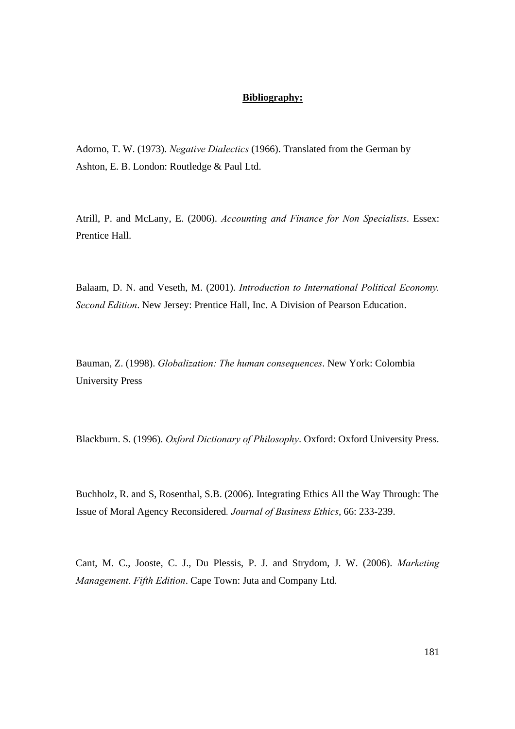## **Bibliography:**

Adorno, T. W. (1973). *Negative Dialectics* (1966). Translated from the German by Ashton, E. B. London: Routledge & Paul Ltd.

Atrill, P. and McLany, E. (2006). *Accounting and Finance for Non Specialists*. Essex: Prentice Hall.

Balaam, D. N. and Veseth, M. (2001). *Introduction to International Political Economy. Second Edition*. New Jersey: Prentice Hall, Inc. A Division of Pearson Education.

Bauman, Z. (1998). *Globalization: The human consequences*. New York: Colombia University Press

Blackburn. S. (1996). *Oxford Dictionary of Philosophy*. Oxford: Oxford University Press.

Buchholz, R. and S, Rosenthal, S.B. (2006). Integrating Ethics All the Way Through: The Issue of Moral Agency Reconsidered*. Journal of Business Ethics*, 66: 233-239.

Cant, M. C., Jooste, C. J., Du Plessis, P. J. and Strydom, J. W. (2006). *Marketing Management. Fifth Edition*. Cape Town: Juta and Company Ltd.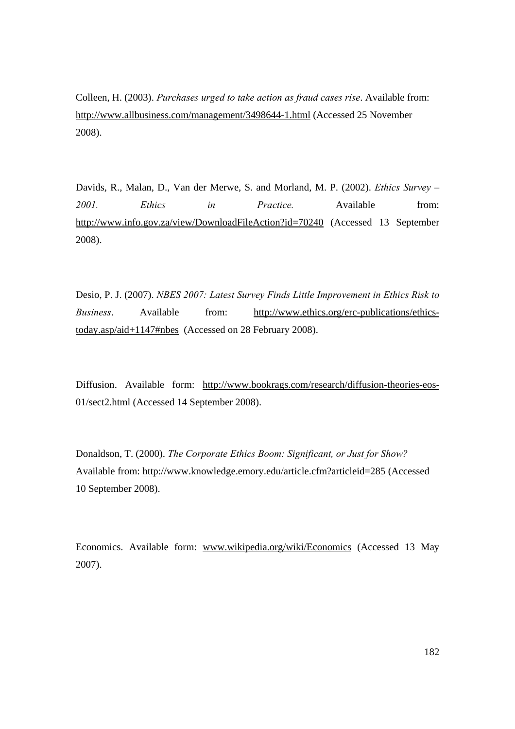Colleen, H. (2003). *Purchases urged to take action as fraud cases rise*. Available from: http://www.allbusiness.com/management/3498644-1.html (Accessed 25 November 2008).

Davids, R., Malan, D., Van der Merwe, S. and Morland, M. P. (2002). *Ethics Survey – 2001. Ethics in Practice.* Available from: http://www.info.gov.za/view/DownloadFileAction?id=70240 (Accessed 13 September 2008).

Desio, P. J. (2007). *NBES 2007: Latest Survey Finds Little Improvement in Ethics Risk to Business*. Available from: http://www.ethics.org/erc-publications/ethicstoday.asp/aid+1147#nbes (Accessed on 28 February 2008).

Diffusion. Available form: http://www.bookrags.com/research/diffusion-theories-eos-01/sect2.html (Accessed 14 September 2008).

Donaldson, T. (2000). *The Corporate Ethics Boom: Significant, or Just for Show?*  Available from: http://www.knowledge.emory.edu/article.cfm?articleid=285 (Accessed 10 September 2008).

Economics. Available form: www.wikipedia.org/wiki/Economics (Accessed 13 May 2007).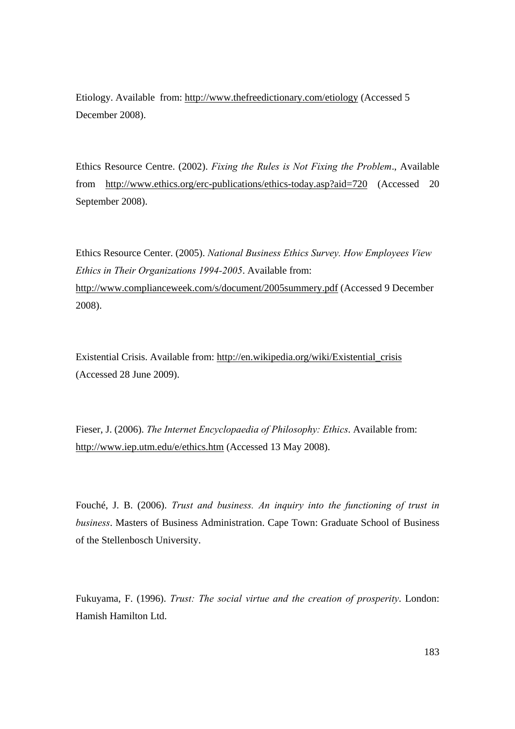Etiology. Available from: http://www.thefreedictionary.com/etiology (Accessed 5 December 2008).

Ethics Resource Centre. (2002). *Fixing the Rules is Not Fixing the Problem*., Available from http://www.ethics.org/erc-publications/ethics-today.asp?aid=720 (Accessed 20 September 2008).

Ethics Resource Center. (2005). *National Business Ethics Survey. How Employees View Ethics in Their Organizations 1994-2005*. Available from: http://www.complianceweek.com/s/document/2005summery.pdf (Accessed 9 December 2008).

Existential Crisis. Available from: http://en.wikipedia.org/wiki/Existential\_crisis (Accessed 28 June 2009).

Fieser, J. (2006). *The Internet Encyclopaedia of Philosophy: Ethics*. Available from: http://www.iep.utm.edu/e/ethics.htm (Accessed 13 May 2008).

Fouché, J. B. (2006). *Trust and business. An inquiry into the functioning of trust in business*. Masters of Business Administration. Cape Town: Graduate School of Business of the Stellenbosch University.

Fukuyama, F. (1996). *Trust: The social virtue and the creation of prosperity*. London: Hamish Hamilton Ltd.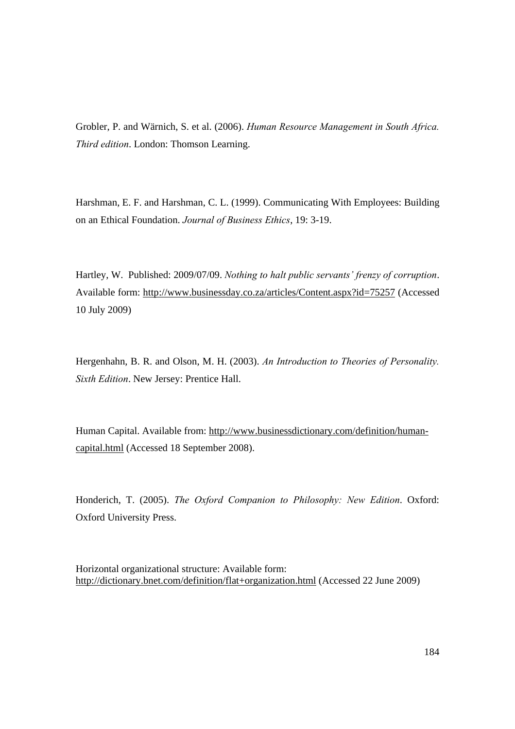Grobler, P. and Wärnich, S. et al. (2006). *Human Resource Management in South Africa. Third edition*. London: Thomson Learning.

Harshman, E. F. and Harshman, C. L. (1999). Communicating With Employees: Building on an Ethical Foundation. *Journal of Business Ethics*, 19: 3-19.

Hartley, W. Published: 2009/07/09. *Nothing to halt public servants' frenzy of corruption*. Available form: http://www.businessday.co.za/articles/Content.aspx?id=75257 (Accessed 10 July 2009)

Hergenhahn, B. R. and Olson, M. H. (2003). *An Introduction to Theories of Personality. Sixth Edition*. New Jersey: Prentice Hall.

Human Capital. Available from: http://www.businessdictionary.com/definition/humancapital.html (Accessed 18 September 2008).

Honderich, T. (2005). *The Oxford Companion to Philosophy: New Edition*. Oxford: Oxford University Press.

Horizontal organizational structure: Available form: http://dictionary.bnet.com/definition/flat+organization.html (Accessed 22 June 2009)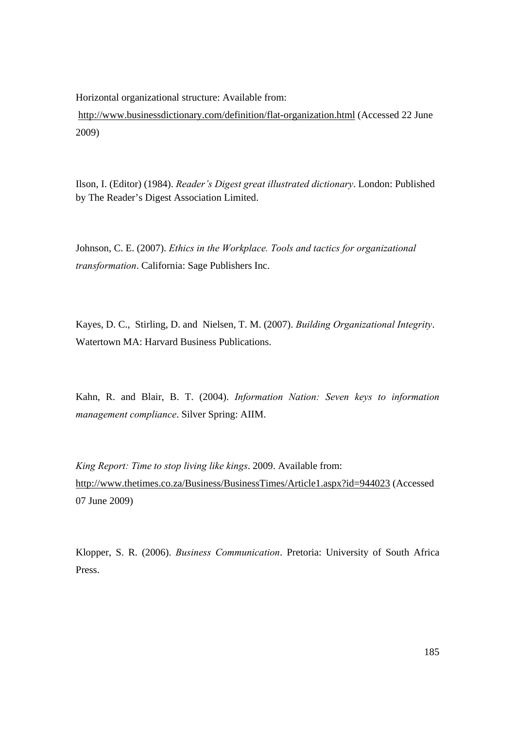Horizontal organizational structure: Available from:

 http://www.businessdictionary.com/definition/flat-organization.html (Accessed 22 June 2009)

Ilson, I. (Editor) (1984). *Reader's Digest great illustrated dictionary*. London: Published by The Reader's Digest Association Limited.

Johnson, C. E. (2007). *Ethics in the Workplace. Tools and tactics for organizational transformation*. California: Sage Publishers Inc.

Kayes, D. C., Stirling, D. and Nielsen, T. M. (2007). *Building Organizational Integrity*. Watertown MA: Harvard Business Publications.

Kahn, R. and Blair, B. T. (2004). *Information Nation: Seven keys to information management compliance*. Silver Spring: AIIM.

*King Report: Time to stop living like kings*. 2009. Available from: http://www.thetimes.co.za/Business/BusinessTimes/Article1.aspx?id=944023 (Accessed 07 June 2009)

Klopper, S. R. (2006). *Business Communication*. Pretoria: University of South Africa Press.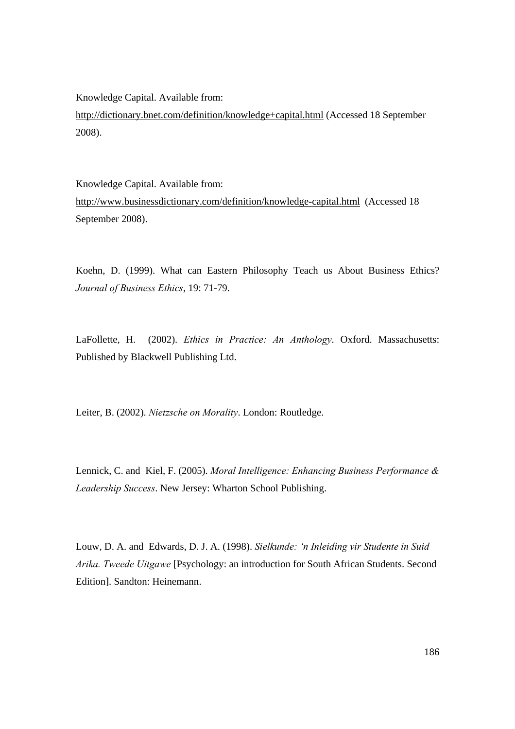Knowledge Capital. Available from:

http://dictionary.bnet.com/definition/knowledge+capital.html (Accessed 18 September 2008).

Knowledge Capital. Available from:

http://www.businessdictionary.com/definition/knowledge-capital.html (Accessed 18 September 2008).

Koehn, D. (1999). What can Eastern Philosophy Teach us About Business Ethics? *Journal of Business Ethics*, 19: 71-79.

LaFollette, H. (2002). *Ethics in Practice: An Anthology*. Oxford. Massachusetts: Published by Blackwell Publishing Ltd.

Leiter, B. (2002). *Nietzsche on Morality*. London: Routledge.

Lennick, C. and Kiel, F. (2005). *Moral Intelligence: Enhancing Business Performance & Leadership Success*. New Jersey: Wharton School Publishing.

Louw, D. A. and Edwards, D. J. A. (1998). *Sielkunde: 'n Inleiding vir Studente in Suid Arika. Tweede Uitgawe* [Psychology: an introduction for South African Students. Second Edition]. Sandton: Heinemann.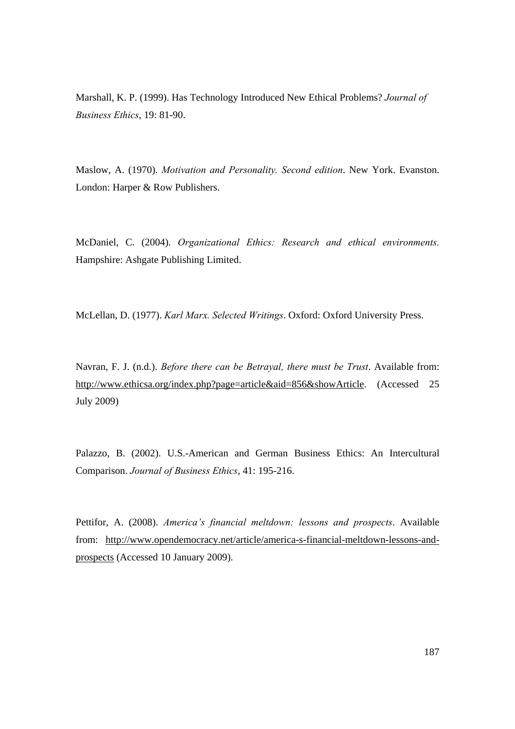Marshall, K. P. (1999). Has Technology Introduced New Ethical Problems? *Journal of Business Ethics*, 19: 81-90.

Maslow, A. (1970). *Motivation and Personality. Second edition*. New York. Evanston. London: Harper & Row Publishers.

McDaniel, C. (2004). *Organizational Ethics: Research and ethical environments.* Hampshire: Ashgate Publishing Limited.

McLellan, D. (1977). *Karl Marx. Selected Writings*. Oxford: Oxford University Press.

Navran, F. J. (n.d.). *Before there can be Betrayal, there must be Trust*. Available from: http://www.ethicsa.org/index.php?page=article&aid=856&showArticle. (Accessed 25 July 2009)

Palazzo, B. (2002). U.S.-American and German Business Ethics: An Intercultural Comparison. *Journal of Business Ethics*, 41: 195-216.

Pettifor, A. (2008). *America's financial meltdown: lessons and prospects*. Available from: http://www.opendemocracy.net/article/america-s-financial-meltdown-lessons-andprospects (Accessed 10 January 2009).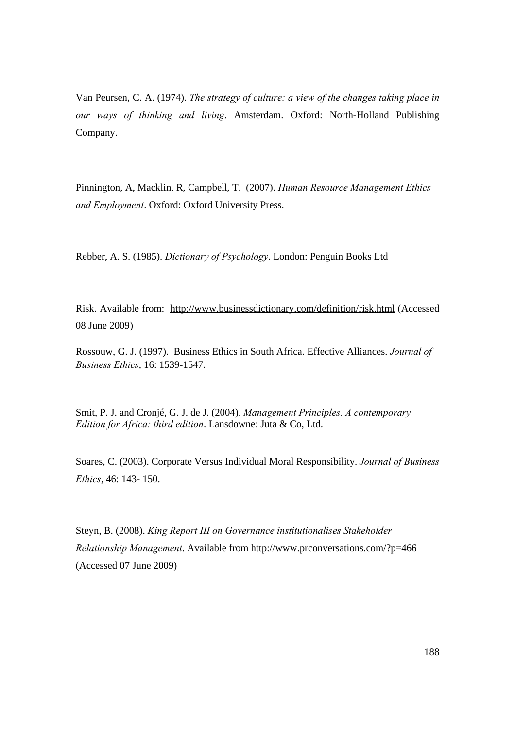Van Peursen, C. A. (1974). *The strategy of culture: a view of the changes taking place in our ways of thinking and living*. Amsterdam. Oxford: North-Holland Publishing Company.

Pinnington, A, Macklin, R, Campbell, T. (2007). *Human Resource Management Ethics and Employment*. Oxford: Oxford University Press.

Rebber, A. S. (1985). *Dictionary of Psychology*. London: Penguin Books Ltd

Risk. Available from: http://www.businessdictionary.com/definition/risk.html (Accessed 08 June 2009)

Rossouw, G. J. (1997). Business Ethics in South Africa. Effective Alliances. *Journal of Business Ethics*, 16: 1539-1547.

Smit, P. J. and Cronjé, G. J. de J. (2004). *Management Principles. A contemporary Edition for Africa: third edition*. Lansdowne: Juta & Co, Ltd.

Soares, C. (2003). Corporate Versus Individual Moral Responsibility. *Journal of Business Ethics*, 46: 143- 150.

Steyn, B. (2008). *King Report III on Governance institutionalises Stakeholder Relationship Management*. Available from http://www.prconversations.com/?p=466 (Accessed 07 June 2009)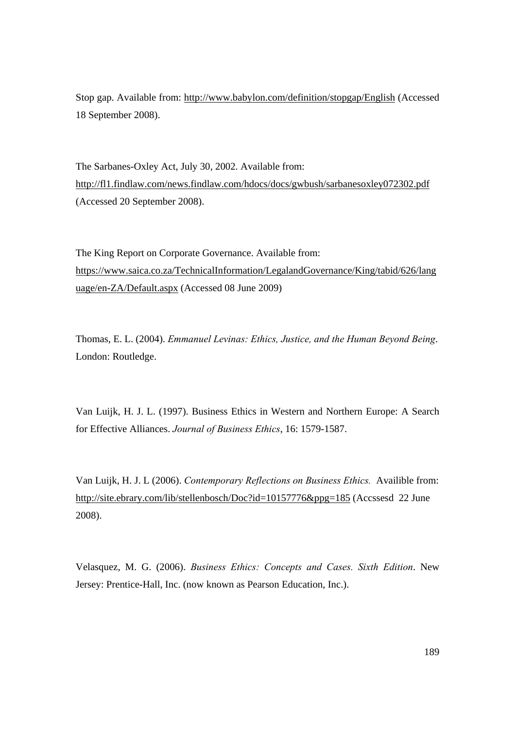Stop gap. Available from: http://www.babylon.com/definition/stopgap/English (Accessed 18 September 2008).

The Sarbanes-Oxley Act, July 30, 2002. Available from: http://fl1.findlaw.com/news.findlaw.com/hdocs/docs/gwbush/sarbanesoxley072302.pdf (Accessed 20 September 2008).

The King Report on Corporate Governance. Available from: https://www.saica.co.za/TechnicalInformation/LegalandGovernance/King/tabid/626/lang uage/en-ZA/Default.aspx (Accessed 08 June 2009)

Thomas, E. L. (2004). *Emmanuel Levinas: Ethics, Justice, and the Human Beyond Being*. London: Routledge.

Van Luijk, H. J. L. (1997). Business Ethics in Western and Northern Europe: A Search for Effective Alliances. *Journal of Business Ethics*, 16: 1579-1587.

Van Luijk, H. J. L (2006). *Contemporary Reflections on Business Ethics.* Availible from: http://site.ebrary.com/lib/stellenbosch/Doc?id=10157776&ppg=185 (Accssesd 22 June 2008).

Velasquez, M. G. (2006). *Business Ethics: Concepts and Cases. Sixth Edition*. New Jersey: Prentice-Hall, Inc. (now known as Pearson Education, Inc.).